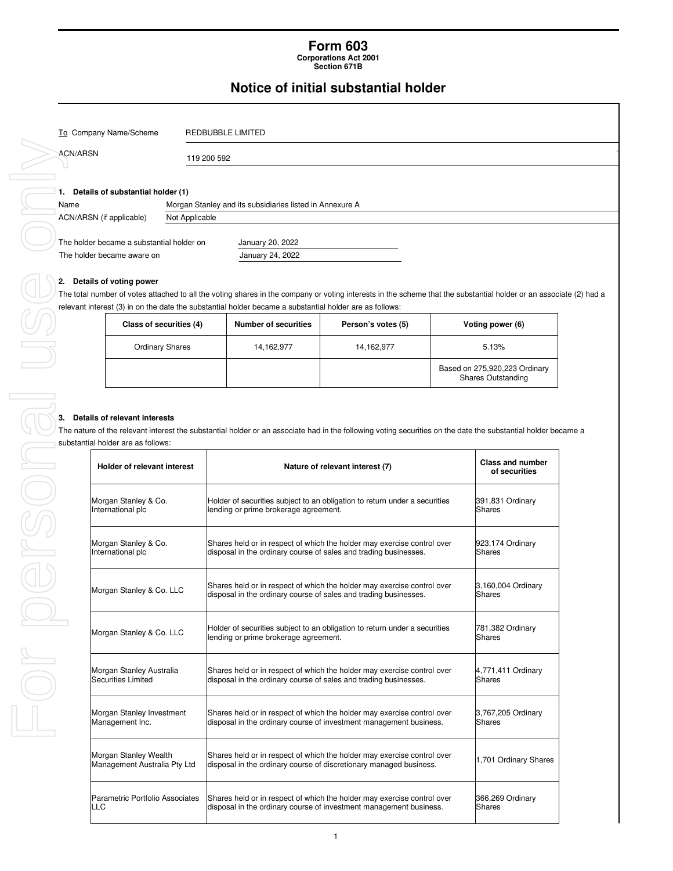## **Form 603 Corporations Act 2001**

**Section 671B** 

## **Notice of initial substantial holder**

366,269 Ordinary **Shares** 

1

Shares held or in respect of which the holder may exercise control over

Shares held or in respect of which the holder may exercise control over disposal in the ordinary course of investment management business.

Shares held of in respect of which the noider may exercise control over 1,701 Ordinary Shares<br>disposal in the ordinary course of discretionary managed business.

|          | To Company Name/Scheme                                            |                | REDBUBBLE LIMITED                                                                                       |                                                                                                                                                                    |                                                     |
|----------|-------------------------------------------------------------------|----------------|---------------------------------------------------------------------------------------------------------|--------------------------------------------------------------------------------------------------------------------------------------------------------------------|-----------------------------------------------------|
| ACN/ARSN |                                                                   | 119 200 592    |                                                                                                         |                                                                                                                                                                    |                                                     |
|          |                                                                   |                |                                                                                                         |                                                                                                                                                                    |                                                     |
| Name     | 1. Details of substantial holder (1)                              |                | Morgan Stanley and its subsidiaries listed in Annexure A                                                |                                                                                                                                                                    |                                                     |
|          | ACN/ARSN (if applicable)                                          | Not Applicable |                                                                                                         |                                                                                                                                                                    |                                                     |
|          |                                                                   |                |                                                                                                         |                                                                                                                                                                    |                                                     |
|          | The holder became a substantial holder on                         |                | January 20, 2022                                                                                        |                                                                                                                                                                    |                                                     |
|          | The holder became aware on                                        |                | January 24, 2022                                                                                        |                                                                                                                                                                    |                                                     |
|          | 2. Details of voting power                                        |                |                                                                                                         |                                                                                                                                                                    |                                                     |
|          |                                                                   |                |                                                                                                         | The total number of votes attached to all the voting shares in the company or voting interests in the scheme that the substantial holder or an associate (2) had a |                                                     |
|          |                                                                   |                | relevant interest (3) in on the date the substantial holder became a substantial holder are as follows: |                                                                                                                                                                    |                                                     |
|          | Class of securities (4)                                           |                | <b>Number of securities</b>                                                                             | Person's votes (5)                                                                                                                                                 | Voting power (6)                                    |
|          | <b>Ordinary Shares</b>                                            |                | 14,162,977                                                                                              | 14,162,977                                                                                                                                                         | 5.13%                                               |
|          |                                                                   |                |                                                                                                         |                                                                                                                                                                    | Based on 275,920,223 Ordinary<br>Shares Outstanding |
|          |                                                                   |                |                                                                                                         |                                                                                                                                                                    |                                                     |
|          | 3. Details of relevant interests                                  |                |                                                                                                         | The nature of the relevant interest the substantial holder or an associate had in the following voting securities on the date the substantial holder became a      |                                                     |
|          | substantial holder are as follows:<br>Holder of relevant interest |                |                                                                                                         | Nature of relevant interest (7)                                                                                                                                    | <b>Class and number</b><br>of securities            |
|          | Morgan Stanley & Co.<br>International plc                         |                | lending or prime brokerage agreement.                                                                   | Holder of securities subject to an obligation to return under a securities                                                                                         | 391,831 Ordinary<br><b>Shares</b>                   |
|          | Morgan Stanley & Co.<br>International plc                         |                |                                                                                                         | Shares held or in respect of which the holder may exercise control over<br>disposal in the ordinary course of sales and trading businesses.                        | 923,174 Ordinary<br><b>Shares</b>                   |
|          | Morgan Stanley & Co. LLC                                          |                |                                                                                                         | Shares held or in respect of which the holder may exercise control over<br>disposal in the ordinary course of sales and trading businesses.                        | 3,160,004 Ordinary<br><b>Shares</b>                 |
|          | Morgan Stanley & Co. LLC                                          |                | lending or prime brokerage agreement.                                                                   | Holder of securities subject to an obligation to return under a securities                                                                                         | 781,382 Ordinary<br>Shares                          |
|          | Morgan Stanley Australia<br><b>Securities Limited</b>             |                |                                                                                                         | Shares held or in respect of which the holder may exercise control over<br>disposal in the ordinary course of sales and trading businesses.                        | 4,771,411 Ordinary<br>Shares                        |

Morgan Stanley Wealth Management Australia Pty Ltd

LLC

Parametric Portfolio Associates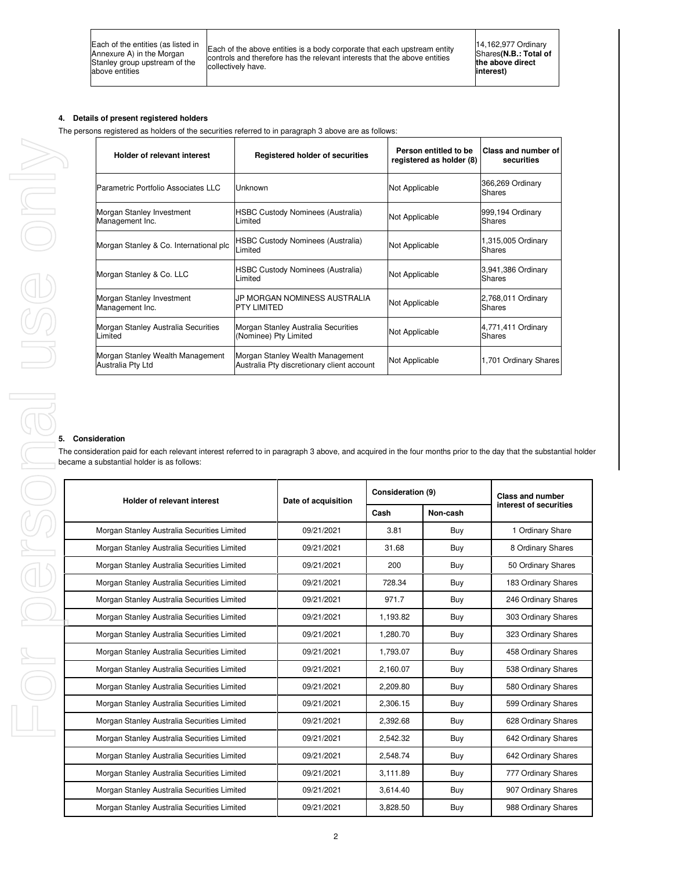Each of the above entities is a body corporate that each upstream entity controls and therefore has the relevant interests that the above entities collectively have.

## **4. Details of present registered holders**

The persons registered as holders of the securities referred to in paragraph 3 above are as follows:

| <b>Holder of relevant interest</b>                    | Registered holder of securities                                                | Person entitled to be<br>registered as holder (8) | <b>Class and number of</b><br>securities |
|-------------------------------------------------------|--------------------------------------------------------------------------------|---------------------------------------------------|------------------------------------------|
| Parametric Portfolio Associates LLC                   | <b>Unknown</b>                                                                 | Not Applicable                                    | 366,269 Ordinary<br>Shares               |
| Morgan Stanley Investment<br>Management Inc.          | <b>HSBC Custody Nominees (Australia)</b><br>Limited                            | Not Applicable                                    | 999,194 Ordinary<br>Shares               |
| Morgan Stanley & Co. International plc                | <b>HSBC Custody Nominees (Australia)</b><br>Limited                            | Not Applicable                                    | 1,315,005 Ordinary<br>Shares             |
| Morgan Stanley & Co. LLC                              | <b>HSBC Custody Nominees (Australia)</b><br>Limited                            | Not Applicable                                    | 3,941,386 Ordinary<br>Shares             |
| Morgan Stanley Investment<br>Management Inc.          | UP MORGAN NOMINESS AUSTRALIA<br><b>PTY LIMITED</b>                             | Not Applicable                                    | 2,768,011 Ordinary<br>Shares             |
| Morgan Stanley Australia Securities<br>Limited        | Morgan Stanley Australia Securities<br>(Nominee) Pty Limited                   | Not Applicable                                    | 4,771,411 Ordinary<br>Shares             |
| Morgan Stanley Wealth Management<br>Australia Pty Ltd | Morgan Stanley Wealth Management<br>Australia Pty discretionary client account | Not Applicable                                    | 1,701 Ordinary Shares                    |

## **5. Consideration**

The consideration paid for each relevant interest referred to in paragraph 3 above, and acquired in the four months prior to the day that the substantial holder

| became a substantial holder is as follows:  |                     |                   |          |                         |
|---------------------------------------------|---------------------|-------------------|----------|-------------------------|
| Holder of relevant interest                 | Date of acquisition | Consideration (9) |          | <b>Class and number</b> |
|                                             |                     | Cash              | Non-cash | interest of securities  |
| Morgan Stanley Australia Securities Limited | 09/21/2021          | 3.81              | Buy      | 1 Ordinary Share        |
| Morgan Stanley Australia Securities Limited | 09/21/2021          | 31.68             | Buy      | 8 Ordinary Shares       |
| Morgan Stanley Australia Securities Limited | 09/21/2021          | 200               | Buy      | 50 Ordinary Shares      |
| Morgan Stanley Australia Securities Limited | 09/21/2021          | 728.34            | Buy      | 183 Ordinary Shares     |
| Morgan Stanley Australia Securities Limited | 09/21/2021          | 971.7             | Buy      | 246 Ordinary Shares     |
| Morgan Stanley Australia Securities Limited | 09/21/2021          | 1,193.82          | Buy      | 303 Ordinary Shares     |
| Morgan Stanley Australia Securities Limited | 09/21/2021          | 1.280.70          | Buy      | 323 Ordinary Shares     |
| Morgan Stanley Australia Securities Limited | 09/21/2021          | 1,793.07          | Buy      | 458 Ordinary Shares     |
| Morgan Stanley Australia Securities Limited | 09/21/2021          | 2,160.07          | Buy      | 538 Ordinary Shares     |
| Morgan Stanley Australia Securities Limited | 09/21/2021          | 2.209.80          | Buy      | 580 Ordinary Shares     |
| Morgan Stanley Australia Securities Limited | 09/21/2021          | 2,306.15          | Buy      | 599 Ordinary Shares     |
| Morgan Stanley Australia Securities Limited | 09/21/2021          | 2,392.68          | Buy      | 628 Ordinary Shares     |
| Morgan Stanley Australia Securities Limited | 09/21/2021          | 2,542.32          | Buy      | 642 Ordinary Shares     |
| Morgan Stanley Australia Securities Limited | 09/21/2021          | 2.548.74          | Buy      | 642 Ordinary Shares     |
| Morgan Stanley Australia Securities Limited | 09/21/2021          | 3,111.89          | Buy      | 777 Ordinary Shares     |
| Morgan Stanley Australia Securities Limited | 09/21/2021          | 3,614.40          | Buy      | 907 Ordinary Shares     |
| Morgan Stanley Australia Securities Limited | 09/21/2021          | 3.828.50          | Buy      | 988 Ordinary Shares     |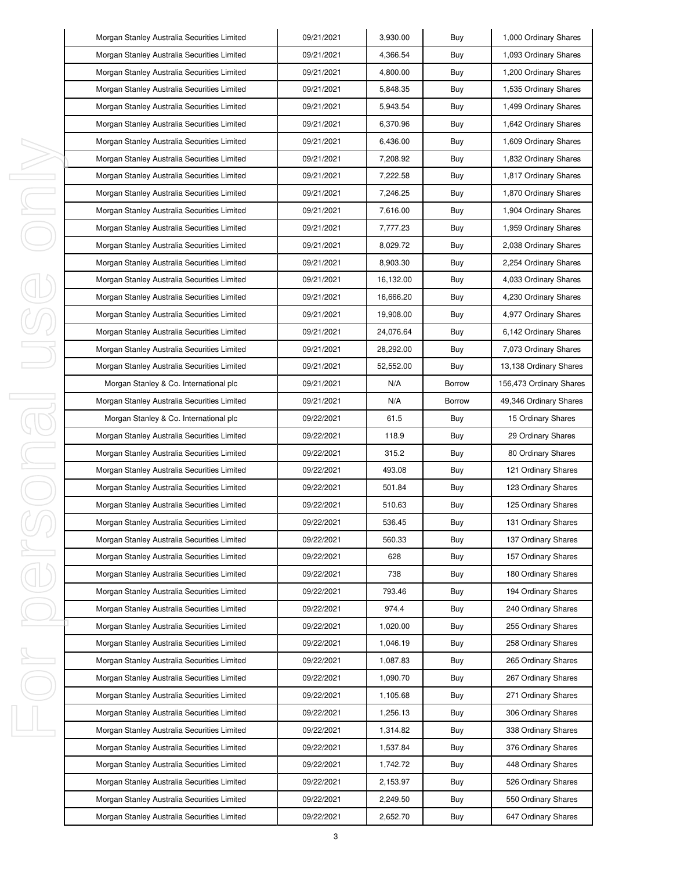| Morgan Stanley Australia Securities Limited | 09/21/2021 | 3,930.00  | Buy           | 1,000 Ordinary Shares   |
|---------------------------------------------|------------|-----------|---------------|-------------------------|
| Morgan Stanley Australia Securities Limited | 09/21/2021 | 4,366.54  | Buy           | 1,093 Ordinary Shares   |
| Morgan Stanley Australia Securities Limited | 09/21/2021 | 4,800.00  | Buy           | 1,200 Ordinary Shares   |
| Morgan Stanley Australia Securities Limited | 09/21/2021 | 5,848.35  | Buy           | 1,535 Ordinary Shares   |
| Morgan Stanley Australia Securities Limited | 09/21/2021 | 5,943.54  | Buy           | 1,499 Ordinary Shares   |
| Morgan Stanley Australia Securities Limited | 09/21/2021 | 6,370.96  | Buy           | 1,642 Ordinary Shares   |
| Morgan Stanley Australia Securities Limited | 09/21/2021 | 6,436.00  | Buy           | 1,609 Ordinary Shares   |
| Morgan Stanley Australia Securities Limited | 09/21/2021 | 7,208.92  | Buy           | 1,832 Ordinary Shares   |
| Morgan Stanley Australia Securities Limited | 09/21/2021 | 7,222.58  | Buy           | 1,817 Ordinary Shares   |
| Morgan Stanley Australia Securities Limited | 09/21/2021 | 7,246.25  | Buy           | 1,870 Ordinary Shares   |
| Morgan Stanley Australia Securities Limited | 09/21/2021 | 7,616.00  | Buy           | 1,904 Ordinary Shares   |
| Morgan Stanley Australia Securities Limited | 09/21/2021 | 7,777.23  | Buy           | 1,959 Ordinary Shares   |
| Morgan Stanley Australia Securities Limited | 09/21/2021 | 8,029.72  | Buy           | 2,038 Ordinary Shares   |
| Morgan Stanley Australia Securities Limited | 09/21/2021 | 8,903.30  | Buy           | 2,254 Ordinary Shares   |
| Morgan Stanley Australia Securities Limited | 09/21/2021 | 16,132.00 | Buy           | 4,033 Ordinary Shares   |
| Morgan Stanley Australia Securities Limited | 09/21/2021 | 16,666.20 | Buy           | 4,230 Ordinary Shares   |
| Morgan Stanley Australia Securities Limited | 09/21/2021 | 19,908.00 | Buy           | 4,977 Ordinary Shares   |
| Morgan Stanley Australia Securities Limited | 09/21/2021 | 24,076.64 | Buy           | 6,142 Ordinary Shares   |
| Morgan Stanley Australia Securities Limited | 09/21/2021 | 28,292.00 | Buy           | 7,073 Ordinary Shares   |
| Morgan Stanley Australia Securities Limited | 09/21/2021 | 52,552.00 | Buy           | 13,138 Ordinary Shares  |
| Morgan Stanley & Co. International plc      | 09/21/2021 | N/A       | <b>Borrow</b> | 156,473 Ordinary Shares |
| Morgan Stanley Australia Securities Limited | 09/21/2021 | N/A       | <b>Borrow</b> | 49,346 Ordinary Shares  |
| Morgan Stanley & Co. International plc      | 09/22/2021 | 61.5      | Buy           | 15 Ordinary Shares      |
| Morgan Stanley Australia Securities Limited | 09/22/2021 | 118.9     | Buy           | 29 Ordinary Shares      |
| Morgan Stanley Australia Securities Limited | 09/22/2021 | 315.2     | Buy           | 80 Ordinary Shares      |
| Morgan Stanley Australia Securities Limited | 09/22/2021 | 493.08    | Buy           | 121 Ordinary Shares     |
| Morgan Stanley Australia Securities Limited | 09/22/2021 | 501.84    | Buy           | 123 Ordinary Shares     |
| Morgan Stanley Australia Securities Limited | 09/22/2021 | 510.63    | Buy           | 125 Ordinary Shares     |
| Morgan Stanley Australia Securities Limited | 09/22/2021 | 536.45    | Buy           | 131 Ordinary Shares     |
| Morgan Stanley Australia Securities Limited | 09/22/2021 | 560.33    | Buy           | 137 Ordinary Shares     |
| Morgan Stanley Australia Securities Limited | 09/22/2021 | 628       | Buy           | 157 Ordinary Shares     |
| Morgan Stanley Australia Securities Limited | 09/22/2021 | 738       | Buy           | 180 Ordinary Shares     |
| Morgan Stanley Australia Securities Limited | 09/22/2021 | 793.46    | Buy           | 194 Ordinary Shares     |
| Morgan Stanley Australia Securities Limited | 09/22/2021 | 974.4     | Buy           | 240 Ordinary Shares     |
| Morgan Stanley Australia Securities Limited | 09/22/2021 | 1,020.00  | Buy           | 255 Ordinary Shares     |
| Morgan Stanley Australia Securities Limited | 09/22/2021 | 1,046.19  | Buy           | 258 Ordinary Shares     |
| Morgan Stanley Australia Securities Limited | 09/22/2021 | 1,087.83  | Buy           | 265 Ordinary Shares     |
| Morgan Stanley Australia Securities Limited | 09/22/2021 | 1,090.70  | Buy           | 267 Ordinary Shares     |
| Morgan Stanley Australia Securities Limited | 09/22/2021 | 1,105.68  | Buy           | 271 Ordinary Shares     |
| Morgan Stanley Australia Securities Limited | 09/22/2021 | 1,256.13  | Buy           | 306 Ordinary Shares     |
| Morgan Stanley Australia Securities Limited | 09/22/2021 | 1,314.82  | Buy           | 338 Ordinary Shares     |
| Morgan Stanley Australia Securities Limited | 09/22/2021 | 1,537.84  | Buy           | 376 Ordinary Shares     |
| Morgan Stanley Australia Securities Limited | 09/22/2021 | 1,742.72  | Buy           | 448 Ordinary Shares     |
| Morgan Stanley Australia Securities Limited | 09/22/2021 | 2,153.97  | Buy           | 526 Ordinary Shares     |
| Morgan Stanley Australia Securities Limited | 09/22/2021 | 2,249.50  | Buy           | 550 Ordinary Shares     |
| Morgan Stanley Australia Securities Limited | 09/22/2021 | 2,652.70  | Buy           | 647 Ordinary Shares     |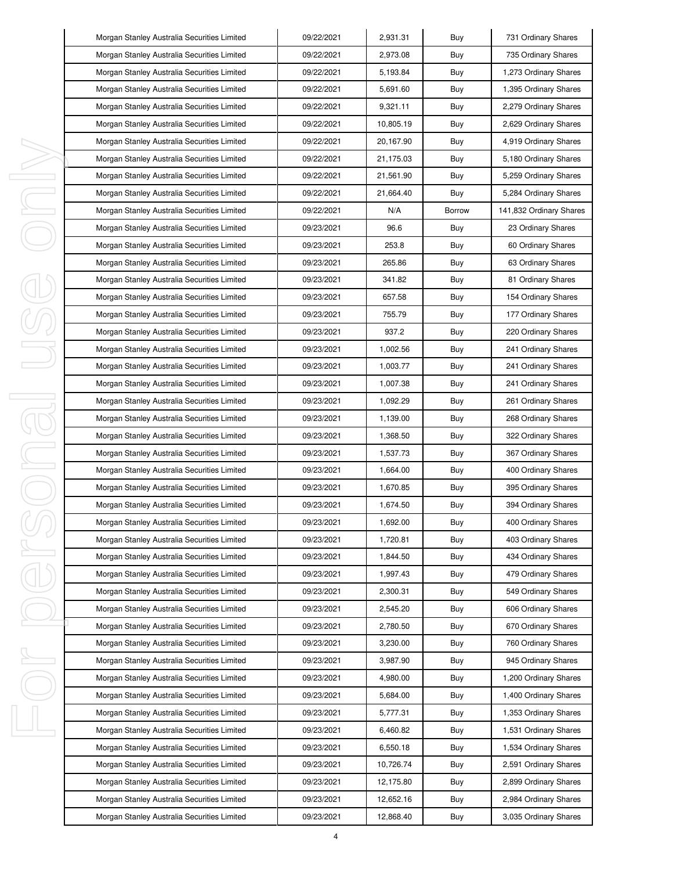|         | Morgan Stanley Australia Securities Limited | 09/22/2021 | 2,931.31  | Buy           | 731 Ordinary Shares     |
|---------|---------------------------------------------|------------|-----------|---------------|-------------------------|
|         | Morgan Stanley Australia Securities Limited | 09/22/2021 | 2,973.08  | Buy           | 735 Ordinary Shares     |
|         | Morgan Stanley Australia Securities Limited | 09/22/2021 | 5.193.84  | Buy           | 1,273 Ordinary Shares   |
|         | Morgan Stanley Australia Securities Limited | 09/22/2021 | 5,691.60  | Buy           | 1,395 Ordinary Shares   |
|         | Morgan Stanley Australia Securities Limited | 09/22/2021 | 9,321.11  | Buy           | 2,279 Ordinary Shares   |
|         | Morgan Stanley Australia Securities Limited | 09/22/2021 | 10,805.19 | Buy           | 2,629 Ordinary Shares   |
|         | Morgan Stanley Australia Securities Limited | 09/22/2021 | 20,167.90 | Buy           | 4,919 Ordinary Shares   |
|         | Morgan Stanley Australia Securities Limited | 09/22/2021 | 21,175.03 | Buy           | 5,180 Ordinary Shares   |
| ı       | Morgan Stanley Australia Securities Limited | 09/22/2021 | 21,561.90 | Buy           | 5,259 Ordinary Shares   |
| J       | Morgan Stanley Australia Securities Limited | 09/22/2021 | 21,664.40 | Buy           | 5,284 Ordinary Shares   |
| I,      | Morgan Stanley Australia Securities Limited | 09/22/2021 | N/A       | <b>Borrow</b> | 141,832 Ordinary Shares |
|         | Morgan Stanley Australia Securities Limited | 09/23/2021 | 96.6      | Buy           | 23 Ordinary Shares      |
|         | Morgan Stanley Australia Securities Limited | 09/23/2021 | 253.8     | Buy           | 60 Ordinary Shares      |
|         | Morgan Stanley Australia Securities Limited | 09/23/2021 | 265.86    | Buy           | 63 Ordinary Shares      |
|         | Morgan Stanley Australia Securities Limited | 09/23/2021 | 341.82    | Buy           | 81 Ordinary Shares      |
|         | Morgan Stanley Australia Securities Limited | 09/23/2021 | 657.58    | Buy           | 154 Ordinary Shares     |
|         | Morgan Stanley Australia Securities Limited | 09/23/2021 | 755.79    | Buy           | 177 Ordinary Shares     |
|         | Morgan Stanley Australia Securities Limited | 09/23/2021 | 937.2     | Buy           | 220 Ordinary Shares     |
|         | Morgan Stanley Australia Securities Limited | 09/23/2021 | 1,002.56  | Buy           | 241 Ordinary Shares     |
|         | Morgan Stanley Australia Securities Limited | 09/23/2021 | 1,003.77  | Buy           | 241 Ordinary Shares     |
|         | Morgan Stanley Australia Securities Limited | 09/23/2021 | 1,007.38  | Buy           | 241 Ordinary Shares     |
| I<br>J. | Morgan Stanley Australia Securities Limited | 09/23/2021 | 1,092.29  | Buy           | 261 Ordinary Shares     |
|         | Morgan Stanley Australia Securities Limited | 09/23/2021 | 1,139.00  | Buy           | 268 Ordinary Shares     |
|         | Morgan Stanley Australia Securities Limited | 09/23/2021 | 1,368.50  | Buy           | 322 Ordinary Shares     |
| I       | Morgan Stanley Australia Securities Limited | 09/23/2021 | 1,537.73  | Buy           | 367 Ordinary Shares     |
| ı       | Morgan Stanley Australia Securities Limited | 09/23/2021 | 1,664.00  | Buy           | 400 Ordinary Shares     |
|         | Morgan Stanley Australia Securities Limited | 09/23/2021 | 1,670.85  | Buy           | 395 Ordinary Shares     |
|         | Morgan Stanley Australia Securities Limited | 09/23/2021 | 1,674.50  | Buy           | 394 Ordinary Shares     |
|         | Morgan Stanley Australia Securities Limited | 09/23/2021 | 1,692.00  | Buy           | 400 Ordinary Shares     |
|         | Morgan Stanley Australia Securities Limited | 09/23/2021 | 1,720.81  | Buy           | 403 Ordinary Shares     |
| ı       | Morgan Stanley Australia Securities Limited | 09/23/2021 | 1,844.50  | Buy           | 434 Ordinary Shares     |
|         | Morgan Stanley Australia Securities Limited | 09/23/2021 | 1,997.43  | Buy           | 479 Ordinary Shares     |
|         | Morgan Stanley Australia Securities Limited | 09/23/2021 | 2,300.31  | Buy           | 549 Ordinary Shares     |
|         | Morgan Stanley Australia Securities Limited | 09/23/2021 | 2,545.20  | Buy           | 606 Ordinary Shares     |
|         | Morgan Stanley Australia Securities Limited | 09/23/2021 | 2,780.50  | Buy           | 670 Ordinary Shares     |
|         | Morgan Stanley Australia Securities Limited | 09/23/2021 | 3,230.00  | Buy           | 760 Ordinary Shares     |
| ı       | Morgan Stanley Australia Securities Limited | 09/23/2021 | 3,987.90  | Buy           | 945 Ordinary Shares     |
|         | Morgan Stanley Australia Securities Limited | 09/23/2021 | 4,980.00  | Buy           | 1,200 Ordinary Shares   |
|         | Morgan Stanley Australia Securities Limited | 09/23/2021 | 5,684.00  | Buy           | 1,400 Ordinary Shares   |
|         | Morgan Stanley Australia Securities Limited | 09/23/2021 | 5,777.31  | Buy           | 1,353 Ordinary Shares   |
| ı       | Morgan Stanley Australia Securities Limited | 09/23/2021 | 6,460.82  | Buy           | 1,531 Ordinary Shares   |
|         | Morgan Stanley Australia Securities Limited | 09/23/2021 | 6,550.18  | Buy           | 1,534 Ordinary Shares   |
|         | Morgan Stanley Australia Securities Limited | 09/23/2021 | 10,726.74 | Buy           | 2,591 Ordinary Shares   |
|         | Morgan Stanley Australia Securities Limited | 09/23/2021 | 12,175.80 | Buy           | 2,899 Ordinary Shares   |
|         | Morgan Stanley Australia Securities Limited | 09/23/2021 | 12,652.16 | Buy           | 2,984 Ordinary Shares   |
|         | Morgan Stanley Australia Securities Limited | 09/23/2021 | 12,868.40 | Buy           | 3,035 Ordinary Shares   |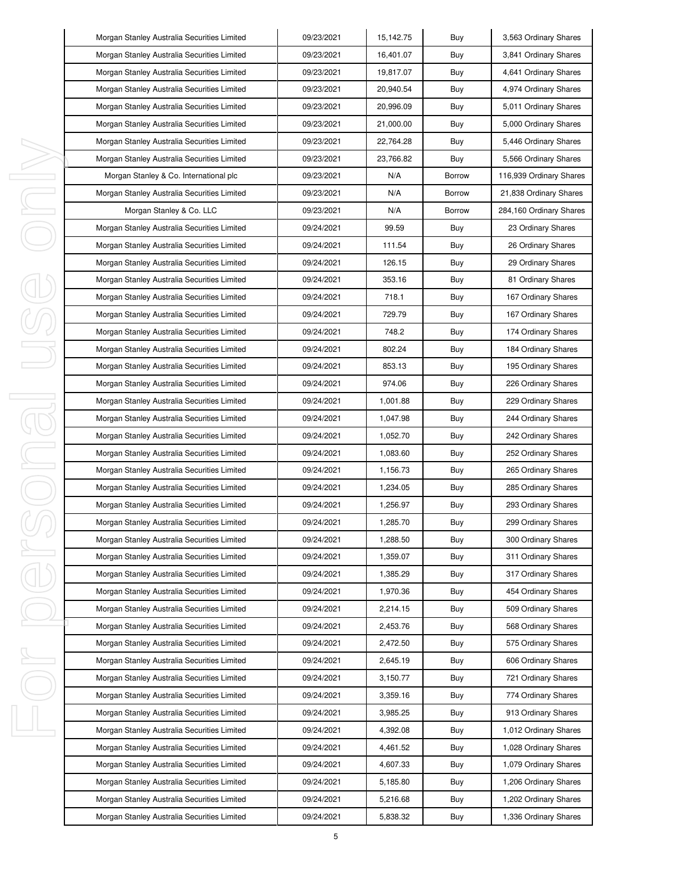| Morgan Stanley Australia Securities Limited | 09/23/2021 | 15,142.75 | Buy           | 3,563 Ordinary Shares   |
|---------------------------------------------|------------|-----------|---------------|-------------------------|
| Morgan Stanley Australia Securities Limited | 09/23/2021 | 16,401.07 | Buy           | 3,841 Ordinary Shares   |
| Morgan Stanley Australia Securities Limited | 09/23/2021 | 19,817.07 | Buy           | 4,641 Ordinary Shares   |
| Morgan Stanley Australia Securities Limited | 09/23/2021 | 20,940.54 | Buy           | 4,974 Ordinary Shares   |
| Morgan Stanley Australia Securities Limited | 09/23/2021 | 20,996.09 | Buy           | 5,011 Ordinary Shares   |
| Morgan Stanley Australia Securities Limited | 09/23/2021 | 21,000.00 | Buy           | 5,000 Ordinary Shares   |
| Morgan Stanley Australia Securities Limited | 09/23/2021 | 22,764.28 | Buy           | 5,446 Ordinary Shares   |
| Morgan Stanley Australia Securities Limited | 09/23/2021 | 23,766.82 | Buy           | 5,566 Ordinary Shares   |
| Morgan Stanley & Co. International plc      | 09/23/2021 | N/A       | <b>Borrow</b> | 116,939 Ordinary Shares |
| Morgan Stanley Australia Securities Limited | 09/23/2021 | N/A       | <b>Borrow</b> | 21,838 Ordinary Shares  |
| Morgan Stanley & Co. LLC                    | 09/23/2021 | N/A       | <b>Borrow</b> | 284,160 Ordinary Shares |
| Morgan Stanley Australia Securities Limited | 09/24/2021 | 99.59     | Buy           | 23 Ordinary Shares      |
| Morgan Stanley Australia Securities Limited | 09/24/2021 | 111.54    | Buy           | 26 Ordinary Shares      |
| Morgan Stanley Australia Securities Limited | 09/24/2021 | 126.15    | Buy           | 29 Ordinary Shares      |
| Morgan Stanley Australia Securities Limited | 09/24/2021 | 353.16    | Buy           | 81 Ordinary Shares      |
| Morgan Stanley Australia Securities Limited | 09/24/2021 | 718.1     | Buy           | 167 Ordinary Shares     |
| Morgan Stanley Australia Securities Limited | 09/24/2021 | 729.79    | Buy           | 167 Ordinary Shares     |
| Morgan Stanley Australia Securities Limited | 09/24/2021 | 748.2     | Buy           | 174 Ordinary Shares     |
| Morgan Stanley Australia Securities Limited | 09/24/2021 | 802.24    | Buy           | 184 Ordinary Shares     |
| Morgan Stanley Australia Securities Limited | 09/24/2021 | 853.13    | Buy           | 195 Ordinary Shares     |
| Morgan Stanley Australia Securities Limited | 09/24/2021 | 974.06    | Buy           | 226 Ordinary Shares     |
| Morgan Stanley Australia Securities Limited | 09/24/2021 | 1,001.88  | Buy           | 229 Ordinary Shares     |
| Morgan Stanley Australia Securities Limited | 09/24/2021 | 1,047.98  | Buy           | 244 Ordinary Shares     |
| Morgan Stanley Australia Securities Limited | 09/24/2021 | 1,052.70  | Buy           | 242 Ordinary Shares     |
| Morgan Stanley Australia Securities Limited | 09/24/2021 | 1,083.60  | Buy           | 252 Ordinary Shares     |
| Morgan Stanley Australia Securities Limited | 09/24/2021 | 1,156.73  | Buy           | 265 Ordinary Shares     |
| Morgan Stanley Australia Securities Limited | 09/24/2021 | 1,234.05  | Buy           | 285 Ordinary Shares     |
| Morgan Stanley Australia Securities Limited | 09/24/2021 | 1,256.97  | Buy           | 293 Ordinary Shares     |
| Morgan Stanley Australia Securities Limited | 09/24/2021 | 1,285.70  | Buy           | 299 Ordinary Shares     |
| Morgan Stanley Australia Securities Limited | 09/24/2021 | 1,288.50  | Buy           | 300 Ordinary Shares     |
| Morgan Stanley Australia Securities Limited | 09/24/2021 | 1,359.07  | Buy           | 311 Ordinary Shares     |
| Morgan Stanley Australia Securities Limited | 09/24/2021 | 1,385.29  | Buy           | 317 Ordinary Shares     |
| Morgan Stanley Australia Securities Limited | 09/24/2021 | 1,970.36  | Buy           | 454 Ordinary Shares     |
| Morgan Stanley Australia Securities Limited | 09/24/2021 | 2,214.15  | Buy           | 509 Ordinary Shares     |
| Morgan Stanley Australia Securities Limited | 09/24/2021 | 2,453.76  | Buy           | 568 Ordinary Shares     |
| Morgan Stanley Australia Securities Limited | 09/24/2021 | 2,472.50  | Buy           | 575 Ordinary Shares     |
| Morgan Stanley Australia Securities Limited | 09/24/2021 | 2,645.19  | Buy           | 606 Ordinary Shares     |
| Morgan Stanley Australia Securities Limited | 09/24/2021 | 3,150.77  | Buy           | 721 Ordinary Shares     |
| Morgan Stanley Australia Securities Limited | 09/24/2021 | 3,359.16  | Buy           | 774 Ordinary Shares     |
| Morgan Stanley Australia Securities Limited | 09/24/2021 | 3,985.25  | Buy           | 913 Ordinary Shares     |
| Morgan Stanley Australia Securities Limited | 09/24/2021 | 4,392.08  | Buy           | 1,012 Ordinary Shares   |
| Morgan Stanley Australia Securities Limited | 09/24/2021 | 4,461.52  | Buy           | 1,028 Ordinary Shares   |
| Morgan Stanley Australia Securities Limited | 09/24/2021 | 4,607.33  | Buy           | 1,079 Ordinary Shares   |
| Morgan Stanley Australia Securities Limited | 09/24/2021 | 5,185.80  | Buy           | 1,206 Ordinary Shares   |
| Morgan Stanley Australia Securities Limited | 09/24/2021 | 5,216.68  | Buy           | 1,202 Ordinary Shares   |
| Morgan Stanley Australia Securities Limited | 09/24/2021 | 5,838.32  | Buy           | 1,336 Ordinary Shares   |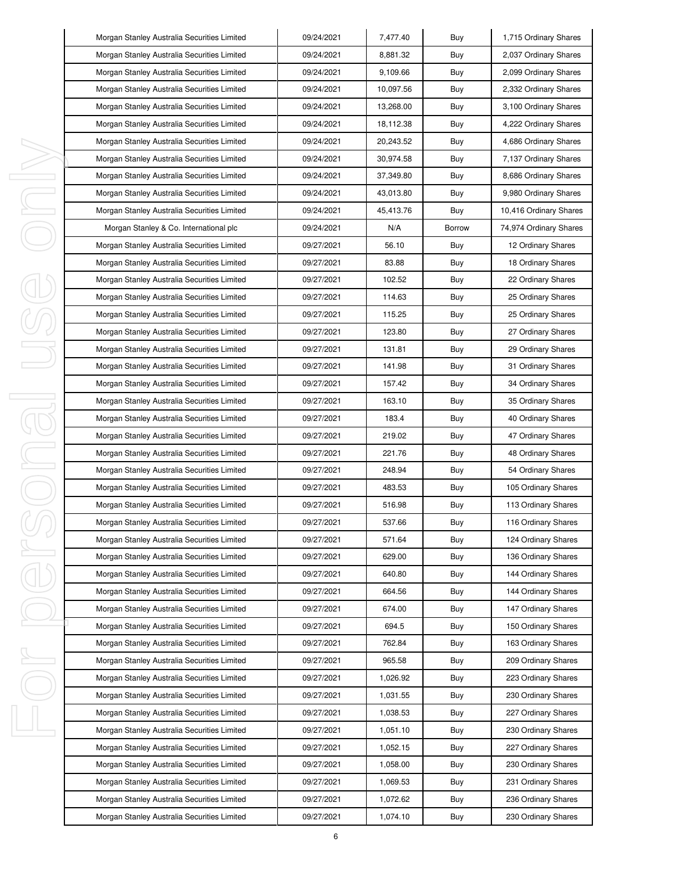| Morgan Stanley Australia Securities Limited | 09/24/2021 | 7,477.40  | Buy           | 1,715 Ordinary Shares  |
|---------------------------------------------|------------|-----------|---------------|------------------------|
| Morgan Stanley Australia Securities Limited | 09/24/2021 | 8,881.32  | Buy           | 2,037 Ordinary Shares  |
| Morgan Stanley Australia Securities Limited | 09/24/2021 | 9,109.66  | Buy           | 2,099 Ordinary Shares  |
| Morgan Stanley Australia Securities Limited | 09/24/2021 | 10,097.56 | Buy           | 2,332 Ordinary Shares  |
| Morgan Stanley Australia Securities Limited | 09/24/2021 | 13,268.00 | Buy           | 3,100 Ordinary Shares  |
| Morgan Stanley Australia Securities Limited | 09/24/2021 | 18,112.38 | Buy           | 4,222 Ordinary Shares  |
| Morgan Stanley Australia Securities Limited | 09/24/2021 | 20,243.52 | Buy           | 4,686 Ordinary Shares  |
| Morgan Stanley Australia Securities Limited | 09/24/2021 | 30,974.58 | Buy           | 7,137 Ordinary Shares  |
| Morgan Stanley Australia Securities Limited | 09/24/2021 | 37,349.80 | Buy           | 8,686 Ordinary Shares  |
| Morgan Stanley Australia Securities Limited | 09/24/2021 | 43,013.80 | Buy           | 9,980 Ordinary Shares  |
| Morgan Stanley Australia Securities Limited | 09/24/2021 | 45,413.76 | Buy           | 10,416 Ordinary Shares |
| Morgan Stanley & Co. International plc      | 09/24/2021 | N/A       | <b>Borrow</b> | 74,974 Ordinary Shares |
| Morgan Stanley Australia Securities Limited | 09/27/2021 | 56.10     | Buy           | 12 Ordinary Shares     |
| Morgan Stanley Australia Securities Limited | 09/27/2021 | 83.88     | Buy           | 18 Ordinary Shares     |
| Morgan Stanley Australia Securities Limited | 09/27/2021 | 102.52    | Buy           | 22 Ordinary Shares     |
| Morgan Stanley Australia Securities Limited | 09/27/2021 | 114.63    | Buy           | 25 Ordinary Shares     |
| Morgan Stanley Australia Securities Limited | 09/27/2021 | 115.25    | Buy           | 25 Ordinary Shares     |
| Morgan Stanley Australia Securities Limited | 09/27/2021 | 123.80    | Buy           | 27 Ordinary Shares     |
| Morgan Stanley Australia Securities Limited | 09/27/2021 | 131.81    | Buy           | 29 Ordinary Shares     |
| Morgan Stanley Australia Securities Limited | 09/27/2021 | 141.98    | Buy           | 31 Ordinary Shares     |
| Morgan Stanley Australia Securities Limited | 09/27/2021 | 157.42    | Buy           | 34 Ordinary Shares     |
| Morgan Stanley Australia Securities Limited | 09/27/2021 | 163.10    | Buy           | 35 Ordinary Shares     |
| Morgan Stanley Australia Securities Limited | 09/27/2021 | 183.4     | Buy           | 40 Ordinary Shares     |
| Morgan Stanley Australia Securities Limited | 09/27/2021 | 219.02    | Buy           | 47 Ordinary Shares     |
| Morgan Stanley Australia Securities Limited | 09/27/2021 | 221.76    | Buy           | 48 Ordinary Shares     |
| Morgan Stanley Australia Securities Limited | 09/27/2021 | 248.94    | Buy           | 54 Ordinary Shares     |
| Morgan Stanley Australia Securities Limited | 09/27/2021 | 483.53    | Buy           | 105 Ordinary Shares    |
| Morgan Stanley Australia Securities Limited | 09/27/2021 | 516.98    | Buy           | 113 Ordinary Shares    |
| Morgan Stanley Australia Securities Limited | 09/27/2021 | 537.66    | Buy           | 116 Ordinary Shares    |
| Morgan Stanley Australia Securities Limited | 09/27/2021 | 571.64    | Buy           | 124 Ordinary Shares    |
| Morgan Stanley Australia Securities Limited | 09/27/2021 | 629.00    | Buy           | 136 Ordinary Shares    |
| Morgan Stanley Australia Securities Limited | 09/27/2021 | 640.80    | Buy           | 144 Ordinary Shares    |
| Morgan Stanley Australia Securities Limited | 09/27/2021 | 664.56    | Buy           | 144 Ordinary Shares    |
| Morgan Stanley Australia Securities Limited | 09/27/2021 | 674.00    | Buy           | 147 Ordinary Shares    |
| Morgan Stanley Australia Securities Limited | 09/27/2021 | 694.5     | Buy           | 150 Ordinary Shares    |
| Morgan Stanley Australia Securities Limited | 09/27/2021 | 762.84    | Buy           | 163 Ordinary Shares    |
| Morgan Stanley Australia Securities Limited | 09/27/2021 | 965.58    | Buy           | 209 Ordinary Shares    |
| Morgan Stanley Australia Securities Limited | 09/27/2021 | 1,026.92  | Buy           | 223 Ordinary Shares    |
| Morgan Stanley Australia Securities Limited | 09/27/2021 | 1,031.55  | Buy           | 230 Ordinary Shares    |
| Morgan Stanley Australia Securities Limited | 09/27/2021 | 1,038.53  | Buy           | 227 Ordinary Shares    |
| Morgan Stanley Australia Securities Limited | 09/27/2021 | 1,051.10  | Buy           | 230 Ordinary Shares    |
| Morgan Stanley Australia Securities Limited | 09/27/2021 | 1,052.15  | Buy           | 227 Ordinary Shares    |
| Morgan Stanley Australia Securities Limited | 09/27/2021 | 1,058.00  | Buy           | 230 Ordinary Shares    |
| Morgan Stanley Australia Securities Limited | 09/27/2021 | 1,069.53  | Buy           | 231 Ordinary Shares    |
| Morgan Stanley Australia Securities Limited | 09/27/2021 | 1,072.62  | Buy           | 236 Ordinary Shares    |
| Morgan Stanley Australia Securities Limited | 09/27/2021 | 1,074.10  | Buy           | 230 Ordinary Shares    |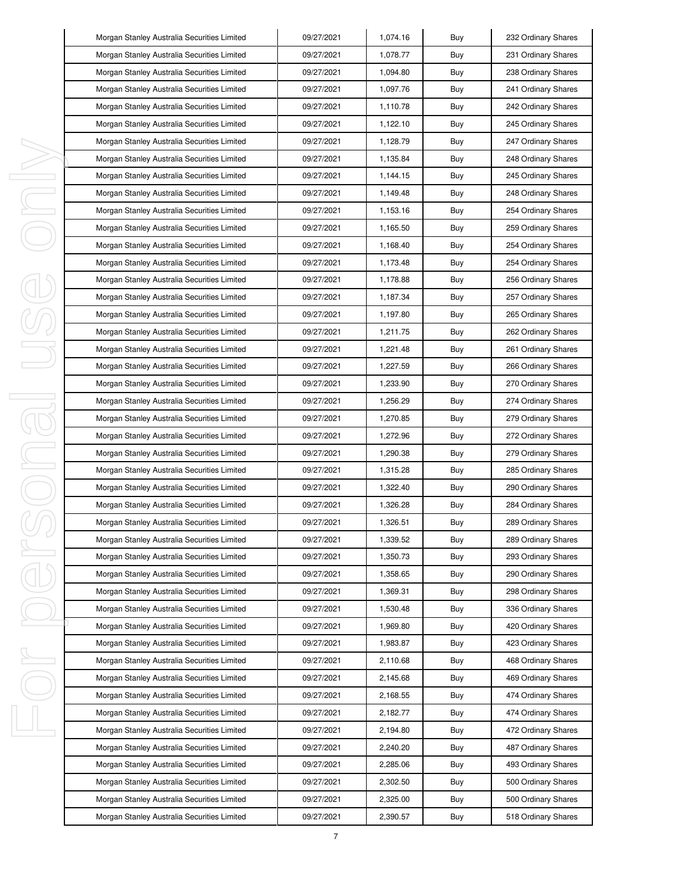|    | Morgan Stanley Australia Securities Limited | 09/27/2021 | 1,074.16 | Buy | 232 Ordinary Shares |
|----|---------------------------------------------|------------|----------|-----|---------------------|
|    | Morgan Stanley Australia Securities Limited | 09/27/2021 | 1,078.77 | Buy | 231 Ordinary Shares |
|    | Morgan Stanley Australia Securities Limited | 09/27/2021 | 1,094.80 | Buy | 238 Ordinary Shares |
|    | Morgan Stanley Australia Securities Limited | 09/27/2021 | 1,097.76 | Buy | 241 Ordinary Shares |
|    | Morgan Stanley Australia Securities Limited | 09/27/2021 | 1,110.78 | Buy | 242 Ordinary Shares |
|    | Morgan Stanley Australia Securities Limited | 09/27/2021 | 1,122.10 | Buy | 245 Ordinary Shares |
|    | Morgan Stanley Australia Securities Limited | 09/27/2021 | 1,128.79 | Buy | 247 Ordinary Shares |
|    | Morgan Stanley Australia Securities Limited | 09/27/2021 | 1,135.84 | Buy | 248 Ordinary Shares |
|    | Morgan Stanley Australia Securities Limited | 09/27/2021 | 1,144.15 | Buy | 245 Ordinary Shares |
|    | Morgan Stanley Australia Securities Limited | 09/27/2021 | 1,149.48 | Buy | 248 Ordinary Shares |
|    | Morgan Stanley Australia Securities Limited | 09/27/2021 | 1,153.16 | Buy | 254 Ordinary Shares |
|    | Morgan Stanley Australia Securities Limited | 09/27/2021 | 1,165.50 | Buy | 259 Ordinary Shares |
|    | Morgan Stanley Australia Securities Limited | 09/27/2021 | 1,168.40 | Buy | 254 Ordinary Shares |
|    | Morgan Stanley Australia Securities Limited | 09/27/2021 | 1,173.48 | Buy | 254 Ordinary Shares |
|    | Morgan Stanley Australia Securities Limited | 09/27/2021 | 1,178.88 | Buy | 256 Ordinary Shares |
|    | Morgan Stanley Australia Securities Limited | 09/27/2021 | 1,187.34 | Buy | 257 Ordinary Shares |
|    | Morgan Stanley Australia Securities Limited | 09/27/2021 | 1,197.80 | Buy | 265 Ordinary Shares |
|    | Morgan Stanley Australia Securities Limited | 09/27/2021 | 1,211.75 | Buy | 262 Ordinary Shares |
|    | Morgan Stanley Australia Securities Limited | 09/27/2021 | 1,221.48 | Buy | 261 Ordinary Shares |
|    | Morgan Stanley Australia Securities Limited | 09/27/2021 | 1,227.59 | Buy | 266 Ordinary Shares |
|    | Morgan Stanley Australia Securities Limited | 09/27/2021 | 1,233.90 | Buy | 270 Ordinary Shares |
|    | Morgan Stanley Australia Securities Limited | 09/27/2021 | 1,256.29 | Buy | 274 Ordinary Shares |
| 1  | Morgan Stanley Australia Securities Limited | 09/27/2021 | 1,270.85 | Buy | 279 Ordinary Shares |
|    | Morgan Stanley Australia Securities Limited | 09/27/2021 | 1,272.96 | Buy | 272 Ordinary Shares |
| I  | Morgan Stanley Australia Securities Limited | 09/27/2021 | 1,290.38 | Buy | 279 Ordinary Shares |
|    | Morgan Stanley Australia Securities Limited | 09/27/2021 | 1,315.28 | Buy | 285 Ordinary Shares |
|    | Morgan Stanley Australia Securities Limited | 09/27/2021 | 1,322.40 | Buy | 290 Ordinary Shares |
|    | Morgan Stanley Australia Securities Limited | 09/27/2021 | 1,326.28 | Buy | 284 Ordinary Shares |
|    | Morgan Stanley Australia Securities Limited | 09/27/2021 | 1,326.51 | Buy | 289 Ordinary Shares |
|    | Morgan Stanley Australia Securities Limited | 09/27/2021 | 1,339.52 | Buy | 289 Ordinary Shares |
| I  | Morgan Stanley Australia Securities Limited | 09/27/2021 | 1,350.73 | Buy | 293 Ordinary Shares |
|    | Morgan Stanley Australia Securities Limited | 09/27/2021 | 1,358.65 | Buy | 290 Ordinary Shares |
|    | Morgan Stanley Australia Securities Limited | 09/27/2021 | 1,369.31 | Buy | 298 Ordinary Shares |
|    | Morgan Stanley Australia Securities Limited | 09/27/2021 | 1,530.48 | Buy | 336 Ordinary Shares |
|    | Morgan Stanley Australia Securities Limited | 09/27/2021 | 1,969.80 | Buy | 420 Ordinary Shares |
|    | Morgan Stanley Australia Securities Limited | 09/27/2021 | 1,983.87 | Buy | 423 Ordinary Shares |
| ı  | Morgan Stanley Australia Securities Limited | 09/27/2021 | 2,110.68 | Buy | 468 Ordinary Shares |
|    | Morgan Stanley Australia Securities Limited | 09/27/2021 | 2,145.68 | Buy | 469 Ordinary Shares |
|    | Morgan Stanley Australia Securities Limited | 09/27/2021 | 2,168.55 | Buy | 474 Ordinary Shares |
|    | Morgan Stanley Australia Securities Limited | 09/27/2021 | 2,182.77 | Buy | 474 Ordinary Shares |
| I, | Morgan Stanley Australia Securities Limited | 09/27/2021 | 2,194.80 | Buy | 472 Ordinary Shares |
|    | Morgan Stanley Australia Securities Limited | 09/27/2021 | 2,240.20 | Buy | 487 Ordinary Shares |
|    | Morgan Stanley Australia Securities Limited | 09/27/2021 | 2,285.06 | Buy | 493 Ordinary Shares |
|    | Morgan Stanley Australia Securities Limited | 09/27/2021 | 2,302.50 | Buy | 500 Ordinary Shares |
|    | Morgan Stanley Australia Securities Limited | 09/27/2021 | 2,325.00 | Buy | 500 Ordinary Shares |
|    | Morgan Stanley Australia Securities Limited | 09/27/2021 | 2,390.57 | Buy | 518 Ordinary Shares |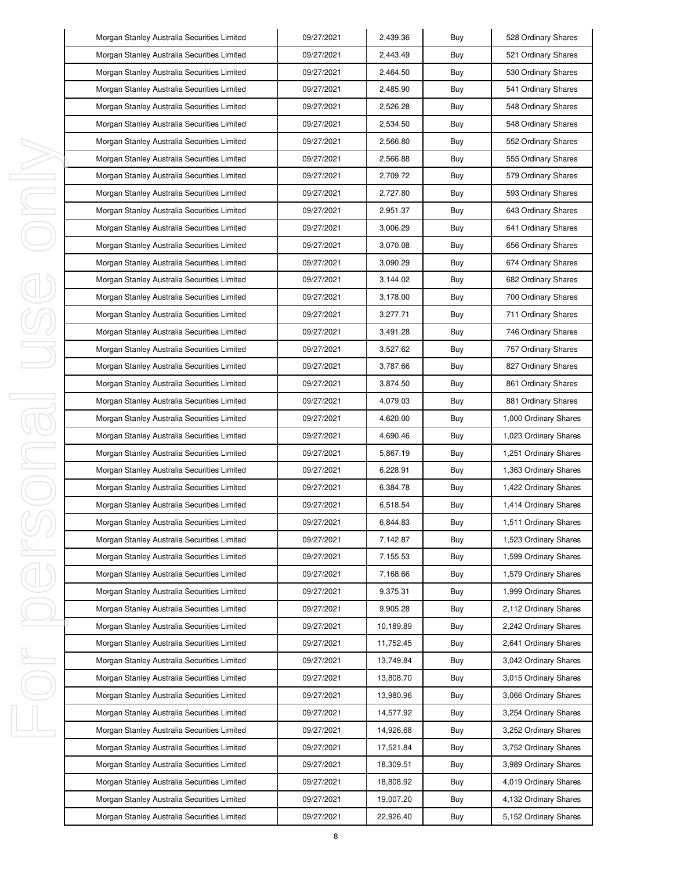| Morgan Stanley Australia Securities Limited | 09/27/2021 | 2,439.36  | Buy | 528 Ordinary Shares   |
|---------------------------------------------|------------|-----------|-----|-----------------------|
| Morgan Stanley Australia Securities Limited | 09/27/2021 | 2,443.49  | Buy | 521 Ordinary Shares   |
| Morgan Stanley Australia Securities Limited | 09/27/2021 | 2,464.50  | Buy | 530 Ordinary Shares   |
| Morgan Stanley Australia Securities Limited | 09/27/2021 | 2,485.90  | Buy | 541 Ordinary Shares   |
| Morgan Stanley Australia Securities Limited | 09/27/2021 | 2,526.28  | Buy | 548 Ordinary Shares   |
| Morgan Stanley Australia Securities Limited | 09/27/2021 | 2,534.50  | Buy | 548 Ordinary Shares   |
| Morgan Stanley Australia Securities Limited | 09/27/2021 | 2,566.80  | Buy | 552 Ordinary Shares   |
| Morgan Stanley Australia Securities Limited | 09/27/2021 | 2,566.88  | Buy | 555 Ordinary Shares   |
| Morgan Stanley Australia Securities Limited | 09/27/2021 | 2,709.72  | Buy | 579 Ordinary Shares   |
| Morgan Stanley Australia Securities Limited | 09/27/2021 | 2,727.80  | Buy | 593 Ordinary Shares   |
| Morgan Stanley Australia Securities Limited | 09/27/2021 | 2,951.37  | Buy | 643 Ordinary Shares   |
| Morgan Stanley Australia Securities Limited | 09/27/2021 | 3,006.29  | Buy | 641 Ordinary Shares   |
| Morgan Stanley Australia Securities Limited | 09/27/2021 | 3,070.08  | Buy | 656 Ordinary Shares   |
| Morgan Stanley Australia Securities Limited | 09/27/2021 | 3,090.29  | Buy | 674 Ordinary Shares   |
| Morgan Stanley Australia Securities Limited | 09/27/2021 | 3,144.02  | Buy | 682 Ordinary Shares   |
| Morgan Stanley Australia Securities Limited | 09/27/2021 | 3,178.00  | Buy | 700 Ordinary Shares   |
| Morgan Stanley Australia Securities Limited | 09/27/2021 | 3,277.71  | Buy | 711 Ordinary Shares   |
| Morgan Stanley Australia Securities Limited | 09/27/2021 | 3,491.28  | Buy | 746 Ordinary Shares   |
| Morgan Stanley Australia Securities Limited | 09/27/2021 | 3,527.62  | Buy | 757 Ordinary Shares   |
| Morgan Stanley Australia Securities Limited | 09/27/2021 | 3,787.66  | Buy | 827 Ordinary Shares   |
| Morgan Stanley Australia Securities Limited | 09/27/2021 | 3,874.50  | Buy | 861 Ordinary Shares   |
| Morgan Stanley Australia Securities Limited | 09/27/2021 | 4,079.03  | Buy | 881 Ordinary Shares   |
| Morgan Stanley Australia Securities Limited | 09/27/2021 | 4,620.00  | Buy | 1,000 Ordinary Shares |
| Morgan Stanley Australia Securities Limited | 09/27/2021 | 4,690.46  | Buy | 1,023 Ordinary Shares |
| Morgan Stanley Australia Securities Limited | 09/27/2021 | 5,867.19  | Buy | 1,251 Ordinary Shares |
| Morgan Stanley Australia Securities Limited | 09/27/2021 | 6,228.91  | Buy | 1,363 Ordinary Shares |
| Morgan Stanley Australia Securities Limited | 09/27/2021 | 6,384.78  | Buy | 1,422 Ordinary Shares |
| Morgan Stanley Australia Securities Limited | 09/27/2021 | 6,518.54  | Buy | 1,414 Ordinary Shares |
| Morgan Stanley Australia Securities Limited | 09/27/2021 | 6,844.83  | Buy | 1,511 Ordinary Shares |
| Morgan Stanley Australia Securities Limited | 09/27/2021 | 7,142.87  | Buy | 1,523 Ordinary Shares |
| Morgan Stanley Australia Securities Limited | 09/27/2021 | 7,155.53  | Buy | 1,599 Ordinary Shares |
| Morgan Stanley Australia Securities Limited | 09/27/2021 | 7,168.66  | Buy | 1,579 Ordinary Shares |
| Morgan Stanley Australia Securities Limited | 09/27/2021 | 9,375.31  | Buy | 1,999 Ordinary Shares |
| Morgan Stanley Australia Securities Limited | 09/27/2021 | 9,905.28  | Buy | 2,112 Ordinary Shares |
| Morgan Stanley Australia Securities Limited | 09/27/2021 | 10,189.89 | Buy | 2,242 Ordinary Shares |
| Morgan Stanley Australia Securities Limited | 09/27/2021 | 11,752.45 | Buy | 2,641 Ordinary Shares |
| Morgan Stanley Australia Securities Limited | 09/27/2021 | 13,749.84 | Buy | 3,042 Ordinary Shares |
| Morgan Stanley Australia Securities Limited | 09/27/2021 | 13,808.70 | Buy | 3,015 Ordinary Shares |
| Morgan Stanley Australia Securities Limited | 09/27/2021 | 13,980.96 | Buy | 3,066 Ordinary Shares |
| Morgan Stanley Australia Securities Limited | 09/27/2021 | 14,577.92 | Buy | 3,254 Ordinary Shares |
| Morgan Stanley Australia Securities Limited | 09/27/2021 | 14,926.68 | Buy | 3,252 Ordinary Shares |
| Morgan Stanley Australia Securities Limited | 09/27/2021 | 17,521.84 | Buy | 3,752 Ordinary Shares |
| Morgan Stanley Australia Securities Limited | 09/27/2021 | 18,309.51 | Buy | 3,989 Ordinary Shares |
| Morgan Stanley Australia Securities Limited | 09/27/2021 | 18,808.92 | Buy | 4,019 Ordinary Shares |
| Morgan Stanley Australia Securities Limited | 09/27/2021 | 19,007.20 | Buy | 4,132 Ordinary Shares |
| Morgan Stanley Australia Securities Limited | 09/27/2021 | 22,926.40 | Buy | 5,152 Ordinary Shares |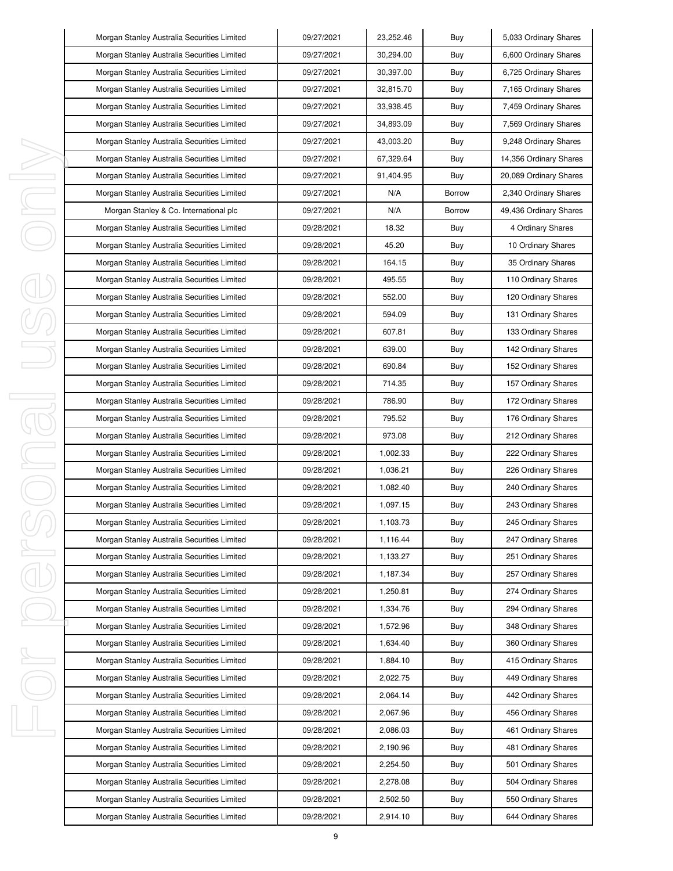| Morgan Stanley Australia Securities Limited | 09/27/2021 | 23,252.46 | Buy           | 5,033 Ordinary Shares  |
|---------------------------------------------|------------|-----------|---------------|------------------------|
| Morgan Stanley Australia Securities Limited | 09/27/2021 | 30,294.00 | Buy           | 6,600 Ordinary Shares  |
| Morgan Stanley Australia Securities Limited | 09/27/2021 | 30,397.00 | Buy           | 6,725 Ordinary Shares  |
| Morgan Stanley Australia Securities Limited | 09/27/2021 | 32,815.70 | Buy           | 7,165 Ordinary Shares  |
| Morgan Stanley Australia Securities Limited | 09/27/2021 | 33,938.45 | Buy           | 7,459 Ordinary Shares  |
| Morgan Stanley Australia Securities Limited | 09/27/2021 | 34,893.09 | Buy           | 7,569 Ordinary Shares  |
| Morgan Stanley Australia Securities Limited | 09/27/2021 | 43,003.20 | Buy           | 9,248 Ordinary Shares  |
| Morgan Stanley Australia Securities Limited | 09/27/2021 | 67,329.64 | Buy           | 14,356 Ordinary Shares |
| Morgan Stanley Australia Securities Limited | 09/27/2021 | 91,404.95 | Buy           | 20,089 Ordinary Shares |
| Morgan Stanley Australia Securities Limited | 09/27/2021 | N/A       | <b>Borrow</b> | 2,340 Ordinary Shares  |
| Morgan Stanley & Co. International plc      | 09/27/2021 | N/A       | Borrow        | 49,436 Ordinary Shares |
| Morgan Stanley Australia Securities Limited | 09/28/2021 | 18.32     | Buy           | 4 Ordinary Shares      |
| Morgan Stanley Australia Securities Limited | 09/28/2021 | 45.20     | Buy           | 10 Ordinary Shares     |
| Morgan Stanley Australia Securities Limited | 09/28/2021 | 164.15    | Buy           | 35 Ordinary Shares     |
| Morgan Stanley Australia Securities Limited | 09/28/2021 | 495.55    | Buy           | 110 Ordinary Shares    |
| Morgan Stanley Australia Securities Limited | 09/28/2021 | 552.00    | Buy           | 120 Ordinary Shares    |
| Morgan Stanley Australia Securities Limited | 09/28/2021 | 594.09    | Buy           | 131 Ordinary Shares    |
| Morgan Stanley Australia Securities Limited | 09/28/2021 | 607.81    | Buy           | 133 Ordinary Shares    |
| Morgan Stanley Australia Securities Limited | 09/28/2021 | 639.00    | Buy           | 142 Ordinary Shares    |
| Morgan Stanley Australia Securities Limited | 09/28/2021 | 690.84    | Buy           | 152 Ordinary Shares    |
| Morgan Stanley Australia Securities Limited | 09/28/2021 | 714.35    | Buy           | 157 Ordinary Shares    |
| Morgan Stanley Australia Securities Limited | 09/28/2021 | 786.90    | Buy           | 172 Ordinary Shares    |
| Morgan Stanley Australia Securities Limited | 09/28/2021 | 795.52    | Buy           | 176 Ordinary Shares    |
| Morgan Stanley Australia Securities Limited | 09/28/2021 | 973.08    | Buy           | 212 Ordinary Shares    |
| Morgan Stanley Australia Securities Limited | 09/28/2021 | 1,002.33  | Buy           | 222 Ordinary Shares    |
| Morgan Stanley Australia Securities Limited | 09/28/2021 | 1,036.21  | Buy           | 226 Ordinary Shares    |
| Morgan Stanley Australia Securities Limited | 09/28/2021 | 1,082.40  | Buy           | 240 Ordinary Shares    |
| Morgan Stanley Australia Securities Limited | 09/28/2021 | 1,097.15  | Buy           | 243 Ordinary Shares    |
| Morgan Stanley Australia Securities Limited | 09/28/2021 | 1,103.73  | Buy           | 245 Ordinary Shares    |
| Morgan Stanley Australia Securities Limited | 09/28/2021 | 1,116.44  | Buy           | 247 Ordinary Shares    |
| Morgan Stanley Australia Securities Limited | 09/28/2021 | 1,133.27  | Buy           | 251 Ordinary Shares    |
| Morgan Stanley Australia Securities Limited | 09/28/2021 | 1,187.34  | Buy           | 257 Ordinary Shares    |
| Morgan Stanley Australia Securities Limited | 09/28/2021 | 1,250.81  | Buy           | 274 Ordinary Shares    |
| Morgan Stanley Australia Securities Limited | 09/28/2021 | 1,334.76  | Buy           | 294 Ordinary Shares    |
| Morgan Stanley Australia Securities Limited | 09/28/2021 | 1,572.96  | Buy           | 348 Ordinary Shares    |
| Morgan Stanley Australia Securities Limited | 09/28/2021 | 1,634.40  | Buy           | 360 Ordinary Shares    |
| Morgan Stanley Australia Securities Limited | 09/28/2021 | 1,884.10  | Buy           | 415 Ordinary Shares    |
| Morgan Stanley Australia Securities Limited | 09/28/2021 | 2,022.75  | Buy           | 449 Ordinary Shares    |
| Morgan Stanley Australia Securities Limited | 09/28/2021 | 2,064.14  | Buy           | 442 Ordinary Shares    |
| Morgan Stanley Australia Securities Limited | 09/28/2021 | 2,067.96  | Buy           | 456 Ordinary Shares    |
| Morgan Stanley Australia Securities Limited | 09/28/2021 | 2,086.03  | Buy           | 461 Ordinary Shares    |
| Morgan Stanley Australia Securities Limited | 09/28/2021 | 2,190.96  | Buy           | 481 Ordinary Shares    |
| Morgan Stanley Australia Securities Limited | 09/28/2021 | 2,254.50  | Buy           | 501 Ordinary Shares    |
| Morgan Stanley Australia Securities Limited | 09/28/2021 | 2,278.08  | Buy           | 504 Ordinary Shares    |
| Morgan Stanley Australia Securities Limited | 09/28/2021 | 2,502.50  | Buy           | 550 Ordinary Shares    |
| Morgan Stanley Australia Securities Limited | 09/28/2021 | 2,914.10  | Buy           | 644 Ordinary Shares    |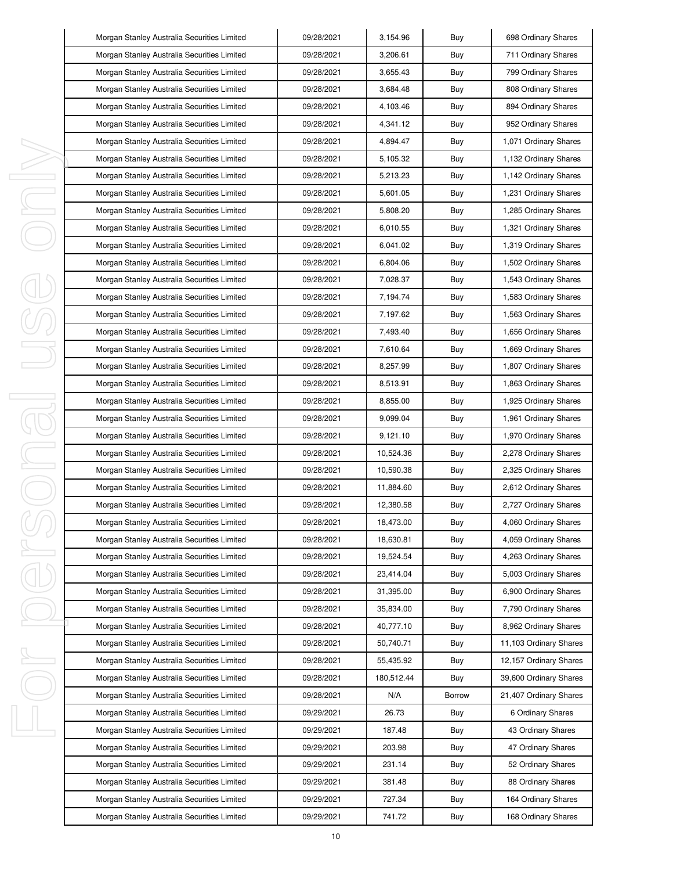|         | Morgan Stanley Australia Securities Limited | 09/28/2021 | 3,154.96   | Buy           | 698 Ordinary Shares    |
|---------|---------------------------------------------|------------|------------|---------------|------------------------|
|         | Morgan Stanley Australia Securities Limited | 09/28/2021 | 3,206.61   | Buy           | 711 Ordinary Shares    |
|         | Morgan Stanley Australia Securities Limited | 09/28/2021 | 3,655.43   | Buy           | 799 Ordinary Shares    |
|         | Morgan Stanley Australia Securities Limited | 09/28/2021 | 3,684.48   | Buy           | 808 Ordinary Shares    |
|         | Morgan Stanley Australia Securities Limited | 09/28/2021 | 4,103.46   | Buy           | 894 Ordinary Shares    |
|         | Morgan Stanley Australia Securities Limited | 09/28/2021 | 4,341.12   | Buy           | 952 Ordinary Shares    |
|         | Morgan Stanley Australia Securities Limited | 09/28/2021 | 4,894.47   | Buy           | 1,071 Ordinary Shares  |
|         | Morgan Stanley Australia Securities Limited | 09/28/2021 | 5,105.32   | Buy           | 1,132 Ordinary Shares  |
| I,      | Morgan Stanley Australia Securities Limited | 09/28/2021 | 5,213.23   | Buy           | 1,142 Ordinary Shares  |
| I       | Morgan Stanley Australia Securities Limited | 09/28/2021 | 5,601.05   | Buy           | 1,231 Ordinary Shares  |
| I,      | Morgan Stanley Australia Securities Limited | 09/28/2021 | 5,808.20   | Buy           | 1,285 Ordinary Shares  |
|         | Morgan Stanley Australia Securities Limited | 09/28/2021 | 6,010.55   | Buy           | 1,321 Ordinary Shares  |
|         | Morgan Stanley Australia Securities Limited | 09/28/2021 | 6,041.02   | Buy           | 1,319 Ordinary Shares  |
|         | Morgan Stanley Australia Securities Limited | 09/28/2021 | 6,804.06   | Buy           | 1,502 Ordinary Shares  |
|         | Morgan Stanley Australia Securities Limited | 09/28/2021 | 7,028.37   | Buy           | 1,543 Ordinary Shares  |
|         | Morgan Stanley Australia Securities Limited | 09/28/2021 | 7,194.74   | Buy           | 1,583 Ordinary Shares  |
|         | Morgan Stanley Australia Securities Limited | 09/28/2021 | 7,197.62   | Buy           | 1,563 Ordinary Shares  |
|         | Morgan Stanley Australia Securities Limited | 09/28/2021 | 7,493.40   | Buy           | 1,656 Ordinary Shares  |
|         | Morgan Stanley Australia Securities Limited | 09/28/2021 | 7,610.64   | Buy           | 1,669 Ordinary Shares  |
|         | Morgan Stanley Australia Securities Limited | 09/28/2021 | 8,257.99   | Buy           | 1,807 Ordinary Shares  |
|         | Morgan Stanley Australia Securities Limited | 09/28/2021 | 8,513.91   | Buy           | 1,863 Ordinary Shares  |
| I<br>J. | Morgan Stanley Australia Securities Limited | 09/28/2021 | 8,855.00   | Buy           | 1,925 Ordinary Shares  |
|         | Morgan Stanley Australia Securities Limited | 09/28/2021 | 9,099.04   | Buy           | 1,961 Ordinary Shares  |
|         | Morgan Stanley Australia Securities Limited | 09/28/2021 | 9,121.10   | Buy           | 1,970 Ordinary Shares  |
| I,      | Morgan Stanley Australia Securities Limited | 09/28/2021 | 10,524.36  | Buy           | 2,278 Ordinary Shares  |
| I       | Morgan Stanley Australia Securities Limited | 09/28/2021 | 10,590.38  | Buy           | 2,325 Ordinary Shares  |
|         | Morgan Stanley Australia Securities Limited | 09/28/2021 | 11,884.60  | Buy           | 2,612 Ordinary Shares  |
|         | Morgan Stanley Australia Securities Limited | 09/28/2021 | 12,380.58  | Buy           | 2,727 Ordinary Shares  |
|         | Morgan Stanley Australia Securities Limited | 09/28/2021 | 18,473.00  | Buy           | 4,060 Ordinary Shares  |
|         | Morgan Stanley Australia Securities Limited | 09/28/2021 | 18,630.81  | Buy           | 4,059 Ordinary Shares  |
| ı       | Morgan Stanley Australia Securities Limited | 09/28/2021 | 19,524.54  | Buy           | 4,263 Ordinary Shares  |
|         | Morgan Stanley Australia Securities Limited | 09/28/2021 | 23,414.04  | Buy           | 5,003 Ordinary Shares  |
|         | Morgan Stanley Australia Securities Limited | 09/28/2021 | 31,395.00  | Buy           | 6,900 Ordinary Shares  |
|         | Morgan Stanley Australia Securities Limited | 09/28/2021 | 35,834.00  | Buy           | 7,790 Ordinary Shares  |
|         | Morgan Stanley Australia Securities Limited | 09/28/2021 | 40,777.10  | Buy           | 8,962 Ordinary Shares  |
|         | Morgan Stanley Australia Securities Limited | 09/28/2021 | 50,740.71  | Buy           | 11,103 Ordinary Shares |
| I,      | Morgan Stanley Australia Securities Limited | 09/28/2021 | 55,435.92  | Buy           | 12,157 Ordinary Shares |
|         | Morgan Stanley Australia Securities Limited | 09/28/2021 | 180,512.44 | Buy           | 39,600 Ordinary Shares |
|         | Morgan Stanley Australia Securities Limited | 09/28/2021 | N/A        | <b>Borrow</b> | 21,407 Ordinary Shares |
|         | Morgan Stanley Australia Securities Limited | 09/29/2021 | 26.73      | Buy           | 6 Ordinary Shares      |
| I,      | Morgan Stanley Australia Securities Limited | 09/29/2021 | 187.48     | Buy           | 43 Ordinary Shares     |
|         | Morgan Stanley Australia Securities Limited | 09/29/2021 | 203.98     | Buy           | 47 Ordinary Shares     |
|         | Morgan Stanley Australia Securities Limited | 09/29/2021 | 231.14     | Buy           | 52 Ordinary Shares     |
|         | Morgan Stanley Australia Securities Limited | 09/29/2021 | 381.48     | Buy           | 88 Ordinary Shares     |
|         | Morgan Stanley Australia Securities Limited | 09/29/2021 | 727.34     | Buy           | 164 Ordinary Shares    |
|         | Morgan Stanley Australia Securities Limited | 09/29/2021 | 741.72     | Buy           | 168 Ordinary Shares    |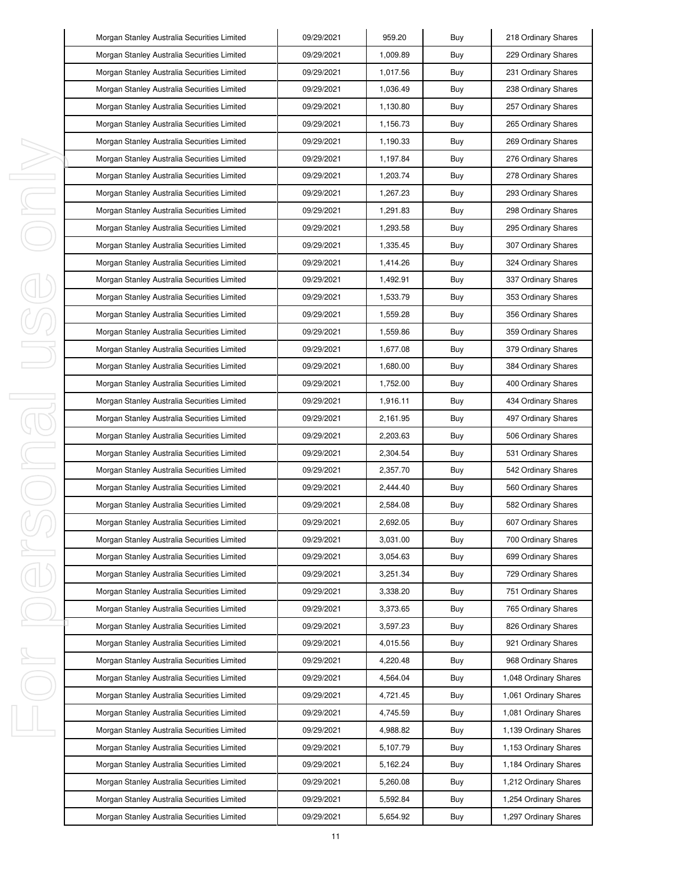|    | Morgan Stanley Australia Securities Limited | 09/29/2021 | 959.20   | Buy | 218 Ordinary Shares   |
|----|---------------------------------------------|------------|----------|-----|-----------------------|
|    | Morgan Stanley Australia Securities Limited | 09/29/2021 | 1,009.89 | Buy | 229 Ordinary Shares   |
|    | Morgan Stanley Australia Securities Limited | 09/29/2021 | 1,017.56 | Buy | 231 Ordinary Shares   |
|    | Morgan Stanley Australia Securities Limited | 09/29/2021 | 1,036.49 | Buy | 238 Ordinary Shares   |
|    | Morgan Stanley Australia Securities Limited | 09/29/2021 | 1,130.80 | Buy | 257 Ordinary Shares   |
|    | Morgan Stanley Australia Securities Limited | 09/29/2021 | 1,156.73 | Buy | 265 Ordinary Shares   |
|    | Morgan Stanley Australia Securities Limited | 09/29/2021 | 1,190.33 | Buy | 269 Ordinary Shares   |
|    | Morgan Stanley Australia Securities Limited | 09/29/2021 | 1,197.84 | Buy | 276 Ordinary Shares   |
| I, | Morgan Stanley Australia Securities Limited | 09/29/2021 | 1,203.74 | Buy | 278 Ordinary Shares   |
| J, | Morgan Stanley Australia Securities Limited | 09/29/2021 | 1,267.23 | Buy | 293 Ordinary Shares   |
| ı  | Morgan Stanley Australia Securities Limited | 09/29/2021 | 1,291.83 | Buy | 298 Ordinary Shares   |
|    | Morgan Stanley Australia Securities Limited | 09/29/2021 | 1,293.58 | Buy | 295 Ordinary Shares   |
|    | Morgan Stanley Australia Securities Limited | 09/29/2021 | 1,335.45 | Buy | 307 Ordinary Shares   |
|    | Morgan Stanley Australia Securities Limited | 09/29/2021 | 1,414.26 | Buy | 324 Ordinary Shares   |
|    | Morgan Stanley Australia Securities Limited | 09/29/2021 | 1,492.91 | Buy | 337 Ordinary Shares   |
|    | Morgan Stanley Australia Securities Limited | 09/29/2021 | 1,533.79 | Buy | 353 Ordinary Shares   |
|    | Morgan Stanley Australia Securities Limited | 09/29/2021 | 1,559.28 | Buy | 356 Ordinary Shares   |
|    | Morgan Stanley Australia Securities Limited | 09/29/2021 | 1.559.86 | Buy | 359 Ordinary Shares   |
|    | Morgan Stanley Australia Securities Limited | 09/29/2021 | 1,677.08 | Buy | 379 Ordinary Shares   |
|    | Morgan Stanley Australia Securities Limited | 09/29/2021 | 1,680.00 | Buy | 384 Ordinary Shares   |
|    | Morgan Stanley Australia Securities Limited | 09/29/2021 | 1,752.00 | Buy | 400 Ordinary Shares   |
| I  | Morgan Stanley Australia Securities Limited | 09/29/2021 | 1,916.11 | Buy | 434 Ordinary Shares   |
| 1  | Morgan Stanley Australia Securities Limited | 09/29/2021 | 2,161.95 | Buy | 497 Ordinary Shares   |
|    | Morgan Stanley Australia Securities Limited | 09/29/2021 | 2,203.63 | Buy | 506 Ordinary Shares   |
| I  | Morgan Stanley Australia Securities Limited | 09/29/2021 | 2,304.54 | Buy | 531 Ordinary Shares   |
|    | Morgan Stanley Australia Securities Limited | 09/29/2021 | 2,357.70 | Buy | 542 Ordinary Shares   |
|    | Morgan Stanley Australia Securities Limited | 09/29/2021 | 2,444.40 | Buy | 560 Ordinary Shares   |
|    | Morgan Stanley Australia Securities Limited | 09/29/2021 | 2,584.08 | Buy | 582 Ordinary Shares   |
|    | Morgan Stanley Australia Securities Limited | 09/29/2021 | 2,692.05 | Buy | 607 Ordinary Shares   |
|    | Morgan Stanley Australia Securities Limited | 09/29/2021 | 3,031.00 | Buy | 700 Ordinary Shares   |
| I  | Morgan Stanley Australia Securities Limited | 09/29/2021 | 3,054.63 | Buy | 699 Ordinary Shares   |
|    | Morgan Stanley Australia Securities Limited | 09/29/2021 | 3,251.34 | Buy | 729 Ordinary Shares   |
|    | Morgan Stanley Australia Securities Limited | 09/29/2021 | 3,338.20 | Buy | 751 Ordinary Shares   |
|    | Morgan Stanley Australia Securities Limited | 09/29/2021 | 3,373.65 | Buy | 765 Ordinary Shares   |
|    | Morgan Stanley Australia Securities Limited | 09/29/2021 | 3,597.23 | Buy | 826 Ordinary Shares   |
|    | Morgan Stanley Australia Securities Limited | 09/29/2021 | 4,015.56 | Buy | 921 Ordinary Shares   |
| I, | Morgan Stanley Australia Securities Limited | 09/29/2021 | 4,220.48 | Buy | 968 Ordinary Shares   |
|    | Morgan Stanley Australia Securities Limited | 09/29/2021 | 4,564.04 | Buy | 1,048 Ordinary Shares |
|    | Morgan Stanley Australia Securities Limited | 09/29/2021 | 4,721.45 | Buy | 1,061 Ordinary Shares |
|    | Morgan Stanley Australia Securities Limited | 09/29/2021 | 4,745.59 | Buy | 1,081 Ordinary Shares |
| I, | Morgan Stanley Australia Securities Limited | 09/29/2021 | 4,988.82 | Buy | 1,139 Ordinary Shares |
|    | Morgan Stanley Australia Securities Limited | 09/29/2021 | 5,107.79 | Buy | 1,153 Ordinary Shares |
|    | Morgan Stanley Australia Securities Limited | 09/29/2021 | 5,162.24 | Buy | 1,184 Ordinary Shares |
|    | Morgan Stanley Australia Securities Limited | 09/29/2021 | 5,260.08 | Buy | 1,212 Ordinary Shares |
|    | Morgan Stanley Australia Securities Limited | 09/29/2021 | 5,592.84 | Buy | 1,254 Ordinary Shares |
|    | Morgan Stanley Australia Securities Limited | 09/29/2021 | 5,654.92 | Buy | 1,297 Ordinary Shares |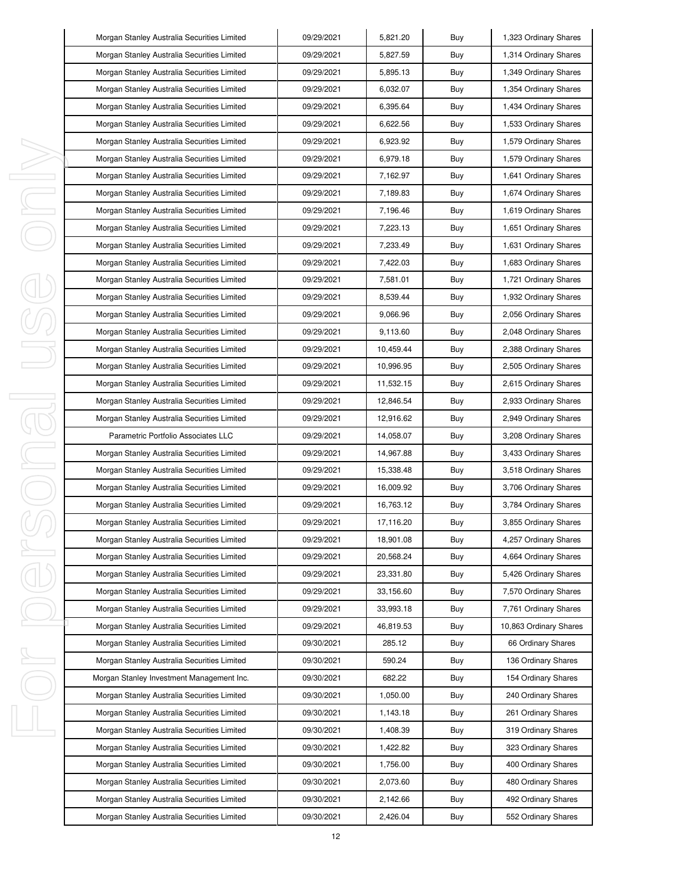|   | Morgan Stanley Australia Securities Limited | 09/29/2021 | 5,821.20  | Buy | 1,323 Ordinary Shares  |
|---|---------------------------------------------|------------|-----------|-----|------------------------|
|   | Morgan Stanley Australia Securities Limited | 09/29/2021 | 5,827.59  | Buy | 1,314 Ordinary Shares  |
|   | Morgan Stanley Australia Securities Limited | 09/29/2021 | 5,895.13  | Buy | 1,349 Ordinary Shares  |
|   | Morgan Stanley Australia Securities Limited | 09/29/2021 | 6,032.07  | Buy | 1,354 Ordinary Shares  |
|   | Morgan Stanley Australia Securities Limited | 09/29/2021 | 6,395.64  | Buy | 1,434 Ordinary Shares  |
|   | Morgan Stanley Australia Securities Limited | 09/29/2021 | 6,622.56  | Buy | 1,533 Ordinary Shares  |
|   | Morgan Stanley Australia Securities Limited | 09/29/2021 | 6,923.92  | Buy | 1,579 Ordinary Shares  |
|   | Morgan Stanley Australia Securities Limited | 09/29/2021 | 6,979.18  | Buy | 1,579 Ordinary Shares  |
|   | Morgan Stanley Australia Securities Limited | 09/29/2021 | 7,162.97  | Buy | 1,641 Ordinary Shares  |
|   | Morgan Stanley Australia Securities Limited | 09/29/2021 | 7,189.83  | Buy | 1,674 Ordinary Shares  |
|   | Morgan Stanley Australia Securities Limited | 09/29/2021 | 7,196.46  | Buy | 1,619 Ordinary Shares  |
|   | Morgan Stanley Australia Securities Limited | 09/29/2021 | 7,223.13  | Buy | 1,651 Ordinary Shares  |
|   | Morgan Stanley Australia Securities Limited | 09/29/2021 | 7,233.49  | Buy | 1,631 Ordinary Shares  |
|   | Morgan Stanley Australia Securities Limited | 09/29/2021 | 7,422.03  | Buy | 1,683 Ordinary Shares  |
|   | Morgan Stanley Australia Securities Limited | 09/29/2021 | 7,581.01  | Buy | 1,721 Ordinary Shares  |
|   | Morgan Stanley Australia Securities Limited | 09/29/2021 | 8,539.44  | Buy | 1,932 Ordinary Shares  |
|   | Morgan Stanley Australia Securities Limited | 09/29/2021 | 9,066.96  | Buy | 2,056 Ordinary Shares  |
|   | Morgan Stanley Australia Securities Limited | 09/29/2021 | 9,113.60  | Buy | 2,048 Ordinary Shares  |
|   | Morgan Stanley Australia Securities Limited | 09/29/2021 | 10,459.44 | Buy | 2,388 Ordinary Shares  |
|   | Morgan Stanley Australia Securities Limited | 09/29/2021 | 10,996.95 | Buy | 2,505 Ordinary Shares  |
|   | Morgan Stanley Australia Securities Limited | 09/29/2021 | 11,532.15 | Buy | 2,615 Ordinary Shares  |
|   | Morgan Stanley Australia Securities Limited | 09/29/2021 | 12,846.54 | Buy | 2,933 Ordinary Shares  |
|   | Morgan Stanley Australia Securities Limited | 09/29/2021 | 12,916.62 | Buy | 2,949 Ordinary Shares  |
|   | Parametric Portfolio Associates LLC         | 09/29/2021 | 14,058.07 | Buy | 3,208 Ordinary Shares  |
| I | Morgan Stanley Australia Securities Limited | 09/29/2021 | 14,967.88 | Buy | 3,433 Ordinary Shares  |
|   | Morgan Stanley Australia Securities Limited | 09/29/2021 | 15,338.48 | Buy | 3,518 Ordinary Shares  |
|   | Morgan Stanley Australia Securities Limited | 09/29/2021 | 16,009.92 | Buy | 3,706 Ordinary Shares  |
|   | Morgan Stanley Australia Securities Limited | 09/29/2021 | 16,763.12 | Buy | 3,784 Ordinary Shares  |
|   | Morgan Stanley Australia Securities Limited | 09/29/2021 | 17,116.20 | Buy | 3,855 Ordinary Shares  |
|   | Morgan Stanley Australia Securities Limited | 09/29/2021 | 18,901.08 | Buy | 4,257 Ordinary Shares  |
| I | Morgan Stanley Australia Securities Limited | 09/29/2021 | 20,568.24 | Buy | 4,664 Ordinary Shares  |
|   | Morgan Stanley Australia Securities Limited | 09/29/2021 | 23,331.80 | Buy | 5,426 Ordinary Shares  |
|   | Morgan Stanley Australia Securities Limited | 09/29/2021 | 33,156.60 | Buy | 7,570 Ordinary Shares  |
|   | Morgan Stanley Australia Securities Limited | 09/29/2021 | 33,993.18 | Buy | 7,761 Ordinary Shares  |
|   | Morgan Stanley Australia Securities Limited | 09/29/2021 | 46,819.53 | Buy | 10,863 Ordinary Shares |
|   | Morgan Stanley Australia Securities Limited | 09/30/2021 | 285.12    | Buy | 66 Ordinary Shares     |
| ı | Morgan Stanley Australia Securities Limited | 09/30/2021 | 590.24    | Buy | 136 Ordinary Shares    |
|   | Morgan Stanley Investment Management Inc.   | 09/30/2021 | 682.22    | Buy | 154 Ordinary Shares    |
|   | Morgan Stanley Australia Securities Limited | 09/30/2021 | 1,050.00  | Buy | 240 Ordinary Shares    |
|   | Morgan Stanley Australia Securities Limited | 09/30/2021 | 1,143.18  | Buy | 261 Ordinary Shares    |
| I | Morgan Stanley Australia Securities Limited | 09/30/2021 | 1,408.39  | Buy | 319 Ordinary Shares    |
|   | Morgan Stanley Australia Securities Limited | 09/30/2021 | 1,422.82  | Buy | 323 Ordinary Shares    |
|   | Morgan Stanley Australia Securities Limited | 09/30/2021 | 1,756.00  | Buy | 400 Ordinary Shares    |
|   | Morgan Stanley Australia Securities Limited | 09/30/2021 | 2,073.60  | Buy | 480 Ordinary Shares    |
|   | Morgan Stanley Australia Securities Limited | 09/30/2021 | 2,142.66  | Buy | 492 Ordinary Shares    |
|   | Morgan Stanley Australia Securities Limited | 09/30/2021 | 2,426.04  | Buy | 552 Ordinary Shares    |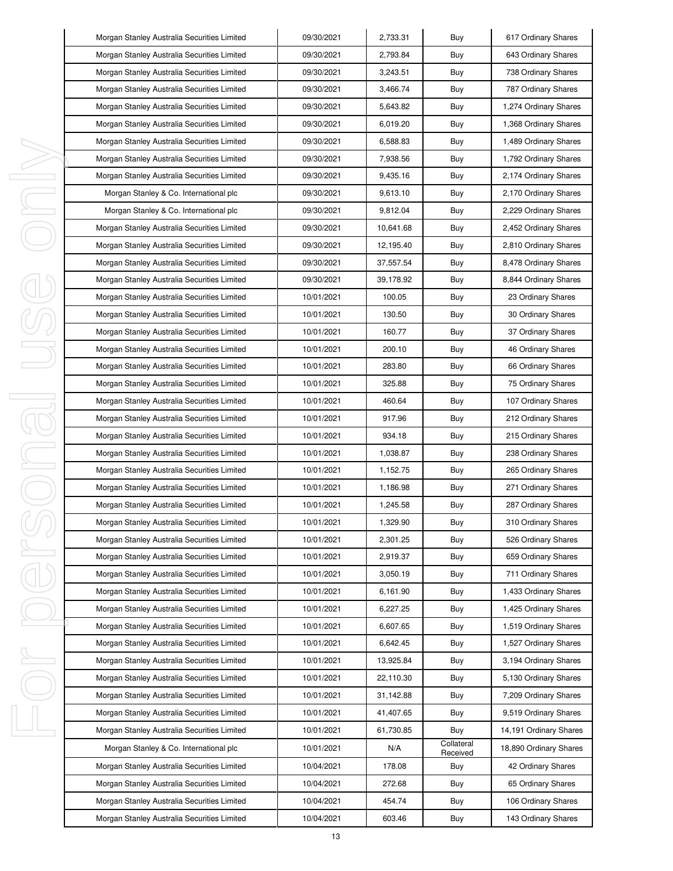| Morgan Stanley Australia Securities Limited | 09/30/2021 | 2,733.31  | Buy                    | 617 Ordinary Shares    |
|---------------------------------------------|------------|-----------|------------------------|------------------------|
| Morgan Stanley Australia Securities Limited | 09/30/2021 | 2,793.84  | Buy                    | 643 Ordinary Shares    |
| Morgan Stanley Australia Securities Limited | 09/30/2021 | 3,243.51  | Buy                    | 738 Ordinary Shares    |
| Morgan Stanley Australia Securities Limited | 09/30/2021 | 3,466.74  | Buy                    | 787 Ordinary Shares    |
| Morgan Stanley Australia Securities Limited | 09/30/2021 | 5,643.82  | Buy                    | 1,274 Ordinary Shares  |
| Morgan Stanley Australia Securities Limited | 09/30/2021 | 6,019.20  | Buy                    | 1,368 Ordinary Shares  |
| Morgan Stanley Australia Securities Limited | 09/30/2021 | 6,588.83  | Buy                    | 1,489 Ordinary Shares  |
| Morgan Stanley Australia Securities Limited | 09/30/2021 | 7,938.56  | Buy                    | 1,792 Ordinary Shares  |
| Morgan Stanley Australia Securities Limited | 09/30/2021 | 9,435.16  | Buy                    | 2,174 Ordinary Shares  |
| Morgan Stanley & Co. International plc      | 09/30/2021 | 9,613.10  | Buy                    | 2,170 Ordinary Shares  |
| Morgan Stanley & Co. International plc      | 09/30/2021 | 9,812.04  | Buy                    | 2,229 Ordinary Shares  |
| Morgan Stanley Australia Securities Limited | 09/30/2021 | 10,641.68 | Buy                    | 2,452 Ordinary Shares  |
| Morgan Stanley Australia Securities Limited | 09/30/2021 | 12,195.40 | Buy                    | 2,810 Ordinary Shares  |
| Morgan Stanley Australia Securities Limited | 09/30/2021 | 37,557.54 | Buy                    | 8,478 Ordinary Shares  |
| Morgan Stanley Australia Securities Limited | 09/30/2021 | 39,178.92 | Buy                    | 8,844 Ordinary Shares  |
| Morgan Stanley Australia Securities Limited | 10/01/2021 | 100.05    | Buy                    | 23 Ordinary Shares     |
| Morgan Stanley Australia Securities Limited | 10/01/2021 | 130.50    | Buy                    | 30 Ordinary Shares     |
| Morgan Stanley Australia Securities Limited | 10/01/2021 | 160.77    | Buy                    | 37 Ordinary Shares     |
| Morgan Stanley Australia Securities Limited | 10/01/2021 | 200.10    | Buy                    | 46 Ordinary Shares     |
| Morgan Stanley Australia Securities Limited | 10/01/2021 | 283.80    | Buy                    | 66 Ordinary Shares     |
| Morgan Stanley Australia Securities Limited | 10/01/2021 | 325.88    | Buy                    | 75 Ordinary Shares     |
| Morgan Stanley Australia Securities Limited | 10/01/2021 | 460.64    | Buy                    | 107 Ordinary Shares    |
| Morgan Stanley Australia Securities Limited | 10/01/2021 | 917.96    | Buy                    | 212 Ordinary Shares    |
| Morgan Stanley Australia Securities Limited | 10/01/2021 | 934.18    | Buy                    | 215 Ordinary Shares    |
| Morgan Stanley Australia Securities Limited | 10/01/2021 | 1,038.87  | Buy                    | 238 Ordinary Shares    |
| Morgan Stanley Australia Securities Limited | 10/01/2021 | 1,152.75  | Buy                    | 265 Ordinary Shares    |
| Morgan Stanley Australia Securities Limited | 10/01/2021 | 1,186.98  | Buy                    | 271 Ordinary Shares    |
| Morgan Stanley Australia Securities Limited | 10/01/2021 | 1,245.58  | Buy                    | 287 Ordinary Shares    |
| Morgan Stanley Australia Securities Limited | 10/01/2021 | 1,329.90  | Buy                    | 310 Ordinary Shares    |
| Morgan Stanley Australia Securities Limited | 10/01/2021 | 2,301.25  | Buy                    | 526 Ordinary Shares    |
| Morgan Stanley Australia Securities Limited | 10/01/2021 | 2,919.37  | Buy                    | 659 Ordinary Shares    |
| Morgan Stanley Australia Securities Limited | 10/01/2021 | 3,050.19  | Buy                    | 711 Ordinary Shares    |
| Morgan Stanley Australia Securities Limited | 10/01/2021 | 6,161.90  | Buy                    | 1,433 Ordinary Shares  |
| Morgan Stanley Australia Securities Limited | 10/01/2021 | 6,227.25  | Buy                    | 1,425 Ordinary Shares  |
| Morgan Stanley Australia Securities Limited | 10/01/2021 | 6,607.65  | Buy                    | 1,519 Ordinary Shares  |
| Morgan Stanley Australia Securities Limited | 10/01/2021 | 6,642.45  | Buy                    | 1,527 Ordinary Shares  |
| Morgan Stanley Australia Securities Limited | 10/01/2021 | 13,925.84 | Buy                    | 3,194 Ordinary Shares  |
| Morgan Stanley Australia Securities Limited | 10/01/2021 | 22,110.30 | Buy                    | 5,130 Ordinary Shares  |
| Morgan Stanley Australia Securities Limited | 10/01/2021 | 31,142.88 | Buy                    | 7,209 Ordinary Shares  |
| Morgan Stanley Australia Securities Limited | 10/01/2021 | 41,407.65 | Buy                    | 9,519 Ordinary Shares  |
| Morgan Stanley Australia Securities Limited | 10/01/2021 | 61,730.85 | Buy                    | 14,191 Ordinary Shares |
| Morgan Stanley & Co. International plc      | 10/01/2021 | N/A       | Collateral<br>Received | 18,890 Ordinary Shares |
| Morgan Stanley Australia Securities Limited | 10/04/2021 | 178.08    | Buy                    | 42 Ordinary Shares     |
| Morgan Stanley Australia Securities Limited | 10/04/2021 | 272.68    | Buy                    | 65 Ordinary Shares     |
| Morgan Stanley Australia Securities Limited | 10/04/2021 | 454.74    | Buy                    | 106 Ordinary Shares    |
| Morgan Stanley Australia Securities Limited | 10/04/2021 | 603.46    | Buy                    | 143 Ordinary Shares    |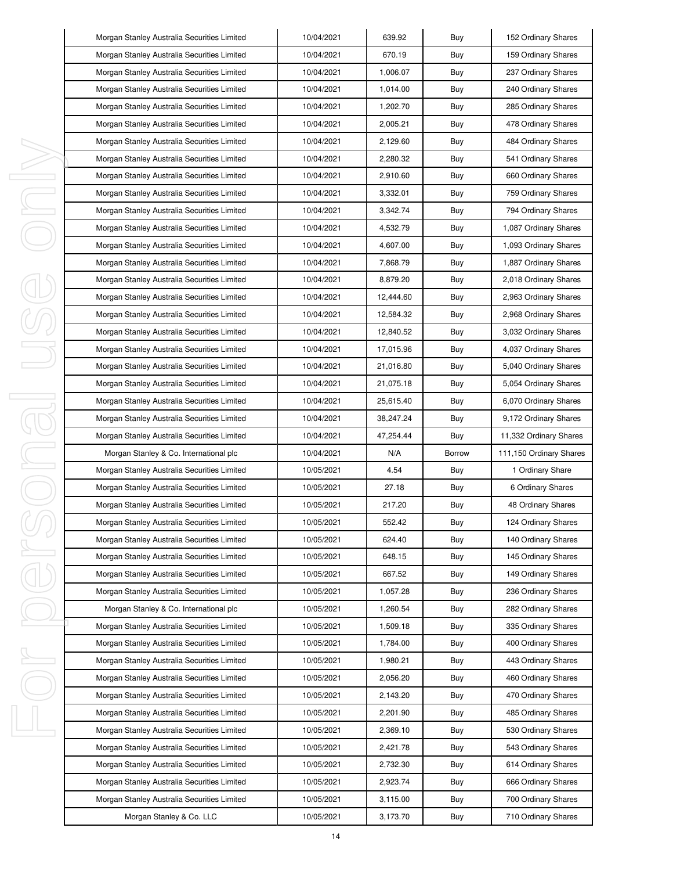|             | Morgan Stanley Australia Securities Limited | 10/04/2021 | 639.92    | Buy           | 152 Ordinary Shares     |
|-------------|---------------------------------------------|------------|-----------|---------------|-------------------------|
|             | Morgan Stanley Australia Securities Limited | 10/04/2021 | 670.19    | Buy           | 159 Ordinary Shares     |
|             | Morgan Stanley Australia Securities Limited | 10/04/2021 | 1,006.07  | Buy           | 237 Ordinary Shares     |
|             | Morgan Stanley Australia Securities Limited | 10/04/2021 | 1,014.00  | Buy           | 240 Ordinary Shares     |
|             | Morgan Stanley Australia Securities Limited | 10/04/2021 | 1,202.70  | Buy           | 285 Ordinary Shares     |
|             | Morgan Stanley Australia Securities Limited | 10/04/2021 | 2,005.21  | Buy           | 478 Ordinary Shares     |
|             | Morgan Stanley Australia Securities Limited | 10/04/2021 | 2,129.60  | Buy           | 484 Ordinary Shares     |
|             | Morgan Stanley Australia Securities Limited | 10/04/2021 | 2,280.32  | Buy           | 541 Ordinary Shares     |
| ı           | Morgan Stanley Australia Securities Limited | 10/04/2021 | 2,910.60  | Buy           | 660 Ordinary Shares     |
| J           | Morgan Stanley Australia Securities Limited | 10/04/2021 | 3,332.01  | Buy           | 759 Ordinary Shares     |
| I           | Morgan Stanley Australia Securities Limited | 10/04/2021 | 3,342.74  | Buy           | 794 Ordinary Shares     |
|             | Morgan Stanley Australia Securities Limited | 10/04/2021 | 4,532.79  | Buy           | 1,087 Ordinary Shares   |
|             | Morgan Stanley Australia Securities Limited | 10/04/2021 | 4,607.00  | Buy           | 1,093 Ordinary Shares   |
|             | Morgan Stanley Australia Securities Limited | 10/04/2021 | 7,868.79  | Buy           | 1,887 Ordinary Shares   |
|             | Morgan Stanley Australia Securities Limited | 10/04/2021 | 8,879.20  | Buy           | 2,018 Ordinary Shares   |
|             | Morgan Stanley Australia Securities Limited | 10/04/2021 | 12,444.60 | Buy           | 2,963 Ordinary Shares   |
|             | Morgan Stanley Australia Securities Limited | 10/04/2021 | 12,584.32 | Buy           | 2,968 Ordinary Shares   |
|             | Morgan Stanley Australia Securities Limited | 10/04/2021 | 12,840.52 | Buy           | 3,032 Ordinary Shares   |
|             | Morgan Stanley Australia Securities Limited | 10/04/2021 | 17,015.96 | Buy           | 4,037 Ordinary Shares   |
|             | Morgan Stanley Australia Securities Limited | 10/04/2021 | 21,016.80 | Buy           | 5,040 Ordinary Shares   |
|             | Morgan Stanley Australia Securities Limited | 10/04/2021 | 21,075.18 | Buy           | 5,054 Ordinary Shares   |
| J<br>1      | Morgan Stanley Australia Securities Limited | 10/04/2021 | 25,615.40 | Buy           | 6,070 Ordinary Shares   |
|             | Morgan Stanley Australia Securities Limited | 10/04/2021 | 38,247.24 | Buy           | 9,172 Ordinary Shares   |
|             |                                             |            |           |               |                         |
|             | Morgan Stanley Australia Securities Limited | 10/04/2021 | 47,254.44 | Buy           | 11,332 Ordinary Shares  |
|             | Morgan Stanley & Co. International plc      | 10/04/2021 | N/A       | <b>Borrow</b> | 111,150 Ordinary Shares |
| I           | Morgan Stanley Australia Securities Limited | 10/05/2021 | 4.54      | Buy           | 1 Ordinary Share        |
|             | Morgan Stanley Australia Securities Limited | 10/05/2021 | 27.18     | Buy           | 6 Ordinary Shares       |
|             | Morgan Stanley Australia Securities Limited | 10/05/2021 | 217.20    | Buy           | 48 Ordinary Shares      |
|             | Morgan Stanley Australia Securities Limited | 10/05/2021 | 552.42    | Buy           | 124 Ordinary Shares     |
|             | Morgan Stanley Australia Securities Limited | 10/05/2021 | 624.40    | Buy           | 140 Ordinary Shares     |
|             | Morgan Stanley Australia Securities Limited | 10/05/2021 | 648.15    | Buy           | 145 Ordinary Shares     |
|             | Morgan Stanley Australia Securities Limited | 10/05/2021 | 667.52    | Buy           | 149 Ordinary Shares     |
|             | Morgan Stanley Australia Securities Limited | 10/05/2021 | 1,057.28  | Buy           | 236 Ordinary Shares     |
|             | Morgan Stanley & Co. International plc      | 10/05/2021 | 1,260.54  | Buy           | 282 Ordinary Shares     |
|             | Morgan Stanley Australia Securities Limited | 10/05/2021 | 1,509.18  | Buy           | 335 Ordinary Shares     |
|             | Morgan Stanley Australia Securities Limited | 10/05/2021 | 1,784.00  | Buy           | 400 Ordinary Shares     |
|             | Morgan Stanley Australia Securities Limited | 10/05/2021 | 1,980.21  | Buy           | 443 Ordinary Shares     |
|             | Morgan Stanley Australia Securities Limited | 10/05/2021 | 2,056.20  | Buy           | 460 Ordinary Shares     |
|             | Morgan Stanley Australia Securities Limited | 10/05/2021 | 2,143.20  | Buy           | 470 Ordinary Shares     |
|             | Morgan Stanley Australia Securities Limited | 10/05/2021 | 2,201.90  | Buy           | 485 Ordinary Shares     |
|             | Morgan Stanley Australia Securities Limited | 10/05/2021 | 2,369.10  | Buy           | 530 Ordinary Shares     |
|             | Morgan Stanley Australia Securities Limited | 10/05/2021 | 2,421.78  | Buy           | 543 Ordinary Shares     |
|             | Morgan Stanley Australia Securities Limited | 10/05/2021 | 2,732.30  | Buy           | 614 Ordinary Shares     |
| I<br>ı<br>I | Morgan Stanley Australia Securities Limited | 10/05/2021 | 2,923.74  | Buy           | 666 Ordinary Shares     |
|             | Morgan Stanley Australia Securities Limited | 10/05/2021 | 3,115.00  | Buy           | 700 Ordinary Shares     |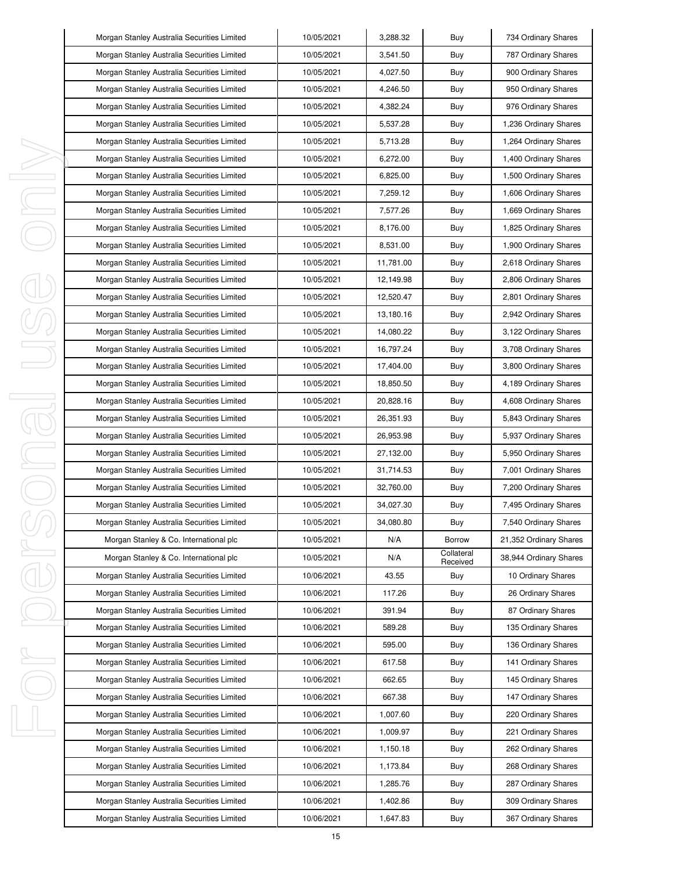|    | Morgan Stanley Australia Securities Limited | 10/05/2021 | 3,288.32  | Buy                    | 734 Ordinary Shares    |
|----|---------------------------------------------|------------|-----------|------------------------|------------------------|
|    | Morgan Stanley Australia Securities Limited | 10/05/2021 | 3,541.50  | Buy                    | 787 Ordinary Shares    |
|    | Morgan Stanley Australia Securities Limited | 10/05/2021 | 4,027.50  | Buy                    | 900 Ordinary Shares    |
|    | Morgan Stanley Australia Securities Limited | 10/05/2021 | 4,246.50  | Buy                    | 950 Ordinary Shares    |
|    | Morgan Stanley Australia Securities Limited | 10/05/2021 | 4,382.24  | Buy                    | 976 Ordinary Shares    |
|    | Morgan Stanley Australia Securities Limited | 10/05/2021 | 5,537.28  | Buy                    | 1,236 Ordinary Shares  |
|    | Morgan Stanley Australia Securities Limited | 10/05/2021 | 5,713.28  | Buy                    | 1,264 Ordinary Shares  |
|    | Morgan Stanley Australia Securities Limited | 10/05/2021 | 6,272.00  | Buy                    | 1,400 Ordinary Shares  |
| I, | Morgan Stanley Australia Securities Limited | 10/05/2021 | 6,825.00  | Buy                    | 1,500 Ordinary Shares  |
| I  | Morgan Stanley Australia Securities Limited | 10/05/2021 | 7,259.12  | Buy                    | 1,606 Ordinary Shares  |
| I, | Morgan Stanley Australia Securities Limited | 10/05/2021 | 7,577.26  | Buy                    | 1,669 Ordinary Shares  |
|    | Morgan Stanley Australia Securities Limited | 10/05/2021 | 8,176.00  | Buy                    | 1,825 Ordinary Shares  |
|    | Morgan Stanley Australia Securities Limited | 10/05/2021 | 8,531.00  | Buy                    | 1,900 Ordinary Shares  |
|    | Morgan Stanley Australia Securities Limited | 10/05/2021 | 11,781.00 | Buy                    | 2,618 Ordinary Shares  |
|    | Morgan Stanley Australia Securities Limited | 10/05/2021 | 12,149.98 | Buy                    | 2,806 Ordinary Shares  |
|    | Morgan Stanley Australia Securities Limited | 10/05/2021 | 12,520.47 | Buy                    | 2,801 Ordinary Shares  |
|    | Morgan Stanley Australia Securities Limited | 10/05/2021 | 13,180.16 | Buy                    | 2,942 Ordinary Shares  |
|    | Morgan Stanley Australia Securities Limited | 10/05/2021 | 14,080.22 | Buy                    | 3,122 Ordinary Shares  |
|    | Morgan Stanley Australia Securities Limited | 10/05/2021 | 16,797.24 | Buy                    | 3,708 Ordinary Shares  |
|    | Morgan Stanley Australia Securities Limited | 10/05/2021 | 17,404.00 | Buy                    | 3,800 Ordinary Shares  |
|    | Morgan Stanley Australia Securities Limited | 10/05/2021 | 18,850.50 | Buy                    | 4,189 Ordinary Shares  |
| I  | Morgan Stanley Australia Securities Limited | 10/05/2021 | 20,828.16 | Buy                    | 4,608 Ordinary Shares  |
| J. | Morgan Stanley Australia Securities Limited | 10/05/2021 | 26,351.93 | Buy                    | 5,843 Ordinary Shares  |
|    | Morgan Stanley Australia Securities Limited | 10/05/2021 | 26,953.98 | Buy                    | 5,937 Ordinary Shares  |
| I, | Morgan Stanley Australia Securities Limited | 10/05/2021 | 27,132.00 | Buy                    | 5,950 Ordinary Shares  |
| I  | Morgan Stanley Australia Securities Limited | 10/05/2021 | 31,714.53 | Buy                    | 7,001 Ordinary Shares  |
|    | Morgan Stanley Australia Securities Limited | 10/05/2021 | 32,760.00 | Buy                    | 7,200 Ordinary Shares  |
|    | Morgan Stanley Australia Securities Limited | 10/05/2021 | 34,027.30 | Buy                    | 7,495 Ordinary Shares  |
|    | Morgan Stanley Australia Securities Limited | 10/05/2021 | 34,080.80 | Buy                    | 7,540 Ordinary Shares  |
|    | Morgan Stanley & Co. International plc      | 10/05/2021 | N/A       | Borrow                 | 21,352 Ordinary Shares |
| I  | Morgan Stanley & Co. International plc      | 10/05/2021 | N/A       | Collateral<br>Received | 38,944 Ordinary Shares |
|    | Morgan Stanley Australia Securities Limited | 10/06/2021 | 43.55     | Buy                    | 10 Ordinary Shares     |
|    | Morgan Stanley Australia Securities Limited | 10/06/2021 | 117.26    | Buy                    | 26 Ordinary Shares     |
|    | Morgan Stanley Australia Securities Limited | 10/06/2021 | 391.94    | Buy                    | 87 Ordinary Shares     |
|    | Morgan Stanley Australia Securities Limited | 10/06/2021 | 589.28    | Buy                    | 135 Ordinary Shares    |
|    | Morgan Stanley Australia Securities Limited | 10/06/2021 | 595.00    | Buy                    | 136 Ordinary Shares    |
| I, | Morgan Stanley Australia Securities Limited | 10/06/2021 | 617.58    | Buy                    | 141 Ordinary Shares    |
|    | Morgan Stanley Australia Securities Limited | 10/06/2021 | 662.65    | Buy                    | 145 Ordinary Shares    |
|    | Morgan Stanley Australia Securities Limited | 10/06/2021 | 667.38    | Buy                    | 147 Ordinary Shares    |
|    | Morgan Stanley Australia Securities Limited | 10/06/2021 | 1,007.60  | Buy                    | 220 Ordinary Shares    |
| J, | Morgan Stanley Australia Securities Limited | 10/06/2021 | 1,009.97  | Buy                    | 221 Ordinary Shares    |
|    | Morgan Stanley Australia Securities Limited | 10/06/2021 | 1,150.18  | Buy                    | 262 Ordinary Shares    |
|    | Morgan Stanley Australia Securities Limited | 10/06/2021 | 1,173.84  | Buy                    | 268 Ordinary Shares    |
|    | Morgan Stanley Australia Securities Limited | 10/06/2021 | 1,285.76  | Buy                    | 287 Ordinary Shares    |
|    | Morgan Stanley Australia Securities Limited | 10/06/2021 | 1,402.86  | Buy                    | 309 Ordinary Shares    |
|    | Morgan Stanley Australia Securities Limited | 10/06/2021 | 1,647.83  | Buy                    | 367 Ordinary Shares    |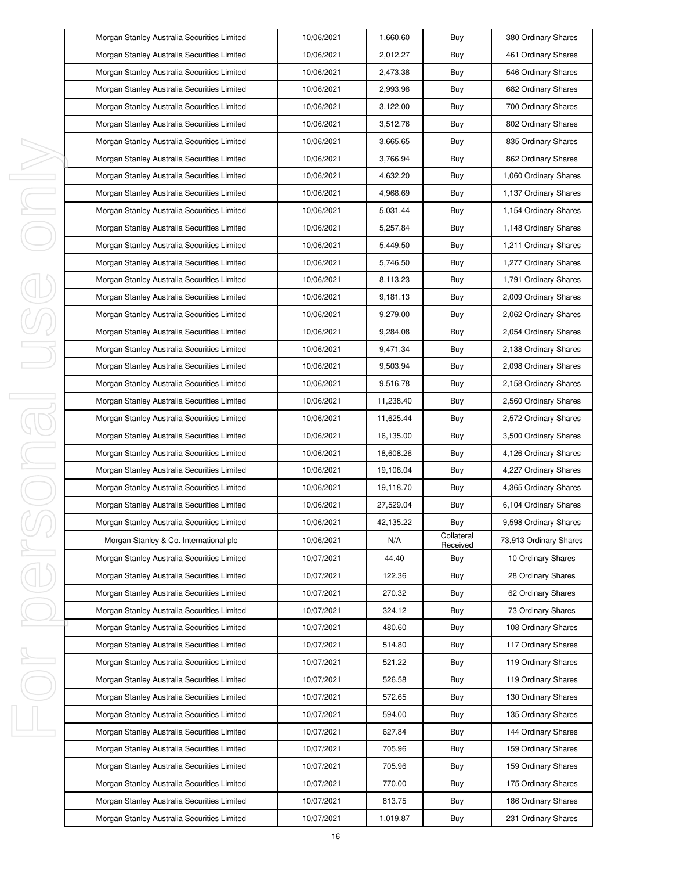|    | Morgan Stanley Australia Securities Limited | 10/06/2021 | 1,660.60  | Buy                    | 380 Ordinary Shares    |
|----|---------------------------------------------|------------|-----------|------------------------|------------------------|
|    | Morgan Stanley Australia Securities Limited | 10/06/2021 | 2,012.27  | Buy                    | 461 Ordinary Shares    |
|    | Morgan Stanley Australia Securities Limited | 10/06/2021 | 2,473.38  | Buy                    | 546 Ordinary Shares    |
|    | Morgan Stanley Australia Securities Limited | 10/06/2021 | 2,993.98  | Buy                    | 682 Ordinary Shares    |
|    | Morgan Stanley Australia Securities Limited | 10/06/2021 | 3,122.00  | Buy                    | 700 Ordinary Shares    |
|    | Morgan Stanley Australia Securities Limited | 10/06/2021 | 3,512.76  | Buy                    | 802 Ordinary Shares    |
|    | Morgan Stanley Australia Securities Limited | 10/06/2021 | 3,665.65  | Buy                    | 835 Ordinary Shares    |
|    | Morgan Stanley Australia Securities Limited | 10/06/2021 | 3,766.94  | Buy                    | 862 Ordinary Shares    |
| I  | Morgan Stanley Australia Securities Limited | 10/06/2021 | 4,632.20  | Buy                    | 1,060 Ordinary Shares  |
| I  | Morgan Stanley Australia Securities Limited | 10/06/2021 | 4,968.69  | Buy                    | 1,137 Ordinary Shares  |
| I  | Morgan Stanley Australia Securities Limited | 10/06/2021 | 5,031.44  | Buy                    | 1,154 Ordinary Shares  |
|    | Morgan Stanley Australia Securities Limited | 10/06/2021 | 5,257.84  | Buy                    | 1,148 Ordinary Shares  |
|    | Morgan Stanley Australia Securities Limited | 10/06/2021 | 5,449.50  | Buy                    | 1,211 Ordinary Shares  |
|    | Morgan Stanley Australia Securities Limited | 10/06/2021 | 5,746.50  | Buy                    | 1,277 Ordinary Shares  |
|    | Morgan Stanley Australia Securities Limited | 10/06/2021 | 8,113.23  | Buy                    | 1,791 Ordinary Shares  |
|    | Morgan Stanley Australia Securities Limited | 10/06/2021 | 9,181.13  | Buy                    | 2,009 Ordinary Shares  |
|    | Morgan Stanley Australia Securities Limited | 10/06/2021 | 9,279.00  | Buy                    | 2,062 Ordinary Shares  |
|    | Morgan Stanley Australia Securities Limited | 10/06/2021 | 9,284.08  | Buy                    | 2,054 Ordinary Shares  |
|    | Morgan Stanley Australia Securities Limited | 10/06/2021 | 9,471.34  | Buy                    | 2,138 Ordinary Shares  |
|    | Morgan Stanley Australia Securities Limited | 10/06/2021 | 9,503.94  | Buy                    | 2,098 Ordinary Shares  |
|    | Morgan Stanley Australia Securities Limited | 10/06/2021 | 9,516.78  | Buy                    | 2,158 Ordinary Shares  |
| I  | Morgan Stanley Australia Securities Limited | 10/06/2021 | 11,238.40 | Buy                    | 2,560 Ordinary Shares  |
| j  | Morgan Stanley Australia Securities Limited | 10/06/2021 | 11,625.44 | Buy                    | 2,572 Ordinary Shares  |
|    | Morgan Stanley Australia Securities Limited | 10/06/2021 | 16,135.00 | Buy                    | 3,500 Ordinary Shares  |
| I  | Morgan Stanley Australia Securities Limited | 10/06/2021 | 18,608.26 | Buy                    | 4,126 Ordinary Shares  |
| I  | Morgan Stanley Australia Securities Limited | 10/06/2021 | 19,106.04 | Buy                    | 4,227 Ordinary Shares  |
|    | Morgan Stanley Australia Securities Limited | 10/06/2021 | 19,118.70 | Buy                    | 4,365 Ordinary Shares  |
|    | Morgan Stanley Australia Securities Limited | 10/06/2021 | 27,529.04 | Buy                    | 6,104 Ordinary Shares  |
|    | Morgan Stanley Australia Securities Limited | 10/06/2021 | 42,135.22 | Buy                    | 9,598 Ordinary Shares  |
|    | Morgan Stanley & Co. International plc      | 10/06/2021 | N/A       | Collateral<br>Received | 73,913 Ordinary Shares |
| J, | Morgan Stanley Australia Securities Limited | 10/07/2021 | 44.40     | Buy                    | 10 Ordinary Shares     |
|    | Morgan Stanley Australia Securities Limited | 10/07/2021 | 122.36    | Buy                    | 28 Ordinary Shares     |
|    | Morgan Stanley Australia Securities Limited | 10/07/2021 | 270.32    | Buy                    | 62 Ordinary Shares     |
|    | Morgan Stanley Australia Securities Limited | 10/07/2021 | 324.12    | Buy                    | 73 Ordinary Shares     |
|    | Morgan Stanley Australia Securities Limited | 10/07/2021 | 480.60    | Buy                    | 108 Ordinary Shares    |
|    | Morgan Stanley Australia Securities Limited | 10/07/2021 | 514.80    | Buy                    | 117 Ordinary Shares    |
| I  | Morgan Stanley Australia Securities Limited | 10/07/2021 | 521.22    | Buy                    | 119 Ordinary Shares    |
|    | Morgan Stanley Australia Securities Limited | 10/07/2021 | 526.58    | Buy                    | 119 Ordinary Shares    |
|    | Morgan Stanley Australia Securities Limited | 10/07/2021 | 572.65    | Buy                    | 130 Ordinary Shares    |
|    | Morgan Stanley Australia Securities Limited | 10/07/2021 | 594.00    | Buy                    | 135 Ordinary Shares    |
| I  | Morgan Stanley Australia Securities Limited | 10/07/2021 | 627.84    | Buy                    | 144 Ordinary Shares    |
|    | Morgan Stanley Australia Securities Limited | 10/07/2021 | 705.96    | Buy                    | 159 Ordinary Shares    |
|    | Morgan Stanley Australia Securities Limited | 10/07/2021 | 705.96    | Buy                    | 159 Ordinary Shares    |
|    | Morgan Stanley Australia Securities Limited | 10/07/2021 | 770.00    | Buy                    | 175 Ordinary Shares    |
|    | Morgan Stanley Australia Securities Limited | 10/07/2021 | 813.75    | Buy                    | 186 Ordinary Shares    |
|    | Morgan Stanley Australia Securities Limited | 10/07/2021 | 1,019.87  | Buy                    | 231 Ordinary Shares    |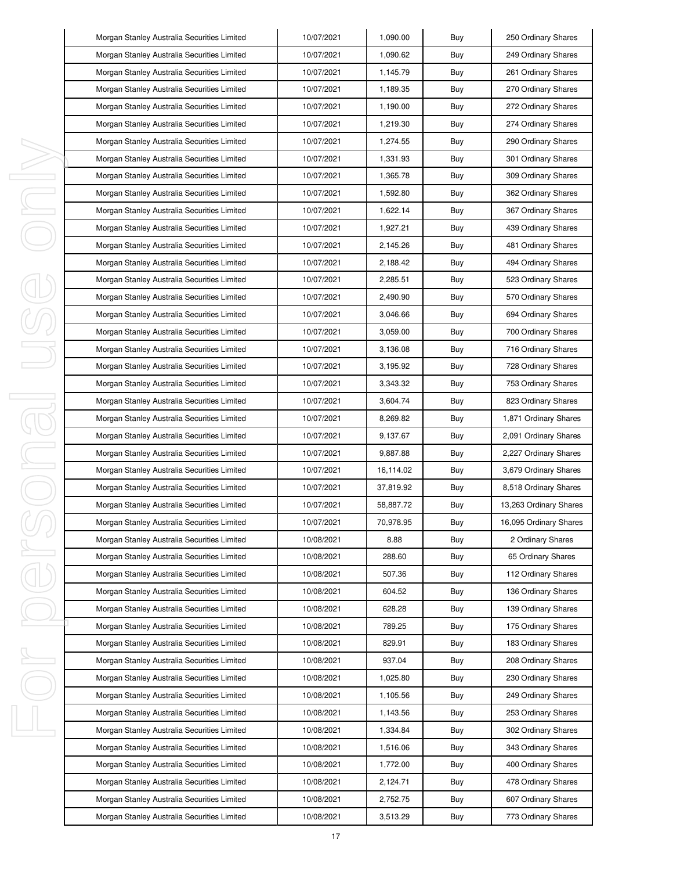|   | Morgan Stanley Australia Securities Limited | 10/07/2021 | 1,090.00  | Buy | 250 Ordinary Shares    |
|---|---------------------------------------------|------------|-----------|-----|------------------------|
|   | Morgan Stanley Australia Securities Limited | 10/07/2021 | 1,090.62  | Buy | 249 Ordinary Shares    |
|   | Morgan Stanley Australia Securities Limited | 10/07/2021 | 1,145.79  | Buy | 261 Ordinary Shares    |
|   | Morgan Stanley Australia Securities Limited | 10/07/2021 | 1,189.35  | Buy | 270 Ordinary Shares    |
|   | Morgan Stanley Australia Securities Limited | 10/07/2021 | 1,190.00  | Buy | 272 Ordinary Shares    |
|   | Morgan Stanley Australia Securities Limited | 10/07/2021 | 1,219.30  | Buy | 274 Ordinary Shares    |
|   | Morgan Stanley Australia Securities Limited | 10/07/2021 | 1,274.55  | Buy | 290 Ordinary Shares    |
|   | Morgan Stanley Australia Securities Limited | 10/07/2021 | 1,331.93  | Buy | 301 Ordinary Shares    |
| ı | Morgan Stanley Australia Securities Limited | 10/07/2021 | 1,365.78  | Buy | 309 Ordinary Shares    |
| J | Morgan Stanley Australia Securities Limited | 10/07/2021 | 1,592.80  | Buy | 362 Ordinary Shares    |
| I | Morgan Stanley Australia Securities Limited | 10/07/2021 | 1,622.14  | Buy | 367 Ordinary Shares    |
|   | Morgan Stanley Australia Securities Limited | 10/07/2021 | 1,927.21  | Buy | 439 Ordinary Shares    |
|   | Morgan Stanley Australia Securities Limited | 10/07/2021 | 2,145.26  | Buy | 481 Ordinary Shares    |
|   | Morgan Stanley Australia Securities Limited | 10/07/2021 | 2,188.42  | Buy | 494 Ordinary Shares    |
|   | Morgan Stanley Australia Securities Limited | 10/07/2021 | 2,285.51  | Buy | 523 Ordinary Shares    |
|   | Morgan Stanley Australia Securities Limited | 10/07/2021 | 2,490.90  | Buy | 570 Ordinary Shares    |
|   | Morgan Stanley Australia Securities Limited | 10/07/2021 | 3,046.66  | Buy | 694 Ordinary Shares    |
|   | Morgan Stanley Australia Securities Limited | 10/07/2021 | 3.059.00  | Buy | 700 Ordinary Shares    |
|   | Morgan Stanley Australia Securities Limited | 10/07/2021 | 3,136.08  | Buy | 716 Ordinary Shares    |
|   | Morgan Stanley Australia Securities Limited | 10/07/2021 | 3,195.92  | Buy | 728 Ordinary Shares    |
|   | Morgan Stanley Australia Securities Limited | 10/07/2021 | 3,343.32  | Buy | 753 Ordinary Shares    |
| J | Morgan Stanley Australia Securities Limited | 10/07/2021 | 3,604.74  | Buy | 823 Ordinary Shares    |
| 1 | Morgan Stanley Australia Securities Limited | 10/07/2021 | 8,269.82  | Buy | 1,871 Ordinary Shares  |
|   | Morgan Stanley Australia Securities Limited | 10/07/2021 | 9,137.67  | Buy | 2,091 Ordinary Shares  |
| I | Morgan Stanley Australia Securities Limited | 10/07/2021 | 9,887.88  | Buy | 2,227 Ordinary Shares  |
|   | Morgan Stanley Australia Securities Limited | 10/07/2021 | 16,114.02 | Buy | 3,679 Ordinary Shares  |
|   | Morgan Stanley Australia Securities Limited | 10/07/2021 | 37,819.92 | Buy | 8,518 Ordinary Shares  |
|   | Morgan Stanley Australia Securities Limited | 10/07/2021 | 58,887.72 | Buy | 13,263 Ordinary Shares |
|   | Morgan Stanley Australia Securities Limited | 10/07/2021 | 70,978.95 | Buy | 16,095 Ordinary Shares |
|   | Morgan Stanley Australia Securities Limited | 10/08/2021 | 8.88      | Buy | 2 Ordinary Shares      |
| I | Morgan Stanley Australia Securities Limited | 10/08/2021 | 288.60    | Buy | 65 Ordinary Shares     |
|   | Morgan Stanley Australia Securities Limited | 10/08/2021 | 507.36    | Buy | 112 Ordinary Shares    |
|   | Morgan Stanley Australia Securities Limited | 10/08/2021 | 604.52    | Buy | 136 Ordinary Shares    |
|   | Morgan Stanley Australia Securities Limited | 10/08/2021 | 628.28    | Buy | 139 Ordinary Shares    |
|   | Morgan Stanley Australia Securities Limited | 10/08/2021 | 789.25    | Buy | 175 Ordinary Shares    |
|   | Morgan Stanley Australia Securities Limited | 10/08/2021 | 829.91    | Buy | 183 Ordinary Shares    |
| ı | Morgan Stanley Australia Securities Limited | 10/08/2021 | 937.04    | Buy | 208 Ordinary Shares    |
|   | Morgan Stanley Australia Securities Limited | 10/08/2021 | 1,025.80  | Buy | 230 Ordinary Shares    |
|   | Morgan Stanley Australia Securities Limited | 10/08/2021 | 1,105.56  | Buy | 249 Ordinary Shares    |
|   | Morgan Stanley Australia Securities Limited | 10/08/2021 | 1,143.56  | Buy | 253 Ordinary Shares    |
| I | Morgan Stanley Australia Securities Limited | 10/08/2021 | 1,334.84  | Buy | 302 Ordinary Shares    |
|   | Morgan Stanley Australia Securities Limited | 10/08/2021 | 1,516.06  | Buy | 343 Ordinary Shares    |
|   | Morgan Stanley Australia Securities Limited | 10/08/2021 | 1,772.00  | Buy | 400 Ordinary Shares    |
|   | Morgan Stanley Australia Securities Limited | 10/08/2021 | 2,124.71  | Buy | 478 Ordinary Shares    |
|   | Morgan Stanley Australia Securities Limited | 10/08/2021 | 2,752.75  | Buy | 607 Ordinary Shares    |
|   | Morgan Stanley Australia Securities Limited | 10/08/2021 | 3,513.29  | Buy | 773 Ordinary Shares    |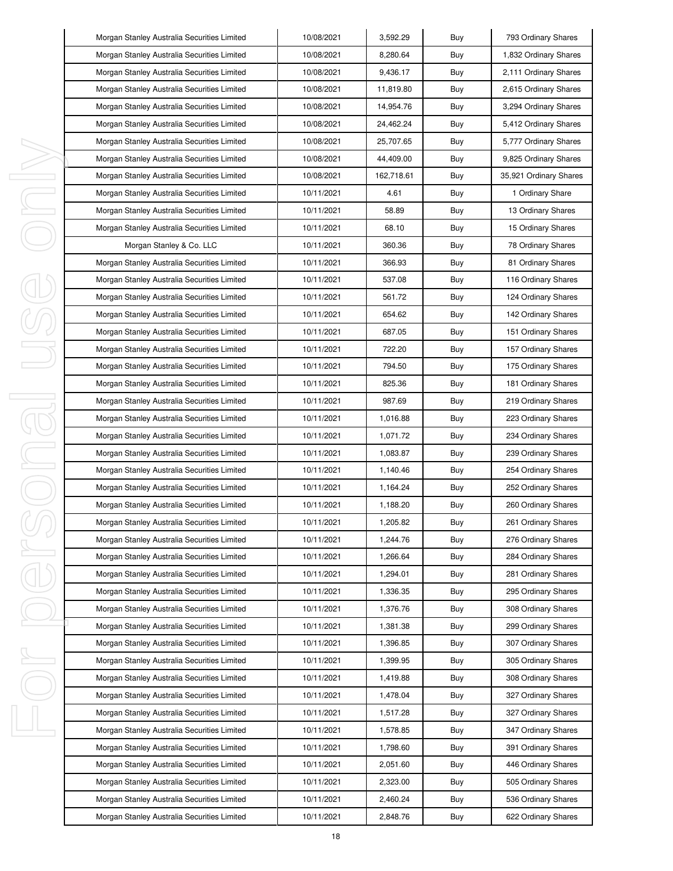| Morgan Stanley Australia Securities Limited | 10/08/2021 | 3,592.29   | Buy | 793 Ordinary Shares    |
|---------------------------------------------|------------|------------|-----|------------------------|
| Morgan Stanley Australia Securities Limited | 10/08/2021 | 8,280.64   | Buy | 1,832 Ordinary Shares  |
| Morgan Stanley Australia Securities Limited | 10/08/2021 | 9,436.17   | Buy | 2,111 Ordinary Shares  |
| Morgan Stanley Australia Securities Limited | 10/08/2021 | 11,819.80  | Buy | 2,615 Ordinary Shares  |
| Morgan Stanley Australia Securities Limited | 10/08/2021 | 14,954.76  | Buy | 3,294 Ordinary Shares  |
| Morgan Stanley Australia Securities Limited | 10/08/2021 | 24,462.24  | Buy | 5,412 Ordinary Shares  |
| Morgan Stanley Australia Securities Limited | 10/08/2021 | 25,707.65  | Buy | 5,777 Ordinary Shares  |
| Morgan Stanley Australia Securities Limited | 10/08/2021 | 44,409.00  | Buy | 9,825 Ordinary Shares  |
| Morgan Stanley Australia Securities Limited | 10/08/2021 | 162,718.61 | Buy | 35,921 Ordinary Shares |
| Morgan Stanley Australia Securities Limited | 10/11/2021 | 4.61       | Buy | 1 Ordinary Share       |
| Morgan Stanley Australia Securities Limited | 10/11/2021 | 58.89      | Buy | 13 Ordinary Shares     |
| Morgan Stanley Australia Securities Limited | 10/11/2021 | 68.10      | Buy | 15 Ordinary Shares     |
| Morgan Stanley & Co. LLC                    | 10/11/2021 | 360.36     | Buy | 78 Ordinary Shares     |
| Morgan Stanley Australia Securities Limited | 10/11/2021 | 366.93     | Buy | 81 Ordinary Shares     |
| Morgan Stanley Australia Securities Limited | 10/11/2021 | 537.08     | Buy | 116 Ordinary Shares    |
| Morgan Stanley Australia Securities Limited | 10/11/2021 | 561.72     | Buy | 124 Ordinary Shares    |
| Morgan Stanley Australia Securities Limited | 10/11/2021 | 654.62     | Buy | 142 Ordinary Shares    |
| Morgan Stanley Australia Securities Limited | 10/11/2021 | 687.05     | Buy | 151 Ordinary Shares    |
| Morgan Stanley Australia Securities Limited | 10/11/2021 | 722.20     | Buy | 157 Ordinary Shares    |
| Morgan Stanley Australia Securities Limited | 10/11/2021 | 794.50     | Buy | 175 Ordinary Shares    |
| Morgan Stanley Australia Securities Limited | 10/11/2021 | 825.36     | Buy | 181 Ordinary Shares    |
| Morgan Stanley Australia Securities Limited | 10/11/2021 | 987.69     | Buy | 219 Ordinary Shares    |
| Morgan Stanley Australia Securities Limited | 10/11/2021 | 1,016.88   | Buy | 223 Ordinary Shares    |
| Morgan Stanley Australia Securities Limited | 10/11/2021 | 1,071.72   | Buy | 234 Ordinary Shares    |
| Morgan Stanley Australia Securities Limited | 10/11/2021 | 1,083.87   | Buy | 239 Ordinary Shares    |
| Morgan Stanley Australia Securities Limited | 10/11/2021 | 1,140.46   | Buy | 254 Ordinary Shares    |
| Morgan Stanley Australia Securities Limited | 10/11/2021 | 1,164.24   | Buy | 252 Ordinary Shares    |
| Morgan Stanley Australia Securities Limited | 10/11/2021 | 1,188.20   | Buy | 260 Ordinary Shares    |
| Morgan Stanley Australia Securities Limited | 10/11/2021 | 1,205.82   | Buy | 261 Ordinary Shares    |
| Morgan Stanley Australia Securities Limited | 10/11/2021 | 1,244.76   | Buy | 276 Ordinary Shares    |
| Morgan Stanley Australia Securities Limited | 10/11/2021 | 1,266.64   | Buy | 284 Ordinary Shares    |
| Morgan Stanley Australia Securities Limited | 10/11/2021 | 1,294.01   | Buy | 281 Ordinary Shares    |
| Morgan Stanley Australia Securities Limited | 10/11/2021 | 1,336.35   | Buy | 295 Ordinary Shares    |
| Morgan Stanley Australia Securities Limited | 10/11/2021 | 1,376.76   | Buy | 308 Ordinary Shares    |
| Morgan Stanley Australia Securities Limited | 10/11/2021 | 1,381.38   | Buy | 299 Ordinary Shares    |
| Morgan Stanley Australia Securities Limited | 10/11/2021 | 1,396.85   | Buy | 307 Ordinary Shares    |
| Morgan Stanley Australia Securities Limited | 10/11/2021 | 1,399.95   | Buy | 305 Ordinary Shares    |
| Morgan Stanley Australia Securities Limited | 10/11/2021 | 1,419.88   | Buy | 308 Ordinary Shares    |
| Morgan Stanley Australia Securities Limited | 10/11/2021 | 1,478.04   | Buy | 327 Ordinary Shares    |
| Morgan Stanley Australia Securities Limited | 10/11/2021 | 1,517.28   | Buy | 327 Ordinary Shares    |
| Morgan Stanley Australia Securities Limited | 10/11/2021 | 1,578.85   | Buy | 347 Ordinary Shares    |
| Morgan Stanley Australia Securities Limited | 10/11/2021 | 1,798.60   | Buy | 391 Ordinary Shares    |
| Morgan Stanley Australia Securities Limited | 10/11/2021 | 2,051.60   | Buy | 446 Ordinary Shares    |
| Morgan Stanley Australia Securities Limited | 10/11/2021 | 2,323.00   | Buy | 505 Ordinary Shares    |
| Morgan Stanley Australia Securities Limited | 10/11/2021 | 2,460.24   | Buy | 536 Ordinary Shares    |
| Morgan Stanley Australia Securities Limited | 10/11/2021 | 2,848.76   | Buy | 622 Ordinary Shares    |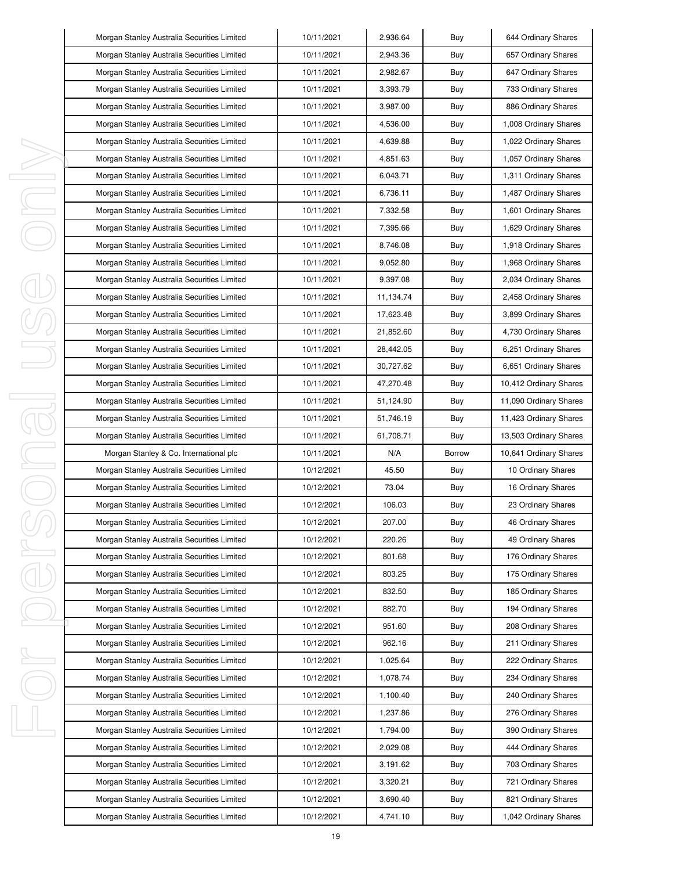|   | Morgan Stanley Australia Securities Limited | 10/11/2021 | 2,936.64  | Buy           | 644 Ordinary Shares    |
|---|---------------------------------------------|------------|-----------|---------------|------------------------|
|   | Morgan Stanley Australia Securities Limited | 10/11/2021 | 2,943.36  | Buy           | 657 Ordinary Shares    |
|   | Morgan Stanley Australia Securities Limited | 10/11/2021 | 2,982.67  | Buy           | 647 Ordinary Shares    |
|   | Morgan Stanley Australia Securities Limited | 10/11/2021 | 3,393.79  | Buy           | 733 Ordinary Shares    |
|   | Morgan Stanley Australia Securities Limited | 10/11/2021 | 3,987.00  | Buy           | 886 Ordinary Shares    |
|   | Morgan Stanley Australia Securities Limited | 10/11/2021 | 4,536.00  | Buy           | 1,008 Ordinary Shares  |
|   | Morgan Stanley Australia Securities Limited | 10/11/2021 | 4,639.88  | Buy           | 1,022 Ordinary Shares  |
|   | Morgan Stanley Australia Securities Limited | 10/11/2021 | 4,851.63  | Buy           | 1,057 Ordinary Shares  |
|   | Morgan Stanley Australia Securities Limited | 10/11/2021 | 6,043.71  | Buy           | 1,311 Ordinary Shares  |
|   | Morgan Stanley Australia Securities Limited | 10/11/2021 | 6,736.11  | Buy           | 1,487 Ordinary Shares  |
|   | Morgan Stanley Australia Securities Limited | 10/11/2021 | 7,332.58  | Buy           | 1,601 Ordinary Shares  |
|   | Morgan Stanley Australia Securities Limited | 10/11/2021 | 7,395.66  | Buy           | 1,629 Ordinary Shares  |
|   | Morgan Stanley Australia Securities Limited | 10/11/2021 | 8,746.08  | Buy           | 1,918 Ordinary Shares  |
|   | Morgan Stanley Australia Securities Limited | 10/11/2021 | 9,052.80  | Buy           | 1,968 Ordinary Shares  |
|   | Morgan Stanley Australia Securities Limited | 10/11/2021 | 9,397.08  | Buy           | 2,034 Ordinary Shares  |
|   | Morgan Stanley Australia Securities Limited | 10/11/2021 | 11,134.74 | Buy           | 2,458 Ordinary Shares  |
|   | Morgan Stanley Australia Securities Limited | 10/11/2021 | 17,623.48 | Buy           | 3,899 Ordinary Shares  |
|   | Morgan Stanley Australia Securities Limited | 10/11/2021 | 21,852.60 | Buy           | 4,730 Ordinary Shares  |
|   | Morgan Stanley Australia Securities Limited | 10/11/2021 | 28,442.05 | Buy           | 6,251 Ordinary Shares  |
|   | Morgan Stanley Australia Securities Limited | 10/11/2021 | 30,727.62 | Buy           | 6,651 Ordinary Shares  |
|   | Morgan Stanley Australia Securities Limited | 10/11/2021 | 47,270.48 | Buy           | 10,412 Ordinary Shares |
|   | Morgan Stanley Australia Securities Limited | 10/11/2021 | 51,124.90 | Buy           | 11,090 Ordinary Shares |
| 1 | Morgan Stanley Australia Securities Limited | 10/11/2021 | 51,746.19 | Buy           | 11,423 Ordinary Shares |
|   | Morgan Stanley Australia Securities Limited | 10/11/2021 | 61,708.71 | Buy           | 13,503 Ordinary Shares |
| I | Morgan Stanley & Co. International plc      | 10/11/2021 | N/A       | <b>Borrow</b> | 10,641 Ordinary Shares |
|   |                                             |            |           |               |                        |
|   | Morgan Stanley Australia Securities Limited | 10/12/2021 | 45.50     | Buy           | 10 Ordinary Shares     |
|   | Morgan Stanley Australia Securities Limited | 10/12/2021 | 73.04     | Buy           | 16 Ordinary Shares     |
|   | Morgan Stanley Australia Securities Limited | 10/12/2021 | 106.03    | Buy           | 23 Ordinary Shares     |
|   | Morgan Stanley Australia Securities Limited | 10/12/2021 | 207.00    | Buy           | 46 Ordinary Shares     |
|   | Morgan Stanley Australia Securities Limited | 10/12/2021 | 220.26    | Buy           | 49 Ordinary Shares     |
| I | Morgan Stanley Australia Securities Limited | 10/12/2021 | 801.68    | Buy           | 176 Ordinary Shares    |
|   | Morgan Stanley Australia Securities Limited | 10/12/2021 | 803.25    | Buy           | 175 Ordinary Shares    |
|   | Morgan Stanley Australia Securities Limited | 10/12/2021 | 832.50    | Buy           | 185 Ordinary Shares    |
|   | Morgan Stanley Australia Securities Limited | 10/12/2021 | 882.70    | Buy           | 194 Ordinary Shares    |
|   | Morgan Stanley Australia Securities Limited | 10/12/2021 | 951.60    | Buy           | 208 Ordinary Shares    |
|   | Morgan Stanley Australia Securities Limited | 10/12/2021 | 962.16    | Buy           | 211 Ordinary Shares    |
| ı | Morgan Stanley Australia Securities Limited | 10/12/2021 | 1,025.64  | Buy           | 222 Ordinary Shares    |
|   | Morgan Stanley Australia Securities Limited | 10/12/2021 | 1,078.74  | Buy           | 234 Ordinary Shares    |
|   | Morgan Stanley Australia Securities Limited | 10/12/2021 | 1,100.40  | Buy           | 240 Ordinary Shares    |
|   | Morgan Stanley Australia Securities Limited | 10/12/2021 | 1,237.86  | Buy           | 276 Ordinary Shares    |
|   | Morgan Stanley Australia Securities Limited | 10/12/2021 | 1,794.00  | Buy           | 390 Ordinary Shares    |
| I | Morgan Stanley Australia Securities Limited | 10/12/2021 | 2,029.08  | Buy           | 444 Ordinary Shares    |
|   | Morgan Stanley Australia Securities Limited | 10/12/2021 | 3,191.62  | Buy           | 703 Ordinary Shares    |
|   | Morgan Stanley Australia Securities Limited | 10/12/2021 | 3,320.21  | Buy           | 721 Ordinary Shares    |
|   | Morgan Stanley Australia Securities Limited | 10/12/2021 | 3,690.40  | Buy           | 821 Ordinary Shares    |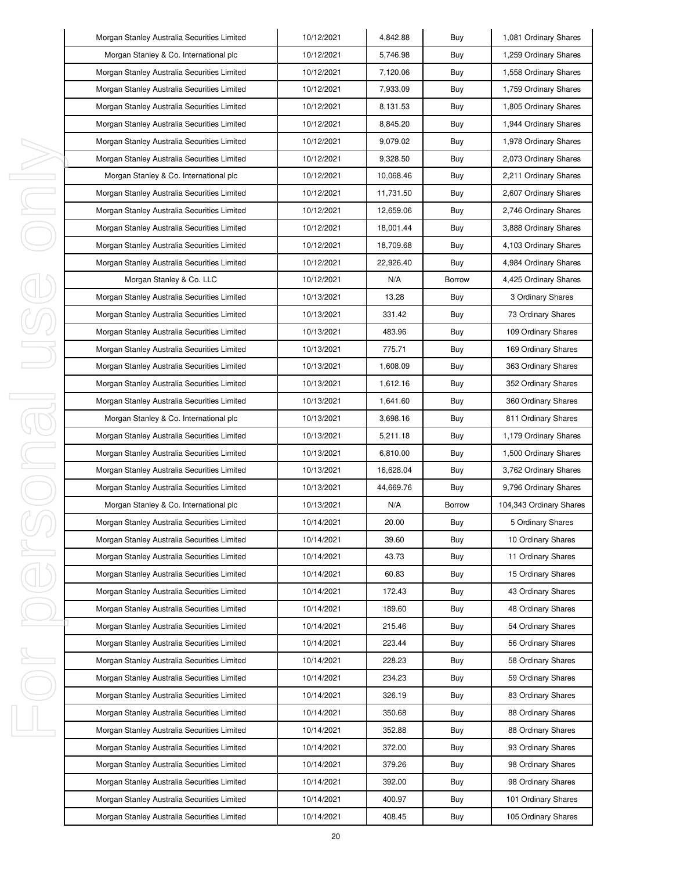| Morgan Stanley Australia Securities Limited | 10/12/2021 | 4,842.88  | Buy           | 1,081 Ordinary Shares   |
|---------------------------------------------|------------|-----------|---------------|-------------------------|
| Morgan Stanley & Co. International plc      | 10/12/2021 | 5,746.98  | Buy           | 1,259 Ordinary Shares   |
| Morgan Stanley Australia Securities Limited | 10/12/2021 | 7,120.06  | Buy           | 1,558 Ordinary Shares   |
| Morgan Stanley Australia Securities Limited | 10/12/2021 | 7,933.09  | Buy           | 1,759 Ordinary Shares   |
| Morgan Stanley Australia Securities Limited | 10/12/2021 | 8,131.53  | Buy           | 1,805 Ordinary Shares   |
| Morgan Stanley Australia Securities Limited | 10/12/2021 | 8,845.20  | Buy           | 1,944 Ordinary Shares   |
| Morgan Stanley Australia Securities Limited | 10/12/2021 | 9,079.02  | Buy           | 1,978 Ordinary Shares   |
| Morgan Stanley Australia Securities Limited | 10/12/2021 | 9,328.50  | Buy           | 2,073 Ordinary Shares   |
| Morgan Stanley & Co. International plc      | 10/12/2021 | 10,068.46 | Buy           | 2,211 Ordinary Shares   |
| Morgan Stanley Australia Securities Limited | 10/12/2021 | 11,731.50 | Buy           | 2,607 Ordinary Shares   |
| Morgan Stanley Australia Securities Limited | 10/12/2021 | 12,659.06 | Buy           | 2,746 Ordinary Shares   |
| Morgan Stanley Australia Securities Limited | 10/12/2021 | 18,001.44 | Buy           | 3,888 Ordinary Shares   |
| Morgan Stanley Australia Securities Limited | 10/12/2021 | 18,709.68 | Buy           | 4,103 Ordinary Shares   |
| Morgan Stanley Australia Securities Limited | 10/12/2021 | 22,926.40 | Buy           | 4,984 Ordinary Shares   |
| Morgan Stanley & Co. LLC                    | 10/12/2021 | N/A       | Borrow        | 4,425 Ordinary Shares   |
| Morgan Stanley Australia Securities Limited | 10/13/2021 | 13.28     | Buy           | 3 Ordinary Shares       |
| Morgan Stanley Australia Securities Limited | 10/13/2021 | 331.42    | Buy           | 73 Ordinary Shares      |
| Morgan Stanley Australia Securities Limited | 10/13/2021 | 483.96    | Buy           | 109 Ordinary Shares     |
| Morgan Stanley Australia Securities Limited | 10/13/2021 | 775.71    | Buy           | 169 Ordinary Shares     |
| Morgan Stanley Australia Securities Limited | 10/13/2021 | 1,608.09  | Buy           | 363 Ordinary Shares     |
| Morgan Stanley Australia Securities Limited | 10/13/2021 | 1,612.16  | Buy           | 352 Ordinary Shares     |
| Morgan Stanley Australia Securities Limited | 10/13/2021 | 1,641.60  | Buy           | 360 Ordinary Shares     |
| Morgan Stanley & Co. International plc      | 10/13/2021 | 3,698.16  | Buy           | 811 Ordinary Shares     |
| Morgan Stanley Australia Securities Limited | 10/13/2021 | 5,211.18  | Buy           | 1,179 Ordinary Shares   |
| Morgan Stanley Australia Securities Limited | 10/13/2021 | 6,810.00  | Buy           | 1,500 Ordinary Shares   |
| Morgan Stanley Australia Securities Limited | 10/13/2021 | 16,628.04 | Buy           | 3,762 Ordinary Shares   |
| Morgan Stanley Australia Securities Limited | 10/13/2021 | 44,669.76 | Buy           | 9,796 Ordinary Shares   |
| Morgan Stanley & Co. International plc      | 10/13/2021 | N/A       | <b>Borrow</b> | 104,343 Ordinary Shares |
| Morgan Stanley Australia Securities Limited | 10/14/2021 | 20.00     | Buy           | 5 Ordinary Shares       |
| Morgan Stanley Australia Securities Limited | 10/14/2021 | 39.60     | Buy           | 10 Ordinary Shares      |
| Morgan Stanley Australia Securities Limited | 10/14/2021 | 43.73     | Buy           | 11 Ordinary Shares      |
| Morgan Stanley Australia Securities Limited | 10/14/2021 | 60.83     | Buy           | 15 Ordinary Shares      |
| Morgan Stanley Australia Securities Limited | 10/14/2021 | 172.43    | Buy           | 43 Ordinary Shares      |
| Morgan Stanley Australia Securities Limited | 10/14/2021 | 189.60    | Buy           | 48 Ordinary Shares      |
| Morgan Stanley Australia Securities Limited | 10/14/2021 | 215.46    | Buy           | 54 Ordinary Shares      |
| Morgan Stanley Australia Securities Limited | 10/14/2021 | 223.44    | Buy           | 56 Ordinary Shares      |
| Morgan Stanley Australia Securities Limited | 10/14/2021 | 228.23    | Buy           | 58 Ordinary Shares      |
| Morgan Stanley Australia Securities Limited | 10/14/2021 | 234.23    | Buy           | 59 Ordinary Shares      |
| Morgan Stanley Australia Securities Limited | 10/14/2021 | 326.19    | Buy           | 83 Ordinary Shares      |
| Morgan Stanley Australia Securities Limited | 10/14/2021 | 350.68    | Buy           | 88 Ordinary Shares      |
| Morgan Stanley Australia Securities Limited | 10/14/2021 | 352.88    | Buy           | 88 Ordinary Shares      |
| Morgan Stanley Australia Securities Limited | 10/14/2021 | 372.00    | Buy           | 93 Ordinary Shares      |
| Morgan Stanley Australia Securities Limited | 10/14/2021 | 379.26    | Buy           | 98 Ordinary Shares      |
| Morgan Stanley Australia Securities Limited | 10/14/2021 | 392.00    | Buy           | 98 Ordinary Shares      |
| Morgan Stanley Australia Securities Limited | 10/14/2021 | 400.97    | Buy           | 101 Ordinary Shares     |
|                                             |            |           |               |                         |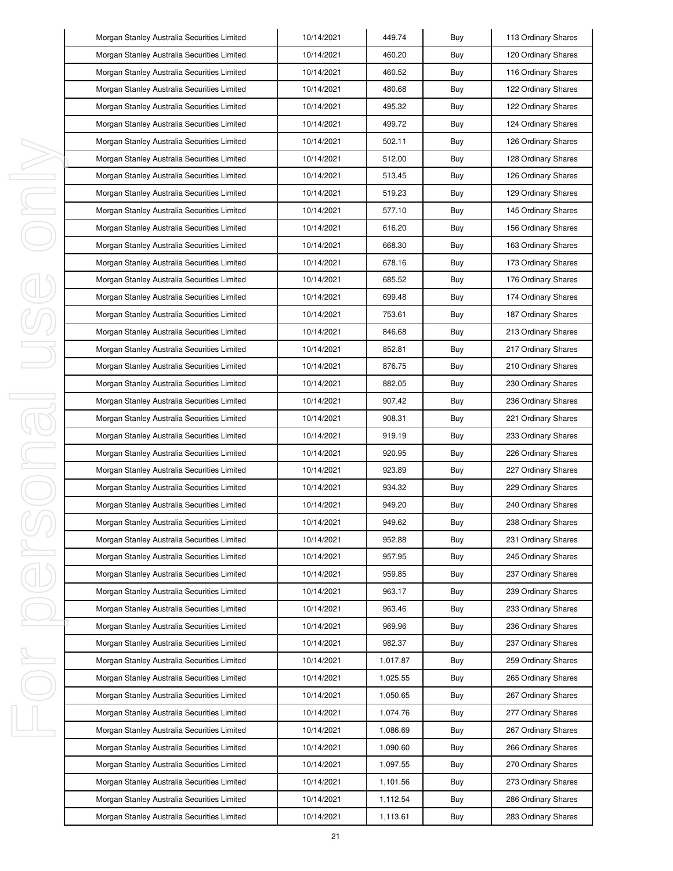|   | Morgan Stanley Australia Securities Limited | 10/14/2021 | 449.74   | Buy | 113 Ordinary Shares |
|---|---------------------------------------------|------------|----------|-----|---------------------|
|   | Morgan Stanley Australia Securities Limited | 10/14/2021 | 460.20   | Buy | 120 Ordinary Shares |
|   | Morgan Stanley Australia Securities Limited | 10/14/2021 | 460.52   | Buy | 116 Ordinary Shares |
|   | Morgan Stanley Australia Securities Limited | 10/14/2021 | 480.68   | Buy | 122 Ordinary Shares |
|   | Morgan Stanley Australia Securities Limited | 10/14/2021 | 495.32   | Buy | 122 Ordinary Shares |
|   | Morgan Stanley Australia Securities Limited | 10/14/2021 | 499.72   | Buy | 124 Ordinary Shares |
|   | Morgan Stanley Australia Securities Limited | 10/14/2021 | 502.11   | Buy | 126 Ordinary Shares |
|   | Morgan Stanley Australia Securities Limited | 10/14/2021 | 512.00   | Buy | 128 Ordinary Shares |
| I | Morgan Stanley Australia Securities Limited | 10/14/2021 | 513.45   | Buy | 126 Ordinary Shares |
| J | Morgan Stanley Australia Securities Limited | 10/14/2021 | 519.23   | Buy | 129 Ordinary Shares |
| I | Morgan Stanley Australia Securities Limited | 10/14/2021 | 577.10   | Buy | 145 Ordinary Shares |
|   | Morgan Stanley Australia Securities Limited | 10/14/2021 | 616.20   | Buy | 156 Ordinary Shares |
|   | Morgan Stanley Australia Securities Limited | 10/14/2021 | 668.30   | Buy | 163 Ordinary Shares |
|   | Morgan Stanley Australia Securities Limited | 10/14/2021 | 678.16   | Buy | 173 Ordinary Shares |
|   | Morgan Stanley Australia Securities Limited | 10/14/2021 | 685.52   | Buy | 176 Ordinary Shares |
|   | Morgan Stanley Australia Securities Limited | 10/14/2021 | 699.48   | Buy | 174 Ordinary Shares |
|   | Morgan Stanley Australia Securities Limited | 10/14/2021 | 753.61   | Buy | 187 Ordinary Shares |
|   | Morgan Stanley Australia Securities Limited | 10/14/2021 | 846.68   | Buy | 213 Ordinary Shares |
|   | Morgan Stanley Australia Securities Limited | 10/14/2021 | 852.81   | Buy | 217 Ordinary Shares |
|   | Morgan Stanley Australia Securities Limited | 10/14/2021 | 876.75   | Buy | 210 Ordinary Shares |
|   | Morgan Stanley Australia Securities Limited | 10/14/2021 | 882.05   | Buy | 230 Ordinary Shares |
| I | Morgan Stanley Australia Securities Limited | 10/14/2021 | 907.42   | Buy | 236 Ordinary Shares |
| j | Morgan Stanley Australia Securities Limited | 10/14/2021 | 908.31   | Buy | 221 Ordinary Shares |
|   | Morgan Stanley Australia Securities Limited | 10/14/2021 | 919.19   | Buy | 233 Ordinary Shares |
| I | Morgan Stanley Australia Securities Limited | 10/14/2021 | 920.95   | Buy | 226 Ordinary Shares |
|   | Morgan Stanley Australia Securities Limited | 10/14/2021 | 923.89   | Buy | 227 Ordinary Shares |
|   | Morgan Stanley Australia Securities Limited | 10/14/2021 | 934.32   | Buy | 229 Ordinary Shares |
|   | Morgan Stanley Australia Securities Limited | 10/14/2021 | 949.20   | Buy | 240 Ordinary Shares |
|   | Morgan Stanley Australia Securities Limited | 10/14/2021 | 949.62   | Buy | 238 Ordinary Shares |
|   | Morgan Stanley Australia Securities Limited | 10/14/2021 | 952.88   | Buy | 231 Ordinary Shares |
| I | Morgan Stanley Australia Securities Limited | 10/14/2021 | 957.95   | Buy | 245 Ordinary Shares |
|   | Morgan Stanley Australia Securities Limited | 10/14/2021 | 959.85   | Buy | 237 Ordinary Shares |
|   | Morgan Stanley Australia Securities Limited | 10/14/2021 | 963.17   | Buy | 239 Ordinary Shares |
|   | Morgan Stanley Australia Securities Limited | 10/14/2021 | 963.46   | Buy | 233 Ordinary Shares |
|   | Morgan Stanley Australia Securities Limited | 10/14/2021 | 969.96   | Buy | 236 Ordinary Shares |
|   | Morgan Stanley Australia Securities Limited | 10/14/2021 | 982.37   | Buy | 237 Ordinary Shares |
| ı | Morgan Stanley Australia Securities Limited | 10/14/2021 | 1,017.87 | Buy | 259 Ordinary Shares |
|   | Morgan Stanley Australia Securities Limited | 10/14/2021 | 1,025.55 | Buy | 265 Ordinary Shares |
|   | Morgan Stanley Australia Securities Limited | 10/14/2021 | 1,050.65 | Buy | 267 Ordinary Shares |
|   | Morgan Stanley Australia Securities Limited | 10/14/2021 | 1,074.76 | Buy | 277 Ordinary Shares |
| I | Morgan Stanley Australia Securities Limited | 10/14/2021 | 1,086.69 | Buy | 267 Ordinary Shares |
|   | Morgan Stanley Australia Securities Limited | 10/14/2021 | 1,090.60 | Buy | 266 Ordinary Shares |
|   | Morgan Stanley Australia Securities Limited | 10/14/2021 | 1,097.55 | Buy | 270 Ordinary Shares |
|   | Morgan Stanley Australia Securities Limited | 10/14/2021 | 1,101.56 | Buy | 273 Ordinary Shares |
|   | Morgan Stanley Australia Securities Limited | 10/14/2021 | 1,112.54 | Buy | 286 Ordinary Shares |
|   | Morgan Stanley Australia Securities Limited | 10/14/2021 | 1,113.61 | Buy | 283 Ordinary Shares |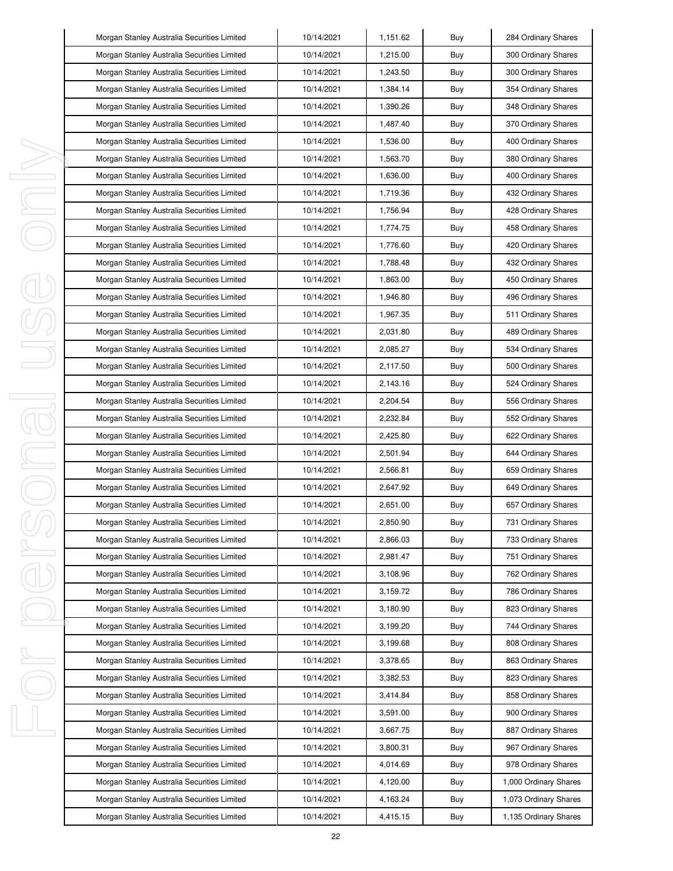|        | Morgan Stanley Australia Securities Limited | 10/14/2021 | 1,151.62 | Buy | 284 Ordinary Shares   |
|--------|---------------------------------------------|------------|----------|-----|-----------------------|
|        | Morgan Stanley Australia Securities Limited | 10/14/2021 | 1,215.00 | Buy | 300 Ordinary Shares   |
|        | Morgan Stanley Australia Securities Limited | 10/14/2021 | 1,243.50 | Buy | 300 Ordinary Shares   |
|        | Morgan Stanley Australia Securities Limited | 10/14/2021 | 1,384.14 | Buy | 354 Ordinary Shares   |
|        | Morgan Stanley Australia Securities Limited | 10/14/2021 | 1,390.26 | Buy | 348 Ordinary Shares   |
|        | Morgan Stanley Australia Securities Limited | 10/14/2021 | 1,487.40 | Buy | 370 Ordinary Shares   |
|        | Morgan Stanley Australia Securities Limited | 10/14/2021 | 1,536.00 | Buy | 400 Ordinary Shares   |
|        | Morgan Stanley Australia Securities Limited | 10/14/2021 | 1,563.70 | Buy | 380 Ordinary Shares   |
| ı      | Morgan Stanley Australia Securities Limited | 10/14/2021 | 1,636.00 | Buy | 400 Ordinary Shares   |
| J      | Morgan Stanley Australia Securities Limited | 10/14/2021 | 1,719.36 | Buy | 432 Ordinary Shares   |
| I      | Morgan Stanley Australia Securities Limited | 10/14/2021 | 1,756.94 | Buy | 428 Ordinary Shares   |
|        | Morgan Stanley Australia Securities Limited | 10/14/2021 | 1,774.75 | Buy | 458 Ordinary Shares   |
|        | Morgan Stanley Australia Securities Limited | 10/14/2021 | 1,776.60 | Buy | 420 Ordinary Shares   |
|        | Morgan Stanley Australia Securities Limited | 10/14/2021 | 1,788.48 | Buy | 432 Ordinary Shares   |
|        | Morgan Stanley Australia Securities Limited | 10/14/2021 | 1,863.00 | Buy | 450 Ordinary Shares   |
|        | Morgan Stanley Australia Securities Limited | 10/14/2021 | 1,946.80 | Buy | 496 Ordinary Shares   |
|        | Morgan Stanley Australia Securities Limited | 10/14/2021 | 1,967.35 | Buy | 511 Ordinary Shares   |
|        | Morgan Stanley Australia Securities Limited | 10/14/2021 | 2,031.80 | Buy | 489 Ordinary Shares   |
|        | Morgan Stanley Australia Securities Limited | 10/14/2021 | 2,085.27 | Buy | 534 Ordinary Shares   |
|        | Morgan Stanley Australia Securities Limited | 10/14/2021 | 2,117.50 | Buy | 500 Ordinary Shares   |
|        | Morgan Stanley Australia Securities Limited | 10/14/2021 | 2,143.16 | Buy | 524 Ordinary Shares   |
| I<br>1 | Morgan Stanley Australia Securities Limited | 10/14/2021 | 2,204.54 | Buy | 556 Ordinary Shares   |
|        | Morgan Stanley Australia Securities Limited | 10/14/2021 | 2,232.84 | Buy | 552 Ordinary Shares   |
|        | Morgan Stanley Australia Securities Limited | 10/14/2021 | 2,425.80 | Buy | 622 Ordinary Shares   |
| I      | Morgan Stanley Australia Securities Limited | 10/14/2021 | 2,501.94 | Buy | 644 Ordinary Shares   |
|        | Morgan Stanley Australia Securities Limited | 10/14/2021 | 2,566.81 | Buy | 659 Ordinary Shares   |
|        | Morgan Stanley Australia Securities Limited | 10/14/2021 | 2,647.92 | Buy | 649 Ordinary Shares   |
|        | Morgan Stanley Australia Securities Limited | 10/14/2021 | 2,651.00 | Buy | 657 Ordinary Shares   |
|        | Morgan Stanley Australia Securities Limited | 10/14/2021 | 2,850.90 | Buy | 731 Ordinary Shares   |
|        | Morgan Stanley Australia Securities Limited | 10/14/2021 | 2,866.03 | Buy | 733 Ordinary Shares   |
| I      | Morgan Stanley Australia Securities Limited | 10/14/2021 | 2,981.47 | Buy | 751 Ordinary Shares   |
|        | Morgan Stanley Australia Securities Limited | 10/14/2021 | 3,108.96 | Buy | 762 Ordinary Shares   |
|        | Morgan Stanley Australia Securities Limited | 10/14/2021 | 3,159.72 | Buy | 786 Ordinary Shares   |
|        | Morgan Stanley Australia Securities Limited | 10/14/2021 | 3,180.90 | Buy | 823 Ordinary Shares   |
|        | Morgan Stanley Australia Securities Limited | 10/14/2021 | 3,199.20 | Buy | 744 Ordinary Shares   |
|        | Morgan Stanley Australia Securities Limited | 10/14/2021 | 3,199.68 | Buy | 808 Ordinary Shares   |
| ı      | Morgan Stanley Australia Securities Limited | 10/14/2021 | 3,378.65 | Buy | 863 Ordinary Shares   |
|        | Morgan Stanley Australia Securities Limited | 10/14/2021 | 3,382.53 | Buy | 823 Ordinary Shares   |
|        | Morgan Stanley Australia Securities Limited | 10/14/2021 | 3,414.84 | Buy | 858 Ordinary Shares   |
|        | Morgan Stanley Australia Securities Limited | 10/14/2021 | 3,591.00 | Buy | 900 Ordinary Shares   |
| I      | Morgan Stanley Australia Securities Limited | 10/14/2021 | 3,667.75 | Buy | 887 Ordinary Shares   |
|        | Morgan Stanley Australia Securities Limited | 10/14/2021 | 3,800.31 | Buy | 967 Ordinary Shares   |
|        | Morgan Stanley Australia Securities Limited | 10/14/2021 | 4,014.69 | Buy | 978 Ordinary Shares   |
|        | Morgan Stanley Australia Securities Limited | 10/14/2021 | 4,120.00 | Buy | 1,000 Ordinary Shares |
|        | Morgan Stanley Australia Securities Limited | 10/14/2021 | 4,163.24 | Buy | 1,073 Ordinary Shares |
|        | Morgan Stanley Australia Securities Limited | 10/14/2021 | 4,415.15 | Buy | 1,135 Ordinary Shares |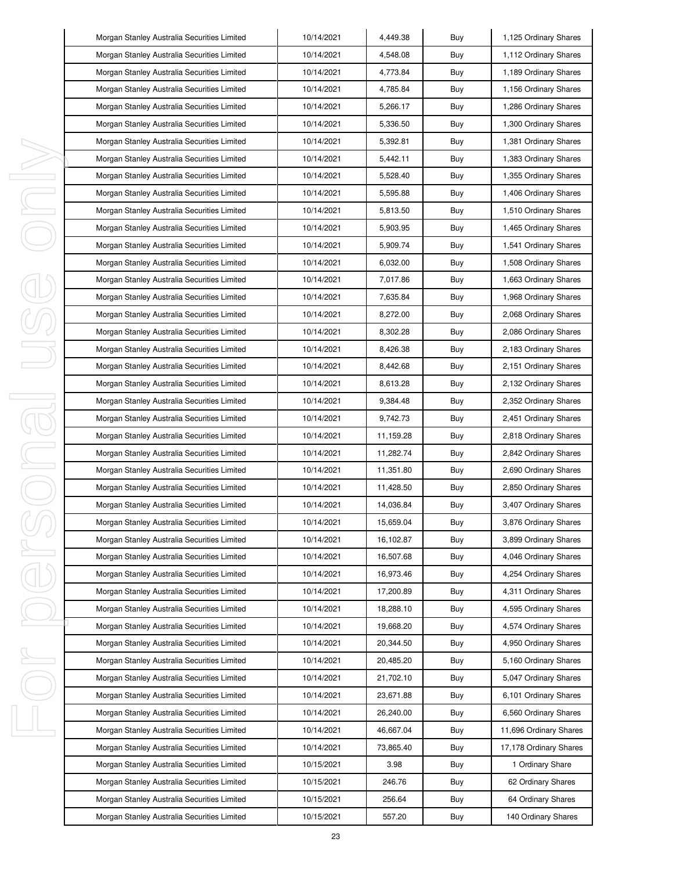|        | Morgan Stanley Australia Securities Limited | 10/14/2021 | 4,449.38  | Buy | 1,125 Ordinary Shares  |
|--------|---------------------------------------------|------------|-----------|-----|------------------------|
|        | Morgan Stanley Australia Securities Limited | 10/14/2021 | 4,548.08  | Buy | 1,112 Ordinary Shares  |
|        | Morgan Stanley Australia Securities Limited | 10/14/2021 | 4,773.84  | Buy | 1,189 Ordinary Shares  |
|        | Morgan Stanley Australia Securities Limited | 10/14/2021 | 4,785.84  | Buy | 1,156 Ordinary Shares  |
|        | Morgan Stanley Australia Securities Limited | 10/14/2021 | 5,266.17  | Buy | 1,286 Ordinary Shares  |
|        | Morgan Stanley Australia Securities Limited | 10/14/2021 | 5,336.50  | Buy | 1,300 Ordinary Shares  |
|        | Morgan Stanley Australia Securities Limited | 10/14/2021 | 5,392.81  | Buy | 1,381 Ordinary Shares  |
|        | Morgan Stanley Australia Securities Limited | 10/14/2021 | 5,442.11  | Buy | 1,383 Ordinary Shares  |
| I      | Morgan Stanley Australia Securities Limited | 10/14/2021 | 5,528.40  | Buy | 1,355 Ordinary Shares  |
| J      | Morgan Stanley Australia Securities Limited | 10/14/2021 | 5,595.88  | Buy | 1,406 Ordinary Shares  |
| I      | Morgan Stanley Australia Securities Limited | 10/14/2021 | 5,813.50  | Buy | 1,510 Ordinary Shares  |
|        | Morgan Stanley Australia Securities Limited | 10/14/2021 | 5,903.95  | Buy | 1,465 Ordinary Shares  |
|        | Morgan Stanley Australia Securities Limited | 10/14/2021 | 5,909.74  | Buy | 1,541 Ordinary Shares  |
|        | Morgan Stanley Australia Securities Limited | 10/14/2021 | 6,032.00  | Buy | 1,508 Ordinary Shares  |
|        | Morgan Stanley Australia Securities Limited | 10/14/2021 | 7,017.86  | Buy | 1,663 Ordinary Shares  |
|        | Morgan Stanley Australia Securities Limited | 10/14/2021 | 7,635.84  | Buy | 1,968 Ordinary Shares  |
|        | Morgan Stanley Australia Securities Limited | 10/14/2021 | 8,272.00  | Buy | 2,068 Ordinary Shares  |
|        | Morgan Stanley Australia Securities Limited | 10/14/2021 | 8,302.28  | Buy | 2,086 Ordinary Shares  |
|        | Morgan Stanley Australia Securities Limited | 10/14/2021 | 8,426.38  | Buy | 2,183 Ordinary Shares  |
|        | Morgan Stanley Australia Securities Limited | 10/14/2021 | 8,442.68  | Buy | 2,151 Ordinary Shares  |
|        | Morgan Stanley Australia Securities Limited | 10/14/2021 | 8,613.28  | Buy | 2,132 Ordinary Shares  |
| J<br>1 | Morgan Stanley Australia Securities Limited | 10/14/2021 | 9,384.48  | Buy | 2,352 Ordinary Shares  |
|        | Morgan Stanley Australia Securities Limited | 10/14/2021 | 9,742.73  | Buy | 2,451 Ordinary Shares  |
|        | Morgan Stanley Australia Securities Limited | 10/14/2021 | 11,159.28 | Buy | 2,818 Ordinary Shares  |
| I      | Morgan Stanley Australia Securities Limited | 10/14/2021 | 11,282.74 | Buy | 2,842 Ordinary Shares  |
|        | Morgan Stanley Australia Securities Limited | 10/14/2021 | 11,351.80 | Buy | 2,690 Ordinary Shares  |
|        | Morgan Stanley Australia Securities Limited | 10/14/2021 | 11,428.50 | Buy | 2,850 Ordinary Shares  |
|        | Morgan Stanley Australia Securities Limited | 10/14/2021 | 14,036.84 | Buy | 3,407 Ordinary Shares  |
|        | Morgan Stanley Australia Securities Limited | 10/14/2021 | 15,659.04 | Buy | 3,876 Ordinary Shares  |
|        | Morgan Stanley Australia Securities Limited | 10/14/2021 | 16,102.87 | Buy | 3,899 Ordinary Shares  |
| I      | Morgan Stanley Australia Securities Limited | 10/14/2021 | 16,507.68 | Buy | 4,046 Ordinary Shares  |
|        | Morgan Stanley Australia Securities Limited | 10/14/2021 | 16,973.46 | Buy | 4,254 Ordinary Shares  |
|        | Morgan Stanley Australia Securities Limited | 10/14/2021 | 17,200.89 | Buy | 4,311 Ordinary Shares  |
|        | Morgan Stanley Australia Securities Limited | 10/14/2021 | 18,288.10 | Buy | 4,595 Ordinary Shares  |
|        | Morgan Stanley Australia Securities Limited | 10/14/2021 | 19,668.20 | Buy | 4,574 Ordinary Shares  |
|        | Morgan Stanley Australia Securities Limited | 10/14/2021 | 20,344.50 | Buy | 4,950 Ordinary Shares  |
| ı      | Morgan Stanley Australia Securities Limited | 10/14/2021 | 20,485.20 | Buy | 5,160 Ordinary Shares  |
|        | Morgan Stanley Australia Securities Limited | 10/14/2021 | 21,702.10 | Buy | 5,047 Ordinary Shares  |
|        | Morgan Stanley Australia Securities Limited | 10/14/2021 | 23,671.88 | Buy | 6,101 Ordinary Shares  |
|        | Morgan Stanley Australia Securities Limited | 10/14/2021 | 26,240.00 | Buy | 6,560 Ordinary Shares  |
| I      | Morgan Stanley Australia Securities Limited | 10/14/2021 | 46,667.04 | Buy | 11,696 Ordinary Shares |
|        | Morgan Stanley Australia Securities Limited | 10/14/2021 | 73,865.40 | Buy | 17,178 Ordinary Shares |
|        | Morgan Stanley Australia Securities Limited | 10/15/2021 | 3.98      | Buy | 1 Ordinary Share       |
|        | Morgan Stanley Australia Securities Limited | 10/15/2021 | 246.76    | Buy | 62 Ordinary Shares     |
|        | Morgan Stanley Australia Securities Limited | 10/15/2021 | 256.64    | Buy | 64 Ordinary Shares     |
|        | Morgan Stanley Australia Securities Limited | 10/15/2021 | 557.20    | Buy | 140 Ordinary Shares    |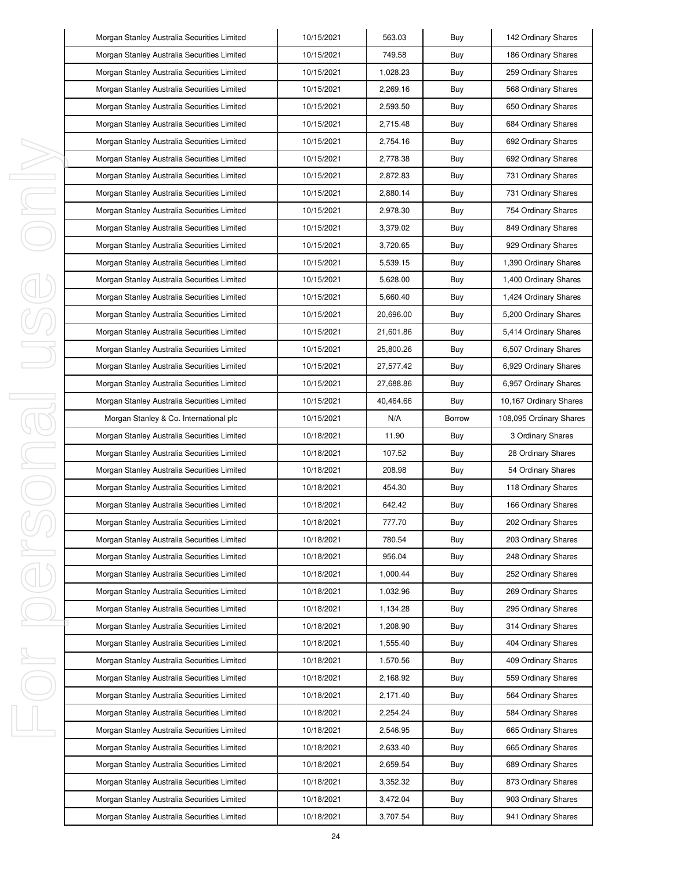|    | Morgan Stanley Australia Securities Limited | 10/15/2021 | 563.03    | Buy    | 142 Ordinary Shares     |
|----|---------------------------------------------|------------|-----------|--------|-------------------------|
|    | Morgan Stanley Australia Securities Limited | 10/15/2021 | 749.58    | Buy    | 186 Ordinary Shares     |
|    | Morgan Stanley Australia Securities Limited | 10/15/2021 | 1,028.23  | Buy    | 259 Ordinary Shares     |
|    | Morgan Stanley Australia Securities Limited | 10/15/2021 | 2,269.16  | Buy    | 568 Ordinary Shares     |
|    | Morgan Stanley Australia Securities Limited | 10/15/2021 | 2,593.50  | Buy    | 650 Ordinary Shares     |
|    | Morgan Stanley Australia Securities Limited | 10/15/2021 | 2,715.48  | Buy    | 684 Ordinary Shares     |
|    | Morgan Stanley Australia Securities Limited | 10/15/2021 | 2,754.16  | Buy    | 692 Ordinary Shares     |
|    | Morgan Stanley Australia Securities Limited | 10/15/2021 | 2,778.38  | Buy    | 692 Ordinary Shares     |
| I, | Morgan Stanley Australia Securities Limited | 10/15/2021 | 2,872.83  | Buy    | 731 Ordinary Shares     |
| J, | Morgan Stanley Australia Securities Limited | 10/15/2021 | 2,880.14  | Buy    | 731 Ordinary Shares     |
| I, | Morgan Stanley Australia Securities Limited | 10/15/2021 | 2,978.30  | Buy    | 754 Ordinary Shares     |
|    | Morgan Stanley Australia Securities Limited | 10/15/2021 | 3,379.02  | Buy    | 849 Ordinary Shares     |
|    | Morgan Stanley Australia Securities Limited | 10/15/2021 | 3,720.65  | Buy    | 929 Ordinary Shares     |
|    | Morgan Stanley Australia Securities Limited | 10/15/2021 | 5,539.15  | Buy    | 1,390 Ordinary Shares   |
|    | Morgan Stanley Australia Securities Limited | 10/15/2021 | 5,628.00  | Buy    | 1,400 Ordinary Shares   |
|    | Morgan Stanley Australia Securities Limited | 10/15/2021 | 5.660.40  | Buy    | 1,424 Ordinary Shares   |
|    | Morgan Stanley Australia Securities Limited | 10/15/2021 | 20,696.00 | Buy    | 5,200 Ordinary Shares   |
|    | Morgan Stanley Australia Securities Limited | 10/15/2021 | 21,601.86 | Buy    | 5,414 Ordinary Shares   |
|    | Morgan Stanley Australia Securities Limited | 10/15/2021 | 25,800.26 | Buy    | 6,507 Ordinary Shares   |
|    | Morgan Stanley Australia Securities Limited | 10/15/2021 | 27,577.42 | Buy    | 6,929 Ordinary Shares   |
|    | Morgan Stanley Australia Securities Limited | 10/15/2021 | 27,688.86 | Buy    | 6,957 Ordinary Shares   |
| I  | Morgan Stanley Australia Securities Limited | 10/15/2021 | 40,464.66 | Buy    | 10,167 Ordinary Shares  |
| J. | Morgan Stanley & Co. International plc      | 10/15/2021 | N/A       | Borrow | 108,095 Ordinary Shares |
|    | Morgan Stanley Australia Securities Limited | 10/18/2021 | 11.90     | Buy    | 3 Ordinary Shares       |
| I  | Morgan Stanley Australia Securities Limited | 10/18/2021 | 107.52    | Buy    | 28 Ordinary Shares      |
|    | Morgan Stanley Australia Securities Limited | 10/18/2021 | 208.98    | Buy    | 54 Ordinary Shares      |
|    | Morgan Stanley Australia Securities Limited | 10/18/2021 |           |        | 118 Ordinary Shares     |
|    |                                             |            | 454.30    | Buy    |                         |
|    | Morgan Stanley Australia Securities Limited | 10/18/2021 | 642.42    | Buy    | 166 Ordinary Shares     |
|    | Morgan Stanley Australia Securities Limited | 10/18/2021 | 777.70    | Buy    | 202 Ordinary Shares     |
|    | Morgan Stanley Australia Securities Limited | 10/18/2021 | 780.54    | Buy    | 203 Ordinary Shares     |
| I  | Morgan Stanley Australia Securities Limited | 10/18/2021 | 956.04    | Buy    | 248 Ordinary Shares     |
|    | Morgan Stanley Australia Securities Limited | 10/18/2021 | 1,000.44  | Buy    | 252 Ordinary Shares     |
|    | Morgan Stanley Australia Securities Limited | 10/18/2021 | 1,032.96  | Buy    | 269 Ordinary Shares     |
|    | Morgan Stanley Australia Securities Limited | 10/18/2021 | 1,134.28  | Buy    | 295 Ordinary Shares     |
|    | Morgan Stanley Australia Securities Limited | 10/18/2021 | 1,208.90  | Buy    | 314 Ordinary Shares     |
|    | Morgan Stanley Australia Securities Limited | 10/18/2021 | 1,555.40  | Buy    | 404 Ordinary Shares     |
| I, | Morgan Stanley Australia Securities Limited | 10/18/2021 | 1,570.56  | Buy    | 409 Ordinary Shares     |
|    | Morgan Stanley Australia Securities Limited | 10/18/2021 | 2,168.92  | Buy    | 559 Ordinary Shares     |
|    | Morgan Stanley Australia Securities Limited | 10/18/2021 | 2,171.40  | Buy    | 564 Ordinary Shares     |
|    | Morgan Stanley Australia Securities Limited | 10/18/2021 | 2,254.24  | Buy    | 584 Ordinary Shares     |
| I, | Morgan Stanley Australia Securities Limited | 10/18/2021 | 2,546.95  | Buy    | 665 Ordinary Shares     |
|    | Morgan Stanley Australia Securities Limited | 10/18/2021 | 2,633.40  | Buy    | 665 Ordinary Shares     |
|    | Morgan Stanley Australia Securities Limited | 10/18/2021 | 2,659.54  | Buy    | 689 Ordinary Shares     |
|    | Morgan Stanley Australia Securities Limited | 10/18/2021 | 3,352.32  | Buy    | 873 Ordinary Shares     |
|    | Morgan Stanley Australia Securities Limited | 10/18/2021 | 3,472.04  | Buy    | 903 Ordinary Shares     |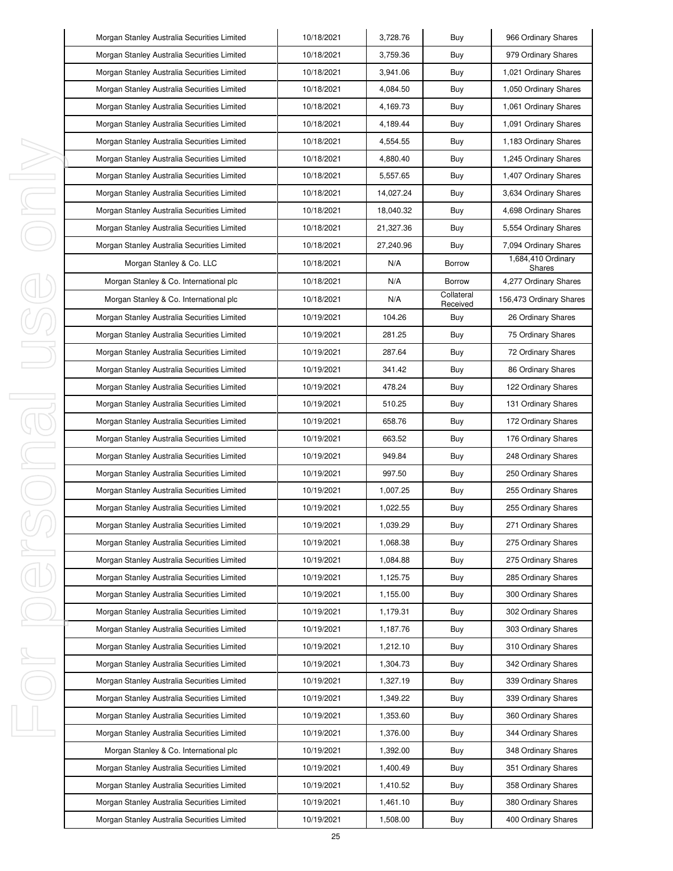| Morgan Stanley Australia Securities Limited | 10/18/2021 | 3,728.76  | Buy                    | 966 Ordinary Shares          |
|---------------------------------------------|------------|-----------|------------------------|------------------------------|
| Morgan Stanley Australia Securities Limited | 10/18/2021 | 3,759.36  | Buy                    | 979 Ordinary Shares          |
| Morgan Stanley Australia Securities Limited | 10/18/2021 | 3,941.06  | Buy                    | 1,021 Ordinary Shares        |
| Morgan Stanley Australia Securities Limited | 10/18/2021 | 4.084.50  | Buy                    | 1,050 Ordinary Shares        |
| Morgan Stanley Australia Securities Limited | 10/18/2021 | 4,169.73  | Buy                    | 1,061 Ordinary Shares        |
| Morgan Stanley Australia Securities Limited | 10/18/2021 | 4,189.44  | Buy                    | 1,091 Ordinary Shares        |
| Morgan Stanley Australia Securities Limited | 10/18/2021 | 4,554.55  | Buy                    | 1,183 Ordinary Shares        |
| Morgan Stanley Australia Securities Limited | 10/18/2021 | 4,880.40  | Buy                    | 1,245 Ordinary Shares        |
| Morgan Stanley Australia Securities Limited | 10/18/2021 | 5,557.65  | Buy                    | 1,407 Ordinary Shares        |
| Morgan Stanley Australia Securities Limited | 10/18/2021 | 14,027.24 | Buy                    | 3,634 Ordinary Shares        |
| Morgan Stanley Australia Securities Limited | 10/18/2021 | 18,040.32 | Buy                    | 4,698 Ordinary Shares        |
| Morgan Stanley Australia Securities Limited | 10/18/2021 | 21,327.36 | Buy                    | 5,554 Ordinary Shares        |
| Morgan Stanley Australia Securities Limited | 10/18/2021 | 27,240.96 | Buy                    | 7,094 Ordinary Shares        |
| Morgan Stanley & Co. LLC                    | 10/18/2021 | N/A       | Borrow                 | 1,684,410 Ordinary<br>Shares |
| Morgan Stanley & Co. International plc      | 10/18/2021 | N/A       | Borrow                 | 4,277 Ordinary Shares        |
| Morgan Stanley & Co. International plc      | 10/18/2021 | N/A       | Collateral<br>Received | 156,473 Ordinary Shares      |
| Morgan Stanley Australia Securities Limited | 10/19/2021 | 104.26    | Buy                    | 26 Ordinary Shares           |
| Morgan Stanley Australia Securities Limited | 10/19/2021 | 281.25    | Buy                    | 75 Ordinary Shares           |
| Morgan Stanley Australia Securities Limited | 10/19/2021 | 287.64    | Buy                    | 72 Ordinary Shares           |
| Morgan Stanley Australia Securities Limited | 10/19/2021 | 341.42    | Buy                    | 86 Ordinary Shares           |
| Morgan Stanley Australia Securities Limited | 10/19/2021 | 478.24    | Buy                    | 122 Ordinary Shares          |
| Morgan Stanley Australia Securities Limited | 10/19/2021 | 510.25    | Buy                    | 131 Ordinary Shares          |
| Morgan Stanley Australia Securities Limited | 10/19/2021 | 658.76    | Buy                    | 172 Ordinary Shares          |
| Morgan Stanley Australia Securities Limited | 10/19/2021 | 663.52    | Buy                    | 176 Ordinary Shares          |
| Morgan Stanley Australia Securities Limited | 10/19/2021 | 949.84    | Buy                    | 248 Ordinary Shares          |
| Morgan Stanley Australia Securities Limited | 10/19/2021 | 997.50    | Buy                    | 250 Ordinary Shares          |
| Morgan Stanley Australia Securities Limited | 10/19/2021 | 1,007.25  | Buy                    | 255 Ordinary Shares          |
| Morgan Stanley Australia Securities Limited | 10/19/2021 | 1,022.55  | Buy                    | 255 Ordinary Shares          |
| Morgan Stanley Australia Securities Limited | 10/19/2021 | 1,039.29  | Buy                    | 271 Ordinary Shares          |
| Morgan Stanley Australia Securities Limited | 10/19/2021 | 1,068.38  | Buy                    | 275 Ordinary Shares          |
| Morgan Stanley Australia Securities Limited | 10/19/2021 | 1,084.88  | Buy                    | 275 Ordinary Shares          |
| Morgan Stanley Australia Securities Limited | 10/19/2021 | 1,125.75  | Buy                    | 285 Ordinary Shares          |
| Morgan Stanley Australia Securities Limited | 10/19/2021 | 1,155.00  | Buy                    | 300 Ordinary Shares          |
| Morgan Stanley Australia Securities Limited | 10/19/2021 | 1,179.31  | Buy                    | 302 Ordinary Shares          |
| Morgan Stanley Australia Securities Limited | 10/19/2021 | 1,187.76  | Buy                    | 303 Ordinary Shares          |
| Morgan Stanley Australia Securities Limited | 10/19/2021 | 1,212.10  | Buy                    | 310 Ordinary Shares          |
| Morgan Stanley Australia Securities Limited | 10/19/2021 | 1,304.73  | Buy                    | 342 Ordinary Shares          |
| Morgan Stanley Australia Securities Limited | 10/19/2021 | 1,327.19  | Buy                    | 339 Ordinary Shares          |
| Morgan Stanley Australia Securities Limited | 10/19/2021 | 1,349.22  | Buy                    | 339 Ordinary Shares          |
| Morgan Stanley Australia Securities Limited | 10/19/2021 | 1,353.60  | Buy                    | 360 Ordinary Shares          |
| Morgan Stanley Australia Securities Limited | 10/19/2021 | 1,376.00  | Buy                    | 344 Ordinary Shares          |
| Morgan Stanley & Co. International plc      | 10/19/2021 | 1,392.00  | Buy                    | 348 Ordinary Shares          |
| Morgan Stanley Australia Securities Limited | 10/19/2021 | 1,400.49  | Buy                    | 351 Ordinary Shares          |
| Morgan Stanley Australia Securities Limited | 10/19/2021 | 1,410.52  | Buy                    | 358 Ordinary Shares          |
| Morgan Stanley Australia Securities Limited | 10/19/2021 | 1,461.10  | Buy                    | 380 Ordinary Shares          |
| Morgan Stanley Australia Securities Limited | 10/19/2021 | 1,508.00  | Buy                    | 400 Ordinary Shares          |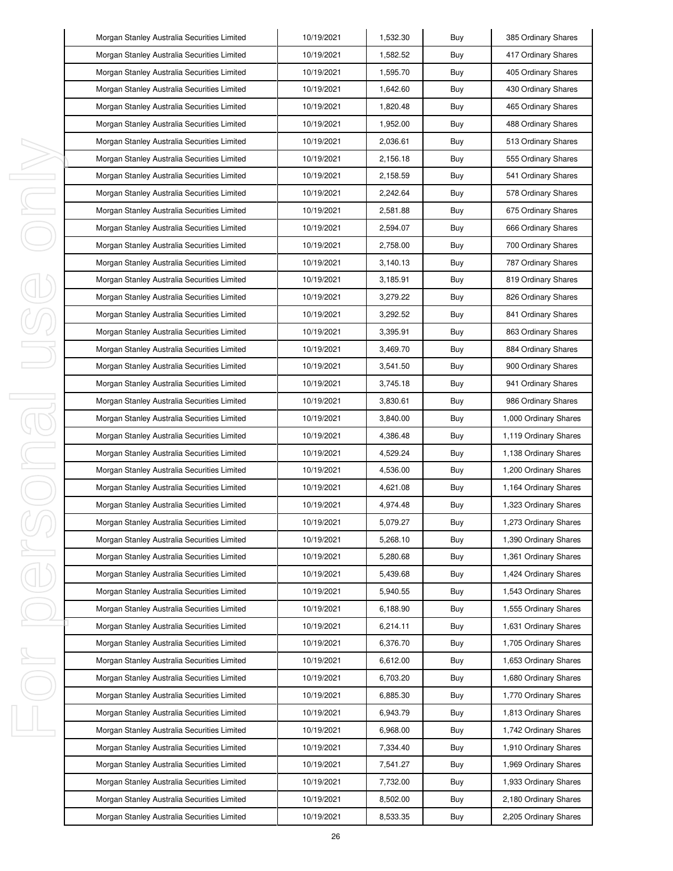|   | Morgan Stanley Australia Securities Limited | 10/19/2021 | 1,532.30 | Buy | 385 Ordinary Shares   |
|---|---------------------------------------------|------------|----------|-----|-----------------------|
|   | Morgan Stanley Australia Securities Limited | 10/19/2021 | 1,582.52 | Buy | 417 Ordinary Shares   |
|   | Morgan Stanley Australia Securities Limited | 10/19/2021 | 1,595.70 | Buy | 405 Ordinary Shares   |
|   | Morgan Stanley Australia Securities Limited | 10/19/2021 | 1,642.60 | Buy | 430 Ordinary Shares   |
|   | Morgan Stanley Australia Securities Limited | 10/19/2021 | 1,820.48 | Buy | 465 Ordinary Shares   |
|   | Morgan Stanley Australia Securities Limited | 10/19/2021 | 1,952.00 | Buy | 488 Ordinary Shares   |
|   | Morgan Stanley Australia Securities Limited | 10/19/2021 | 2,036.61 | Buy | 513 Ordinary Shares   |
|   | Morgan Stanley Australia Securities Limited | 10/19/2021 | 2,156.18 | Buy | 555 Ordinary Shares   |
| I | Morgan Stanley Australia Securities Limited | 10/19/2021 | 2,158.59 | Buy | 541 Ordinary Shares   |
| ı | Morgan Stanley Australia Securities Limited | 10/19/2021 | 2,242.64 | Buy | 578 Ordinary Shares   |
| I | Morgan Stanley Australia Securities Limited | 10/19/2021 | 2,581.88 | Buy | 675 Ordinary Shares   |
|   | Morgan Stanley Australia Securities Limited | 10/19/2021 | 2,594.07 | Buy | 666 Ordinary Shares   |
|   | Morgan Stanley Australia Securities Limited | 10/19/2021 | 2,758.00 | Buy | 700 Ordinary Shares   |
|   | Morgan Stanley Australia Securities Limited | 10/19/2021 | 3,140.13 | Buy | 787 Ordinary Shares   |
|   | Morgan Stanley Australia Securities Limited | 10/19/2021 | 3,185.91 | Buy | 819 Ordinary Shares   |
|   | Morgan Stanley Australia Securities Limited | 10/19/2021 | 3,279.22 | Buy | 826 Ordinary Shares   |
|   | Morgan Stanley Australia Securities Limited | 10/19/2021 | 3,292.52 | Buy | 841 Ordinary Shares   |
|   | Morgan Stanley Australia Securities Limited | 10/19/2021 | 3,395.91 | Buy | 863 Ordinary Shares   |
|   | Morgan Stanley Australia Securities Limited | 10/19/2021 | 3,469.70 | Buy | 884 Ordinary Shares   |
|   | Morgan Stanley Australia Securities Limited | 10/19/2021 | 3,541.50 | Buy | 900 Ordinary Shares   |
|   | Morgan Stanley Australia Securities Limited | 10/19/2021 | 3,745.18 | Buy | 941 Ordinary Shares   |
| I | Morgan Stanley Australia Securities Limited | 10/19/2021 | 3,830.61 | Buy | 986 Ordinary Shares   |
| J | Morgan Stanley Australia Securities Limited | 10/19/2021 | 3,840.00 | Buy | 1,000 Ordinary Shares |
|   | Morgan Stanley Australia Securities Limited | 10/19/2021 | 4,386.48 | Buy | 1,119 Ordinary Shares |
| J | Morgan Stanley Australia Securities Limited | 10/19/2021 | 4,529.24 | Buy | 1,138 Ordinary Shares |
|   | Morgan Stanley Australia Securities Limited | 10/19/2021 | 4,536.00 | Buy | 1,200 Ordinary Shares |
|   | Morgan Stanley Australia Securities Limited | 10/19/2021 | 4,621.08 | Buy | 1,164 Ordinary Shares |
|   | Morgan Stanley Australia Securities Limited | 10/19/2021 | 4,974.48 | Buy | 1,323 Ordinary Shares |
|   | Morgan Stanley Australia Securities Limited | 10/19/2021 | 5,079.27 | Buy | 1,273 Ordinary Shares |
|   | Morgan Stanley Australia Securities Limited | 10/19/2021 | 5,268.10 | Buy | 1,390 Ordinary Shares |
| I | Morgan Stanley Australia Securities Limited | 10/19/2021 | 5,280.68 | Buy | 1,361 Ordinary Shares |
|   | Morgan Stanley Australia Securities Limited | 10/19/2021 | 5,439.68 | Buy | 1,424 Ordinary Shares |
|   | Morgan Stanley Australia Securities Limited | 10/19/2021 | 5,940.55 | Buy | 1,543 Ordinary Shares |
|   | Morgan Stanley Australia Securities Limited | 10/19/2021 | 6,188.90 | Buy | 1,555 Ordinary Shares |
|   | Morgan Stanley Australia Securities Limited | 10/19/2021 | 6,214.11 | Buy | 1,631 Ordinary Shares |
|   | Morgan Stanley Australia Securities Limited | 10/19/2021 | 6,376.70 | Buy | 1,705 Ordinary Shares |
| I | Morgan Stanley Australia Securities Limited | 10/19/2021 | 6,612.00 | Buy | 1,653 Ordinary Shares |
|   | Morgan Stanley Australia Securities Limited | 10/19/2021 | 6,703.20 | Buy | 1,680 Ordinary Shares |
|   | Morgan Stanley Australia Securities Limited | 10/19/2021 | 6,885.30 | Buy | 1,770 Ordinary Shares |
|   | Morgan Stanley Australia Securities Limited | 10/19/2021 | 6,943.79 | Buy | 1,813 Ordinary Shares |
| I | Morgan Stanley Australia Securities Limited | 10/19/2021 | 6,968.00 | Buy | 1,742 Ordinary Shares |
|   | Morgan Stanley Australia Securities Limited | 10/19/2021 | 7,334.40 | Buy | 1,910 Ordinary Shares |
|   | Morgan Stanley Australia Securities Limited | 10/19/2021 | 7,541.27 | Buy | 1,969 Ordinary Shares |
|   | Morgan Stanley Australia Securities Limited | 10/19/2021 | 7,732.00 | Buy | 1,933 Ordinary Shares |
|   | Morgan Stanley Australia Securities Limited | 10/19/2021 | 8,502.00 | Buy | 2,180 Ordinary Shares |
|   | Morgan Stanley Australia Securities Limited | 10/19/2021 | 8,533.35 | Buy | 2,205 Ordinary Shares |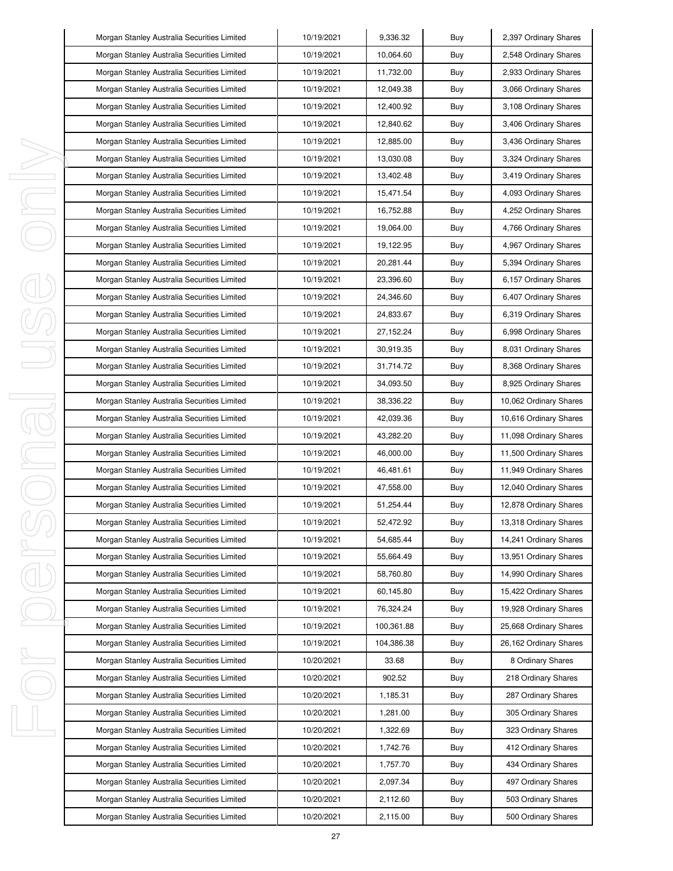|   | Morgan Stanley Australia Securities Limited | 10/19/2021 | 9,336.32   | Buy | 2,397 Ordinary Shares  |
|---|---------------------------------------------|------------|------------|-----|------------------------|
|   | Morgan Stanley Australia Securities Limited | 10/19/2021 | 10,064.60  | Buy | 2,548 Ordinary Shares  |
|   | Morgan Stanley Australia Securities Limited | 10/19/2021 | 11,732.00  | Buy | 2,933 Ordinary Shares  |
|   | Morgan Stanley Australia Securities Limited | 10/19/2021 | 12,049.38  | Buy | 3,066 Ordinary Shares  |
|   | Morgan Stanley Australia Securities Limited | 10/19/2021 | 12,400.92  | Buy | 3,108 Ordinary Shares  |
|   | Morgan Stanley Australia Securities Limited | 10/19/2021 | 12,840.62  | Buy | 3,406 Ordinary Shares  |
|   | Morgan Stanley Australia Securities Limited | 10/19/2021 | 12,885.00  | Buy | 3,436 Ordinary Shares  |
|   | Morgan Stanley Australia Securities Limited | 10/19/2021 | 13,030.08  | Buy | 3,324 Ordinary Shares  |
| I | Morgan Stanley Australia Securities Limited | 10/19/2021 | 13,402.48  | Buy | 3,419 Ordinary Shares  |
| I | Morgan Stanley Australia Securities Limited | 10/19/2021 | 15,471.54  | Buy | 4,093 Ordinary Shares  |
| I | Morgan Stanley Australia Securities Limited | 10/19/2021 | 16,752.88  | Buy | 4,252 Ordinary Shares  |
|   | Morgan Stanley Australia Securities Limited | 10/19/2021 | 19,064.00  | Buy | 4,766 Ordinary Shares  |
|   | Morgan Stanley Australia Securities Limited | 10/19/2021 | 19,122.95  | Buy | 4,967 Ordinary Shares  |
|   | Morgan Stanley Australia Securities Limited | 10/19/2021 | 20,281.44  | Buy | 5,394 Ordinary Shares  |
|   | Morgan Stanley Australia Securities Limited | 10/19/2021 | 23,396.60  | Buy | 6,157 Ordinary Shares  |
|   | Morgan Stanley Australia Securities Limited | 10/19/2021 | 24,346.60  | Buy | 6,407 Ordinary Shares  |
|   | Morgan Stanley Australia Securities Limited | 10/19/2021 | 24,833.67  | Buy | 6,319 Ordinary Shares  |
|   | Morgan Stanley Australia Securities Limited | 10/19/2021 | 27,152.24  | Buy | 6,998 Ordinary Shares  |
|   | Morgan Stanley Australia Securities Limited | 10/19/2021 | 30,919.35  | Buy | 8,031 Ordinary Shares  |
|   | Morgan Stanley Australia Securities Limited | 10/19/2021 | 31,714.72  | Buy | 8,368 Ordinary Shares  |
|   | Morgan Stanley Australia Securities Limited | 10/19/2021 | 34,093.50  | Buy | 8,925 Ordinary Shares  |
| I | Morgan Stanley Australia Securities Limited | 10/19/2021 | 38,336.22  | Buy | 10,062 Ordinary Shares |
| j | Morgan Stanley Australia Securities Limited | 10/19/2021 | 42,039.36  | Buy | 10,616 Ordinary Shares |
|   | Morgan Stanley Australia Securities Limited | 10/19/2021 | 43,282.20  | Buy | 11,098 Ordinary Shares |
| I | Morgan Stanley Australia Securities Limited | 10/19/2021 | 46,000.00  | Buy | 11,500 Ordinary Shares |
| I | Morgan Stanley Australia Securities Limited | 10/19/2021 | 46,481.61  | Buy | 11,949 Ordinary Shares |
|   | Morgan Stanley Australia Securities Limited | 10/19/2021 | 47,558.00  | Buy | 12,040 Ordinary Shares |
|   | Morgan Stanley Australia Securities Limited | 10/19/2021 | 51,254.44  | Buy | 12,878 Ordinary Shares |
|   | Morgan Stanley Australia Securities Limited | 10/19/2021 | 52,472.92  | Buy | 13,318 Ordinary Shares |
|   | Morgan Stanley Australia Securities Limited | 10/19/2021 | 54,685.44  | Buy | 14,241 Ordinary Shares |
| I | Morgan Stanley Australia Securities Limited | 10/19/2021 | 55,664.49  | Buy | 13,951 Ordinary Shares |
|   | Morgan Stanley Australia Securities Limited | 10/19/2021 | 58,760.80  | Buy | 14,990 Ordinary Shares |
|   | Morgan Stanley Australia Securities Limited | 10/19/2021 | 60,145.80  | Buy | 15,422 Ordinary Shares |
|   | Morgan Stanley Australia Securities Limited | 10/19/2021 | 76,324.24  | Buy | 19,928 Ordinary Shares |
|   | Morgan Stanley Australia Securities Limited | 10/19/2021 | 100,361.88 | Buy | 25,668 Ordinary Shares |
|   | Morgan Stanley Australia Securities Limited | 10/19/2021 | 104,386.38 | Buy | 26,162 Ordinary Shares |
| ı | Morgan Stanley Australia Securities Limited | 10/20/2021 | 33.68      | Buy | 8 Ordinary Shares      |
|   | Morgan Stanley Australia Securities Limited | 10/20/2021 | 902.52     | Buy | 218 Ordinary Shares    |
|   | Morgan Stanley Australia Securities Limited | 10/20/2021 | 1,185.31   | Buy | 287 Ordinary Shares    |
|   | Morgan Stanley Australia Securities Limited | 10/20/2021 | 1,281.00   | Buy | 305 Ordinary Shares    |
| I | Morgan Stanley Australia Securities Limited | 10/20/2021 | 1,322.69   | Buy | 323 Ordinary Shares    |
|   | Morgan Stanley Australia Securities Limited | 10/20/2021 | 1,742.76   | Buy | 412 Ordinary Shares    |
|   | Morgan Stanley Australia Securities Limited | 10/20/2021 | 1,757.70   | Buy | 434 Ordinary Shares    |
|   | Morgan Stanley Australia Securities Limited | 10/20/2021 | 2,097.34   | Buy | 497 Ordinary Shares    |
|   | Morgan Stanley Australia Securities Limited | 10/20/2021 | 2,112.60   | Buy | 503 Ordinary Shares    |
|   | Morgan Stanley Australia Securities Limited | 10/20/2021 | 2,115.00   | Buy | 500 Ordinary Shares    |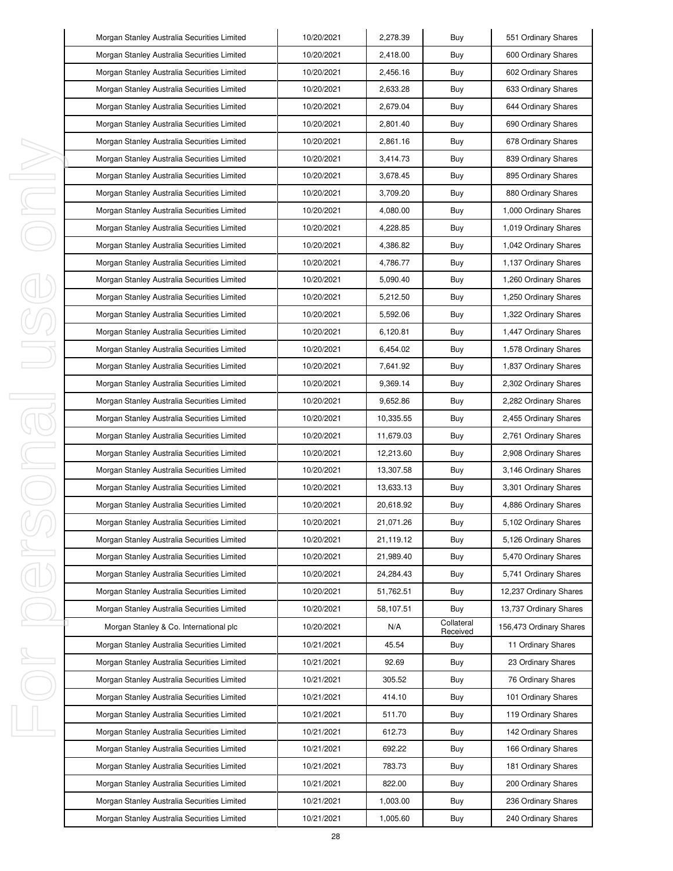|        | Morgan Stanley Australia Securities Limited | 10/20/2021 | 2,278.39  | Buy                    | 551 Ordinary Shares     |
|--------|---------------------------------------------|------------|-----------|------------------------|-------------------------|
|        | Morgan Stanley Australia Securities Limited | 10/20/2021 | 2,418.00  | Buy                    | 600 Ordinary Shares     |
|        | Morgan Stanley Australia Securities Limited | 10/20/2021 | 2,456.16  | Buy                    | 602 Ordinary Shares     |
|        | Morgan Stanley Australia Securities Limited | 10/20/2021 | 2,633.28  | Buy                    | 633 Ordinary Shares     |
|        | Morgan Stanley Australia Securities Limited | 10/20/2021 | 2,679.04  | Buy                    | 644 Ordinary Shares     |
|        | Morgan Stanley Australia Securities Limited | 10/20/2021 | 2,801.40  | Buy                    | 690 Ordinary Shares     |
|        | Morgan Stanley Australia Securities Limited | 10/20/2021 | 2,861.16  | Buy                    | 678 Ordinary Shares     |
|        | Morgan Stanley Australia Securities Limited | 10/20/2021 | 3,414.73  | Buy                    | 839 Ordinary Shares     |
| I      | Morgan Stanley Australia Securities Limited | 10/20/2021 | 3,678.45  | Buy                    | 895 Ordinary Shares     |
| I      | Morgan Stanley Australia Securities Limited | 10/20/2021 | 3,709.20  | Buy                    | 880 Ordinary Shares     |
| I      | Morgan Stanley Australia Securities Limited | 10/20/2021 | 4,080.00  | Buy                    | 1,000 Ordinary Shares   |
|        | Morgan Stanley Australia Securities Limited | 10/20/2021 | 4,228.85  | Buy                    | 1,019 Ordinary Shares   |
|        | Morgan Stanley Australia Securities Limited | 10/20/2021 | 4,386.82  | Buy                    | 1,042 Ordinary Shares   |
|        | Morgan Stanley Australia Securities Limited | 10/20/2021 | 4,786.77  | Buy                    | 1,137 Ordinary Shares   |
|        | Morgan Stanley Australia Securities Limited | 10/20/2021 | 5,090.40  | Buy                    | 1,260 Ordinary Shares   |
|        | Morgan Stanley Australia Securities Limited | 10/20/2021 | 5,212.50  | Buy                    | 1,250 Ordinary Shares   |
|        | Morgan Stanley Australia Securities Limited | 10/20/2021 | 5,592.06  | Buy                    | 1,322 Ordinary Shares   |
|        | Morgan Stanley Australia Securities Limited | 10/20/2021 | 6,120.81  | Buy                    | 1,447 Ordinary Shares   |
|        | Morgan Stanley Australia Securities Limited | 10/20/2021 | 6,454.02  | Buy                    | 1,578 Ordinary Shares   |
|        | Morgan Stanley Australia Securities Limited | 10/20/2021 | 7,641.92  | Buy                    | 1,837 Ordinary Shares   |
|        | Morgan Stanley Australia Securities Limited | 10/20/2021 | 9,369.14  | Buy                    | 2,302 Ordinary Shares   |
| I<br>j | Morgan Stanley Australia Securities Limited | 10/20/2021 | 9,652.86  | Buy                    | 2,282 Ordinary Shares   |
|        | Morgan Stanley Australia Securities Limited | 10/20/2021 | 10,335.55 | Buy                    | 2,455 Ordinary Shares   |
|        | Morgan Stanley Australia Securities Limited | 10/20/2021 | 11,679.03 | Buy                    | 2,761 Ordinary Shares   |
| I      | Morgan Stanley Australia Securities Limited | 10/20/2021 | 12,213.60 | Buy                    | 2,908 Ordinary Shares   |
| I      | Morgan Stanley Australia Securities Limited | 10/20/2021 | 13,307.58 | Buy                    | 3,146 Ordinary Shares   |
|        | Morgan Stanley Australia Securities Limited | 10/20/2021 | 13,633.13 | Buy                    | 3,301 Ordinary Shares   |
|        | Morgan Stanley Australia Securities Limited | 10/20/2021 | 20,618.92 | Buy                    | 4,886 Ordinary Shares   |
|        | Morgan Stanley Australia Securities Limited | 10/20/2021 | 21,071.26 | Buy                    | 5,102 Ordinary Shares   |
|        | Morgan Stanley Australia Securities Limited | 10/20/2021 | 21,119.12 | Buy                    | 5,126 Ordinary Shares   |
| I      | Morgan Stanley Australia Securities Limited | 10/20/2021 | 21,989.40 | Buy                    | 5,470 Ordinary Shares   |
|        | Morgan Stanley Australia Securities Limited | 10/20/2021 | 24,284.43 | Buy                    | 5,741 Ordinary Shares   |
|        | Morgan Stanley Australia Securities Limited | 10/20/2021 | 51,762.51 | Buy                    | 12,237 Ordinary Shares  |
|        | Morgan Stanley Australia Securities Limited | 10/20/2021 | 58,107.51 | Buy                    | 13,737 Ordinary Shares  |
|        | Morgan Stanley & Co. International plc      | 10/20/2021 | N/A       | Collateral<br>Received | 156,473 Ordinary Shares |
|        | Morgan Stanley Australia Securities Limited | 10/21/2021 | 45.54     | Buy                    | 11 Ordinary Shares      |
| I      | Morgan Stanley Australia Securities Limited | 10/21/2021 | 92.69     | Buy                    | 23 Ordinary Shares      |
|        | Morgan Stanley Australia Securities Limited | 10/21/2021 | 305.52    | Buy                    | 76 Ordinary Shares      |
|        | Morgan Stanley Australia Securities Limited | 10/21/2021 | 414.10    | Buy                    | 101 Ordinary Shares     |
|        | Morgan Stanley Australia Securities Limited | 10/21/2021 | 511.70    | Buy                    | 119 Ordinary Shares     |
| I      | Morgan Stanley Australia Securities Limited | 10/21/2021 | 612.73    | Buy                    | 142 Ordinary Shares     |
|        | Morgan Stanley Australia Securities Limited | 10/21/2021 | 692.22    | Buy                    | 166 Ordinary Shares     |
|        | Morgan Stanley Australia Securities Limited | 10/21/2021 | 783.73    | Buy                    | 181 Ordinary Shares     |
|        | Morgan Stanley Australia Securities Limited | 10/21/2021 | 822.00    | Buy                    | 200 Ordinary Shares     |
|        | Morgan Stanley Australia Securities Limited | 10/21/2021 | 1,003.00  | Buy                    | 236 Ordinary Shares     |
|        | Morgan Stanley Australia Securities Limited | 10/21/2021 | 1,005.60  | Buy                    | 240 Ordinary Shares     |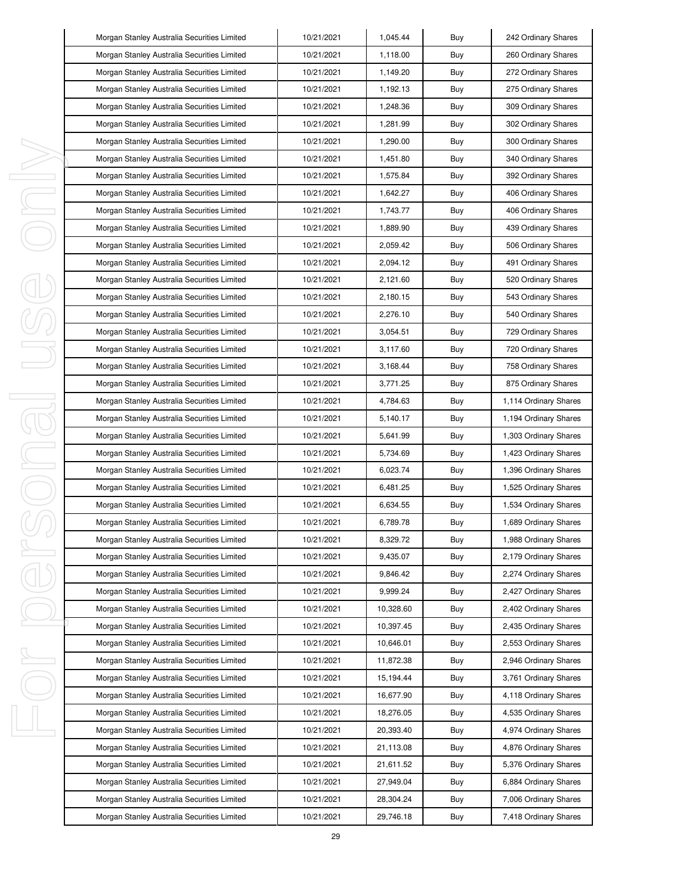|          | Morgan Stanley Australia Securities Limited | 10/21/2021 | 1,045.44  | Buy | 242 Ordinary Shares   |
|----------|---------------------------------------------|------------|-----------|-----|-----------------------|
|          | Morgan Stanley Australia Securities Limited | 10/21/2021 | 1,118.00  | Buy | 260 Ordinary Shares   |
|          | Morgan Stanley Australia Securities Limited | 10/21/2021 | 1,149.20  | Buy | 272 Ordinary Shares   |
|          | Morgan Stanley Australia Securities Limited | 10/21/2021 | 1,192.13  | Buy | 275 Ordinary Shares   |
|          | Morgan Stanley Australia Securities Limited | 10/21/2021 | 1,248.36  | Buy | 309 Ordinary Shares   |
|          | Morgan Stanley Australia Securities Limited | 10/21/2021 | 1,281.99  | Buy | 302 Ordinary Shares   |
|          | Morgan Stanley Australia Securities Limited | 10/21/2021 | 1,290.00  | Buy | 300 Ordinary Shares   |
|          | Morgan Stanley Australia Securities Limited | 10/21/2021 | 1,451.80  | Buy | 340 Ordinary Shares   |
| ı        | Morgan Stanley Australia Securities Limited | 10/21/2021 | 1,575.84  | Buy | 392 Ordinary Shares   |
| I        | Morgan Stanley Australia Securities Limited | 10/21/2021 | 1,642.27  | Buy | 406 Ordinary Shares   |
| ı        | Morgan Stanley Australia Securities Limited | 10/21/2021 | 1,743.77  | Buy | 406 Ordinary Shares   |
|          | Morgan Stanley Australia Securities Limited | 10/21/2021 | 1,889.90  | Buy | 439 Ordinary Shares   |
|          | Morgan Stanley Australia Securities Limited | 10/21/2021 | 2,059.42  | Buy | 506 Ordinary Shares   |
|          | Morgan Stanley Australia Securities Limited | 10/21/2021 | 2,094.12  | Buy | 491 Ordinary Shares   |
|          | Morgan Stanley Australia Securities Limited | 10/21/2021 | 2,121.60  | Buy | 520 Ordinary Shares   |
|          | Morgan Stanley Australia Securities Limited | 10/21/2021 | 2,180.15  | Buy | 543 Ordinary Shares   |
|          | Morgan Stanley Australia Securities Limited | 10/21/2021 | 2,276.10  | Buy | 540 Ordinary Shares   |
|          | Morgan Stanley Australia Securities Limited | 10/21/2021 | 3,054.51  | Buy | 729 Ordinary Shares   |
|          | Morgan Stanley Australia Securities Limited | 10/21/2021 | 3,117.60  | Buy | 720 Ordinary Shares   |
|          | Morgan Stanley Australia Securities Limited | 10/21/2021 | 3,168.44  | Buy | 758 Ordinary Shares   |
|          | Morgan Stanley Australia Securities Limited | 10/21/2021 | 3,771.25  | Buy | 875 Ordinary Shares   |
| I,<br>J. | Morgan Stanley Australia Securities Limited | 10/21/2021 | 4,784.63  | Buy | 1,114 Ordinary Shares |
|          | Morgan Stanley Australia Securities Limited | 10/21/2021 | 5,140.17  | Buy | 1,194 Ordinary Shares |
|          | Morgan Stanley Australia Securities Limited | 10/21/2021 | 5,641.99  | Buy | 1,303 Ordinary Shares |
| I,       | Morgan Stanley Australia Securities Limited | 10/21/2021 | 5,734.69  | Buy | 1,423 Ordinary Shares |
| I        | Morgan Stanley Australia Securities Limited | 10/21/2021 | 6,023.74  | Buy | 1,396 Ordinary Shares |
|          | Morgan Stanley Australia Securities Limited | 10/21/2021 | 6,481.25  | Buy | 1,525 Ordinary Shares |
|          | Morgan Stanley Australia Securities Limited | 10/21/2021 | 6,634.55  | Buy | 1,534 Ordinary Shares |
|          | Morgan Stanley Australia Securities Limited | 10/21/2021 | 6,789.78  | Buy | 1,689 Ordinary Shares |
|          | Morgan Stanley Australia Securities Limited | 10/21/2021 | 8,329.72  | Buy | 1,988 Ordinary Shares |
| I        | Morgan Stanley Australia Securities Limited | 10/21/2021 | 9,435.07  | Buy | 2,179 Ordinary Shares |
|          | Morgan Stanley Australia Securities Limited | 10/21/2021 | 9,846.42  | Buy | 2,274 Ordinary Shares |
|          | Morgan Stanley Australia Securities Limited | 10/21/2021 | 9.999.24  | Buy | 2,427 Ordinary Shares |
|          | Morgan Stanley Australia Securities Limited | 10/21/2021 | 10,328.60 | Buy | 2,402 Ordinary Shares |
|          | Morgan Stanley Australia Securities Limited | 10/21/2021 | 10,397.45 | Buy | 2,435 Ordinary Shares |
|          | Morgan Stanley Australia Securities Limited | 10/21/2021 | 10,646.01 | Buy | 2,553 Ordinary Shares |
| I,       | Morgan Stanley Australia Securities Limited | 10/21/2021 | 11,872.38 | Buy | 2,946 Ordinary Shares |
|          | Morgan Stanley Australia Securities Limited | 10/21/2021 | 15,194.44 | Buy | 3,761 Ordinary Shares |
|          | Morgan Stanley Australia Securities Limited | 10/21/2021 | 16,677.90 | Buy | 4,118 Ordinary Shares |
|          | Morgan Stanley Australia Securities Limited | 10/21/2021 | 18,276.05 | Buy | 4,535 Ordinary Shares |
| ı        | Morgan Stanley Australia Securities Limited | 10/21/2021 | 20,393.40 | Buy | 4,974 Ordinary Shares |
|          | Morgan Stanley Australia Securities Limited | 10/21/2021 | 21,113.08 | Buy | 4,876 Ordinary Shares |
|          | Morgan Stanley Australia Securities Limited | 10/21/2021 | 21,611.52 | Buy | 5,376 Ordinary Shares |
|          | Morgan Stanley Australia Securities Limited | 10/21/2021 | 27,949.04 | Buy | 6,884 Ordinary Shares |
|          | Morgan Stanley Australia Securities Limited | 10/21/2021 | 28,304.24 | Buy | 7,006 Ordinary Shares |
|          | Morgan Stanley Australia Securities Limited | 10/21/2021 | 29,746.18 | Buy | 7,418 Ordinary Shares |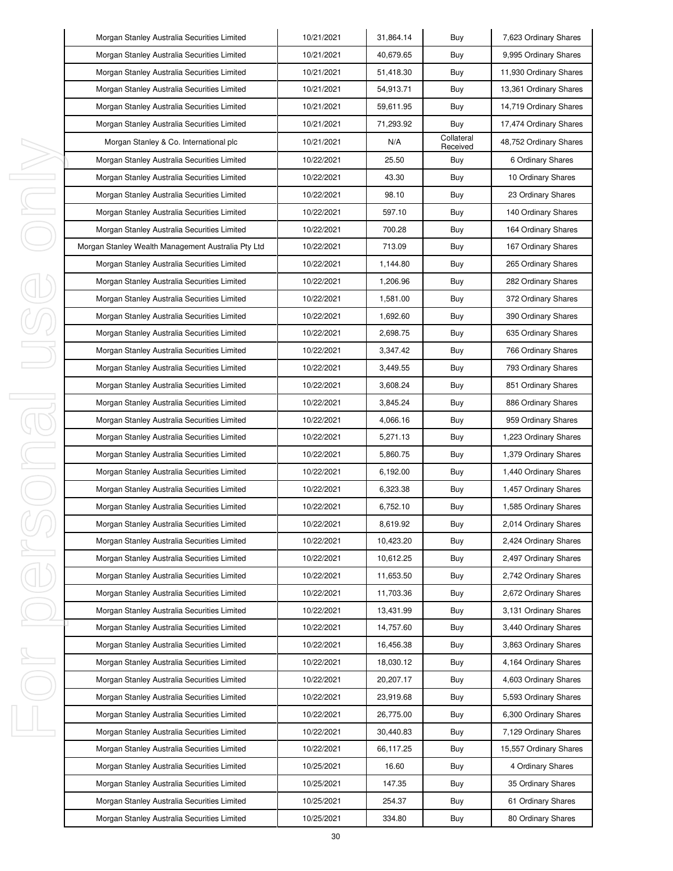| Morgan Stanley Australia Securities Limited        | 10/21/2021 | 31,864.14 | Buy                    | 7,623 Ordinary Shares  |
|----------------------------------------------------|------------|-----------|------------------------|------------------------|
| Morgan Stanley Australia Securities Limited        | 10/21/2021 | 40,679.65 | Buy                    | 9,995 Ordinary Shares  |
| Morgan Stanley Australia Securities Limited        | 10/21/2021 | 51,418.30 | Buy                    | 11,930 Ordinary Shares |
| Morgan Stanley Australia Securities Limited        | 10/21/2021 | 54,913.71 | Buy                    | 13,361 Ordinary Shares |
| Morgan Stanley Australia Securities Limited        | 10/21/2021 | 59,611.95 | Buy                    | 14,719 Ordinary Shares |
| Morgan Stanley Australia Securities Limited        | 10/21/2021 | 71,293.92 | Buy                    | 17,474 Ordinary Shares |
| Morgan Stanley & Co. International plc             | 10/21/2021 | N/A       | Collateral<br>Received | 48,752 Ordinary Shares |
| Morgan Stanley Australia Securities Limited        | 10/22/2021 | 25.50     | Buy                    | 6 Ordinary Shares      |
| Morgan Stanley Australia Securities Limited        | 10/22/2021 | 43.30     | Buy                    | 10 Ordinary Shares     |
| Morgan Stanley Australia Securities Limited        | 10/22/2021 | 98.10     | Buy                    | 23 Ordinary Shares     |
| Morgan Stanley Australia Securities Limited        | 10/22/2021 | 597.10    | Buy                    | 140 Ordinary Shares    |
| Morgan Stanley Australia Securities Limited        | 10/22/2021 | 700.28    | Buy                    | 164 Ordinary Shares    |
| Morgan Stanley Wealth Management Australia Pty Ltd | 10/22/2021 | 713.09    | Buy                    | 167 Ordinary Shares    |
| Morgan Stanley Australia Securities Limited        | 10/22/2021 | 1,144.80  | Buy                    | 265 Ordinary Shares    |
| Morgan Stanley Australia Securities Limited        | 10/22/2021 | 1,206.96  | Buy                    | 282 Ordinary Shares    |
| Morgan Stanley Australia Securities Limited        | 10/22/2021 | 1,581.00  | Buy                    | 372 Ordinary Shares    |
| Morgan Stanley Australia Securities Limited        | 10/22/2021 | 1,692.60  | Buy                    | 390 Ordinary Shares    |
| Morgan Stanley Australia Securities Limited        | 10/22/2021 | 2,698.75  | Buy                    | 635 Ordinary Shares    |
| Morgan Stanley Australia Securities Limited        | 10/22/2021 | 3,347.42  | Buy                    | 766 Ordinary Shares    |
| Morgan Stanley Australia Securities Limited        | 10/22/2021 | 3,449.55  | Buy                    | 793 Ordinary Shares    |
| Morgan Stanley Australia Securities Limited        | 10/22/2021 | 3,608.24  | Buy                    | 851 Ordinary Shares    |
| Morgan Stanley Australia Securities Limited        | 10/22/2021 | 3,845.24  | Buy                    | 886 Ordinary Shares    |
| Morgan Stanley Australia Securities Limited        | 10/22/2021 | 4,066.16  | Buy                    | 959 Ordinary Shares    |
| Morgan Stanley Australia Securities Limited        | 10/22/2021 | 5,271.13  | Buy                    | 1,223 Ordinary Shares  |
| Morgan Stanley Australia Securities Limited        | 10/22/2021 | 5,860.75  | Buy                    | 1,379 Ordinary Shares  |
| Morgan Stanley Australia Securities Limited        | 10/22/2021 | 6,192.00  | Buy                    | 1,440 Ordinary Shares  |
| Morgan Stanley Australia Securities Limited        | 10/22/2021 | 6,323.38  | Buy                    | 1,457 Ordinary Shares  |
| Morgan Stanley Australia Securities Limited        | 10/22/2021 | 6,752.10  | Buy                    | 1,585 Ordinary Shares  |
| Morgan Stanley Australia Securities Limited        | 10/22/2021 | 8,619.92  | Buy                    | 2,014 Ordinary Shares  |
| Morgan Stanley Australia Securities Limited        | 10/22/2021 | 10,423.20 | Buy                    | 2,424 Ordinary Shares  |
| Morgan Stanley Australia Securities Limited        | 10/22/2021 | 10,612.25 | Buy                    | 2,497 Ordinary Shares  |
| Morgan Stanley Australia Securities Limited        | 10/22/2021 | 11,653.50 | Buy                    | 2,742 Ordinary Shares  |
| Morgan Stanley Australia Securities Limited        | 10/22/2021 | 11,703.36 | Buy                    | 2,672 Ordinary Shares  |
| Morgan Stanley Australia Securities Limited        | 10/22/2021 | 13,431.99 | Buy                    | 3,131 Ordinary Shares  |
| Morgan Stanley Australia Securities Limited        | 10/22/2021 | 14,757.60 | Buy                    | 3,440 Ordinary Shares  |
| Morgan Stanley Australia Securities Limited        | 10/22/2021 | 16,456.38 | Buy                    | 3,863 Ordinary Shares  |
| Morgan Stanley Australia Securities Limited        | 10/22/2021 | 18,030.12 | Buy                    | 4,164 Ordinary Shares  |
| Morgan Stanley Australia Securities Limited        | 10/22/2021 | 20,207.17 | Buy                    | 4,603 Ordinary Shares  |
| Morgan Stanley Australia Securities Limited        | 10/22/2021 | 23,919.68 | Buy                    | 5,593 Ordinary Shares  |
| Morgan Stanley Australia Securities Limited        | 10/22/2021 | 26,775.00 | Buy                    | 6,300 Ordinary Shares  |
| Morgan Stanley Australia Securities Limited        | 10/22/2021 | 30,440.83 | Buy                    | 7,129 Ordinary Shares  |
| Morgan Stanley Australia Securities Limited        | 10/22/2021 | 66,117.25 | Buy                    | 15,557 Ordinary Shares |
| Morgan Stanley Australia Securities Limited        | 10/25/2021 | 16.60     | Buy                    | 4 Ordinary Shares      |
| Morgan Stanley Australia Securities Limited        | 10/25/2021 | 147.35    | Buy                    | 35 Ordinary Shares     |
| Morgan Stanley Australia Securities Limited        | 10/25/2021 | 254.37    | Buy                    | 61 Ordinary Shares     |
| Morgan Stanley Australia Securities Limited        | 10/25/2021 | 334.80    | Buy                    | 80 Ordinary Shares     |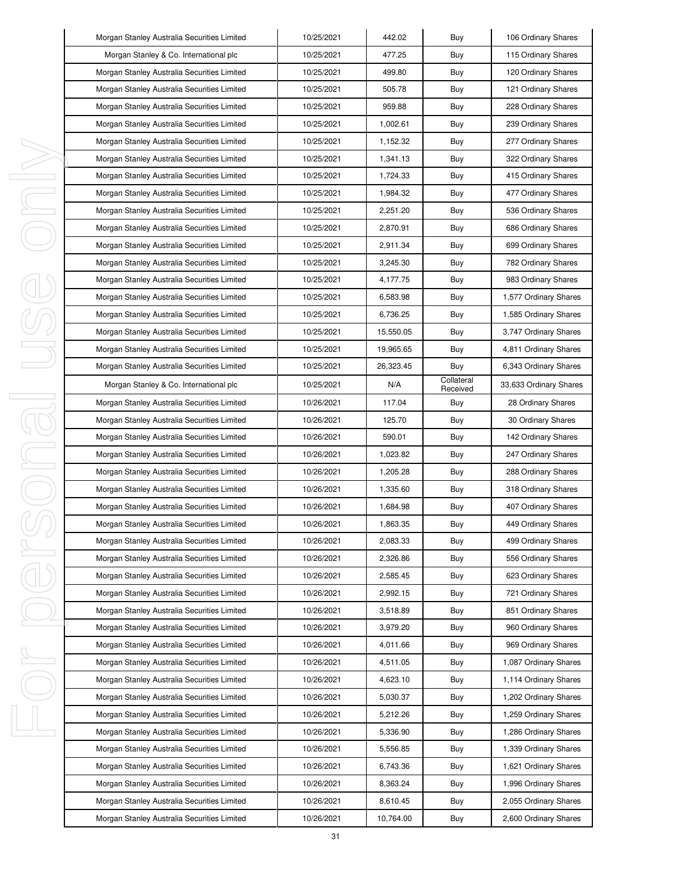| Morgan Stanley Australia Securities Limited | 10/25/2021 | 442.02    | Buy                    | 106 Ordinary Shares    |
|---------------------------------------------|------------|-----------|------------------------|------------------------|
| Morgan Stanley & Co. International plc      | 10/25/2021 | 477.25    | Buy                    | 115 Ordinary Shares    |
| Morgan Stanley Australia Securities Limited | 10/25/2021 | 499.80    | Buy                    | 120 Ordinary Shares    |
| Morgan Stanley Australia Securities Limited | 10/25/2021 | 505.78    | Buy                    | 121 Ordinary Shares    |
| Morgan Stanley Australia Securities Limited | 10/25/2021 | 959.88    | Buy                    | 228 Ordinary Shares    |
| Morgan Stanley Australia Securities Limited | 10/25/2021 | 1,002.61  | Buy                    | 239 Ordinary Shares    |
| Morgan Stanley Australia Securities Limited | 10/25/2021 | 1,152.32  | Buy                    | 277 Ordinary Shares    |
| Morgan Stanley Australia Securities Limited | 10/25/2021 | 1,341.13  | Buy                    | 322 Ordinary Shares    |
| Morgan Stanley Australia Securities Limited | 10/25/2021 | 1,724.33  | Buy                    | 415 Ordinary Shares    |
| Morgan Stanley Australia Securities Limited | 10/25/2021 | 1,984.32  | Buy                    | 477 Ordinary Shares    |
| Morgan Stanley Australia Securities Limited | 10/25/2021 | 2,251.20  | Buy                    | 536 Ordinary Shares    |
| Morgan Stanley Australia Securities Limited | 10/25/2021 | 2,870.91  | Buy                    | 686 Ordinary Shares    |
| Morgan Stanley Australia Securities Limited | 10/25/2021 | 2,911.34  | Buy                    | 699 Ordinary Shares    |
| Morgan Stanley Australia Securities Limited | 10/25/2021 | 3,245.30  | Buy                    | 782 Ordinary Shares    |
| Morgan Stanley Australia Securities Limited | 10/25/2021 | 4,177.75  | Buy                    | 983 Ordinary Shares    |
| Morgan Stanley Australia Securities Limited | 10/25/2021 | 6.583.98  | Buy                    | 1,577 Ordinary Shares  |
| Morgan Stanley Australia Securities Limited | 10/25/2021 | 6,736.25  | Buy                    | 1,585 Ordinary Shares  |
| Morgan Stanley Australia Securities Limited | 10/25/2021 | 15,550.05 | Buy                    | 3,747 Ordinary Shares  |
| Morgan Stanley Australia Securities Limited | 10/25/2021 | 19,965.65 | Buy                    | 4,811 Ordinary Shares  |
| Morgan Stanley Australia Securities Limited | 10/25/2021 | 26,323.45 | Buy                    | 6,343 Ordinary Shares  |
| Morgan Stanley & Co. International plc      | 10/25/2021 | N/A       | Collateral<br>Received | 33,633 Ordinary Shares |
| Morgan Stanley Australia Securities Limited | 10/26/2021 | 117.04    | Buy                    | 28 Ordinary Shares     |
| Morgan Stanley Australia Securities Limited | 10/26/2021 | 125.70    | Buy                    | 30 Ordinary Shares     |
| Morgan Stanley Australia Securities Limited | 10/26/2021 | 590.01    | Buy                    | 142 Ordinary Shares    |
| Morgan Stanley Australia Securities Limited | 10/26/2021 | 1,023.82  | Buy                    | 247 Ordinary Shares    |
| Morgan Stanley Australia Securities Limited | 10/26/2021 | 1,205.28  | Buy                    | 288 Ordinary Shares    |
| Morgan Stanley Australia Securities Limited | 10/26/2021 | 1,335.60  | Buy                    | 318 Ordinary Shares    |
| Morgan Stanley Australia Securities Limited | 10/26/2021 | 1,684.98  | Buy                    | 407 Ordinary Shares    |
| Morgan Stanley Australia Securities Limited | 10/26/2021 | 1,863.35  | Buy                    | 449 Ordinary Shares    |
| Morgan Stanley Australia Securities Limited | 10/26/2021 | 2,083.33  | Buy                    | 499 Ordinary Shares    |
| Morgan Stanley Australia Securities Limited | 10/26/2021 | 2,326.86  | Buy                    | 556 Ordinary Shares    |
| Morgan Stanley Australia Securities Limited | 10/26/2021 | 2,585.45  | Buy                    | 623 Ordinary Shares    |
| Morgan Stanley Australia Securities Limited | 10/26/2021 | 2,992.15  | Buy                    | 721 Ordinary Shares    |
| Morgan Stanley Australia Securities Limited | 10/26/2021 | 3,518.89  | Buy                    | 851 Ordinary Shares    |
| Morgan Stanley Australia Securities Limited | 10/26/2021 | 3,979.20  | Buy                    | 960 Ordinary Shares    |
| Morgan Stanley Australia Securities Limited | 10/26/2021 | 4,011.66  | Buy                    | 969 Ordinary Shares    |
| Morgan Stanley Australia Securities Limited | 10/26/2021 | 4,511.05  | Buy                    | 1,087 Ordinary Shares  |
| Morgan Stanley Australia Securities Limited | 10/26/2021 | 4,623.10  | Buy                    | 1,114 Ordinary Shares  |
| Morgan Stanley Australia Securities Limited | 10/26/2021 | 5,030.37  | Buy                    | 1,202 Ordinary Shares  |
| Morgan Stanley Australia Securities Limited | 10/26/2021 | 5,212.26  | Buy                    | 1,259 Ordinary Shares  |
| Morgan Stanley Australia Securities Limited | 10/26/2021 | 5,336.90  | Buy                    | 1,286 Ordinary Shares  |
| Morgan Stanley Australia Securities Limited | 10/26/2021 | 5,556.85  | Buy                    | 1,339 Ordinary Shares  |
| Morgan Stanley Australia Securities Limited | 10/26/2021 | 6,743.36  | Buy                    | 1,621 Ordinary Shares  |
| Morgan Stanley Australia Securities Limited | 10/26/2021 | 8,363.24  | Buy                    | 1,996 Ordinary Shares  |
| Morgan Stanley Australia Securities Limited | 10/26/2021 | 8,610.45  | Buy                    | 2,055 Ordinary Shares  |
| Morgan Stanley Australia Securities Limited | 10/26/2021 | 10,764.00 | Buy                    | 2,600 Ordinary Shares  |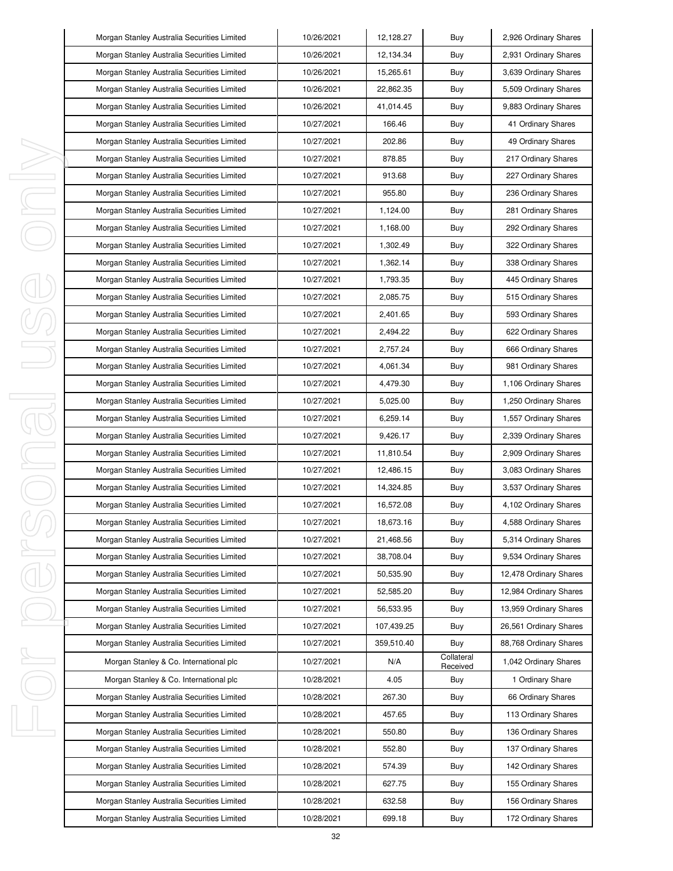|    | Morgan Stanley Australia Securities Limited | 10/26/2021 | 12,128.27  | Buy                    | 2,926 Ordinary Shares  |
|----|---------------------------------------------|------------|------------|------------------------|------------------------|
|    | Morgan Stanley Australia Securities Limited | 10/26/2021 | 12,134.34  | Buy                    | 2,931 Ordinary Shares  |
|    | Morgan Stanley Australia Securities Limited | 10/26/2021 | 15,265.61  | Buy                    | 3,639 Ordinary Shares  |
|    | Morgan Stanley Australia Securities Limited | 10/26/2021 | 22,862.35  | Buy                    | 5,509 Ordinary Shares  |
|    | Morgan Stanley Australia Securities Limited | 10/26/2021 | 41,014.45  | Buy                    | 9,883 Ordinary Shares  |
|    | Morgan Stanley Australia Securities Limited | 10/27/2021 | 166.46     | Buy                    | 41 Ordinary Shares     |
|    | Morgan Stanley Australia Securities Limited | 10/27/2021 | 202.86     | Buy                    | 49 Ordinary Shares     |
|    | Morgan Stanley Australia Securities Limited | 10/27/2021 | 878.85     | Buy                    | 217 Ordinary Shares    |
| ı  | Morgan Stanley Australia Securities Limited | 10/27/2021 | 913.68     | Buy                    | 227 Ordinary Shares    |
| I  | Morgan Stanley Australia Securities Limited | 10/27/2021 | 955.80     | Buy                    | 236 Ordinary Shares    |
| I, | Morgan Stanley Australia Securities Limited | 10/27/2021 | 1,124.00   | Buy                    | 281 Ordinary Shares    |
|    | Morgan Stanley Australia Securities Limited | 10/27/2021 | 1,168.00   | Buy                    | 292 Ordinary Shares    |
|    | Morgan Stanley Australia Securities Limited | 10/27/2021 | 1,302.49   | Buy                    | 322 Ordinary Shares    |
|    | Morgan Stanley Australia Securities Limited | 10/27/2021 | 1,362.14   | Buy                    | 338 Ordinary Shares    |
|    | Morgan Stanley Australia Securities Limited | 10/27/2021 | 1,793.35   | Buy                    | 445 Ordinary Shares    |
|    | Morgan Stanley Australia Securities Limited | 10/27/2021 | 2,085.75   | Buy                    | 515 Ordinary Shares    |
|    | Morgan Stanley Australia Securities Limited | 10/27/2021 | 2,401.65   | Buy                    | 593 Ordinary Shares    |
|    | Morgan Stanley Australia Securities Limited | 10/27/2021 | 2.494.22   | Buy                    | 622 Ordinary Shares    |
|    | Morgan Stanley Australia Securities Limited | 10/27/2021 | 2,757.24   | Buy                    | 666 Ordinary Shares    |
|    | Morgan Stanley Australia Securities Limited | 10/27/2021 | 4,061.34   | Buy                    | 981 Ordinary Shares    |
|    | Morgan Stanley Australia Securities Limited | 10/27/2021 | 4,479.30   | Buy                    | 1,106 Ordinary Shares  |
| I  | Morgan Stanley Australia Securities Limited | 10/27/2021 | 5,025.00   | Buy                    | 1,250 Ordinary Shares  |
| J. | Morgan Stanley Australia Securities Limited | 10/27/2021 | 6,259.14   | Buy                    | 1,557 Ordinary Shares  |
|    | Morgan Stanley Australia Securities Limited | 10/27/2021 | 9,426.17   | Buy                    | 2,339 Ordinary Shares  |
| I, | Morgan Stanley Australia Securities Limited | 10/27/2021 | 11,810.54  | Buy                    | 2,909 Ordinary Shares  |
| I  | Morgan Stanley Australia Securities Limited | 10/27/2021 | 12,486.15  | Buy                    | 3,083 Ordinary Shares  |
|    | Morgan Stanley Australia Securities Limited | 10/27/2021 | 14,324.85  | Buy                    | 3,537 Ordinary Shares  |
|    | Morgan Stanley Australia Securities Limited | 10/27/2021 | 16,572.08  | Buy                    | 4,102 Ordinary Shares  |
|    | Morgan Stanley Australia Securities Limited | 10/27/2021 | 18,673.16  | Buy                    | 4,588 Ordinary Shares  |
|    | Morgan Stanley Australia Securities Limited | 10/27/2021 | 21,468.56  | Buy                    | 5,314 Ordinary Shares  |
| ı  | Morgan Stanley Australia Securities Limited | 10/27/2021 | 38,708.04  | Buy                    | 9,534 Ordinary Shares  |
|    | Morgan Stanley Australia Securities Limited | 10/27/2021 | 50,535.90  | Buy                    | 12,478 Ordinary Shares |
|    | Morgan Stanley Australia Securities Limited | 10/27/2021 | 52,585.20  | Buy                    | 12,984 Ordinary Shares |
|    | Morgan Stanley Australia Securities Limited | 10/27/2021 | 56.533.95  | Buy                    | 13,959 Ordinary Shares |
|    | Morgan Stanley Australia Securities Limited | 10/27/2021 | 107,439.25 | Buy                    | 26,561 Ordinary Shares |
|    | Morgan Stanley Australia Securities Limited | 10/27/2021 | 359.510.40 | Buy                    | 88,768 Ordinary Shares |
| ı  | Morgan Stanley & Co. International plc      | 10/27/2021 | N/A        | Collateral<br>Received | 1,042 Ordinary Shares  |
|    | Morgan Stanley & Co. International plc      | 10/28/2021 | 4.05       | Buy                    | 1 Ordinary Share       |
|    | Morgan Stanley Australia Securities Limited | 10/28/2021 | 267.30     | Buy                    | 66 Ordinary Shares     |
|    | Morgan Stanley Australia Securities Limited | 10/28/2021 | 457.65     | Buy                    | 113 Ordinary Shares    |
| J, | Morgan Stanley Australia Securities Limited | 10/28/2021 | 550.80     | Buy                    | 136 Ordinary Shares    |
|    | Morgan Stanley Australia Securities Limited | 10/28/2021 | 552.80     | Buy                    | 137 Ordinary Shares    |
|    | Morgan Stanley Australia Securities Limited | 10/28/2021 | 574.39     | Buy                    | 142 Ordinary Shares    |
|    | Morgan Stanley Australia Securities Limited | 10/28/2021 | 627.75     | Buy                    | 155 Ordinary Shares    |
|    | Morgan Stanley Australia Securities Limited | 10/28/2021 | 632.58     | Buy                    | 156 Ordinary Shares    |
|    | Morgan Stanley Australia Securities Limited | 10/28/2021 | 699.18     | Buy                    | 172 Ordinary Shares    |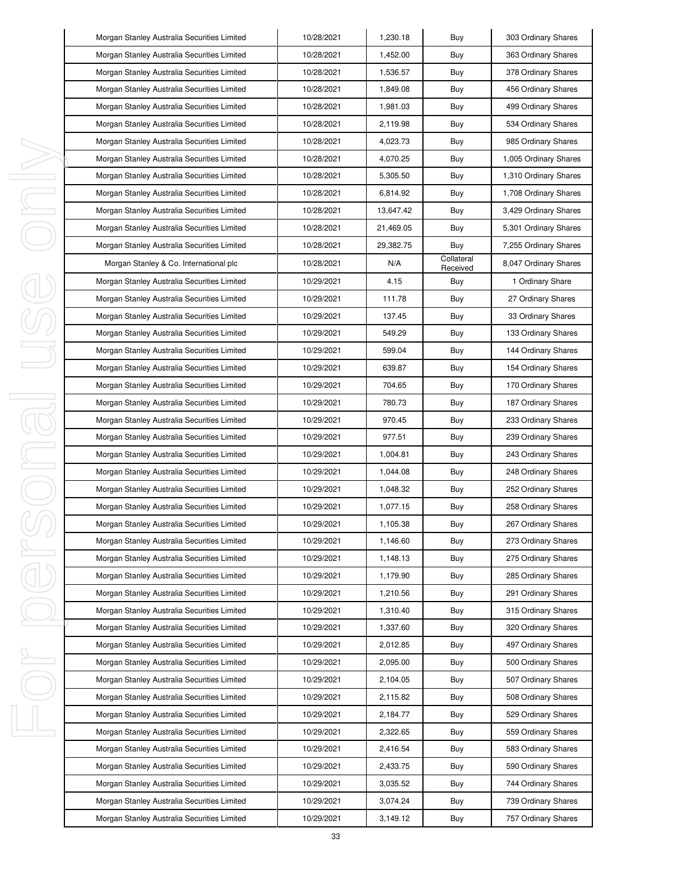|   | Morgan Stanley Australia Securities Limited | 10/28/2021 | 1,230.18  | Buy                    | 303 Ordinary Shares   |
|---|---------------------------------------------|------------|-----------|------------------------|-----------------------|
|   | Morgan Stanley Australia Securities Limited | 10/28/2021 | 1,452.00  | Buy                    | 363 Ordinary Shares   |
|   | Morgan Stanley Australia Securities Limited | 10/28/2021 | 1,536.57  | Buy                    | 378 Ordinary Shares   |
|   | Morgan Stanley Australia Securities Limited | 10/28/2021 | 1,849.08  | Buy                    | 456 Ordinary Shares   |
|   | Morgan Stanley Australia Securities Limited | 10/28/2021 | 1,981.03  | Buy                    | 499 Ordinary Shares   |
|   | Morgan Stanley Australia Securities Limited | 10/28/2021 | 2,119.98  | Buy                    | 534 Ordinary Shares   |
|   | Morgan Stanley Australia Securities Limited | 10/28/2021 | 4,023.73  | Buy                    | 985 Ordinary Shares   |
|   | Morgan Stanley Australia Securities Limited | 10/28/2021 | 4,070.25  | Buy                    | 1,005 Ordinary Shares |
|   | Morgan Stanley Australia Securities Limited | 10/28/2021 | 5,305.50  | Buy                    | 1,310 Ordinary Shares |
|   | Morgan Stanley Australia Securities Limited | 10/28/2021 | 6,814.92  | Buy                    | 1,708 Ordinary Shares |
|   | Morgan Stanley Australia Securities Limited | 10/28/2021 | 13,647.42 | Buy                    | 3,429 Ordinary Shares |
|   | Morgan Stanley Australia Securities Limited | 10/28/2021 | 21,469.05 | Buy                    | 5,301 Ordinary Shares |
|   | Morgan Stanley Australia Securities Limited | 10/28/2021 | 29,382.75 | Buy                    | 7,255 Ordinary Shares |
|   | Morgan Stanley & Co. International plc      | 10/28/2021 | N/A       | Collateral<br>Received | 8,047 Ordinary Shares |
|   | Morgan Stanley Australia Securities Limited | 10/29/2021 | 4.15      | Buy                    | 1 Ordinary Share      |
|   | Morgan Stanley Australia Securities Limited | 10/29/2021 | 111.78    | Buy                    | 27 Ordinary Shares    |
|   | Morgan Stanley Australia Securities Limited | 10/29/2021 | 137.45    | Buy                    | 33 Ordinary Shares    |
|   | Morgan Stanley Australia Securities Limited | 10/29/2021 | 549.29    | Buy                    | 133 Ordinary Shares   |
|   | Morgan Stanley Australia Securities Limited | 10/29/2021 | 599.04    | Buy                    | 144 Ordinary Shares   |
|   | Morgan Stanley Australia Securities Limited | 10/29/2021 | 639.87    | Buy                    | 154 Ordinary Shares   |
|   | Morgan Stanley Australia Securities Limited | 10/29/2021 | 704.65    | Buy                    | 170 Ordinary Shares   |
|   | Morgan Stanley Australia Securities Limited | 10/29/2021 | 780.73    | Buy                    | 187 Ordinary Shares   |
|   | Morgan Stanley Australia Securities Limited | 10/29/2021 | 970.45    | Buy                    | 233 Ordinary Shares   |
| J | Morgan Stanley Australia Securities Limited | 10/29/2021 | 977.51    | Buy                    | 239 Ordinary Shares   |
|   | Morgan Stanley Australia Securities Limited | 10/29/2021 | 1,004.81  | Buy                    | 243 Ordinary Shares   |
|   | Morgan Stanley Australia Securities Limited | 10/29/2021 | 1,044.08  | Buy                    | 248 Ordinary Shares   |
|   | Morgan Stanley Australia Securities Limited | 10/29/2021 | 1,048.32  | Buy                    | 252 Ordinary Shares   |
|   | Morgan Stanley Australia Securities Limited | 10/29/2021 | 1,077.15  | Buy                    | 258 Ordinary Shares   |
|   | Morgan Stanley Australia Securities Limited | 10/29/2021 | 1,105.38  | Buy                    | 267 Ordinary Shares   |
|   | Morgan Stanley Australia Securities Limited | 10/29/2021 | 1,146.60  | Buy                    | 273 Ordinary Shares   |
| J | Morgan Stanley Australia Securities Limited | 10/29/2021 | 1,148.13  | Buy                    | 275 Ordinary Shares   |
|   | Morgan Stanley Australia Securities Limited | 10/29/2021 | 1,179.90  | Buy                    | 285 Ordinary Shares   |
|   | Morgan Stanley Australia Securities Limited | 10/29/2021 | 1,210.56  | Buy                    | 291 Ordinary Shares   |
|   | Morgan Stanley Australia Securities Limited | 10/29/2021 | 1,310.40  | Buy                    | 315 Ordinary Shares   |
|   | Morgan Stanley Australia Securities Limited | 10/29/2021 | 1,337.60  | Buy                    | 320 Ordinary Shares   |
|   | Morgan Stanley Australia Securities Limited | 10/29/2021 | 2,012.85  | Buy                    | 497 Ordinary Shares   |
| ı | Morgan Stanley Australia Securities Limited | 10/29/2021 | 2,095.00  | Buy                    | 500 Ordinary Shares   |
|   | Morgan Stanley Australia Securities Limited | 10/29/2021 | 2,104.05  | Buy                    | 507 Ordinary Shares   |
|   | Morgan Stanley Australia Securities Limited | 10/29/2021 | 2,115.82  | Buy                    | 508 Ordinary Shares   |
|   | Morgan Stanley Australia Securities Limited | 10/29/2021 | 2,184.77  | Buy                    | 529 Ordinary Shares   |
| ı | Morgan Stanley Australia Securities Limited | 10/29/2021 | 2,322.65  | Buy                    | 559 Ordinary Shares   |
|   | Morgan Stanley Australia Securities Limited | 10/29/2021 | 2,416.54  | Buy                    | 583 Ordinary Shares   |
|   | Morgan Stanley Australia Securities Limited | 10/29/2021 | 2,433.75  | Buy                    | 590 Ordinary Shares   |
|   | Morgan Stanley Australia Securities Limited | 10/29/2021 | 3,035.52  | Buy                    | 744 Ordinary Shares   |
|   | Morgan Stanley Australia Securities Limited | 10/29/2021 | 3,074.24  | Buy                    | 739 Ordinary Shares   |
|   | Morgan Stanley Australia Securities Limited | 10/29/2021 | 3,149.12  | Buy                    | 757 Ordinary Shares   |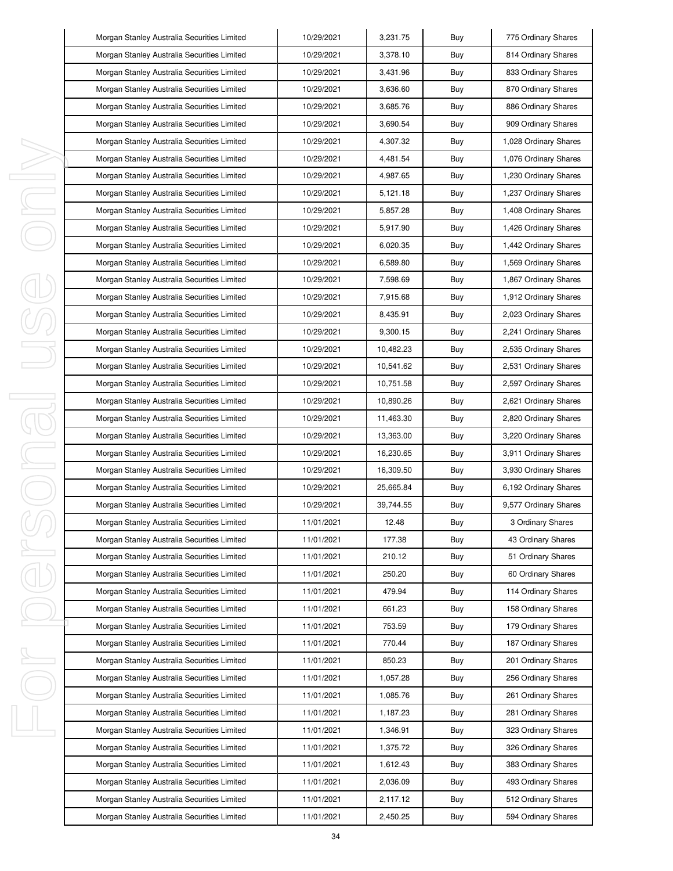|   | Morgan Stanley Australia Securities Limited | 10/29/2021 | 3,231.75  | Buy | 775 Ordinary Shares   |
|---|---------------------------------------------|------------|-----------|-----|-----------------------|
|   | Morgan Stanley Australia Securities Limited | 10/29/2021 | 3,378.10  | Buy | 814 Ordinary Shares   |
|   | Morgan Stanley Australia Securities Limited | 10/29/2021 | 3,431.96  | Buy | 833 Ordinary Shares   |
|   | Morgan Stanley Australia Securities Limited | 10/29/2021 | 3,636.60  | Buy | 870 Ordinary Shares   |
|   | Morgan Stanley Australia Securities Limited | 10/29/2021 | 3,685.76  | Buy | 886 Ordinary Shares   |
|   | Morgan Stanley Australia Securities Limited | 10/29/2021 | 3,690.54  | Buy | 909 Ordinary Shares   |
|   | Morgan Stanley Australia Securities Limited | 10/29/2021 | 4,307.32  | Buy | 1,028 Ordinary Shares |
|   | Morgan Stanley Australia Securities Limited | 10/29/2021 | 4,481.54  | Buy | 1,076 Ordinary Shares |
| I | Morgan Stanley Australia Securities Limited | 10/29/2021 | 4,987.65  | Buy | 1,230 Ordinary Shares |
| I | Morgan Stanley Australia Securities Limited | 10/29/2021 | 5,121.18  | Buy | 1,237 Ordinary Shares |
| ı | Morgan Stanley Australia Securities Limited | 10/29/2021 | 5,857.28  | Buy | 1,408 Ordinary Shares |
|   | Morgan Stanley Australia Securities Limited | 10/29/2021 | 5,917.90  | Buy | 1,426 Ordinary Shares |
|   | Morgan Stanley Australia Securities Limited | 10/29/2021 | 6,020.35  | Buy | 1,442 Ordinary Shares |
|   | Morgan Stanley Australia Securities Limited | 10/29/2021 | 6,589.80  | Buy | 1,569 Ordinary Shares |
|   | Morgan Stanley Australia Securities Limited | 10/29/2021 | 7,598.69  | Buy | 1,867 Ordinary Shares |
|   | Morgan Stanley Australia Securities Limited | 10/29/2021 | 7,915.68  | Buy | 1,912 Ordinary Shares |
|   | Morgan Stanley Australia Securities Limited | 10/29/2021 | 8,435.91  | Buy | 2,023 Ordinary Shares |
|   | Morgan Stanley Australia Securities Limited | 10/29/2021 | 9,300.15  | Buy | 2,241 Ordinary Shares |
|   | Morgan Stanley Australia Securities Limited | 10/29/2021 | 10,482.23 | Buy | 2,535 Ordinary Shares |
|   | Morgan Stanley Australia Securities Limited | 10/29/2021 | 10,541.62 | Buy | 2,531 Ordinary Shares |
|   | Morgan Stanley Australia Securities Limited | 10/29/2021 | 10,751.58 | Buy | 2,597 Ordinary Shares |
| I | Morgan Stanley Australia Securities Limited | 10/29/2021 | 10,890.26 | Buy | 2,621 Ordinary Shares |
| J | Morgan Stanley Australia Securities Limited | 10/29/2021 | 11,463.30 | Buy | 2,820 Ordinary Shares |
|   | Morgan Stanley Australia Securities Limited | 10/29/2021 | 13,363.00 | Buy | 3,220 Ordinary Shares |
| J | Morgan Stanley Australia Securities Limited | 10/29/2021 | 16,230.65 | Buy | 3,911 Ordinary Shares |
| I | Morgan Stanley Australia Securities Limited | 10/29/2021 | 16,309.50 | Buy | 3,930 Ordinary Shares |
|   | Morgan Stanley Australia Securities Limited | 10/29/2021 | 25,665.84 | Buy | 6,192 Ordinary Shares |
|   | Morgan Stanley Australia Securities Limited | 10/29/2021 | 39,744.55 | Buy | 9,577 Ordinary Shares |
|   | Morgan Stanley Australia Securities Limited | 11/01/2021 | 12.48     | Buy | 3 Ordinary Shares     |
|   | Morgan Stanley Australia Securities Limited | 11/01/2021 | 177.38    | Buy | 43 Ordinary Shares    |
| I | Morgan Stanley Australia Securities Limited | 11/01/2021 | 210.12    | Buy | 51 Ordinary Shares    |
|   | Morgan Stanley Australia Securities Limited | 11/01/2021 | 250.20    | Buy | 60 Ordinary Shares    |
|   | Morgan Stanley Australia Securities Limited | 11/01/2021 | 479.94    | Buy | 114 Ordinary Shares   |
|   | Morgan Stanley Australia Securities Limited | 11/01/2021 | 661.23    | Buy | 158 Ordinary Shares   |
|   | Morgan Stanley Australia Securities Limited | 11/01/2021 | 753.59    | Buy | 179 Ordinary Shares   |
|   | Morgan Stanley Australia Securities Limited | 11/01/2021 | 770.44    | Buy | 187 Ordinary Shares   |
| ı | Morgan Stanley Australia Securities Limited | 11/01/2021 | 850.23    | Buy | 201 Ordinary Shares   |
|   | Morgan Stanley Australia Securities Limited | 11/01/2021 | 1,057.28  | Buy | 256 Ordinary Shares   |
|   | Morgan Stanley Australia Securities Limited | 11/01/2021 | 1,085.76  | Buy | 261 Ordinary Shares   |
|   | Morgan Stanley Australia Securities Limited | 11/01/2021 | 1,187.23  | Buy | 281 Ordinary Shares   |
| J | Morgan Stanley Australia Securities Limited | 11/01/2021 | 1,346.91  | Buy | 323 Ordinary Shares   |
|   | Morgan Stanley Australia Securities Limited | 11/01/2021 | 1,375.72  | Buy | 326 Ordinary Shares   |
|   | Morgan Stanley Australia Securities Limited | 11/01/2021 | 1,612.43  | Buy | 383 Ordinary Shares   |
|   | Morgan Stanley Australia Securities Limited | 11/01/2021 | 2,036.09  | Buy | 493 Ordinary Shares   |
|   | Morgan Stanley Australia Securities Limited | 11/01/2021 | 2,117.12  | Buy | 512 Ordinary Shares   |
|   | Morgan Stanley Australia Securities Limited | 11/01/2021 | 2,450.25  | Buy | 594 Ordinary Shares   |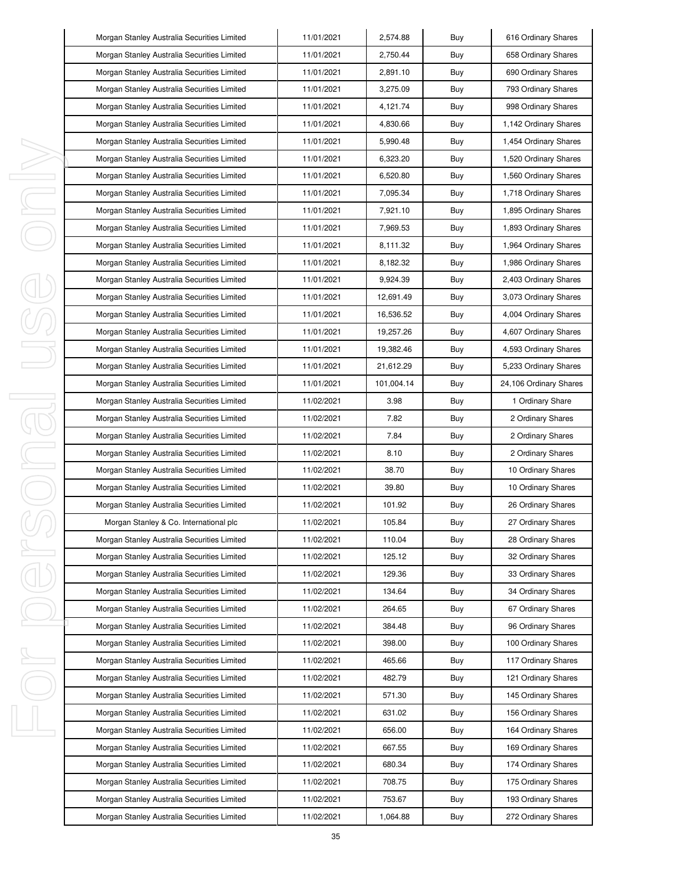|   | Morgan Stanley Australia Securities Limited | 11/01/2021 | 2,574.88   | Buy | 616 Ordinary Shares    |
|---|---------------------------------------------|------------|------------|-----|------------------------|
|   | Morgan Stanley Australia Securities Limited | 11/01/2021 | 2,750.44   | Buy | 658 Ordinary Shares    |
|   | Morgan Stanley Australia Securities Limited | 11/01/2021 | 2,891.10   | Buy | 690 Ordinary Shares    |
|   | Morgan Stanley Australia Securities Limited | 11/01/2021 | 3,275.09   | Buy | 793 Ordinary Shares    |
|   | Morgan Stanley Australia Securities Limited | 11/01/2021 | 4,121.74   | Buy | 998 Ordinary Shares    |
|   | Morgan Stanley Australia Securities Limited | 11/01/2021 | 4,830.66   | Buy | 1,142 Ordinary Shares  |
|   | Morgan Stanley Australia Securities Limited | 11/01/2021 | 5,990.48   | Buy | 1,454 Ordinary Shares  |
|   | Morgan Stanley Australia Securities Limited | 11/01/2021 | 6,323.20   | Buy | 1,520 Ordinary Shares  |
|   | Morgan Stanley Australia Securities Limited | 11/01/2021 | 6,520.80   | Buy | 1,560 Ordinary Shares  |
|   | Morgan Stanley Australia Securities Limited | 11/01/2021 | 7,095.34   | Buy | 1,718 Ordinary Shares  |
|   | Morgan Stanley Australia Securities Limited | 11/01/2021 | 7,921.10   | Buy | 1,895 Ordinary Shares  |
|   | Morgan Stanley Australia Securities Limited | 11/01/2021 | 7,969.53   | Buy | 1,893 Ordinary Shares  |
|   | Morgan Stanley Australia Securities Limited | 11/01/2021 | 8,111.32   | Buy | 1,964 Ordinary Shares  |
|   | Morgan Stanley Australia Securities Limited | 11/01/2021 | 8,182.32   | Buy | 1,986 Ordinary Shares  |
|   | Morgan Stanley Australia Securities Limited | 11/01/2021 | 9,924.39   | Buy | 2,403 Ordinary Shares  |
|   | Morgan Stanley Australia Securities Limited | 11/01/2021 | 12,691.49  | Buy | 3,073 Ordinary Shares  |
|   | Morgan Stanley Australia Securities Limited | 11/01/2021 | 16,536.52  | Buy | 4,004 Ordinary Shares  |
|   | Morgan Stanley Australia Securities Limited | 11/01/2021 | 19,257.26  | Buy | 4,607 Ordinary Shares  |
|   | Morgan Stanley Australia Securities Limited | 11/01/2021 | 19,382.46  | Buy | 4,593 Ordinary Shares  |
|   | Morgan Stanley Australia Securities Limited | 11/01/2021 | 21,612.29  | Buy | 5,233 Ordinary Shares  |
|   | Morgan Stanley Australia Securities Limited | 11/01/2021 | 101,004.14 | Buy | 24,106 Ordinary Shares |
|   | Morgan Stanley Australia Securities Limited | 11/02/2021 | 3.98       | Buy | 1 Ordinary Share       |
|   | Morgan Stanley Australia Securities Limited | 11/02/2021 | 7.82       | Buy | 2 Ordinary Shares      |
|   | Morgan Stanley Australia Securities Limited | 11/02/2021 | 7.84       | Buy | 2 Ordinary Shares      |
|   | Morgan Stanley Australia Securities Limited | 11/02/2021 | 8.10       | Buy | 2 Ordinary Shares      |
|   | Morgan Stanley Australia Securities Limited | 11/02/2021 | 38.70      | Buy | 10 Ordinary Shares     |
|   | Morgan Stanley Australia Securities Limited | 11/02/2021 | 39.80      | Buy | 10 Ordinary Shares     |
|   | Morgan Stanley Australia Securities Limited | 11/02/2021 | 101.92     | Buy | 26 Ordinary Shares     |
|   | Morgan Stanley & Co. International plc      | 11/02/2021 | 105.84     | Buy | 27 Ordinary Shares     |
|   | Morgan Stanley Australia Securities Limited | 11/02/2021 | 110.04     | Buy | 28 Ordinary Shares     |
| I | Morgan Stanley Australia Securities Limited | 11/02/2021 | 125.12     | Buy | 32 Ordinary Shares     |
|   | Morgan Stanley Australia Securities Limited | 11/02/2021 | 129.36     | Buy | 33 Ordinary Shares     |
|   | Morgan Stanley Australia Securities Limited | 11/02/2021 | 134.64     | Buy | 34 Ordinary Shares     |
|   | Morgan Stanley Australia Securities Limited | 11/02/2021 | 264.65     | Buy | 67 Ordinary Shares     |
|   | Morgan Stanley Australia Securities Limited | 11/02/2021 | 384.48     | Buy | 96 Ordinary Shares     |
|   | Morgan Stanley Australia Securities Limited | 11/02/2021 | 398.00     | Buy | 100 Ordinary Shares    |
|   | Morgan Stanley Australia Securities Limited | 11/02/2021 | 465.66     | Buy | 117 Ordinary Shares    |
|   | Morgan Stanley Australia Securities Limited | 11/02/2021 | 482.79     | Buy | 121 Ordinary Shares    |
|   | Morgan Stanley Australia Securities Limited | 11/02/2021 | 571.30     | Buy | 145 Ordinary Shares    |
|   | Morgan Stanley Australia Securities Limited | 11/02/2021 | 631.02     | Buy | 156 Ordinary Shares    |
|   | Morgan Stanley Australia Securities Limited | 11/02/2021 | 656.00     | Buy | 164 Ordinary Shares    |
|   | Morgan Stanley Australia Securities Limited | 11/02/2021 | 667.55     | Buy | 169 Ordinary Shares    |
|   | Morgan Stanley Australia Securities Limited | 11/02/2021 | 680.34     | Buy | 174 Ordinary Shares    |
|   | Morgan Stanley Australia Securities Limited | 11/02/2021 | 708.75     | Buy | 175 Ordinary Shares    |
|   | Morgan Stanley Australia Securities Limited | 11/02/2021 | 753.67     | Buy | 193 Ordinary Shares    |
|   | Morgan Stanley Australia Securities Limited | 11/02/2021 | 1,064.88   | Buy | 272 Ordinary Shares    |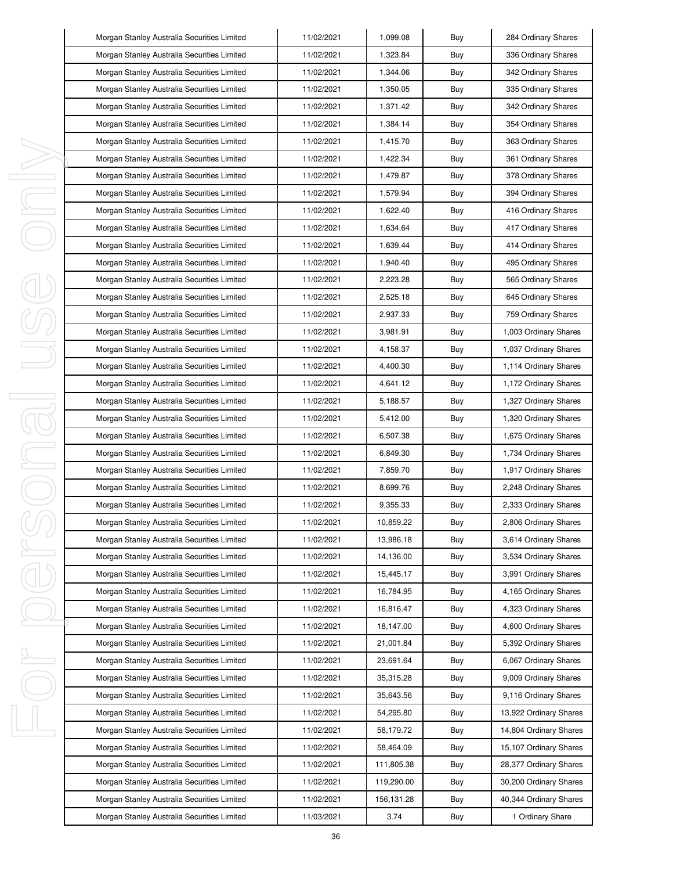|          | Morgan Stanley Australia Securities Limited | 11/02/2021 | 1,099.08   | Buy | 284 Ordinary Shares    |
|----------|---------------------------------------------|------------|------------|-----|------------------------|
|          | Morgan Stanley Australia Securities Limited | 11/02/2021 | 1,323.84   | Buy | 336 Ordinary Shares    |
|          | Morgan Stanley Australia Securities Limited | 11/02/2021 | 1,344.06   | Buy | 342 Ordinary Shares    |
|          | Morgan Stanley Australia Securities Limited | 11/02/2021 | 1,350.05   | Buy | 335 Ordinary Shares    |
|          | Morgan Stanley Australia Securities Limited | 11/02/2021 | 1,371.42   | Buy | 342 Ordinary Shares    |
|          | Morgan Stanley Australia Securities Limited | 11/02/2021 | 1,384.14   | Buy | 354 Ordinary Shares    |
|          | Morgan Stanley Australia Securities Limited | 11/02/2021 | 1,415.70   | Buy | 363 Ordinary Shares    |
|          | Morgan Stanley Australia Securities Limited | 11/02/2021 | 1,422.34   | Buy | 361 Ordinary Shares    |
| ı        | Morgan Stanley Australia Securities Limited | 11/02/2021 | 1,479.87   | Buy | 378 Ordinary Shares    |
| J,       | Morgan Stanley Australia Securities Limited | 11/02/2021 | 1,579.94   | Buy | 394 Ordinary Shares    |
| ı        | Morgan Stanley Australia Securities Limited | 11/02/2021 | 1,622.40   | Buy | 416 Ordinary Shares    |
|          | Morgan Stanley Australia Securities Limited | 11/02/2021 | 1,634.64   | Buy | 417 Ordinary Shares    |
|          | Morgan Stanley Australia Securities Limited | 11/02/2021 | 1,639.44   | Buy | 414 Ordinary Shares    |
|          | Morgan Stanley Australia Securities Limited | 11/02/2021 | 1,940.40   | Buy | 495 Ordinary Shares    |
|          | Morgan Stanley Australia Securities Limited | 11/02/2021 | 2,223.28   | Buy | 565 Ordinary Shares    |
|          | Morgan Stanley Australia Securities Limited | 11/02/2021 | 2,525.18   | Buy | 645 Ordinary Shares    |
|          | Morgan Stanley Australia Securities Limited | 11/02/2021 | 2,937.33   | Buy | 759 Ordinary Shares    |
|          | Morgan Stanley Australia Securities Limited | 11/02/2021 | 3,981.91   | Buy | 1,003 Ordinary Shares  |
|          | Morgan Stanley Australia Securities Limited | 11/02/2021 | 4,158.37   | Buy | 1,037 Ordinary Shares  |
|          | Morgan Stanley Australia Securities Limited | 11/02/2021 | 4,400.30   | Buy | 1,114 Ordinary Shares  |
|          | Morgan Stanley Australia Securities Limited | 11/02/2021 | 4,641.12   | Buy | 1,172 Ordinary Shares  |
| I,<br>J. | Morgan Stanley Australia Securities Limited | 11/02/2021 | 5,188.57   | Buy | 1,327 Ordinary Shares  |
|          | Morgan Stanley Australia Securities Limited | 11/02/2021 | 5,412.00   | Buy | 1,320 Ordinary Shares  |
|          | Morgan Stanley Australia Securities Limited | 11/02/2021 | 6,507.38   | Buy | 1,675 Ordinary Shares  |
| I,       | Morgan Stanley Australia Securities Limited | 11/02/2021 | 6,849.30   | Buy | 1,734 Ordinary Shares  |
| I        | Morgan Stanley Australia Securities Limited | 11/02/2021 | 7,859.70   | Buy | 1,917 Ordinary Shares  |
|          | Morgan Stanley Australia Securities Limited | 11/02/2021 | 8,699.76   | Buy | 2,248 Ordinary Shares  |
|          | Morgan Stanley Australia Securities Limited | 11/02/2021 | 9,355.33   | Buy | 2,333 Ordinary Shares  |
|          | Morgan Stanley Australia Securities Limited | 11/02/2021 | 10,859.22  | Buy | 2,806 Ordinary Shares  |
|          | Morgan Stanley Australia Securities Limited | 11/02/2021 | 13,986.18  | Buy | 3,614 Ordinary Shares  |
| I        | Morgan Stanley Australia Securities Limited | 11/02/2021 | 14,136.00  | Buy | 3,534 Ordinary Shares  |
|          | Morgan Stanley Australia Securities Limited | 11/02/2021 | 15,445.17  | Buy | 3,991 Ordinary Shares  |
|          | Morgan Stanley Australia Securities Limited | 11/02/2021 | 16,784.95  | Buy | 4,165 Ordinary Shares  |
|          | Morgan Stanley Australia Securities Limited | 11/02/2021 | 16,816.47  | Buy | 4,323 Ordinary Shares  |
|          | Morgan Stanley Australia Securities Limited | 11/02/2021 | 18,147.00  | Buy | 4,600 Ordinary Shares  |
|          | Morgan Stanley Australia Securities Limited | 11/02/2021 | 21,001.84  | Buy | 5,392 Ordinary Shares  |
| I,       | Morgan Stanley Australia Securities Limited | 11/02/2021 | 23,691.64  | Buy | 6,067 Ordinary Shares  |
|          | Morgan Stanley Australia Securities Limited | 11/02/2021 | 35,315.28  | Buy | 9,009 Ordinary Shares  |
|          | Morgan Stanley Australia Securities Limited | 11/02/2021 | 35,643.56  | Buy | 9,116 Ordinary Shares  |
|          | Morgan Stanley Australia Securities Limited | 11/02/2021 | 54,295.80  | Buy | 13,922 Ordinary Shares |
| ı        | Morgan Stanley Australia Securities Limited | 11/02/2021 | 58,179.72  | Buy | 14,804 Ordinary Shares |
|          | Morgan Stanley Australia Securities Limited | 11/02/2021 | 58,464.09  | Buy | 15,107 Ordinary Shares |
|          | Morgan Stanley Australia Securities Limited | 11/02/2021 | 111,805.38 | Buy | 28,377 Ordinary Shares |
|          | Morgan Stanley Australia Securities Limited | 11/02/2021 | 119,290.00 | Buy | 30,200 Ordinary Shares |
|          | Morgan Stanley Australia Securities Limited | 11/02/2021 | 156,131.28 | Buy | 40,344 Ordinary Shares |
|          | Morgan Stanley Australia Securities Limited | 11/03/2021 | 3.74       | Buy | 1 Ordinary Share       |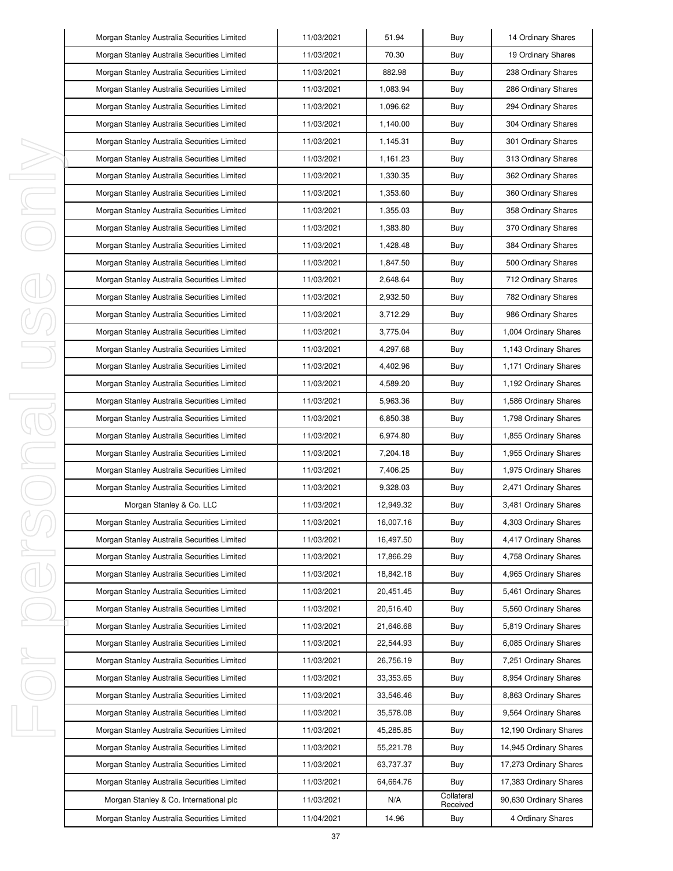|         | Morgan Stanley Australia Securities Limited | 11/03/2021 | 51.94     | Buy                    | 14 Ordinary Shares     |
|---------|---------------------------------------------|------------|-----------|------------------------|------------------------|
|         | Morgan Stanley Australia Securities Limited | 11/03/2021 | 70.30     | Buy                    | 19 Ordinary Shares     |
|         | Morgan Stanley Australia Securities Limited | 11/03/2021 | 882.98    | Buy                    | 238 Ordinary Shares    |
|         | Morgan Stanley Australia Securities Limited | 11/03/2021 | 1.083.94  | Buy                    | 286 Ordinary Shares    |
|         | Morgan Stanley Australia Securities Limited | 11/03/2021 | 1,096.62  | Buy                    | 294 Ordinary Shares    |
|         | Morgan Stanley Australia Securities Limited | 11/03/2021 | 1,140.00  | Buy                    | 304 Ordinary Shares    |
|         | Morgan Stanley Australia Securities Limited | 11/03/2021 | 1,145.31  | Buy                    | 301 Ordinary Shares    |
|         | Morgan Stanley Australia Securities Limited | 11/03/2021 | 1,161.23  | Buy                    | 313 Ordinary Shares    |
| I,      | Morgan Stanley Australia Securities Limited | 11/03/2021 | 1,330.35  | Buy                    | 362 Ordinary Shares    |
| J,      | Morgan Stanley Australia Securities Limited | 11/03/2021 | 1,353.60  | Buy                    | 360 Ordinary Shares    |
| I,      | Morgan Stanley Australia Securities Limited | 11/03/2021 | 1,355.03  | Buy                    | 358 Ordinary Shares    |
|         | Morgan Stanley Australia Securities Limited | 11/03/2021 | 1,383.80  | Buy                    | 370 Ordinary Shares    |
|         | Morgan Stanley Australia Securities Limited | 11/03/2021 | 1,428.48  | Buy                    | 384 Ordinary Shares    |
|         | Morgan Stanley Australia Securities Limited | 11/03/2021 | 1,847.50  | Buy                    | 500 Ordinary Shares    |
|         | Morgan Stanley Australia Securities Limited | 11/03/2021 | 2,648.64  | Buy                    | 712 Ordinary Shares    |
|         | Morgan Stanley Australia Securities Limited | 11/03/2021 | 2,932.50  | Buy                    | 782 Ordinary Shares    |
|         | Morgan Stanley Australia Securities Limited | 11/03/2021 | 3,712.29  | Buy                    | 986 Ordinary Shares    |
|         | Morgan Stanley Australia Securities Limited | 11/03/2021 | 3,775.04  | Buy                    | 1,004 Ordinary Shares  |
|         | Morgan Stanley Australia Securities Limited | 11/03/2021 | 4,297.68  | Buy                    | 1,143 Ordinary Shares  |
|         | Morgan Stanley Australia Securities Limited | 11/03/2021 | 4,402.96  | Buy                    | 1,171 Ordinary Shares  |
|         | Morgan Stanley Australia Securities Limited | 11/03/2021 | 4,589.20  | Buy                    | 1,192 Ordinary Shares  |
| I<br>J. | Morgan Stanley Australia Securities Limited | 11/03/2021 | 5,963.36  | Buy                    | 1,586 Ordinary Shares  |
|         | Morgan Stanley Australia Securities Limited | 11/03/2021 | 6,850.38  | Buy                    | 1,798 Ordinary Shares  |
|         | Morgan Stanley Australia Securities Limited | 11/03/2021 | 6,974.80  | Buy                    | 1,855 Ordinary Shares  |
| I       | Morgan Stanley Australia Securities Limited | 11/03/2021 | 7,204.18  | Buy                    | 1,955 Ordinary Shares  |
|         | Morgan Stanley Australia Securities Limited | 11/03/2021 | 7,406.25  | Buy                    | 1,975 Ordinary Shares  |
|         | Morgan Stanley Australia Securities Limited | 11/03/2021 | 9,328.03  | Buy                    | 2,471 Ordinary Shares  |
|         | Morgan Stanley & Co. LLC                    | 11/03/2021 | 12,949.32 | Buy                    | 3,481 Ordinary Shares  |
|         | Morgan Stanley Australia Securities Limited | 11/03/2021 | 16,007.16 | Buy                    | 4,303 Ordinary Shares  |
|         | Morgan Stanley Australia Securities Limited | 11/03/2021 | 16,497.50 | Buy                    | 4,417 Ordinary Shares  |
| I       | Morgan Stanley Australia Securities Limited | 11/03/2021 | 17,866.29 | Buy                    | 4,758 Ordinary Shares  |
|         | Morgan Stanley Australia Securities Limited | 11/03/2021 | 18,842.18 | Buy                    | 4,965 Ordinary Shares  |
|         | Morgan Stanley Australia Securities Limited | 11/03/2021 | 20,451.45 | Buy                    | 5,461 Ordinary Shares  |
|         | Morgan Stanley Australia Securities Limited | 11/03/2021 | 20,516.40 | Buy                    | 5,560 Ordinary Shares  |
|         | Morgan Stanley Australia Securities Limited | 11/03/2021 | 21,646.68 | Buy                    | 5,819 Ordinary Shares  |
|         | Morgan Stanley Australia Securities Limited | 11/03/2021 | 22,544.93 | Buy                    | 6,085 Ordinary Shares  |
| I,      | Morgan Stanley Australia Securities Limited | 11/03/2021 | 26,756.19 | Buy                    | 7,251 Ordinary Shares  |
|         | Morgan Stanley Australia Securities Limited | 11/03/2021 | 33,353.65 | Buy                    | 8,954 Ordinary Shares  |
|         | Morgan Stanley Australia Securities Limited | 11/03/2021 | 33,546.46 | Buy                    | 8,863 Ordinary Shares  |
|         | Morgan Stanley Australia Securities Limited | 11/03/2021 | 35,578.08 | Buy                    | 9,564 Ordinary Shares  |
| I,      | Morgan Stanley Australia Securities Limited | 11/03/2021 | 45,285.85 | Buy                    | 12,190 Ordinary Shares |
|         | Morgan Stanley Australia Securities Limited | 11/03/2021 | 55,221.78 | Buy                    | 14,945 Ordinary Shares |
|         | Morgan Stanley Australia Securities Limited | 11/03/2021 | 63,737.37 | Buy                    | 17,273 Ordinary Shares |
|         | Morgan Stanley Australia Securities Limited | 11/03/2021 | 64,664.76 | Buy                    | 17,383 Ordinary Shares |
|         | Morgan Stanley & Co. International plc      | 11/03/2021 | N/A       | Collateral<br>Received | 90,630 Ordinary Shares |
|         | Morgan Stanley Australia Securities Limited | 11/04/2021 | 14.96     | Buy                    | 4 Ordinary Shares      |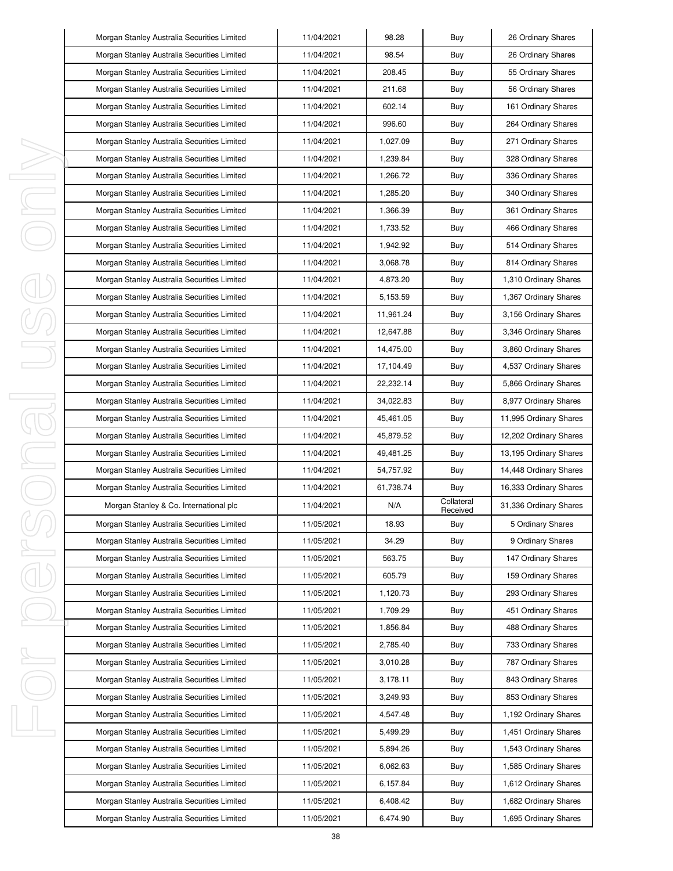|   | Morgan Stanley Australia Securities Limited | 11/04/2021 | 98.28     | Buy                    | 26 Ordinary Shares     |
|---|---------------------------------------------|------------|-----------|------------------------|------------------------|
|   | Morgan Stanley Australia Securities Limited | 11/04/2021 | 98.54     | Buy                    | 26 Ordinary Shares     |
|   | Morgan Stanley Australia Securities Limited | 11/04/2021 | 208.45    | Buy                    | 55 Ordinary Shares     |
|   | Morgan Stanley Australia Securities Limited | 11/04/2021 | 211.68    | Buy                    | 56 Ordinary Shares     |
|   | Morgan Stanley Australia Securities Limited | 11/04/2021 | 602.14    | Buy                    | 161 Ordinary Shares    |
|   | Morgan Stanley Australia Securities Limited | 11/04/2021 | 996.60    | Buy                    | 264 Ordinary Shares    |
|   | Morgan Stanley Australia Securities Limited | 11/04/2021 | 1,027.09  | Buy                    | 271 Ordinary Shares    |
|   | Morgan Stanley Australia Securities Limited | 11/04/2021 | 1,239.84  | Buy                    | 328 Ordinary Shares    |
|   | Morgan Stanley Australia Securities Limited | 11/04/2021 | 1,266.72  | Buy                    | 336 Ordinary Shares    |
|   | Morgan Stanley Australia Securities Limited | 11/04/2021 | 1,285.20  | Buy                    | 340 Ordinary Shares    |
|   | Morgan Stanley Australia Securities Limited | 11/04/2021 | 1,366.39  | Buy                    | 361 Ordinary Shares    |
|   | Morgan Stanley Australia Securities Limited | 11/04/2021 | 1,733.52  | Buy                    | 466 Ordinary Shares    |
|   | Morgan Stanley Australia Securities Limited | 11/04/2021 | 1,942.92  | Buy                    | 514 Ordinary Shares    |
|   | Morgan Stanley Australia Securities Limited | 11/04/2021 | 3,068.78  | Buy                    | 814 Ordinary Shares    |
|   | Morgan Stanley Australia Securities Limited | 11/04/2021 | 4,873.20  | Buy                    | 1,310 Ordinary Shares  |
|   | Morgan Stanley Australia Securities Limited | 11/04/2021 | 5,153.59  | Buy                    | 1,367 Ordinary Shares  |
|   | Morgan Stanley Australia Securities Limited | 11/04/2021 | 11,961.24 | Buy                    | 3,156 Ordinary Shares  |
|   | Morgan Stanley Australia Securities Limited | 11/04/2021 | 12,647.88 | Buy                    | 3,346 Ordinary Shares  |
|   | Morgan Stanley Australia Securities Limited | 11/04/2021 | 14,475.00 | Buy                    | 3,860 Ordinary Shares  |
|   | Morgan Stanley Australia Securities Limited | 11/04/2021 | 17,104.49 | Buy                    | 4,537 Ordinary Shares  |
|   | Morgan Stanley Australia Securities Limited | 11/04/2021 | 22,232.14 | Buy                    | 5,866 Ordinary Shares  |
|   | Morgan Stanley Australia Securities Limited | 11/04/2021 | 34,022.83 | Buy                    | 8,977 Ordinary Shares  |
| 1 | Morgan Stanley Australia Securities Limited | 11/04/2021 | 45,461.05 | Buy                    | 11,995 Ordinary Shares |
|   | Morgan Stanley Australia Securities Limited | 11/04/2021 | 45,879.52 | Buy                    | 12,202 Ordinary Shares |
| I | Morgan Stanley Australia Securities Limited | 11/04/2021 | 49,481.25 | Buy                    | 13,195 Ordinary Shares |
|   | Morgan Stanley Australia Securities Limited | 11/04/2021 | 54,757.92 | Buy                    | 14,448 Ordinary Shares |
|   | Morgan Stanley Australia Securities Limited | 11/04/2021 | 61,738.74 | Buy                    | 16,333 Ordinary Shares |
|   | Morgan Stanley & Co. International plc      | 11/04/2021 | N/A       | Collateral<br>Received | 31,336 Ordinary Shares |
|   | Morgan Stanley Australia Securities Limited | 11/05/2021 | 18.93     | Buy                    | 5 Ordinary Shares      |
|   | Morgan Stanley Australia Securities Limited | 11/05/2021 | 34.29     | Buy                    | 9 Ordinary Shares      |
| I | Morgan Stanley Australia Securities Limited | 11/05/2021 | 563.75    | Buy                    | 147 Ordinary Shares    |
|   | Morgan Stanley Australia Securities Limited | 11/05/2021 | 605.79    | Buy                    | 159 Ordinary Shares    |
|   | Morgan Stanley Australia Securities Limited | 11/05/2021 | 1,120.73  | Buy                    | 293 Ordinary Shares    |
|   | Morgan Stanley Australia Securities Limited | 11/05/2021 | 1,709.29  | Buy                    | 451 Ordinary Shares    |
|   | Morgan Stanley Australia Securities Limited | 11/05/2021 | 1,856.84  | Buy                    | 488 Ordinary Shares    |
|   | Morgan Stanley Australia Securities Limited | 11/05/2021 | 2,785.40  | Buy                    | 733 Ordinary Shares    |
| I | Morgan Stanley Australia Securities Limited | 11/05/2021 | 3,010.28  | Buy                    | 787 Ordinary Shares    |
|   | Morgan Stanley Australia Securities Limited | 11/05/2021 | 3,178.11  | Buy                    | 843 Ordinary Shares    |
|   | Morgan Stanley Australia Securities Limited | 11/05/2021 | 3,249.93  | Buy                    | 853 Ordinary Shares    |
|   | Morgan Stanley Australia Securities Limited | 11/05/2021 | 4,547.48  | Buy                    | 1,192 Ordinary Shares  |
| ı | Morgan Stanley Australia Securities Limited | 11/05/2021 | 5,499.29  | Buy                    | 1,451 Ordinary Shares  |
|   | Morgan Stanley Australia Securities Limited | 11/05/2021 | 5,894.26  | Buy                    | 1,543 Ordinary Shares  |
|   | Morgan Stanley Australia Securities Limited | 11/05/2021 | 6,062.63  | Buy                    | 1,585 Ordinary Shares  |
|   | Morgan Stanley Australia Securities Limited | 11/05/2021 | 6,157.84  | Buy                    | 1,612 Ordinary Shares  |
|   | Morgan Stanley Australia Securities Limited | 11/05/2021 | 6,408.42  | Buy                    | 1,682 Ordinary Shares  |
|   | Morgan Stanley Australia Securities Limited | 11/05/2021 | 6,474.90  | Buy                    | 1,695 Ordinary Shares  |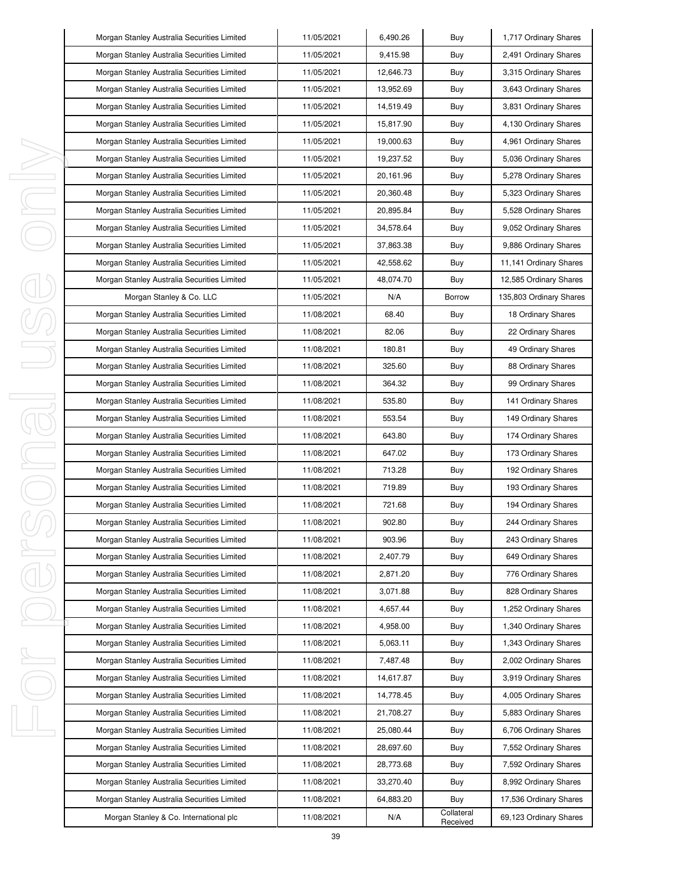| Morgan Stanley Australia Securities Limited | 11/05/2021 | 6,490.26  | Buy                    | 1,717 Ordinary Shares   |
|---------------------------------------------|------------|-----------|------------------------|-------------------------|
| Morgan Stanley Australia Securities Limited | 11/05/2021 | 9,415.98  | Buy                    | 2,491 Ordinary Shares   |
| Morgan Stanley Australia Securities Limited | 11/05/2021 | 12,646.73 | Buy                    | 3,315 Ordinary Shares   |
| Morgan Stanley Australia Securities Limited | 11/05/2021 | 13,952.69 | Buy                    | 3,643 Ordinary Shares   |
| Morgan Stanley Australia Securities Limited | 11/05/2021 | 14,519.49 | Buy                    | 3,831 Ordinary Shares   |
| Morgan Stanley Australia Securities Limited | 11/05/2021 | 15,817.90 | Buy                    | 4,130 Ordinary Shares   |
| Morgan Stanley Australia Securities Limited | 11/05/2021 | 19,000.63 | Buy                    | 4,961 Ordinary Shares   |
| Morgan Stanley Australia Securities Limited | 11/05/2021 | 19,237.52 | Buy                    | 5,036 Ordinary Shares   |
| Morgan Stanley Australia Securities Limited | 11/05/2021 | 20,161.96 | Buy                    | 5,278 Ordinary Shares   |
| Morgan Stanley Australia Securities Limited | 11/05/2021 | 20,360.48 | Buy                    | 5,323 Ordinary Shares   |
| Morgan Stanley Australia Securities Limited | 11/05/2021 | 20,895.84 | Buy                    | 5,528 Ordinary Shares   |
| Morgan Stanley Australia Securities Limited | 11/05/2021 | 34,578.64 | Buy                    | 9,052 Ordinary Shares   |
| Morgan Stanley Australia Securities Limited | 11/05/2021 | 37,863.38 | Buy                    | 9,886 Ordinary Shares   |
| Morgan Stanley Australia Securities Limited | 11/05/2021 | 42,558.62 | Buy                    | 11,141 Ordinary Shares  |
| Morgan Stanley Australia Securities Limited | 11/05/2021 | 48,074.70 | Buy                    | 12,585 Ordinary Shares  |
| Morgan Stanley & Co. LLC                    | 11/05/2021 | N/A       | Borrow                 | 135,803 Ordinary Shares |
| Morgan Stanley Australia Securities Limited | 11/08/2021 | 68.40     | Buy                    | 18 Ordinary Shares      |
| Morgan Stanley Australia Securities Limited | 11/08/2021 | 82.06     | Buy                    | 22 Ordinary Shares      |
| Morgan Stanley Australia Securities Limited | 11/08/2021 | 180.81    | Buy                    | 49 Ordinary Shares      |
| Morgan Stanley Australia Securities Limited | 11/08/2021 | 325.60    | Buy                    | 88 Ordinary Shares      |
| Morgan Stanley Australia Securities Limited | 11/08/2021 | 364.32    | Buy                    | 99 Ordinary Shares      |
| Morgan Stanley Australia Securities Limited | 11/08/2021 | 535.80    | Buy                    | 141 Ordinary Shares     |
| Morgan Stanley Australia Securities Limited | 11/08/2021 | 553.54    | Buy                    | 149 Ordinary Shares     |
| Morgan Stanley Australia Securities Limited | 11/08/2021 | 643.80    | Buy                    | 174 Ordinary Shares     |
| Morgan Stanley Australia Securities Limited | 11/08/2021 | 647.02    | Buy                    | 173 Ordinary Shares     |
| Morgan Stanley Australia Securities Limited | 11/08/2021 | 713.28    | Buy                    | 192 Ordinary Shares     |
| Morgan Stanley Australia Securities Limited | 11/08/2021 | 719.89    | Buy                    | 193 Ordinary Shares     |
| Morgan Stanley Australia Securities Limited | 11/08/2021 | 721.68    | Buy                    | 194 Ordinary Shares     |
| Morgan Stanley Australia Securities Limited | 11/08/2021 | 902.80    | Buy                    | 244 Ordinary Shares     |
| Morgan Stanley Australia Securities Limited | 11/08/2021 | 903.96    | Buy                    | 243 Ordinary Shares     |
| Morgan Stanley Australia Securities Limited | 11/08/2021 | 2,407.79  | Buy                    | 649 Ordinary Shares     |
| Morgan Stanley Australia Securities Limited | 11/08/2021 | 2,871.20  | Buy                    | 776 Ordinary Shares     |
| Morgan Stanley Australia Securities Limited | 11/08/2021 | 3,071.88  | Buy                    | 828 Ordinary Shares     |
| Morgan Stanley Australia Securities Limited | 11/08/2021 | 4,657.44  | Buy                    | 1,252 Ordinary Shares   |
| Morgan Stanley Australia Securities Limited | 11/08/2021 | 4,958.00  | Buy                    | 1,340 Ordinary Shares   |
| Morgan Stanley Australia Securities Limited | 11/08/2021 | 5,063.11  | Buy                    | 1,343 Ordinary Shares   |
| Morgan Stanley Australia Securities Limited | 11/08/2021 | 7,487.48  | Buy                    | 2,002 Ordinary Shares   |
| Morgan Stanley Australia Securities Limited | 11/08/2021 | 14,617.87 | Buy                    | 3,919 Ordinary Shares   |
| Morgan Stanley Australia Securities Limited | 11/08/2021 | 14,778.45 | Buy                    | 4,005 Ordinary Shares   |
| Morgan Stanley Australia Securities Limited | 11/08/2021 | 21,708.27 | Buy                    | 5,883 Ordinary Shares   |
| Morgan Stanley Australia Securities Limited | 11/08/2021 | 25,080.44 | Buy                    | 6,706 Ordinary Shares   |
| Morgan Stanley Australia Securities Limited | 11/08/2021 | 28,697.60 | Buy                    | 7,552 Ordinary Shares   |
| Morgan Stanley Australia Securities Limited | 11/08/2021 | 28,773.68 | Buy                    | 7,592 Ordinary Shares   |
| Morgan Stanley Australia Securities Limited | 11/08/2021 | 33,270.40 | Buy                    | 8,992 Ordinary Shares   |
| Morgan Stanley Australia Securities Limited | 11/08/2021 | 64,883.20 | Buy                    | 17,536 Ordinary Shares  |
| Morgan Stanley & Co. International plc      | 11/08/2021 | N/A       | Collateral<br>Received | 69,123 Ordinary Shares  |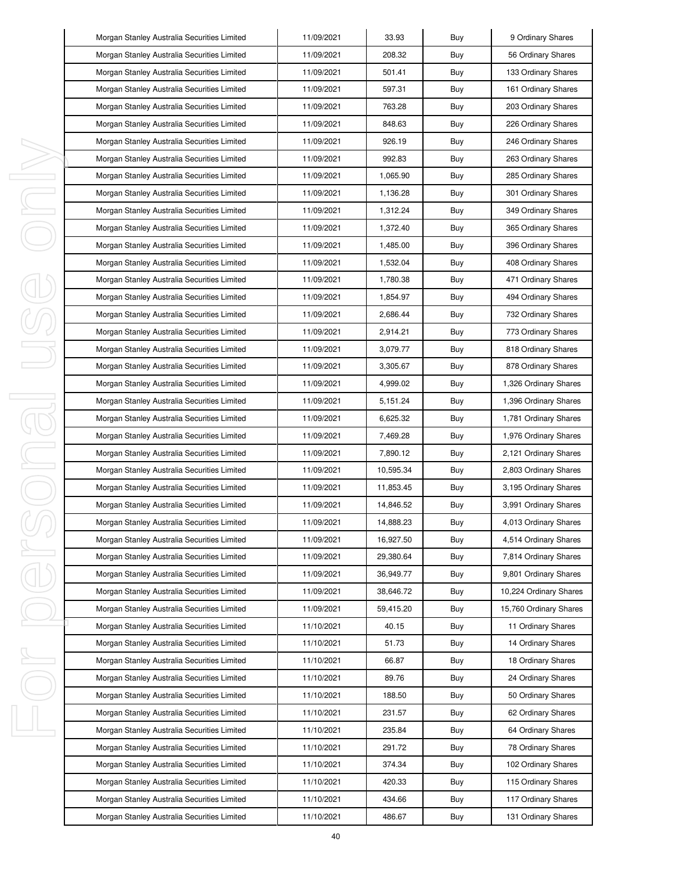|          | Morgan Stanley Australia Securities Limited | 11/09/2021 | 33.93     | Buy | 9 Ordinary Shares      |
|----------|---------------------------------------------|------------|-----------|-----|------------------------|
|          | Morgan Stanley Australia Securities Limited | 11/09/2021 | 208.32    | Buy | 56 Ordinary Shares     |
|          | Morgan Stanley Australia Securities Limited | 11/09/2021 | 501.41    | Buy | 133 Ordinary Shares    |
|          | Morgan Stanley Australia Securities Limited | 11/09/2021 | 597.31    | Buy | 161 Ordinary Shares    |
|          | Morgan Stanley Australia Securities Limited | 11/09/2021 | 763.28    | Buy | 203 Ordinary Shares    |
|          | Morgan Stanley Australia Securities Limited | 11/09/2021 | 848.63    | Buy | 226 Ordinary Shares    |
|          | Morgan Stanley Australia Securities Limited | 11/09/2021 | 926.19    | Buy | 246 Ordinary Shares    |
|          | Morgan Stanley Australia Securities Limited | 11/09/2021 | 992.83    | Buy | 263 Ordinary Shares    |
| ı        | Morgan Stanley Australia Securities Limited | 11/09/2021 | 1,065.90  | Buy | 285 Ordinary Shares    |
| I,       | Morgan Stanley Australia Securities Limited | 11/09/2021 | 1,136.28  | Buy | 301 Ordinary Shares    |
| ı        | Morgan Stanley Australia Securities Limited | 11/09/2021 | 1,312.24  | Buy | 349 Ordinary Shares    |
|          | Morgan Stanley Australia Securities Limited | 11/09/2021 | 1,372.40  | Buy | 365 Ordinary Shares    |
|          | Morgan Stanley Australia Securities Limited | 11/09/2021 | 1.485.00  | Buy | 396 Ordinary Shares    |
|          | Morgan Stanley Australia Securities Limited | 11/09/2021 | 1,532.04  | Buy | 408 Ordinary Shares    |
|          | Morgan Stanley Australia Securities Limited | 11/09/2021 | 1,780.38  | Buy | 471 Ordinary Shares    |
|          | Morgan Stanley Australia Securities Limited | 11/09/2021 | 1,854.97  | Buy | 494 Ordinary Shares    |
|          | Morgan Stanley Australia Securities Limited | 11/09/2021 | 2,686.44  | Buy | 732 Ordinary Shares    |
|          | Morgan Stanley Australia Securities Limited | 11/09/2021 | 2,914.21  | Buy | 773 Ordinary Shares    |
|          | Morgan Stanley Australia Securities Limited | 11/09/2021 | 3,079.77  | Buy | 818 Ordinary Shares    |
|          | Morgan Stanley Australia Securities Limited | 11/09/2021 | 3,305.67  | Buy | 878 Ordinary Shares    |
|          | Morgan Stanley Australia Securities Limited | 11/09/2021 | 4,999.02  | Buy | 1,326 Ordinary Shares  |
| I,<br>J. | Morgan Stanley Australia Securities Limited | 11/09/2021 | 5,151.24  | Buy | 1,396 Ordinary Shares  |
|          | Morgan Stanley Australia Securities Limited | 11/09/2021 | 6,625.32  | Buy | 1,781 Ordinary Shares  |
|          | Morgan Stanley Australia Securities Limited | 11/09/2021 | 7,469.28  | Buy | 1,976 Ordinary Shares  |
| I        | Morgan Stanley Australia Securities Limited | 11/09/2021 | 7,890.12  | Buy | 2,121 Ordinary Shares  |
| I        | Morgan Stanley Australia Securities Limited | 11/09/2021 | 10,595.34 | Buy | 2,803 Ordinary Shares  |
|          | Morgan Stanley Australia Securities Limited | 11/09/2021 | 11,853.45 | Buy | 3,195 Ordinary Shares  |
|          | Morgan Stanley Australia Securities Limited | 11/09/2021 | 14,846.52 | Buy | 3,991 Ordinary Shares  |
|          | Morgan Stanley Australia Securities Limited | 11/09/2021 | 14,888.23 | Buy | 4,013 Ordinary Shares  |
|          | Morgan Stanley Australia Securities Limited | 11/09/2021 | 16,927.50 | Buy | 4,514 Ordinary Shares  |
| I        | Morgan Stanley Australia Securities Limited | 11/09/2021 | 29,380.64 | Buy | 7,814 Ordinary Shares  |
|          | Morgan Stanley Australia Securities Limited | 11/09/2021 | 36,949.77 | Buy | 9,801 Ordinary Shares  |
|          | Morgan Stanley Australia Securities Limited | 11/09/2021 | 38,646.72 | Buy | 10,224 Ordinary Shares |
|          | Morgan Stanley Australia Securities Limited | 11/09/2021 | 59,415.20 | Buy | 15,760 Ordinary Shares |
|          | Morgan Stanley Australia Securities Limited | 11/10/2021 | 40.15     | Buy | 11 Ordinary Shares     |
|          | Morgan Stanley Australia Securities Limited | 11/10/2021 | 51.73     | Buy | 14 Ordinary Shares     |
| I,       | Morgan Stanley Australia Securities Limited | 11/10/2021 | 66.87     | Buy | 18 Ordinary Shares     |
|          | Morgan Stanley Australia Securities Limited | 11/10/2021 | 89.76     | Buy | 24 Ordinary Shares     |
|          | Morgan Stanley Australia Securities Limited | 11/10/2021 | 188.50    | Buy | 50 Ordinary Shares     |
|          | Morgan Stanley Australia Securities Limited | 11/10/2021 | 231.57    | Buy | 62 Ordinary Shares     |
| ı        | Morgan Stanley Australia Securities Limited | 11/10/2021 | 235.84    | Buy | 64 Ordinary Shares     |
|          | Morgan Stanley Australia Securities Limited | 11/10/2021 | 291.72    | Buy | 78 Ordinary Shares     |
|          | Morgan Stanley Australia Securities Limited | 11/10/2021 | 374.34    | Buy | 102 Ordinary Shares    |
|          | Morgan Stanley Australia Securities Limited | 11/10/2021 | 420.33    | Buy | 115 Ordinary Shares    |
|          | Morgan Stanley Australia Securities Limited | 11/10/2021 | 434.66    | Buy | 117 Ordinary Shares    |
|          | Morgan Stanley Australia Securities Limited | 11/10/2021 | 486.67    | Buy | 131 Ordinary Shares    |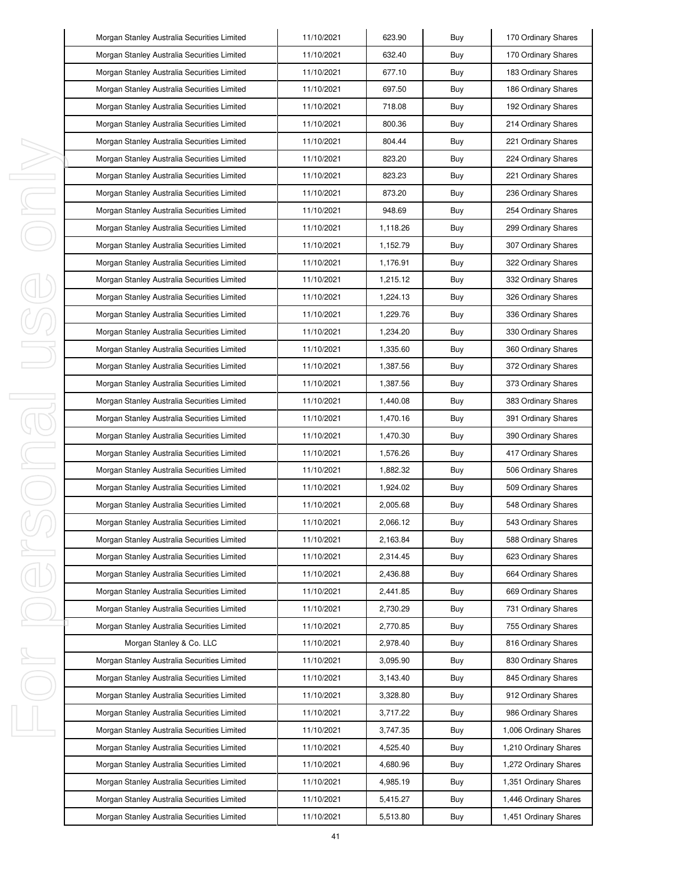|   | Morgan Stanley Australia Securities Limited | 11/10/2021 | 623.90   | Buy | 170 Ordinary Shares   |
|---|---------------------------------------------|------------|----------|-----|-----------------------|
|   | Morgan Stanley Australia Securities Limited | 11/10/2021 | 632.40   | Buy | 170 Ordinary Shares   |
|   | Morgan Stanley Australia Securities Limited | 11/10/2021 | 677.10   | Buy | 183 Ordinary Shares   |
|   | Morgan Stanley Australia Securities Limited | 11/10/2021 | 697.50   | Buy | 186 Ordinary Shares   |
|   | Morgan Stanley Australia Securities Limited | 11/10/2021 | 718.08   | Buy | 192 Ordinary Shares   |
|   | Morgan Stanley Australia Securities Limited | 11/10/2021 | 800.36   | Buy | 214 Ordinary Shares   |
|   | Morgan Stanley Australia Securities Limited | 11/10/2021 | 804.44   | Buy | 221 Ordinary Shares   |
|   | Morgan Stanley Australia Securities Limited | 11/10/2021 | 823.20   | Buy | 224 Ordinary Shares   |
|   | Morgan Stanley Australia Securities Limited | 11/10/2021 | 823.23   | Buy | 221 Ordinary Shares   |
|   | Morgan Stanley Australia Securities Limited | 11/10/2021 | 873.20   | Buy | 236 Ordinary Shares   |
|   | Morgan Stanley Australia Securities Limited | 11/10/2021 | 948.69   | Buy | 254 Ordinary Shares   |
|   | Morgan Stanley Australia Securities Limited | 11/10/2021 | 1,118.26 | Buy | 299 Ordinary Shares   |
|   | Morgan Stanley Australia Securities Limited | 11/10/2021 | 1,152.79 | Buy | 307 Ordinary Shares   |
|   | Morgan Stanley Australia Securities Limited | 11/10/2021 | 1,176.91 | Buy | 322 Ordinary Shares   |
|   | Morgan Stanley Australia Securities Limited | 11/10/2021 | 1,215.12 | Buy | 332 Ordinary Shares   |
|   | Morgan Stanley Australia Securities Limited | 11/10/2021 | 1,224.13 | Buy | 326 Ordinary Shares   |
|   | Morgan Stanley Australia Securities Limited | 11/10/2021 | 1,229.76 | Buy | 336 Ordinary Shares   |
|   | Morgan Stanley Australia Securities Limited | 11/10/2021 | 1,234.20 | Buy | 330 Ordinary Shares   |
|   | Morgan Stanley Australia Securities Limited | 11/10/2021 | 1,335.60 | Buy | 360 Ordinary Shares   |
|   | Morgan Stanley Australia Securities Limited | 11/10/2021 | 1,387.56 | Buy | 372 Ordinary Shares   |
|   | Morgan Stanley Australia Securities Limited | 11/10/2021 | 1,387.56 | Buy | 373 Ordinary Shares   |
|   | Morgan Stanley Australia Securities Limited | 11/10/2021 | 1,440.08 | Buy | 383 Ordinary Shares   |
|   | Morgan Stanley Australia Securities Limited | 11/10/2021 | 1,470.16 | Buy | 391 Ordinary Shares   |
|   | Morgan Stanley Australia Securities Limited | 11/10/2021 | 1,470.30 | Buy | 390 Ordinary Shares   |
| J | Morgan Stanley Australia Securities Limited | 11/10/2021 | 1,576.26 | Buy | 417 Ordinary Shares   |
|   | Morgan Stanley Australia Securities Limited | 11/10/2021 | 1,882.32 | Buy | 506 Ordinary Shares   |
|   | Morgan Stanley Australia Securities Limited | 11/10/2021 | 1,924.02 | Buy | 509 Ordinary Shares   |
|   | Morgan Stanley Australia Securities Limited | 11/10/2021 | 2,005.68 | Buy | 548 Ordinary Shares   |
|   | Morgan Stanley Australia Securities Limited | 11/10/2021 | 2,066.12 | Buy | 543 Ordinary Shares   |
|   | Morgan Stanley Australia Securities Limited | 11/10/2021 | 2,163.84 | Buy | 588 Ordinary Shares   |
| J | Morgan Stanley Australia Securities Limited | 11/10/2021 | 2,314.45 | Buy | 623 Ordinary Shares   |
|   | Morgan Stanley Australia Securities Limited | 11/10/2021 | 2,436.88 | Buy | 664 Ordinary Shares   |
|   | Morgan Stanley Australia Securities Limited | 11/10/2021 | 2,441.85 | Buy | 669 Ordinary Shares   |
|   | Morgan Stanley Australia Securities Limited | 11/10/2021 | 2,730.29 | Buy | 731 Ordinary Shares   |
|   | Morgan Stanley Australia Securities Limited | 11/10/2021 | 2,770.85 | Buy | 755 Ordinary Shares   |
|   | Morgan Stanley & Co. LLC                    | 11/10/2021 | 2,978.40 | Buy | 816 Ordinary Shares   |
| ı | Morgan Stanley Australia Securities Limited | 11/10/2021 | 3,095.90 | Buy | 830 Ordinary Shares   |
|   | Morgan Stanley Australia Securities Limited | 11/10/2021 | 3,143.40 | Buy | 845 Ordinary Shares   |
|   | Morgan Stanley Australia Securities Limited | 11/10/2021 | 3,328.80 | Buy | 912 Ordinary Shares   |
|   | Morgan Stanley Australia Securities Limited | 11/10/2021 | 3,717.22 | Buy | 986 Ordinary Shares   |
|   | Morgan Stanley Australia Securities Limited | 11/10/2021 | 3,747.35 | Buy | 1,006 Ordinary Shares |
|   | Morgan Stanley Australia Securities Limited | 11/10/2021 | 4,525.40 | Buy | 1,210 Ordinary Shares |
|   | Morgan Stanley Australia Securities Limited | 11/10/2021 | 4,680.96 | Buy | 1,272 Ordinary Shares |
|   | Morgan Stanley Australia Securities Limited | 11/10/2021 | 4,985.19 | Buy | 1,351 Ordinary Shares |
|   | Morgan Stanley Australia Securities Limited | 11/10/2021 | 5,415.27 | Buy | 1,446 Ordinary Shares |
|   | Morgan Stanley Australia Securities Limited | 11/10/2021 | 5,513.80 | Buy | 1,451 Ordinary Shares |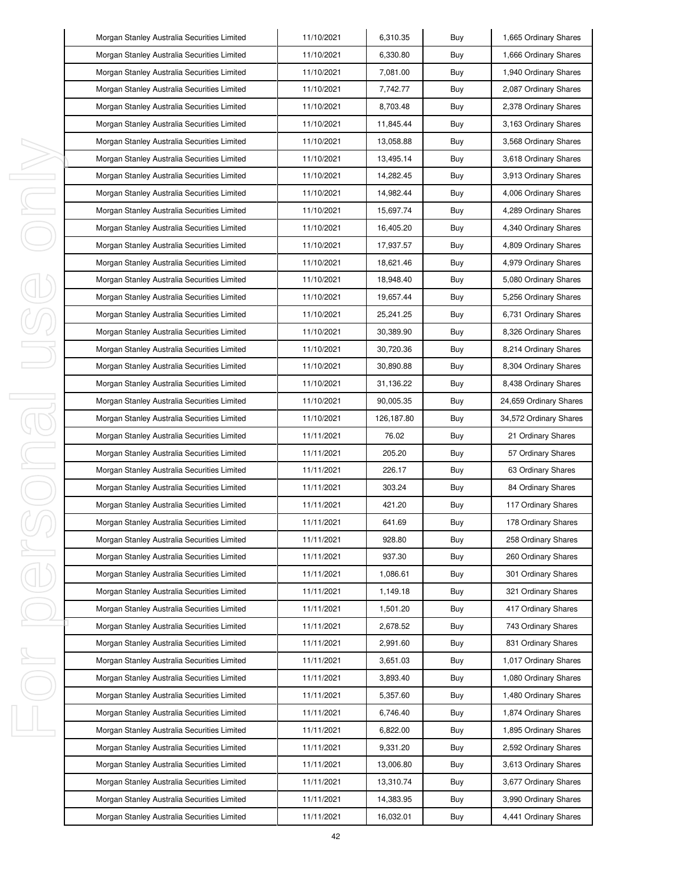|         | Morgan Stanley Australia Securities Limited | 11/10/2021 | 6,310.35    | Buy | 1,665 Ordinary Shares  |
|---------|---------------------------------------------|------------|-------------|-----|------------------------|
|         | Morgan Stanley Australia Securities Limited | 11/10/2021 | 6,330.80    | Buy | 1,666 Ordinary Shares  |
|         | Morgan Stanley Australia Securities Limited | 11/10/2021 | 7,081.00    | Buy | 1,940 Ordinary Shares  |
|         | Morgan Stanley Australia Securities Limited | 11/10/2021 | 7,742.77    | Buy | 2,087 Ordinary Shares  |
|         | Morgan Stanley Australia Securities Limited | 11/10/2021 | 8,703.48    | Buy | 2,378 Ordinary Shares  |
|         | Morgan Stanley Australia Securities Limited | 11/10/2021 | 11,845.44   | Buy | 3,163 Ordinary Shares  |
|         | Morgan Stanley Australia Securities Limited | 11/10/2021 | 13,058.88   | Buy | 3,568 Ordinary Shares  |
|         | Morgan Stanley Australia Securities Limited | 11/10/2021 | 13,495.14   | Buy | 3,618 Ordinary Shares  |
| I,      | Morgan Stanley Australia Securities Limited | 11/10/2021 | 14,282.45   | Buy | 3,913 Ordinary Shares  |
| J,      | Morgan Stanley Australia Securities Limited | 11/10/2021 | 14,982.44   | Buy | 4,006 Ordinary Shares  |
| I,      | Morgan Stanley Australia Securities Limited | 11/10/2021 | 15,697.74   | Buy | 4,289 Ordinary Shares  |
|         | Morgan Stanley Australia Securities Limited | 11/10/2021 | 16,405.20   | Buy | 4,340 Ordinary Shares  |
|         | Morgan Stanley Australia Securities Limited | 11/10/2021 | 17,937.57   | Buy | 4,809 Ordinary Shares  |
|         | Morgan Stanley Australia Securities Limited | 11/10/2021 | 18,621.46   | Buy | 4,979 Ordinary Shares  |
|         | Morgan Stanley Australia Securities Limited | 11/10/2021 | 18,948.40   | Buy | 5,080 Ordinary Shares  |
|         | Morgan Stanley Australia Securities Limited | 11/10/2021 | 19,657.44   | Buy | 5,256 Ordinary Shares  |
|         | Morgan Stanley Australia Securities Limited | 11/10/2021 | 25, 241. 25 | Buy | 6,731 Ordinary Shares  |
|         | Morgan Stanley Australia Securities Limited | 11/10/2021 | 30.389.90   | Buy | 8,326 Ordinary Shares  |
|         | Morgan Stanley Australia Securities Limited | 11/10/2021 | 30,720.36   | Buy | 8,214 Ordinary Shares  |
|         | Morgan Stanley Australia Securities Limited | 11/10/2021 | 30,890.88   | Buy | 8,304 Ordinary Shares  |
|         | Morgan Stanley Australia Securities Limited | 11/10/2021 | 31,136.22   | Buy | 8,438 Ordinary Shares  |
| I<br>J. | Morgan Stanley Australia Securities Limited | 11/10/2021 | 90,005.35   | Buy | 24,659 Ordinary Shares |
|         | Morgan Stanley Australia Securities Limited | 11/10/2021 | 126,187.80  | Buy | 34,572 Ordinary Shares |
|         | Morgan Stanley Australia Securities Limited | 11/11/2021 | 76.02       | Buy | 21 Ordinary Shares     |
| I       | Morgan Stanley Australia Securities Limited | 11/11/2021 | 205.20      | Buy | 57 Ordinary Shares     |
|         | Morgan Stanley Australia Securities Limited | 11/11/2021 | 226.17      | Buy | 63 Ordinary Shares     |
|         | Morgan Stanley Australia Securities Limited | 11/11/2021 | 303.24      | Buy | 84 Ordinary Shares     |
|         | Morgan Stanley Australia Securities Limited | 11/11/2021 | 421.20      | Buy | 117 Ordinary Shares    |
|         | Morgan Stanley Australia Securities Limited | 11/11/2021 | 641.69      | Buy | 178 Ordinary Shares    |
|         | Morgan Stanley Australia Securities Limited | 11/11/2021 | 928.80      | Buy | 258 Ordinary Shares    |
| I       | Morgan Stanley Australia Securities Limited | 11/11/2021 | 937.30      | Buy | 260 Ordinary Shares    |
|         | Morgan Stanley Australia Securities Limited | 11/11/2021 | 1,086.61    | Buy | 301 Ordinary Shares    |
|         | Morgan Stanley Australia Securities Limited | 11/11/2021 | 1,149.18    | Buy | 321 Ordinary Shares    |
|         | Morgan Stanley Australia Securities Limited | 11/11/2021 | 1,501.20    | Buy | 417 Ordinary Shares    |
|         | Morgan Stanley Australia Securities Limited | 11/11/2021 | 2,678.52    | Buy | 743 Ordinary Shares    |
|         | Morgan Stanley Australia Securities Limited | 11/11/2021 | 2,991.60    | Buy | 831 Ordinary Shares    |
| I,      | Morgan Stanley Australia Securities Limited | 11/11/2021 | 3,651.03    | Buy | 1,017 Ordinary Shares  |
|         | Morgan Stanley Australia Securities Limited | 11/11/2021 | 3,893.40    | Buy | 1,080 Ordinary Shares  |
|         | Morgan Stanley Australia Securities Limited | 11/11/2021 | 5,357.60    | Buy | 1,480 Ordinary Shares  |
|         | Morgan Stanley Australia Securities Limited | 11/11/2021 | 6,746.40    | Buy | 1,874 Ordinary Shares  |
| I,      | Morgan Stanley Australia Securities Limited | 11/11/2021 | 6,822.00    | Buy | 1,895 Ordinary Shares  |
|         | Morgan Stanley Australia Securities Limited | 11/11/2021 | 9,331.20    | Buy | 2,592 Ordinary Shares  |
|         | Morgan Stanley Australia Securities Limited | 11/11/2021 | 13,006.80   | Buy | 3,613 Ordinary Shares  |
|         | Morgan Stanley Australia Securities Limited | 11/11/2021 | 13,310.74   | Buy | 3,677 Ordinary Shares  |
|         |                                             |            |             |     |                        |
|         | Morgan Stanley Australia Securities Limited | 11/11/2021 | 14,383.95   | Buy | 3,990 Ordinary Shares  |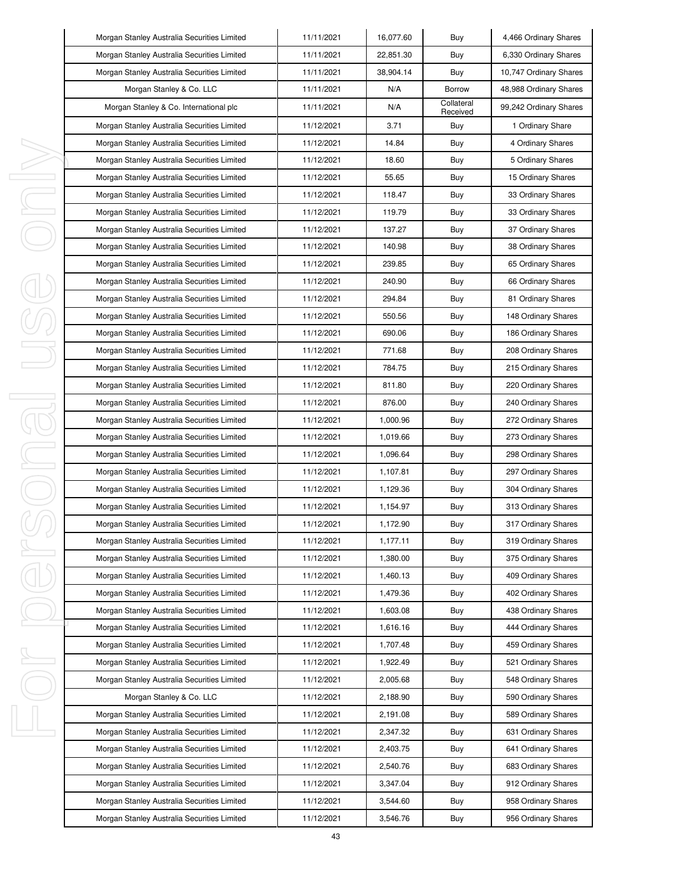|        | Morgan Stanley Australia Securities Limited | 11/11/2021 | 16,077.60 | Buy                    | 4,466 Ordinary Shares  |
|--------|---------------------------------------------|------------|-----------|------------------------|------------------------|
|        | Morgan Stanley Australia Securities Limited | 11/11/2021 | 22,851.30 | Buy                    | 6,330 Ordinary Shares  |
|        | Morgan Stanley Australia Securities Limited | 11/11/2021 | 38,904.14 | Buy                    | 10,747 Ordinary Shares |
|        | Morgan Stanley & Co. LLC                    | 11/11/2021 | N/A       | <b>Borrow</b>          | 48,988 Ordinary Shares |
|        | Morgan Stanley & Co. International plc      | 11/11/2021 | N/A       | Collateral<br>Received | 99,242 Ordinary Shares |
|        | Morgan Stanley Australia Securities Limited | 11/12/2021 | 3.71      | Buy                    | 1 Ordinary Share       |
|        | Morgan Stanley Australia Securities Limited | 11/12/2021 | 14.84     | Buy                    | 4 Ordinary Shares      |
|        | Morgan Stanley Australia Securities Limited | 11/12/2021 | 18.60     | Buy                    | 5 Ordinary Shares      |
| I      | Morgan Stanley Australia Securities Limited | 11/12/2021 | 55.65     | Buy                    | 15 Ordinary Shares     |
| J      | Morgan Stanley Australia Securities Limited | 11/12/2021 | 118.47    | Buy                    | 33 Ordinary Shares     |
| I      | Morgan Stanley Australia Securities Limited | 11/12/2021 | 119.79    | Buy                    | 33 Ordinary Shares     |
|        | Morgan Stanley Australia Securities Limited | 11/12/2021 | 137.27    | Buy                    | 37 Ordinary Shares     |
|        | Morgan Stanley Australia Securities Limited | 11/12/2021 | 140.98    | Buy                    | 38 Ordinary Shares     |
|        | Morgan Stanley Australia Securities Limited | 11/12/2021 | 239.85    | Buy                    | 65 Ordinary Shares     |
|        | Morgan Stanley Australia Securities Limited | 11/12/2021 | 240.90    | Buy                    | 66 Ordinary Shares     |
|        | Morgan Stanley Australia Securities Limited | 11/12/2021 | 294.84    | Buy                    | 81 Ordinary Shares     |
|        | Morgan Stanley Australia Securities Limited | 11/12/2021 | 550.56    | Buy                    | 148 Ordinary Shares    |
|        | Morgan Stanley Australia Securities Limited | 11/12/2021 | 690.06    | Buy                    | 186 Ordinary Shares    |
|        | Morgan Stanley Australia Securities Limited | 11/12/2021 | 771.68    | Buy                    | 208 Ordinary Shares    |
|        | Morgan Stanley Australia Securities Limited | 11/12/2021 | 784.75    | Buy                    | 215 Ordinary Shares    |
|        | Morgan Stanley Australia Securities Limited | 11/12/2021 | 811.80    | Buy                    | 220 Ordinary Shares    |
| I<br>1 | Morgan Stanley Australia Securities Limited | 11/12/2021 | 876.00    | Buy                    | 240 Ordinary Shares    |
|        | Morgan Stanley Australia Securities Limited | 11/12/2021 | 1,000.96  | Buy                    | 272 Ordinary Shares    |
| J,     | Morgan Stanley Australia Securities Limited | 11/12/2021 | 1,019.66  | Buy                    | 273 Ordinary Shares    |
|        | Morgan Stanley Australia Securities Limited | 11/12/2021 | 1,096.64  | Buy                    | 298 Ordinary Shares    |
|        | Morgan Stanley Australia Securities Limited | 11/12/2021 | 1,107.81  | Buy                    | 297 Ordinary Shares    |
|        | Morgan Stanley Australia Securities Limited | 11/12/2021 | 1,129.36  | Buy                    | 304 Ordinary Shares    |
|        | Morgan Stanley Australia Securities Limited | 11/12/2021 | 1,154.97  | Buy                    | 313 Ordinary Shares    |
|        | Morgan Stanley Australia Securities Limited | 11/12/2021 | 1,172.90  | Buy                    | 317 Ordinary Shares    |
|        | Morgan Stanley Australia Securities Limited | 11/12/2021 | 1,177.11  | Buy                    | 319 Ordinary Shares    |
| I      | Morgan Stanley Australia Securities Limited | 11/12/2021 | 1,380.00  | Buy                    | 375 Ordinary Shares    |
|        | Morgan Stanley Australia Securities Limited | 11/12/2021 | 1,460.13  | Buy                    | 409 Ordinary Shares    |
|        | Morgan Stanley Australia Securities Limited | 11/12/2021 | 1,479.36  | Buy                    | 402 Ordinary Shares    |
|        | Morgan Stanley Australia Securities Limited | 11/12/2021 | 1,603.08  | Buy                    | 438 Ordinary Shares    |
|        | Morgan Stanley Australia Securities Limited | 11/12/2021 | 1,616.16  | Buy                    | 444 Ordinary Shares    |
|        | Morgan Stanley Australia Securities Limited | 11/12/2021 | 1,707.48  | Buy                    | 459 Ordinary Shares    |
| ı      | Morgan Stanley Australia Securities Limited | 11/12/2021 | 1,922.49  | Buy                    | 521 Ordinary Shares    |
|        | Morgan Stanley Australia Securities Limited | 11/12/2021 | 2,005.68  | Buy                    | 548 Ordinary Shares    |
|        | Morgan Stanley & Co. LLC                    | 11/12/2021 | 2,188.90  | Buy                    | 590 Ordinary Shares    |
|        | Morgan Stanley Australia Securities Limited | 11/12/2021 | 2,191.08  | Buy                    | 589 Ordinary Shares    |
| I      | Morgan Stanley Australia Securities Limited | 11/12/2021 | 2,347.32  | Buy                    | 631 Ordinary Shares    |
|        | Morgan Stanley Australia Securities Limited | 11/12/2021 | 2,403.75  | Buy                    | 641 Ordinary Shares    |
|        | Morgan Stanley Australia Securities Limited | 11/12/2021 | 2,540.76  | Buy                    | 683 Ordinary Shares    |
|        | Morgan Stanley Australia Securities Limited | 11/12/2021 | 3,347.04  | Buy                    | 912 Ordinary Shares    |
|        | Morgan Stanley Australia Securities Limited | 11/12/2021 | 3,544.60  | Buy                    | 958 Ordinary Shares    |
|        | Morgan Stanley Australia Securities Limited | 11/12/2021 | 3,546.76  | Buy                    | 956 Ordinary Shares    |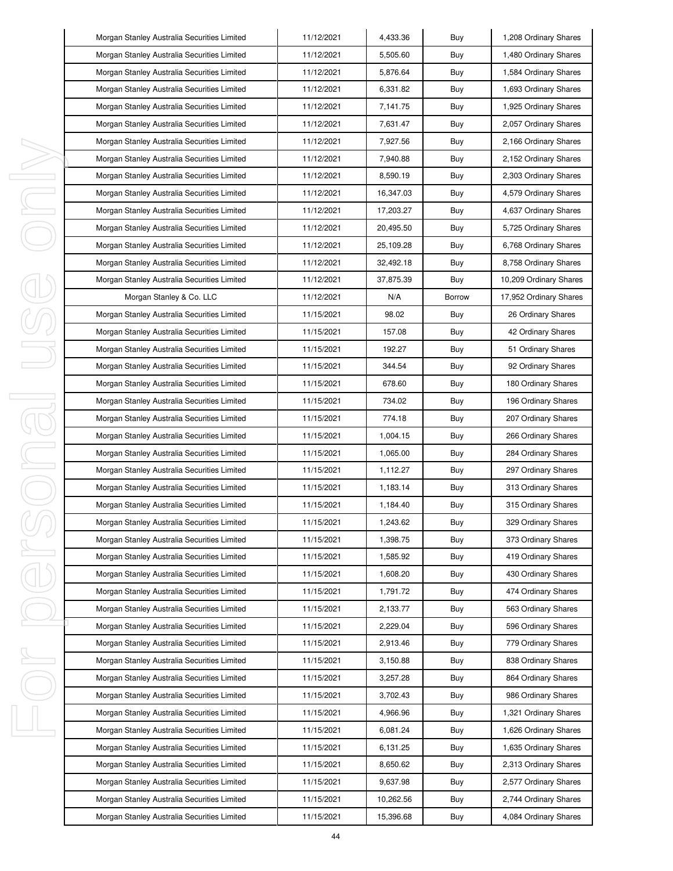| Morgan Stanley Australia Securities Limited | 11/12/2021 | 4,433.36  | Buy           | 1,208 Ordinary Shares  |
|---------------------------------------------|------------|-----------|---------------|------------------------|
| Morgan Stanley Australia Securities Limited | 11/12/2021 | 5,505.60  | Buy           | 1,480 Ordinary Shares  |
| Morgan Stanley Australia Securities Limited | 11/12/2021 | 5,876.64  | Buy           | 1,584 Ordinary Shares  |
| Morgan Stanley Australia Securities Limited | 11/12/2021 | 6.331.82  | Buy           | 1,693 Ordinary Shares  |
| Morgan Stanley Australia Securities Limited | 11/12/2021 | 7,141.75  | Buy           | 1,925 Ordinary Shares  |
| Morgan Stanley Australia Securities Limited | 11/12/2021 | 7,631.47  | Buy           | 2,057 Ordinary Shares  |
| Morgan Stanley Australia Securities Limited | 11/12/2021 | 7,927.56  | Buy           | 2,166 Ordinary Shares  |
| Morgan Stanley Australia Securities Limited | 11/12/2021 | 7,940.88  | Buy           | 2,152 Ordinary Shares  |
| Morgan Stanley Australia Securities Limited | 11/12/2021 | 8,590.19  | Buy           | 2,303 Ordinary Shares  |
| Morgan Stanley Australia Securities Limited | 11/12/2021 | 16,347.03 | Buy           | 4,579 Ordinary Shares  |
| Morgan Stanley Australia Securities Limited | 11/12/2021 | 17,203.27 | Buy           | 4,637 Ordinary Shares  |
| Morgan Stanley Australia Securities Limited | 11/12/2021 | 20,495.50 | Buy           | 5,725 Ordinary Shares  |
| Morgan Stanley Australia Securities Limited | 11/12/2021 | 25,109.28 | Buy           | 6,768 Ordinary Shares  |
| Morgan Stanley Australia Securities Limited | 11/12/2021 | 32,492.18 | Buy           | 8,758 Ordinary Shares  |
| Morgan Stanley Australia Securities Limited | 11/12/2021 | 37,875.39 | Buy           | 10,209 Ordinary Shares |
| Morgan Stanley & Co. LLC                    | 11/12/2021 | N/A       | <b>Borrow</b> | 17,952 Ordinary Shares |
| Morgan Stanley Australia Securities Limited | 11/15/2021 | 98.02     | Buy           | 26 Ordinary Shares     |
| Morgan Stanley Australia Securities Limited | 11/15/2021 | 157.08    | Buy           | 42 Ordinary Shares     |
| Morgan Stanley Australia Securities Limited | 11/15/2021 | 192.27    | Buy           | 51 Ordinary Shares     |
| Morgan Stanley Australia Securities Limited | 11/15/2021 | 344.54    | Buy           | 92 Ordinary Shares     |
| Morgan Stanley Australia Securities Limited | 11/15/2021 | 678.60    | Buy           | 180 Ordinary Shares    |
| Morgan Stanley Australia Securities Limited | 11/15/2021 | 734.02    | Buy           | 196 Ordinary Shares    |
| Morgan Stanley Australia Securities Limited | 11/15/2021 | 774.18    | Buy           | 207 Ordinary Shares    |
| Morgan Stanley Australia Securities Limited | 11/15/2021 | 1,004.15  | Buy           | 266 Ordinary Shares    |
| Morgan Stanley Australia Securities Limited | 11/15/2021 | 1,065.00  | Buy           | 284 Ordinary Shares    |
| Morgan Stanley Australia Securities Limited | 11/15/2021 | 1,112.27  | Buy           | 297 Ordinary Shares    |
| Morgan Stanley Australia Securities Limited | 11/15/2021 | 1,183.14  | Buy           | 313 Ordinary Shares    |
| Morgan Stanley Australia Securities Limited | 11/15/2021 | 1,184.40  | Buy           | 315 Ordinary Shares    |
| Morgan Stanley Australia Securities Limited | 11/15/2021 | 1,243.62  | Buy           | 329 Ordinary Shares    |
| Morgan Stanley Australia Securities Limited | 11/15/2021 | 1,398.75  | Buy           | 373 Ordinary Shares    |
| Morgan Stanley Australia Securities Limited | 11/15/2021 | 1,585.92  | Buy           | 419 Ordinary Shares    |
| Morgan Stanley Australia Securities Limited | 11/15/2021 | 1,608.20  | Buy           | 430 Ordinary Shares    |
| Morgan Stanley Australia Securities Limited | 11/15/2021 | 1,791.72  | Buy           | 474 Ordinary Shares    |
| Morgan Stanley Australia Securities Limited | 11/15/2021 | 2,133.77  | Buy           | 563 Ordinary Shares    |
| Morgan Stanley Australia Securities Limited | 11/15/2021 | 2,229.04  | Buy           | 596 Ordinary Shares    |
| Morgan Stanley Australia Securities Limited | 11/15/2021 | 2,913.46  | Buy           | 779 Ordinary Shares    |
| Morgan Stanley Australia Securities Limited | 11/15/2021 | 3,150.88  | Buy           | 838 Ordinary Shares    |
| Morgan Stanley Australia Securities Limited | 11/15/2021 | 3,257.28  | Buy           | 864 Ordinary Shares    |
| Morgan Stanley Australia Securities Limited | 11/15/2021 | 3,702.43  | Buy           | 986 Ordinary Shares    |
| Morgan Stanley Australia Securities Limited | 11/15/2021 | 4,966.96  | Buy           | 1,321 Ordinary Shares  |
| Morgan Stanley Australia Securities Limited | 11/15/2021 | 6,081.24  | Buy           | 1,626 Ordinary Shares  |
| Morgan Stanley Australia Securities Limited | 11/15/2021 | 6,131.25  | Buy           | 1,635 Ordinary Shares  |
| Morgan Stanley Australia Securities Limited | 11/15/2021 | 8,650.62  | Buy           | 2,313 Ordinary Shares  |
| Morgan Stanley Australia Securities Limited | 11/15/2021 | 9,637.98  | Buy           | 2,577 Ordinary Shares  |
| Morgan Stanley Australia Securities Limited | 11/15/2021 | 10,262.56 | Buy           | 2,744 Ordinary Shares  |
| Morgan Stanley Australia Securities Limited | 11/15/2021 | 15,396.68 | Buy           | 4,084 Ordinary Shares  |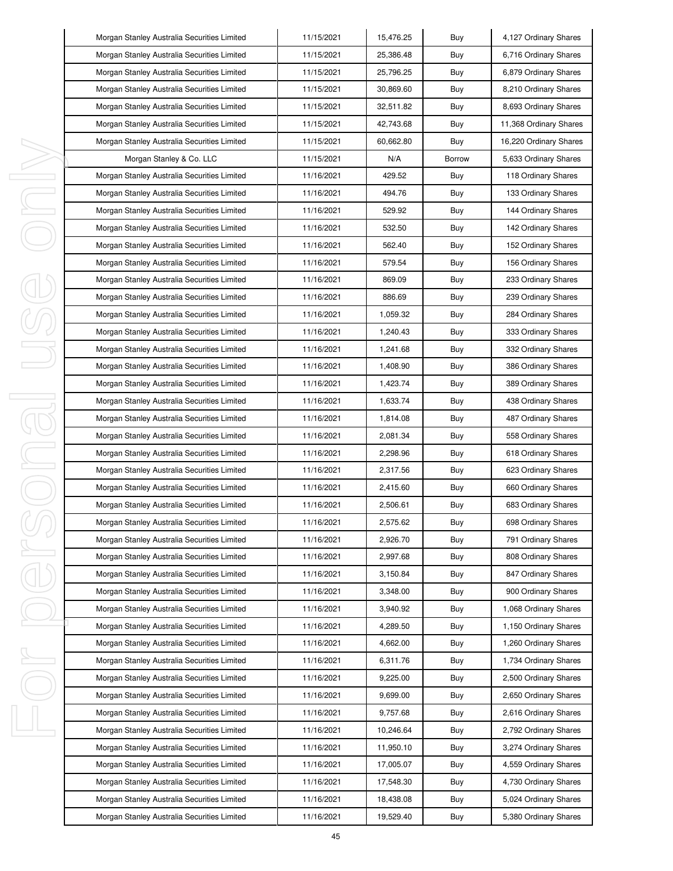|   | Morgan Stanley Australia Securities Limited | 11/15/2021 | 15,476.25 | Buy           | 4,127 Ordinary Shares  |
|---|---------------------------------------------|------------|-----------|---------------|------------------------|
|   | Morgan Stanley Australia Securities Limited | 11/15/2021 | 25,386.48 | Buy           | 6,716 Ordinary Shares  |
|   | Morgan Stanley Australia Securities Limited | 11/15/2021 | 25,796.25 | Buy           | 6,879 Ordinary Shares  |
|   | Morgan Stanley Australia Securities Limited | 11/15/2021 | 30,869.60 | Buy           | 8,210 Ordinary Shares  |
|   | Morgan Stanley Australia Securities Limited | 11/15/2021 | 32,511.82 | Buy           | 8,693 Ordinary Shares  |
|   | Morgan Stanley Australia Securities Limited | 11/15/2021 | 42,743.68 | Buy           | 11,368 Ordinary Shares |
|   | Morgan Stanley Australia Securities Limited | 11/15/2021 | 60,662.80 | Buy           | 16,220 Ordinary Shares |
|   | Morgan Stanley & Co. LLC                    | 11/15/2021 | N/A       | <b>Borrow</b> | 5,633 Ordinary Shares  |
|   | Morgan Stanley Australia Securities Limited | 11/16/2021 | 429.52    | Buy           | 118 Ordinary Shares    |
|   | Morgan Stanley Australia Securities Limited | 11/16/2021 | 494.76    | Buy           | 133 Ordinary Shares    |
|   | Morgan Stanley Australia Securities Limited | 11/16/2021 | 529.92    | Buy           | 144 Ordinary Shares    |
|   | Morgan Stanley Australia Securities Limited | 11/16/2021 | 532.50    | Buy           | 142 Ordinary Shares    |
|   | Morgan Stanley Australia Securities Limited | 11/16/2021 | 562.40    | Buy           | 152 Ordinary Shares    |
|   | Morgan Stanley Australia Securities Limited | 11/16/2021 | 579.54    | Buy           | 156 Ordinary Shares    |
|   | Morgan Stanley Australia Securities Limited | 11/16/2021 | 869.09    | Buy           | 233 Ordinary Shares    |
|   | Morgan Stanley Australia Securities Limited | 11/16/2021 | 886.69    | Buy           | 239 Ordinary Shares    |
|   | Morgan Stanley Australia Securities Limited | 11/16/2021 | 1,059.32  | Buy           | 284 Ordinary Shares    |
|   | Morgan Stanley Australia Securities Limited | 11/16/2021 | 1,240.43  | Buy           | 333 Ordinary Shares    |
|   | Morgan Stanley Australia Securities Limited | 11/16/2021 | 1,241.68  | Buy           | 332 Ordinary Shares    |
|   | Morgan Stanley Australia Securities Limited | 11/16/2021 | 1,408.90  | Buy           | 386 Ordinary Shares    |
|   | Morgan Stanley Australia Securities Limited | 11/16/2021 | 1,423.74  | Buy           | 389 Ordinary Shares    |
|   | Morgan Stanley Australia Securities Limited | 11/16/2021 | 1,633.74  | Buy           | 438 Ordinary Shares    |
| ₹ | Morgan Stanley Australia Securities Limited | 11/16/2021 | 1,814.08  | Buy           | 487 Ordinary Shares    |
|   | Morgan Stanley Australia Securities Limited | 11/16/2021 | 2,081.34  | Buy           | 558 Ordinary Shares    |
|   | Morgan Stanley Australia Securities Limited | 11/16/2021 | 2,298.96  | Buy           | 618 Ordinary Shares    |
|   | Morgan Stanley Australia Securities Limited | 11/16/2021 | 2,317.56  | Buy           | 623 Ordinary Shares    |
|   | Morgan Stanley Australia Securities Limited | 11/16/2021 | 2,415.60  | Buy           | 660 Ordinary Shares    |
|   | Morgan Stanley Australia Securities Limited | 11/16/2021 | 2,506.61  | Buy           | 683 Ordinary Shares    |
|   | Morgan Stanley Australia Securities Limited | 11/16/2021 | 2,575.62  | Buy           | 698 Ordinary Shares    |
|   | Morgan Stanley Australia Securities Limited | 11/16/2021 | 2,926.70  | Buy           | 791 Ordinary Shares    |
|   | Morgan Stanley Australia Securities Limited | 11/16/2021 | 2,997.68  | Buy           | 808 Ordinary Shares    |
|   | Morgan Stanley Australia Securities Limited | 11/16/2021 | 3,150.84  | Buy           | 847 Ordinary Shares    |
|   | Morgan Stanley Australia Securities Limited | 11/16/2021 | 3,348.00  | Buy           | 900 Ordinary Shares    |
|   | Morgan Stanley Australia Securities Limited | 11/16/2021 | 3,940.92  | Buy           | 1,068 Ordinary Shares  |
|   | Morgan Stanley Australia Securities Limited | 11/16/2021 | 4,289.50  | Buy           | 1,150 Ordinary Shares  |
|   | Morgan Stanley Australia Securities Limited | 11/16/2021 | 4,662.00  | Buy           | 1,260 Ordinary Shares  |
|   | Morgan Stanley Australia Securities Limited | 11/16/2021 | 6,311.76  | Buy           | 1,734 Ordinary Shares  |
|   | Morgan Stanley Australia Securities Limited | 11/16/2021 | 9,225.00  | Buy           | 2,500 Ordinary Shares  |
|   | Morgan Stanley Australia Securities Limited | 11/16/2021 | 9,699.00  | Buy           | 2,650 Ordinary Shares  |
|   | Morgan Stanley Australia Securities Limited | 11/16/2021 | 9,757.68  | Buy           | 2,616 Ordinary Shares  |
|   | Morgan Stanley Australia Securities Limited | 11/16/2021 | 10,246.64 | Buy           | 2,792 Ordinary Shares  |
|   | Morgan Stanley Australia Securities Limited | 11/16/2021 | 11,950.10 | Buy           | 3,274 Ordinary Shares  |
|   | Morgan Stanley Australia Securities Limited | 11/16/2021 | 17,005.07 | Buy           | 4,559 Ordinary Shares  |
|   | Morgan Stanley Australia Securities Limited | 11/16/2021 | 17,548.30 | Buy           | 4,730 Ordinary Shares  |
|   | Morgan Stanley Australia Securities Limited | 11/16/2021 | 18,438.08 | Buy           | 5,024 Ordinary Shares  |
|   | Morgan Stanley Australia Securities Limited | 11/16/2021 | 19,529.40 | Buy           | 5,380 Ordinary Shares  |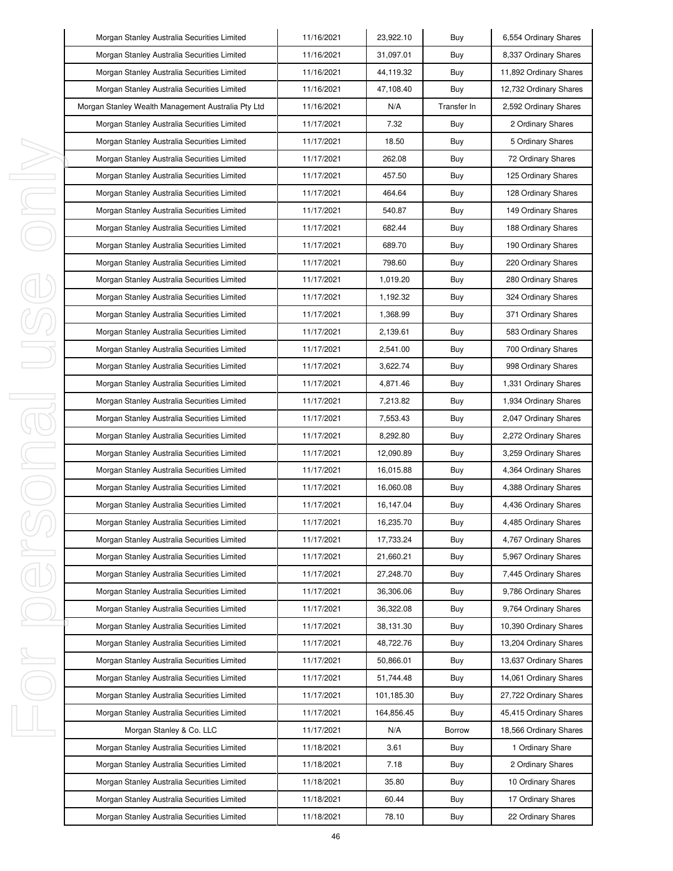| Morgan Stanley Australia Securities Limited        | 11/16/2021 | 23,922.10  | Buy         | 6,554 Ordinary Shares  |
|----------------------------------------------------|------------|------------|-------------|------------------------|
| Morgan Stanley Australia Securities Limited        | 11/16/2021 | 31,097.01  | Buy         | 8,337 Ordinary Shares  |
| Morgan Stanley Australia Securities Limited        | 11/16/2021 | 44,119.32  | Buy         | 11,892 Ordinary Shares |
| Morgan Stanley Australia Securities Limited        | 11/16/2021 | 47,108.40  | Buy         | 12,732 Ordinary Shares |
| Morgan Stanley Wealth Management Australia Pty Ltd | 11/16/2021 | N/A        | Transfer In | 2,592 Ordinary Shares  |
| Morgan Stanley Australia Securities Limited        | 11/17/2021 | 7.32       | Buy         | 2 Ordinary Shares      |
| Morgan Stanley Australia Securities Limited        | 11/17/2021 | 18.50      | Buy         | 5 Ordinary Shares      |
| Morgan Stanley Australia Securities Limited        | 11/17/2021 | 262.08     | Buy         | 72 Ordinary Shares     |
| Morgan Stanley Australia Securities Limited        | 11/17/2021 | 457.50     | Buy         | 125 Ordinary Shares    |
| Morgan Stanley Australia Securities Limited        | 11/17/2021 | 464.64     | Buy         | 128 Ordinary Shares    |
| Morgan Stanley Australia Securities Limited        | 11/17/2021 | 540.87     | Buy         | 149 Ordinary Shares    |
| Morgan Stanley Australia Securities Limited        | 11/17/2021 | 682.44     | Buy         | 188 Ordinary Shares    |
| Morgan Stanley Australia Securities Limited        | 11/17/2021 | 689.70     | Buy         | 190 Ordinary Shares    |
| Morgan Stanley Australia Securities Limited        | 11/17/2021 | 798.60     | Buy         | 220 Ordinary Shares    |
| Morgan Stanley Australia Securities Limited        | 11/17/2021 | 1,019.20   | Buy         | 280 Ordinary Shares    |
| Morgan Stanley Australia Securities Limited        | 11/17/2021 | 1,192.32   | Buy         | 324 Ordinary Shares    |
| Morgan Stanley Australia Securities Limited        | 11/17/2021 | 1,368.99   | Buy         | 371 Ordinary Shares    |
| Morgan Stanley Australia Securities Limited        | 11/17/2021 | 2,139.61   | Buy         | 583 Ordinary Shares    |
| Morgan Stanley Australia Securities Limited        | 11/17/2021 | 2,541.00   | Buy         | 700 Ordinary Shares    |
| Morgan Stanley Australia Securities Limited        | 11/17/2021 | 3,622.74   | Buy         | 998 Ordinary Shares    |
| Morgan Stanley Australia Securities Limited        | 11/17/2021 | 4,871.46   | Buy         | 1,331 Ordinary Shares  |
| Morgan Stanley Australia Securities Limited        | 11/17/2021 | 7,213.82   | Buy         | 1,934 Ordinary Shares  |
| Morgan Stanley Australia Securities Limited        | 11/17/2021 | 7,553.43   | Buy         | 2,047 Ordinary Shares  |
| Morgan Stanley Australia Securities Limited        | 11/17/2021 | 8,292.80   | Buy         | 2,272 Ordinary Shares  |
| Morgan Stanley Australia Securities Limited        | 11/17/2021 | 12,090.89  | Buy         | 3,259 Ordinary Shares  |
| Morgan Stanley Australia Securities Limited        | 11/17/2021 | 16,015.88  | Buy         | 4,364 Ordinary Shares  |
| Morgan Stanley Australia Securities Limited        | 11/17/2021 | 16,060.08  | Buy         | 4,388 Ordinary Shares  |
| Morgan Stanley Australia Securities Limited        | 11/17/2021 | 16,147.04  | Buy         | 4,436 Ordinary Shares  |
| Morgan Stanley Australia Securities Limited        | 11/17/2021 | 16,235.70  | Buy         | 4,485 Ordinary Shares  |
| Morgan Stanley Australia Securities Limited        | 11/17/2021 | 17,733.24  | Buy         | 4,767 Ordinary Shares  |
| Morgan Stanley Australia Securities Limited        | 11/17/2021 | 21,660.21  | Buy         | 5,967 Ordinary Shares  |
| Morgan Stanley Australia Securities Limited        | 11/17/2021 | 27,248.70  | Buy         | 7,445 Ordinary Shares  |
| Morgan Stanley Australia Securities Limited        | 11/17/2021 | 36,306.06  | Buy         | 9,786 Ordinary Shares  |
| Morgan Stanley Australia Securities Limited        | 11/17/2021 | 36,322.08  | Buy         | 9,764 Ordinary Shares  |
| Morgan Stanley Australia Securities Limited        | 11/17/2021 | 38,131.30  | Buy         | 10,390 Ordinary Shares |
| Morgan Stanley Australia Securities Limited        | 11/17/2021 | 48,722.76  | Buy         | 13,204 Ordinary Shares |
| Morgan Stanley Australia Securities Limited        | 11/17/2021 | 50,866.01  | Buy         | 13,637 Ordinary Shares |
| Morgan Stanley Australia Securities Limited        | 11/17/2021 | 51,744.48  | Buy         | 14,061 Ordinary Shares |
| Morgan Stanley Australia Securities Limited        | 11/17/2021 | 101,185.30 | Buy         | 27,722 Ordinary Shares |
| Morgan Stanley Australia Securities Limited        | 11/17/2021 | 164,856.45 | Buy         | 45,415 Ordinary Shares |
| Morgan Stanley & Co. LLC                           | 11/17/2021 | N/A        | Borrow      | 18,566 Ordinary Shares |
| Morgan Stanley Australia Securities Limited        | 11/18/2021 | 3.61       | Buy         | 1 Ordinary Share       |
| Morgan Stanley Australia Securities Limited        | 11/18/2021 | 7.18       | Buy         | 2 Ordinary Shares      |
| Morgan Stanley Australia Securities Limited        | 11/18/2021 | 35.80      | Buy         | 10 Ordinary Shares     |
| Morgan Stanley Australia Securities Limited        | 11/18/2021 | 60.44      | Buy         | 17 Ordinary Shares     |
| Morgan Stanley Australia Securities Limited        | 11/18/2021 | 78.10      | Buy         | 22 Ordinary Shares     |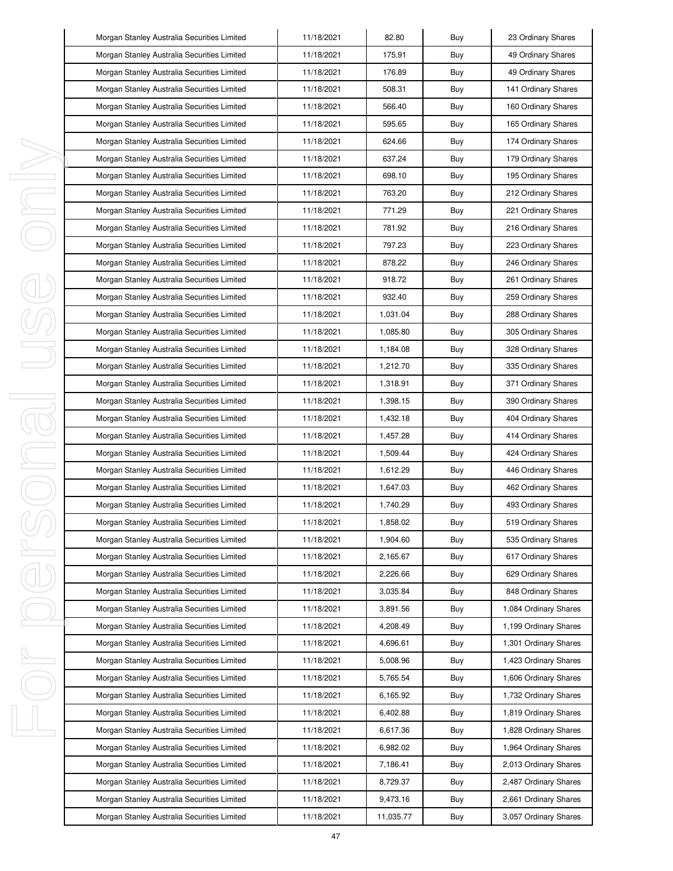|    | Morgan Stanley Australia Securities Limited | 11/18/2021 | 82.80     | Buy | 23 Ordinary Shares    |
|----|---------------------------------------------|------------|-----------|-----|-----------------------|
|    | Morgan Stanley Australia Securities Limited | 11/18/2021 | 175.91    | Buy | 49 Ordinary Shares    |
|    | Morgan Stanley Australia Securities Limited | 11/18/2021 | 176.89    | Buy | 49 Ordinary Shares    |
|    | Morgan Stanley Australia Securities Limited | 11/18/2021 | 508.31    | Buy | 141 Ordinary Shares   |
|    | Morgan Stanley Australia Securities Limited | 11/18/2021 | 566.40    | Buy | 160 Ordinary Shares   |
|    | Morgan Stanley Australia Securities Limited | 11/18/2021 | 595.65    | Buy | 165 Ordinary Shares   |
|    | Morgan Stanley Australia Securities Limited | 11/18/2021 | 624.66    | Buy | 174 Ordinary Shares   |
|    | Morgan Stanley Australia Securities Limited | 11/18/2021 | 637.24    | Buy | 179 Ordinary Shares   |
| ı  | Morgan Stanley Australia Securities Limited | 11/18/2021 | 698.10    | Buy | 195 Ordinary Shares   |
| J, | Morgan Stanley Australia Securities Limited | 11/18/2021 | 763.20    | Buy | 212 Ordinary Shares   |
| I, | Morgan Stanley Australia Securities Limited | 11/18/2021 | 771.29    | Buy | 221 Ordinary Shares   |
|    | Morgan Stanley Australia Securities Limited | 11/18/2021 | 781.92    | Buy | 216 Ordinary Shares   |
|    | Morgan Stanley Australia Securities Limited | 11/18/2021 | 797.23    | Buy | 223 Ordinary Shares   |
|    | Morgan Stanley Australia Securities Limited | 11/18/2021 | 878.22    | Buy | 246 Ordinary Shares   |
|    | Morgan Stanley Australia Securities Limited | 11/18/2021 | 918.72    | Buy | 261 Ordinary Shares   |
|    | Morgan Stanley Australia Securities Limited | 11/18/2021 | 932.40    | Buy | 259 Ordinary Shares   |
|    | Morgan Stanley Australia Securities Limited | 11/18/2021 | 1,031.04  | Buy | 288 Ordinary Shares   |
|    | Morgan Stanley Australia Securities Limited | 11/18/2021 | 1.085.80  | Buy | 305 Ordinary Shares   |
|    | Morgan Stanley Australia Securities Limited | 11/18/2021 | 1,184.08  | Buy | 328 Ordinary Shares   |
|    | Morgan Stanley Australia Securities Limited | 11/18/2021 | 1,212.70  | Buy | 335 Ordinary Shares   |
|    | Morgan Stanley Australia Securities Limited | 11/18/2021 | 1,318.91  | Buy | 371 Ordinary Shares   |
| I  | Morgan Stanley Australia Securities Limited | 11/18/2021 | 1,398.15  | Buy | 390 Ordinary Shares   |
| 1  | Morgan Stanley Australia Securities Limited | 11/18/2021 | 1,432.18  | Buy | 404 Ordinary Shares   |
|    | Morgan Stanley Australia Securities Limited | 11/18/2021 | 1,457.28  | Buy | 414 Ordinary Shares   |
| I  | Morgan Stanley Australia Securities Limited | 11/18/2021 | 1,509.44  | Buy | 424 Ordinary Shares   |
|    | Morgan Stanley Australia Securities Limited | 11/18/2021 | 1,612.29  | Buy | 446 Ordinary Shares   |
|    | Morgan Stanley Australia Securities Limited | 11/18/2021 | 1,647.03  | Buy | 462 Ordinary Shares   |
|    | Morgan Stanley Australia Securities Limited | 11/18/2021 | 1,740.29  | Buy | 493 Ordinary Shares   |
|    | Morgan Stanley Australia Securities Limited | 11/18/2021 | 1,858.02  | Buy | 519 Ordinary Shares   |
|    | Morgan Stanley Australia Securities Limited | 11/18/2021 | 1,904.60  | Buy | 535 Ordinary Shares   |
| I  | Morgan Stanley Australia Securities Limited | 11/18/2021 | 2,165.67  | Buy | 617 Ordinary Shares   |
|    | Morgan Stanley Australia Securities Limited | 11/18/2021 | 2,226.66  | Buy | 629 Ordinary Shares   |
|    | Morgan Stanley Australia Securities Limited | 11/18/2021 | 3,035.84  | Buy | 848 Ordinary Shares   |
|    | Morgan Stanley Australia Securities Limited | 11/18/2021 | 3,891.56  | Buy | 1,084 Ordinary Shares |
|    | Morgan Stanley Australia Securities Limited | 11/18/2021 | 4,208.49  | Buy | 1,199 Ordinary Shares |
|    | Morgan Stanley Australia Securities Limited | 11/18/2021 | 4,696.61  | Buy | 1,301 Ordinary Shares |
| I, | Morgan Stanley Australia Securities Limited | 11/18/2021 | 5,008.96  | Buy | 1,423 Ordinary Shares |
|    | Morgan Stanley Australia Securities Limited | 11/18/2021 | 5,765.54  | Buy | 1,606 Ordinary Shares |
|    | Morgan Stanley Australia Securities Limited | 11/18/2021 | 6,165.92  | Buy | 1,732 Ordinary Shares |
|    | Morgan Stanley Australia Securities Limited | 11/18/2021 | 6,402.88  | Buy | 1,819 Ordinary Shares |
| I, | Morgan Stanley Australia Securities Limited | 11/18/2021 | 6,617.36  | Buy | 1,828 Ordinary Shares |
|    | Morgan Stanley Australia Securities Limited | 11/18/2021 | 6,982.02  | Buy | 1,964 Ordinary Shares |
|    | Morgan Stanley Australia Securities Limited | 11/18/2021 | 7,186.41  | Buy | 2,013 Ordinary Shares |
|    | Morgan Stanley Australia Securities Limited | 11/18/2021 | 8,729.37  | Buy | 2,487 Ordinary Shares |
|    | Morgan Stanley Australia Securities Limited | 11/18/2021 | 9,473.16  | Buy | 2,661 Ordinary Shares |
|    | Morgan Stanley Australia Securities Limited | 11/18/2021 | 11,035.77 | Buy | 3,057 Ordinary Shares |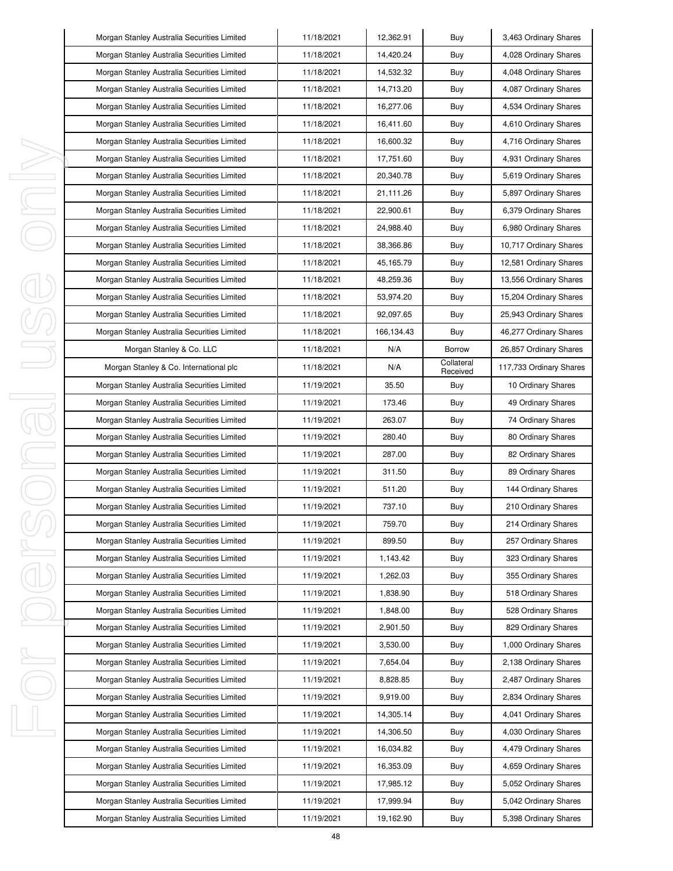| Morgan Stanley Australia Securities Limited | 11/18/2021 | 12,362.91   | Buy                    | 3,463 Ordinary Shares   |
|---------------------------------------------|------------|-------------|------------------------|-------------------------|
| Morgan Stanley Australia Securities Limited | 11/18/2021 | 14,420.24   | Buy                    | 4,028 Ordinary Shares   |
| Morgan Stanley Australia Securities Limited | 11/18/2021 | 14,532.32   | Buy                    | 4,048 Ordinary Shares   |
| Morgan Stanley Australia Securities Limited | 11/18/2021 | 14,713.20   | Buy                    | 4,087 Ordinary Shares   |
| Morgan Stanley Australia Securities Limited | 11/18/2021 | 16,277.06   | Buy                    | 4,534 Ordinary Shares   |
| Morgan Stanley Australia Securities Limited | 11/18/2021 | 16,411.60   | Buy                    | 4,610 Ordinary Shares   |
| Morgan Stanley Australia Securities Limited | 11/18/2021 | 16,600.32   | Buy                    | 4,716 Ordinary Shares   |
| Morgan Stanley Australia Securities Limited | 11/18/2021 | 17,751.60   | Buy                    | 4,931 Ordinary Shares   |
| Morgan Stanley Australia Securities Limited | 11/18/2021 | 20,340.78   | Buy                    | 5,619 Ordinary Shares   |
| Morgan Stanley Australia Securities Limited | 11/18/2021 | 21,111.26   | Buy                    | 5,897 Ordinary Shares   |
| Morgan Stanley Australia Securities Limited | 11/18/2021 | 22,900.61   | Buy                    | 6,379 Ordinary Shares   |
| Morgan Stanley Australia Securities Limited | 11/18/2021 | 24,988.40   | Buy                    | 6,980 Ordinary Shares   |
| Morgan Stanley Australia Securities Limited | 11/18/2021 | 38,366.86   | Buy                    | 10,717 Ordinary Shares  |
| Morgan Stanley Australia Securities Limited | 11/18/2021 | 45, 165. 79 | Buy                    | 12,581 Ordinary Shares  |
| Morgan Stanley Australia Securities Limited | 11/18/2021 | 48,259.36   | Buy                    | 13,556 Ordinary Shares  |
| Morgan Stanley Australia Securities Limited | 11/18/2021 | 53,974.20   | Buy                    | 15,204 Ordinary Shares  |
| Morgan Stanley Australia Securities Limited | 11/18/2021 | 92,097.65   | Buy                    | 25,943 Ordinary Shares  |
| Morgan Stanley Australia Securities Limited | 11/18/2021 | 166,134.43  | Buy                    | 46,277 Ordinary Shares  |
| Morgan Stanley & Co. LLC                    | 11/18/2021 | N/A         | Borrow                 | 26,857 Ordinary Shares  |
| Morgan Stanley & Co. International plc      | 11/18/2021 | N/A         | Collateral<br>Received | 117,733 Ordinary Shares |
| Morgan Stanley Australia Securities Limited | 11/19/2021 | 35.50       | Buy                    | 10 Ordinary Shares      |
| Morgan Stanley Australia Securities Limited | 11/19/2021 | 173.46      | Buy                    | 49 Ordinary Shares      |
| Morgan Stanley Australia Securities Limited | 11/19/2021 | 263.07      | Buy                    | 74 Ordinary Shares      |
| Morgan Stanley Australia Securities Limited | 11/19/2021 | 280.40      | Buy                    | 80 Ordinary Shares      |
| Morgan Stanley Australia Securities Limited | 11/19/2021 | 287.00      | Buy                    | 82 Ordinary Shares      |
| Morgan Stanley Australia Securities Limited | 11/19/2021 | 311.50      | Buy                    | 89 Ordinary Shares      |
| Morgan Stanley Australia Securities Limited | 11/19/2021 | 511.20      | Buy                    | 144 Ordinary Shares     |
| Morgan Stanley Australia Securities Limited | 11/19/2021 | 737.10      | Buy                    | 210 Ordinary Shares     |
| Morgan Stanley Australia Securities Limited | 11/19/2021 | 759.70      | Buy                    | 214 Ordinary Shares     |
| Morgan Stanley Australia Securities Limited | 11/19/2021 | 899.50      | Buy                    | 257 Ordinary Shares     |
| Morgan Stanley Australia Securities Limited | 11/19/2021 | 1,143.42    | Buy                    | 323 Ordinary Shares     |
| Morgan Stanley Australia Securities Limited | 11/19/2021 | 1,262.03    | Buy                    | 355 Ordinary Shares     |
| Morgan Stanley Australia Securities Limited | 11/19/2021 | 1,838.90    | Buy                    | 518 Ordinary Shares     |
| Morgan Stanley Australia Securities Limited | 11/19/2021 | 1,848.00    | Buy                    | 528 Ordinary Shares     |
| Morgan Stanley Australia Securities Limited | 11/19/2021 | 2,901.50    | Buy                    | 829 Ordinary Shares     |
| Morgan Stanley Australia Securities Limited | 11/19/2021 | 3,530.00    | Buy                    | 1,000 Ordinary Shares   |
| Morgan Stanley Australia Securities Limited | 11/19/2021 | 7,654.04    | Buy                    | 2,138 Ordinary Shares   |
| Morgan Stanley Australia Securities Limited | 11/19/2021 | 8,828.85    | Buy                    | 2,487 Ordinary Shares   |
| Morgan Stanley Australia Securities Limited | 11/19/2021 | 9,919.00    | Buy                    | 2,834 Ordinary Shares   |
| Morgan Stanley Australia Securities Limited | 11/19/2021 | 14,305.14   | Buy                    | 4,041 Ordinary Shares   |
| Morgan Stanley Australia Securities Limited | 11/19/2021 | 14,306.50   | Buy                    | 4,030 Ordinary Shares   |
| Morgan Stanley Australia Securities Limited | 11/19/2021 | 16,034.82   | Buy                    | 4,479 Ordinary Shares   |
| Morgan Stanley Australia Securities Limited | 11/19/2021 | 16,353.09   | Buy                    | 4,659 Ordinary Shares   |
| Morgan Stanley Australia Securities Limited | 11/19/2021 | 17,985.12   | Buy                    | 5,052 Ordinary Shares   |
| Morgan Stanley Australia Securities Limited | 11/19/2021 | 17,999.94   | Buy                    | 5,042 Ordinary Shares   |
| Morgan Stanley Australia Securities Limited | 11/19/2021 | 19,162.90   | Buy                    | 5,398 Ordinary Shares   |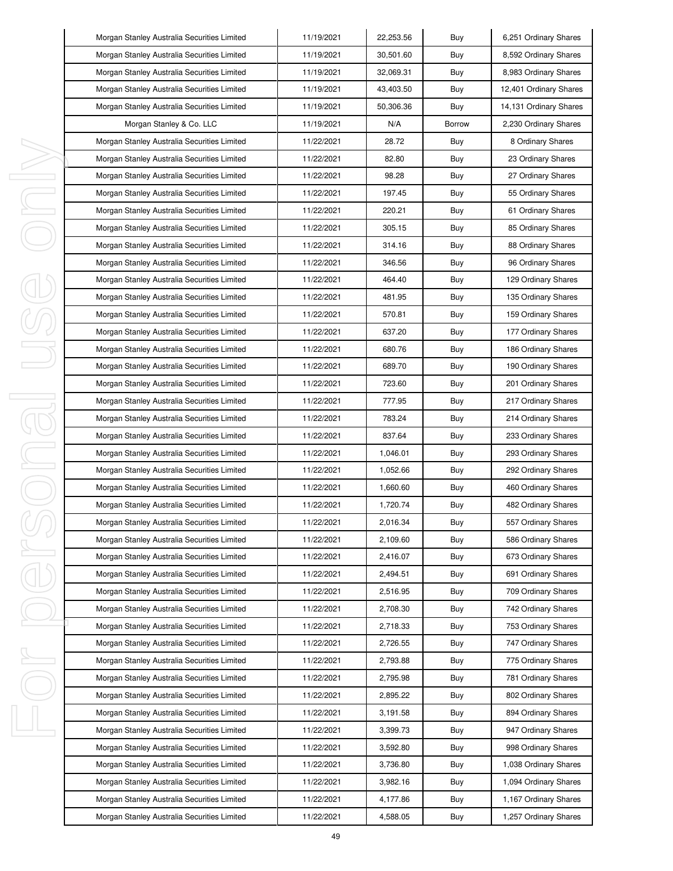|   | Morgan Stanley Australia Securities Limited | 11/19/2021 | 22,253.56 | Buy    | 6,251 Ordinary Shares  |
|---|---------------------------------------------|------------|-----------|--------|------------------------|
|   | Morgan Stanley Australia Securities Limited | 11/19/2021 | 30,501.60 | Buy    | 8,592 Ordinary Shares  |
|   | Morgan Stanley Australia Securities Limited | 11/19/2021 | 32,069.31 | Buy    | 8,983 Ordinary Shares  |
|   | Morgan Stanley Australia Securities Limited | 11/19/2021 | 43,403.50 | Buy    | 12,401 Ordinary Shares |
|   | Morgan Stanley Australia Securities Limited | 11/19/2021 | 50,306.36 | Buy    | 14,131 Ordinary Shares |
|   | Morgan Stanley & Co. LLC                    | 11/19/2021 | N/A       | Borrow | 2,230 Ordinary Shares  |
|   | Morgan Stanley Australia Securities Limited | 11/22/2021 | 28.72     | Buy    | 8 Ordinary Shares      |
|   | Morgan Stanley Australia Securities Limited | 11/22/2021 | 82.80     | Buy    | 23 Ordinary Shares     |
|   | Morgan Stanley Australia Securities Limited | 11/22/2021 | 98.28     | Buy    | 27 Ordinary Shares     |
|   | Morgan Stanley Australia Securities Limited | 11/22/2021 | 197.45    | Buy    | 55 Ordinary Shares     |
|   | Morgan Stanley Australia Securities Limited | 11/22/2021 | 220.21    | Buy    | 61 Ordinary Shares     |
|   | Morgan Stanley Australia Securities Limited | 11/22/2021 | 305.15    | Buy    | 85 Ordinary Shares     |
|   | Morgan Stanley Australia Securities Limited | 11/22/2021 | 314.16    | Buy    | 88 Ordinary Shares     |
|   | Morgan Stanley Australia Securities Limited | 11/22/2021 | 346.56    | Buy    | 96 Ordinary Shares     |
|   | Morgan Stanley Australia Securities Limited | 11/22/2021 | 464.40    | Buy    | 129 Ordinary Shares    |
|   | Morgan Stanley Australia Securities Limited | 11/22/2021 | 481.95    | Buy    | 135 Ordinary Shares    |
|   | Morgan Stanley Australia Securities Limited | 11/22/2021 | 570.81    | Buy    | 159 Ordinary Shares    |
|   | Morgan Stanley Australia Securities Limited | 11/22/2021 | 637.20    | Buy    | 177 Ordinary Shares    |
|   | Morgan Stanley Australia Securities Limited | 11/22/2021 | 680.76    | Buy    | 186 Ordinary Shares    |
|   | Morgan Stanley Australia Securities Limited | 11/22/2021 | 689.70    | Buy    | 190 Ordinary Shares    |
|   | Morgan Stanley Australia Securities Limited | 11/22/2021 | 723.60    | Buy    | 201 Ordinary Shares    |
|   | Morgan Stanley Australia Securities Limited | 11/22/2021 | 777.95    | Buy    | 217 Ordinary Shares    |
|   | Morgan Stanley Australia Securities Limited | 11/22/2021 | 783.24    | Buy    | 214 Ordinary Shares    |
|   | Morgan Stanley Australia Securities Limited | 11/22/2021 | 837.64    | Buy    | 233 Ordinary Shares    |
|   | Morgan Stanley Australia Securities Limited | 11/22/2021 | 1,046.01  | Buy    | 293 Ordinary Shares    |
|   | Morgan Stanley Australia Securities Limited | 11/22/2021 | 1,052.66  | Buy    | 292 Ordinary Shares    |
|   | Morgan Stanley Australia Securities Limited | 11/22/2021 | 1,660.60  | Buy    | 460 Ordinary Shares    |
|   | Morgan Stanley Australia Securities Limited | 11/22/2021 | 1,720.74  | Buy    | 482 Ordinary Shares    |
|   | Morgan Stanley Australia Securities Limited | 11/22/2021 | 2,016.34  | Buy    | 557 Ordinary Shares    |
|   | Morgan Stanley Australia Securities Limited | 11/22/2021 | 2,109.60  | Buy    | 586 Ordinary Shares    |
| I | Morgan Stanley Australia Securities Limited | 11/22/2021 | 2,416.07  | Buy    | 673 Ordinary Shares    |
|   | Morgan Stanley Australia Securities Limited | 11/22/2021 | 2,494.51  | Buy    | 691 Ordinary Shares    |
|   | Morgan Stanley Australia Securities Limited | 11/22/2021 | 2,516.95  | Buy    | 709 Ordinary Shares    |
|   | Morgan Stanley Australia Securities Limited | 11/22/2021 | 2,708.30  | Buy    | 742 Ordinary Shares    |
|   | Morgan Stanley Australia Securities Limited | 11/22/2021 | 2,718.33  | Buy    | 753 Ordinary Shares    |
|   | Morgan Stanley Australia Securities Limited | 11/22/2021 | 2,726.55  | Buy    | 747 Ordinary Shares    |
|   | Morgan Stanley Australia Securities Limited | 11/22/2021 | 2,793.88  | Buy    | 775 Ordinary Shares    |
|   | Morgan Stanley Australia Securities Limited | 11/22/2021 | 2,795.98  | Buy    | 781 Ordinary Shares    |
|   | Morgan Stanley Australia Securities Limited | 11/22/2021 | 2,895.22  | Buy    | 802 Ordinary Shares    |
|   | Morgan Stanley Australia Securities Limited | 11/22/2021 | 3,191.58  | Buy    | 894 Ordinary Shares    |
|   | Morgan Stanley Australia Securities Limited | 11/22/2021 | 3,399.73  | Buy    | 947 Ordinary Shares    |
|   | Morgan Stanley Australia Securities Limited | 11/22/2021 | 3,592.80  | Buy    | 998 Ordinary Shares    |
|   | Morgan Stanley Australia Securities Limited | 11/22/2021 | 3,736.80  | Buy    | 1,038 Ordinary Shares  |
|   | Morgan Stanley Australia Securities Limited | 11/22/2021 | 3,982.16  | Buy    | 1,094 Ordinary Shares  |
|   | Morgan Stanley Australia Securities Limited | 11/22/2021 | 4,177.86  | Buy    | 1,167 Ordinary Shares  |
|   | Morgan Stanley Australia Securities Limited | 11/22/2021 | 4,588.05  | Buy    | 1,257 Ordinary Shares  |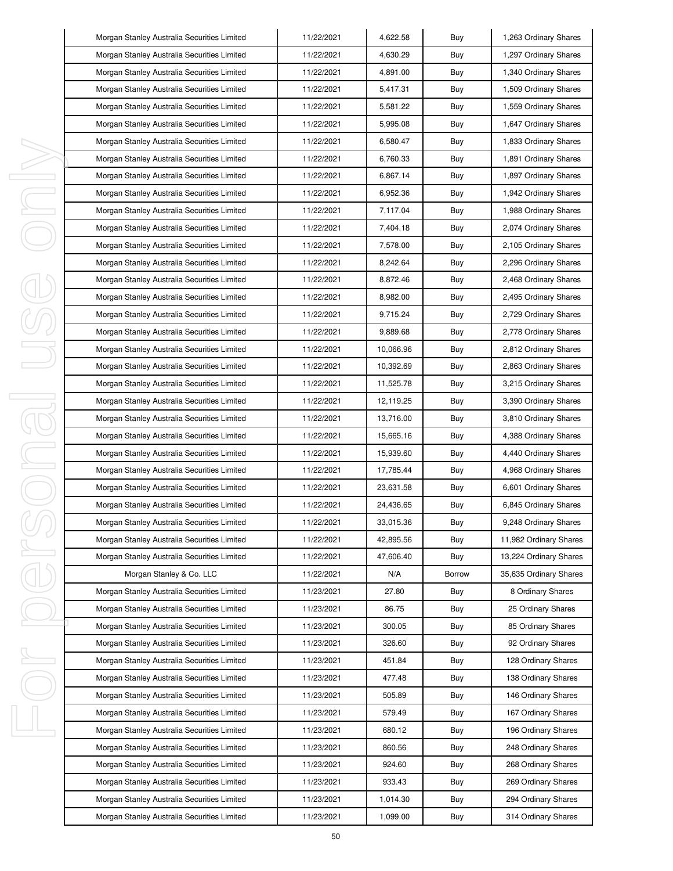|   | Morgan Stanley Australia Securities Limited | 11/22/2021 | 4,622.58  | Buy    | 1,263 Ordinary Shares  |
|---|---------------------------------------------|------------|-----------|--------|------------------------|
|   | Morgan Stanley Australia Securities Limited | 11/22/2021 | 4,630.29  | Buy    | 1,297 Ordinary Shares  |
|   | Morgan Stanley Australia Securities Limited | 11/22/2021 | 4,891.00  | Buy    | 1,340 Ordinary Shares  |
|   | Morgan Stanley Australia Securities Limited | 11/22/2021 | 5,417.31  | Buy    | 1,509 Ordinary Shares  |
|   | Morgan Stanley Australia Securities Limited | 11/22/2021 | 5,581.22  | Buy    | 1,559 Ordinary Shares  |
|   | Morgan Stanley Australia Securities Limited | 11/22/2021 | 5,995.08  | Buy    | 1,647 Ordinary Shares  |
|   | Morgan Stanley Australia Securities Limited | 11/22/2021 | 6,580.47  | Buy    | 1,833 Ordinary Shares  |
|   | Morgan Stanley Australia Securities Limited | 11/22/2021 | 6,760.33  | Buy    | 1,891 Ordinary Shares  |
|   | Morgan Stanley Australia Securities Limited | 11/22/2021 | 6,867.14  | Buy    | 1,897 Ordinary Shares  |
|   | Morgan Stanley Australia Securities Limited | 11/22/2021 | 6,952.36  | Buy    | 1,942 Ordinary Shares  |
|   | Morgan Stanley Australia Securities Limited | 11/22/2021 | 7,117.04  | Buy    | 1,988 Ordinary Shares  |
|   | Morgan Stanley Australia Securities Limited | 11/22/2021 | 7,404.18  | Buy    | 2,074 Ordinary Shares  |
|   | Morgan Stanley Australia Securities Limited | 11/22/2021 | 7,578.00  | Buy    | 2,105 Ordinary Shares  |
|   | Morgan Stanley Australia Securities Limited | 11/22/2021 | 8,242.64  | Buy    | 2,296 Ordinary Shares  |
|   | Morgan Stanley Australia Securities Limited | 11/22/2021 | 8,872.46  | Buy    | 2,468 Ordinary Shares  |
|   | Morgan Stanley Australia Securities Limited | 11/22/2021 | 8,982.00  | Buy    | 2,495 Ordinary Shares  |
|   | Morgan Stanley Australia Securities Limited | 11/22/2021 | 9,715.24  | Buy    | 2,729 Ordinary Shares  |
|   | Morgan Stanley Australia Securities Limited | 11/22/2021 | 9,889.68  | Buy    | 2,778 Ordinary Shares  |
|   | Morgan Stanley Australia Securities Limited | 11/22/2021 | 10,066.96 | Buy    | 2,812 Ordinary Shares  |
|   | Morgan Stanley Australia Securities Limited | 11/22/2021 | 10,392.69 | Buy    | 2,863 Ordinary Shares  |
|   | Morgan Stanley Australia Securities Limited | 11/22/2021 | 11,525.78 | Buy    | 3,215 Ordinary Shares  |
|   | Morgan Stanley Australia Securities Limited | 11/22/2021 | 12,119.25 | Buy    | 3,390 Ordinary Shares  |
|   | Morgan Stanley Australia Securities Limited | 11/22/2021 | 13,716.00 | Buy    | 3,810 Ordinary Shares  |
|   | Morgan Stanley Australia Securities Limited | 11/22/2021 | 15,665.16 | Buy    | 4,388 Ordinary Shares  |
|   | Morgan Stanley Australia Securities Limited | 11/22/2021 | 15,939.60 | Buy    | 4,440 Ordinary Shares  |
|   | Morgan Stanley Australia Securities Limited | 11/22/2021 | 17,785.44 | Buy    | 4,968 Ordinary Shares  |
|   | Morgan Stanley Australia Securities Limited | 11/22/2021 | 23,631.58 | Buy    | 6,601 Ordinary Shares  |
|   | Morgan Stanley Australia Securities Limited | 11/22/2021 | 24,436.65 | Buy    | 6,845 Ordinary Shares  |
|   | Morgan Stanley Australia Securities Limited | 11/22/2021 | 33,015.36 | Buy    | 9,248 Ordinary Shares  |
|   | Morgan Stanley Australia Securities Limited | 11/22/2021 | 42,895.56 | Buy    | 11,982 Ordinary Shares |
| J | Morgan Stanley Australia Securities Limited | 11/22/2021 | 47,606.40 | Buy    | 13,224 Ordinary Shares |
|   | Morgan Stanley & Co. LLC                    | 11/22/2021 | N/A       | Borrow | 35,635 Ordinary Shares |
|   | Morgan Stanley Australia Securities Limited | 11/23/2021 | 27.80     | Buy    | 8 Ordinary Shares      |
|   | Morgan Stanley Australia Securities Limited | 11/23/2021 | 86.75     | Buy    | 25 Ordinary Shares     |
|   | Morgan Stanley Australia Securities Limited | 11/23/2021 | 300.05    | Buy    | 85 Ordinary Shares     |
|   | Morgan Stanley Australia Securities Limited | 11/23/2021 | 326.60    | Buy    | 92 Ordinary Shares     |
| ı | Morgan Stanley Australia Securities Limited | 11/23/2021 | 451.84    | Buy    | 128 Ordinary Shares    |
|   | Morgan Stanley Australia Securities Limited | 11/23/2021 | 477.48    | Buy    | 138 Ordinary Shares    |
|   | Morgan Stanley Australia Securities Limited | 11/23/2021 | 505.89    | Buy    | 146 Ordinary Shares    |
|   | Morgan Stanley Australia Securities Limited | 11/23/2021 | 579.49    | Buy    | 167 Ordinary Shares    |
|   | Morgan Stanley Australia Securities Limited | 11/23/2021 | 680.12    | Buy    | 196 Ordinary Shares    |
|   | Morgan Stanley Australia Securities Limited | 11/23/2021 | 860.56    | Buy    | 248 Ordinary Shares    |
|   | Morgan Stanley Australia Securities Limited | 11/23/2021 | 924.60    | Buy    | 268 Ordinary Shares    |
|   | Morgan Stanley Australia Securities Limited | 11/23/2021 | 933.43    | Buy    | 269 Ordinary Shares    |
|   | Morgan Stanley Australia Securities Limited | 11/23/2021 | 1,014.30  | Buy    | 294 Ordinary Shares    |
|   | Morgan Stanley Australia Securities Limited | 11/23/2021 | 1,099.00  | Buy    | 314 Ordinary Shares    |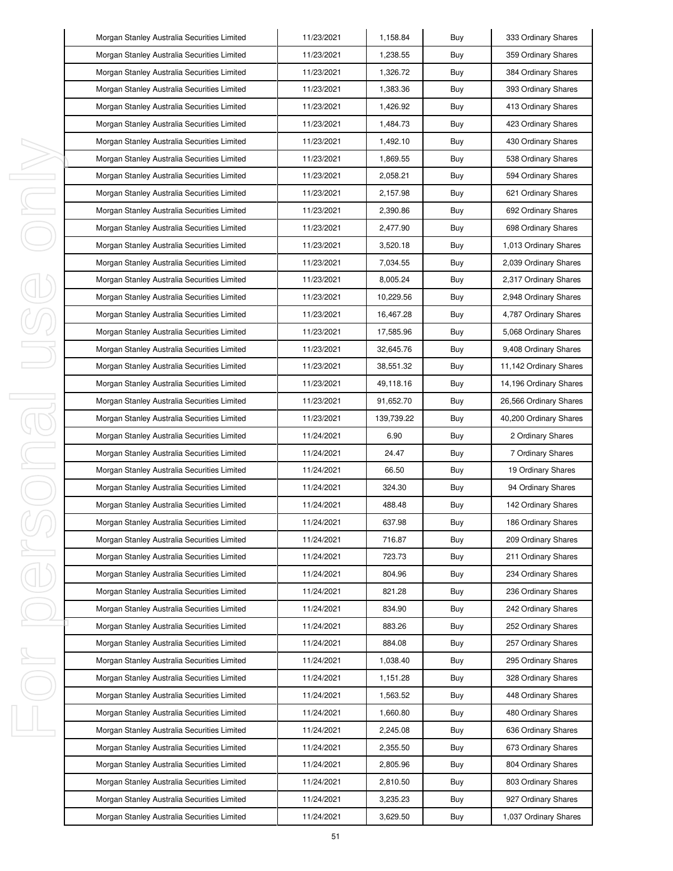|   | Morgan Stanley Australia Securities Limited | 11/23/2021 | 1,158.84   | Buy | 333 Ordinary Shares    |
|---|---------------------------------------------|------------|------------|-----|------------------------|
|   | Morgan Stanley Australia Securities Limited | 11/23/2021 | 1,238.55   | Buy | 359 Ordinary Shares    |
|   | Morgan Stanley Australia Securities Limited | 11/23/2021 | 1,326.72   | Buy | 384 Ordinary Shares    |
|   | Morgan Stanley Australia Securities Limited | 11/23/2021 | 1,383.36   | Buy | 393 Ordinary Shares    |
|   | Morgan Stanley Australia Securities Limited | 11/23/2021 | 1,426.92   | Buy | 413 Ordinary Shares    |
|   | Morgan Stanley Australia Securities Limited | 11/23/2021 | 1,484.73   | Buy | 423 Ordinary Shares    |
|   | Morgan Stanley Australia Securities Limited | 11/23/2021 | 1,492.10   | Buy | 430 Ordinary Shares    |
|   | Morgan Stanley Australia Securities Limited | 11/23/2021 | 1,869.55   | Buy | 538 Ordinary Shares    |
|   | Morgan Stanley Australia Securities Limited | 11/23/2021 | 2,058.21   | Buy | 594 Ordinary Shares    |
|   | Morgan Stanley Australia Securities Limited | 11/23/2021 | 2,157.98   | Buy | 621 Ordinary Shares    |
|   | Morgan Stanley Australia Securities Limited | 11/23/2021 | 2,390.86   | Buy | 692 Ordinary Shares    |
|   | Morgan Stanley Australia Securities Limited | 11/23/2021 | 2,477.90   | Buy | 698 Ordinary Shares    |
|   | Morgan Stanley Australia Securities Limited | 11/23/2021 | 3,520.18   | Buy | 1,013 Ordinary Shares  |
|   | Morgan Stanley Australia Securities Limited | 11/23/2021 | 7,034.55   | Buy | 2,039 Ordinary Shares  |
|   | Morgan Stanley Australia Securities Limited | 11/23/2021 | 8,005.24   | Buy | 2,317 Ordinary Shares  |
|   | Morgan Stanley Australia Securities Limited | 11/23/2021 | 10,229.56  | Buy | 2,948 Ordinary Shares  |
|   | Morgan Stanley Australia Securities Limited | 11/23/2021 | 16,467.28  | Buy | 4,787 Ordinary Shares  |
|   | Morgan Stanley Australia Securities Limited | 11/23/2021 | 17,585.96  | Buy | 5,068 Ordinary Shares  |
|   | Morgan Stanley Australia Securities Limited | 11/23/2021 | 32,645.76  | Buy | 9,408 Ordinary Shares  |
|   | Morgan Stanley Australia Securities Limited | 11/23/2021 | 38,551.32  | Buy | 11,142 Ordinary Shares |
|   | Morgan Stanley Australia Securities Limited | 11/23/2021 | 49,118.16  | Buy | 14,196 Ordinary Shares |
|   | Morgan Stanley Australia Securities Limited | 11/23/2021 | 91,652.70  | Buy | 26,566 Ordinary Shares |
|   | Morgan Stanley Australia Securities Limited | 11/23/2021 | 139,739.22 | Buy | 40,200 Ordinary Shares |
|   | Morgan Stanley Australia Securities Limited | 11/24/2021 | 6.90       | Buy | 2 Ordinary Shares      |
|   | Morgan Stanley Australia Securities Limited | 11/24/2021 | 24.47      | Buy | 7 Ordinary Shares      |
|   | Morgan Stanley Australia Securities Limited | 11/24/2021 | 66.50      | Buy | 19 Ordinary Shares     |
|   | Morgan Stanley Australia Securities Limited | 11/24/2021 | 324.30     | Buy | 94 Ordinary Shares     |
|   | Morgan Stanley Australia Securities Limited | 11/24/2021 | 488.48     | Buy | 142 Ordinary Shares    |
|   | Morgan Stanley Australia Securities Limited | 11/24/2021 | 637.98     | Buy | 186 Ordinary Shares    |
|   | Morgan Stanley Australia Securities Limited | 11/24/2021 | 716.87     | Buy | 209 Ordinary Shares    |
| J | Morgan Stanley Australia Securities Limited | 11/24/2021 | 723.73     | Buy | 211 Ordinary Shares    |
|   | Morgan Stanley Australia Securities Limited | 11/24/2021 | 804.96     | Buy | 234 Ordinary Shares    |
|   | Morgan Stanley Australia Securities Limited | 11/24/2021 | 821.28     | Buy | 236 Ordinary Shares    |
|   | Morgan Stanley Australia Securities Limited | 11/24/2021 | 834.90     | Buy | 242 Ordinary Shares    |
|   | Morgan Stanley Australia Securities Limited | 11/24/2021 | 883.26     | Buy | 252 Ordinary Shares    |
|   | Morgan Stanley Australia Securities Limited | 11/24/2021 | 884.08     | Buy | 257 Ordinary Shares    |
| ı | Morgan Stanley Australia Securities Limited | 11/24/2021 | 1,038.40   | Buy | 295 Ordinary Shares    |
|   | Morgan Stanley Australia Securities Limited | 11/24/2021 | 1,151.28   | Buy | 328 Ordinary Shares    |
|   | Morgan Stanley Australia Securities Limited | 11/24/2021 | 1,563.52   | Buy | 448 Ordinary Shares    |
|   | Morgan Stanley Australia Securities Limited | 11/24/2021 | 1,660.80   | Buy | 480 Ordinary Shares    |
|   | Morgan Stanley Australia Securities Limited | 11/24/2021 | 2,245.08   | Buy | 636 Ordinary Shares    |
|   | Morgan Stanley Australia Securities Limited | 11/24/2021 | 2,355.50   | Buy | 673 Ordinary Shares    |
|   | Morgan Stanley Australia Securities Limited | 11/24/2021 | 2,805.96   | Buy | 804 Ordinary Shares    |
|   | Morgan Stanley Australia Securities Limited | 11/24/2021 | 2,810.50   | Buy | 803 Ordinary Shares    |
|   | Morgan Stanley Australia Securities Limited | 11/24/2021 | 3,235.23   | Buy | 927 Ordinary Shares    |
|   |                                             |            |            |     |                        |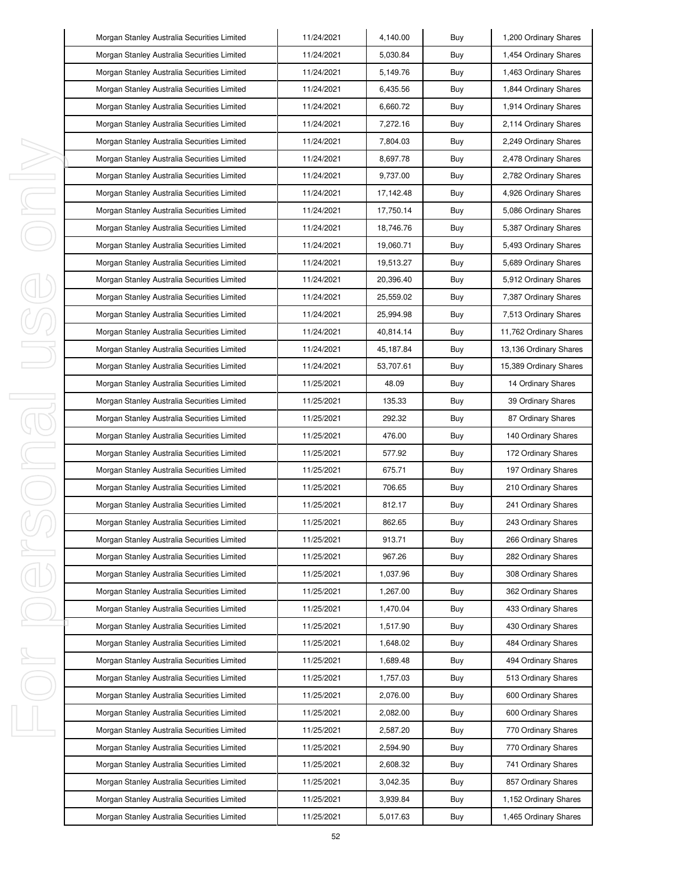| Morgan Stanley Australia Securities Limited | 11/24/2021 | 4,140.00  | Buy | 1,200 Ordinary Shares  |
|---------------------------------------------|------------|-----------|-----|------------------------|
| Morgan Stanley Australia Securities Limited | 11/24/2021 | 5,030.84  | Buy | 1,454 Ordinary Shares  |
| Morgan Stanley Australia Securities Limited | 11/24/2021 | 5,149.76  | Buy | 1,463 Ordinary Shares  |
| Morgan Stanley Australia Securities Limited | 11/24/2021 | 6,435.56  | Buy | 1,844 Ordinary Shares  |
| Morgan Stanley Australia Securities Limited | 11/24/2021 | 6,660.72  | Buy | 1,914 Ordinary Shares  |
| Morgan Stanley Australia Securities Limited | 11/24/2021 | 7,272.16  | Buy | 2,114 Ordinary Shares  |
| Morgan Stanley Australia Securities Limited | 11/24/2021 | 7,804.03  | Buy | 2,249 Ordinary Shares  |
| Morgan Stanley Australia Securities Limited | 11/24/2021 | 8,697.78  | Buy | 2,478 Ordinary Shares  |
| Morgan Stanley Australia Securities Limited | 11/24/2021 | 9,737.00  | Buy | 2,782 Ordinary Shares  |
| Morgan Stanley Australia Securities Limited | 11/24/2021 | 17,142.48 | Buy | 4,926 Ordinary Shares  |
| Morgan Stanley Australia Securities Limited | 11/24/2021 | 17,750.14 | Buy | 5,086 Ordinary Shares  |
| Morgan Stanley Australia Securities Limited | 11/24/2021 | 18,746.76 | Buy | 5,387 Ordinary Shares  |
| Morgan Stanley Australia Securities Limited | 11/24/2021 | 19,060.71 | Buy | 5,493 Ordinary Shares  |
| Morgan Stanley Australia Securities Limited | 11/24/2021 | 19,513.27 | Buy | 5,689 Ordinary Shares  |
| Morgan Stanley Australia Securities Limited | 11/24/2021 | 20,396.40 | Buy | 5,912 Ordinary Shares  |
| Morgan Stanley Australia Securities Limited | 11/24/2021 | 25,559.02 | Buy | 7,387 Ordinary Shares  |
| Morgan Stanley Australia Securities Limited | 11/24/2021 | 25,994.98 | Buy | 7,513 Ordinary Shares  |
| Morgan Stanley Australia Securities Limited | 11/24/2021 | 40,814.14 | Buy | 11,762 Ordinary Shares |
| Morgan Stanley Australia Securities Limited | 11/24/2021 | 45,187.84 | Buy | 13,136 Ordinary Shares |
| Morgan Stanley Australia Securities Limited | 11/24/2021 | 53,707.61 | Buy | 15,389 Ordinary Shares |
| Morgan Stanley Australia Securities Limited | 11/25/2021 | 48.09     | Buy | 14 Ordinary Shares     |
| Morgan Stanley Australia Securities Limited | 11/25/2021 | 135.33    | Buy | 39 Ordinary Shares     |
| Morgan Stanley Australia Securities Limited | 11/25/2021 | 292.32    | Buy | 87 Ordinary Shares     |
| Morgan Stanley Australia Securities Limited | 11/25/2021 | 476.00    | Buy | 140 Ordinary Shares    |
| Morgan Stanley Australia Securities Limited | 11/25/2021 | 577.92    | Buy | 172 Ordinary Shares    |
| Morgan Stanley Australia Securities Limited | 11/25/2021 | 675.71    | Buy | 197 Ordinary Shares    |
| Morgan Stanley Australia Securities Limited | 11/25/2021 | 706.65    | Buy | 210 Ordinary Shares    |
| Morgan Stanley Australia Securities Limited | 11/25/2021 | 812.17    | Buy | 241 Ordinary Shares    |
| Morgan Stanley Australia Securities Limited | 11/25/2021 | 862.65    | Buy | 243 Ordinary Shares    |
| Morgan Stanley Australia Securities Limited | 11/25/2021 | 913.71    | Buy | 266 Ordinary Shares    |
| Morgan Stanley Australia Securities Limited | 11/25/2021 | 967.26    | Buy | 282 Ordinary Shares    |
| Morgan Stanley Australia Securities Limited | 11/25/2021 | 1,037.96  | Buy | 308 Ordinary Shares    |
| Morgan Stanley Australia Securities Limited | 11/25/2021 | 1,267.00  | Buy | 362 Ordinary Shares    |
| Morgan Stanley Australia Securities Limited | 11/25/2021 | 1,470.04  | Buy | 433 Ordinary Shares    |
| Morgan Stanley Australia Securities Limited | 11/25/2021 | 1,517.90  | Buy | 430 Ordinary Shares    |
| Morgan Stanley Australia Securities Limited | 11/25/2021 | 1,648.02  | Buy | 484 Ordinary Shares    |
| Morgan Stanley Australia Securities Limited | 11/25/2021 | 1,689.48  | Buy | 494 Ordinary Shares    |
| Morgan Stanley Australia Securities Limited | 11/25/2021 | 1,757.03  | Buy | 513 Ordinary Shares    |
| Morgan Stanley Australia Securities Limited | 11/25/2021 | 2,076.00  | Buy | 600 Ordinary Shares    |
| Morgan Stanley Australia Securities Limited | 11/25/2021 | 2,082.00  | Buy | 600 Ordinary Shares    |
| Morgan Stanley Australia Securities Limited | 11/25/2021 | 2,587.20  | Buy | 770 Ordinary Shares    |
| Morgan Stanley Australia Securities Limited | 11/25/2021 | 2,594.90  | Buy | 770 Ordinary Shares    |
| Morgan Stanley Australia Securities Limited | 11/25/2021 | 2,608.32  | Buy | 741 Ordinary Shares    |
| Morgan Stanley Australia Securities Limited | 11/25/2021 | 3,042.35  | Buy | 857 Ordinary Shares    |
| Morgan Stanley Australia Securities Limited | 11/25/2021 | 3,939.84  | Buy | 1,152 Ordinary Shares  |
| Morgan Stanley Australia Securities Limited | 11/25/2021 | 5,017.63  | Buy | 1,465 Ordinary Shares  |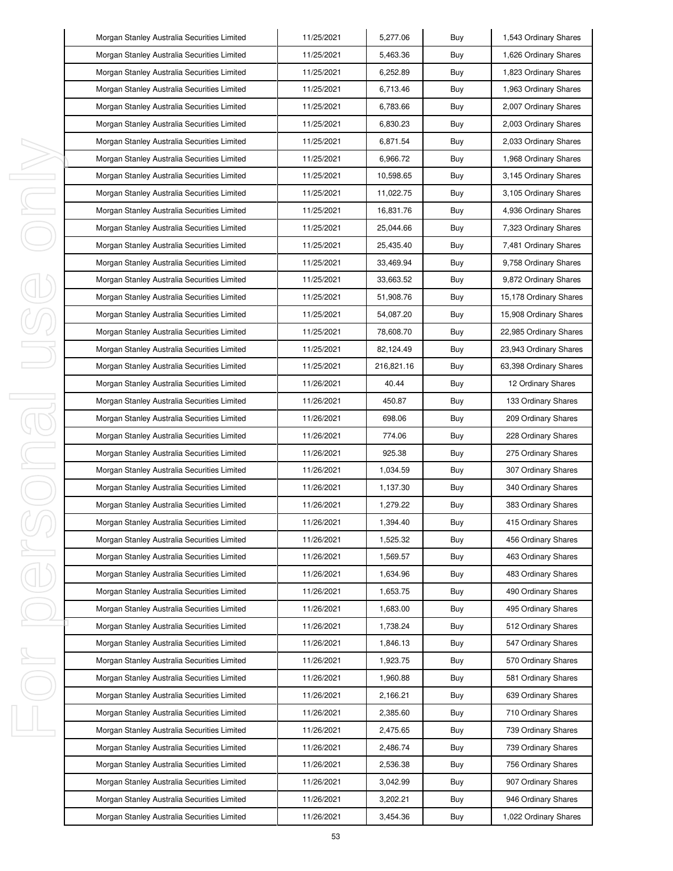| Morgan Stanley Australia Securities Limited | 11/25/2021 | 5,277.06   | Buy | 1,543 Ordinary Shares  |
|---------------------------------------------|------------|------------|-----|------------------------|
| Morgan Stanley Australia Securities Limited | 11/25/2021 | 5,463.36   | Buy | 1,626 Ordinary Shares  |
| Morgan Stanley Australia Securities Limited | 11/25/2021 | 6,252.89   | Buy | 1,823 Ordinary Shares  |
| Morgan Stanley Australia Securities Limited | 11/25/2021 | 6,713.46   | Buy | 1,963 Ordinary Shares  |
| Morgan Stanley Australia Securities Limited | 11/25/2021 | 6,783.66   | Buy | 2,007 Ordinary Shares  |
| Morgan Stanley Australia Securities Limited | 11/25/2021 | 6,830.23   | Buy | 2,003 Ordinary Shares  |
| Morgan Stanley Australia Securities Limited | 11/25/2021 | 6,871.54   | Buy | 2,033 Ordinary Shares  |
| Morgan Stanley Australia Securities Limited | 11/25/2021 | 6.966.72   | Buy | 1,968 Ordinary Shares  |
| Morgan Stanley Australia Securities Limited | 11/25/2021 | 10,598.65  | Buy | 3,145 Ordinary Shares  |
| Morgan Stanley Australia Securities Limited | 11/25/2021 | 11,022.75  | Buy | 3,105 Ordinary Shares  |
| Morgan Stanley Australia Securities Limited | 11/25/2021 | 16,831.76  | Buy | 4,936 Ordinary Shares  |
| Morgan Stanley Australia Securities Limited | 11/25/2021 | 25,044.66  | Buy | 7,323 Ordinary Shares  |
| Morgan Stanley Australia Securities Limited | 11/25/2021 | 25,435.40  | Buy | 7,481 Ordinary Shares  |
| Morgan Stanley Australia Securities Limited | 11/25/2021 | 33,469.94  | Buy | 9,758 Ordinary Shares  |
| Morgan Stanley Australia Securities Limited | 11/25/2021 | 33,663.52  | Buy | 9,872 Ordinary Shares  |
| Morgan Stanley Australia Securities Limited | 11/25/2021 | 51,908.76  | Buy | 15,178 Ordinary Shares |
| Morgan Stanley Australia Securities Limited | 11/25/2021 | 54,087.20  | Buy | 15,908 Ordinary Shares |
| Morgan Stanley Australia Securities Limited | 11/25/2021 | 78,608.70  | Buy | 22,985 Ordinary Shares |
| Morgan Stanley Australia Securities Limited | 11/25/2021 | 82,124.49  | Buy | 23,943 Ordinary Shares |
| Morgan Stanley Australia Securities Limited | 11/25/2021 | 216,821.16 | Buy | 63,398 Ordinary Shares |
| Morgan Stanley Australia Securities Limited | 11/26/2021 | 40.44      | Buy | 12 Ordinary Shares     |
| Morgan Stanley Australia Securities Limited | 11/26/2021 | 450.87     | Buy | 133 Ordinary Shares    |
| Morgan Stanley Australia Securities Limited | 11/26/2021 | 698.06     | Buy | 209 Ordinary Shares    |
| Morgan Stanley Australia Securities Limited | 11/26/2021 | 774.06     | Buy | 228 Ordinary Shares    |
| Morgan Stanley Australia Securities Limited | 11/26/2021 | 925.38     | Buy | 275 Ordinary Shares    |
| Morgan Stanley Australia Securities Limited | 11/26/2021 | 1,034.59   | Buy | 307 Ordinary Shares    |
| Morgan Stanley Australia Securities Limited | 11/26/2021 | 1,137.30   | Buy | 340 Ordinary Shares    |
| Morgan Stanley Australia Securities Limited | 11/26/2021 | 1,279.22   | Buy | 383 Ordinary Shares    |
| Morgan Stanley Australia Securities Limited | 11/26/2021 | 1,394.40   | Buy | 415 Ordinary Shares    |
| Morgan Stanley Australia Securities Limited | 11/26/2021 | 1,525.32   | Buy | 456 Ordinary Shares    |
| Morgan Stanley Australia Securities Limited | 11/26/2021 | 1,569.57   | Buy | 463 Ordinary Shares    |
| Morgan Stanley Australia Securities Limited | 11/26/2021 | 1,634.96   | Buy | 483 Ordinary Shares    |
| Morgan Stanley Australia Securities Limited | 11/26/2021 | 1,653.75   | Buy | 490 Ordinary Shares    |
| Morgan Stanley Australia Securities Limited | 11/26/2021 | 1,683.00   | Buy | 495 Ordinary Shares    |
| Morgan Stanley Australia Securities Limited | 11/26/2021 | 1,738.24   | Buy | 512 Ordinary Shares    |
| Morgan Stanley Australia Securities Limited | 11/26/2021 | 1,846.13   | Buy | 547 Ordinary Shares    |
| Morgan Stanley Australia Securities Limited | 11/26/2021 | 1,923.75   | Buy | 570 Ordinary Shares    |
| Morgan Stanley Australia Securities Limited | 11/26/2021 | 1,960.88   | Buy | 581 Ordinary Shares    |
| Morgan Stanley Australia Securities Limited | 11/26/2021 | 2,166.21   | Buy | 639 Ordinary Shares    |
| Morgan Stanley Australia Securities Limited | 11/26/2021 | 2,385.60   | Buy | 710 Ordinary Shares    |
| Morgan Stanley Australia Securities Limited | 11/26/2021 | 2,475.65   | Buy | 739 Ordinary Shares    |
| Morgan Stanley Australia Securities Limited | 11/26/2021 | 2,486.74   | Buy | 739 Ordinary Shares    |
| Morgan Stanley Australia Securities Limited | 11/26/2021 | 2,536.38   | Buy | 756 Ordinary Shares    |
| Morgan Stanley Australia Securities Limited | 11/26/2021 | 3,042.99   | Buy | 907 Ordinary Shares    |
| Morgan Stanley Australia Securities Limited | 11/26/2021 | 3,202.21   | Buy | 946 Ordinary Shares    |
| Morgan Stanley Australia Securities Limited | 11/26/2021 | 3,454.36   | Buy | 1,022 Ordinary Shares  |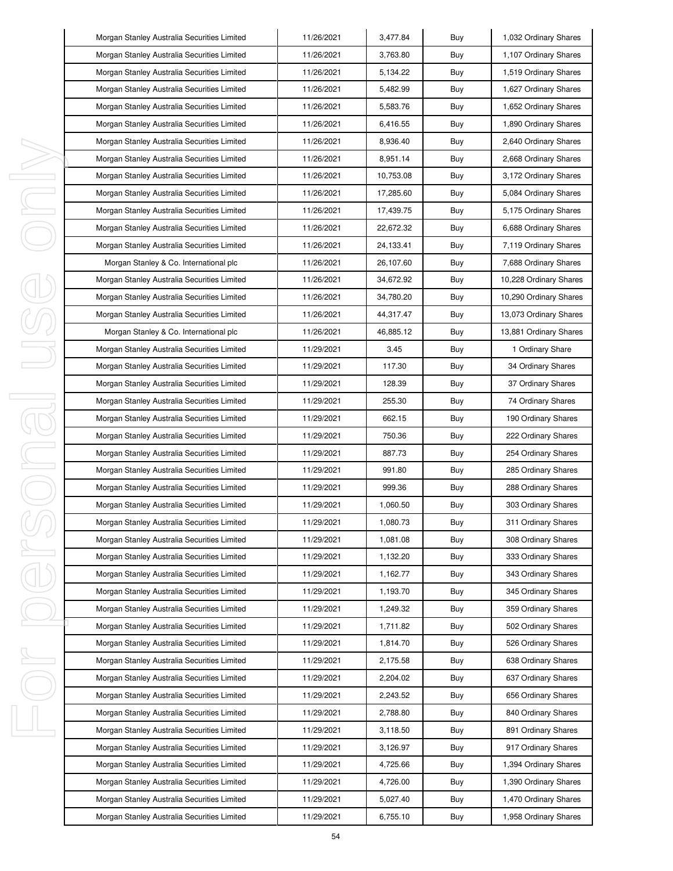| Morgan Stanley Australia Securities Limited | 11/26/2021 | 3,477.84  | Buy | 1,032 Ordinary Shares  |
|---------------------------------------------|------------|-----------|-----|------------------------|
| Morgan Stanley Australia Securities Limited | 11/26/2021 | 3,763.80  | Buy | 1,107 Ordinary Shares  |
| Morgan Stanley Australia Securities Limited | 11/26/2021 | 5,134.22  | Buy | 1,519 Ordinary Shares  |
| Morgan Stanley Australia Securities Limited | 11/26/2021 | 5,482.99  | Buy | 1,627 Ordinary Shares  |
| Morgan Stanley Australia Securities Limited | 11/26/2021 | 5,583.76  | Buy | 1,652 Ordinary Shares  |
| Morgan Stanley Australia Securities Limited | 11/26/2021 | 6,416.55  | Buy | 1,890 Ordinary Shares  |
| Morgan Stanley Australia Securities Limited | 11/26/2021 | 8,936.40  | Buy | 2,640 Ordinary Shares  |
| Morgan Stanley Australia Securities Limited | 11/26/2021 | 8,951.14  | Buy | 2,668 Ordinary Shares  |
| Morgan Stanley Australia Securities Limited | 11/26/2021 | 10,753.08 | Buy | 3,172 Ordinary Shares  |
| Morgan Stanley Australia Securities Limited | 11/26/2021 | 17,285.60 | Buy | 5,084 Ordinary Shares  |
| Morgan Stanley Australia Securities Limited | 11/26/2021 | 17,439.75 | Buy | 5,175 Ordinary Shares  |
| Morgan Stanley Australia Securities Limited | 11/26/2021 | 22,672.32 | Buy | 6,688 Ordinary Shares  |
| Morgan Stanley Australia Securities Limited | 11/26/2021 | 24,133.41 | Buy | 7,119 Ordinary Shares  |
| Morgan Stanley & Co. International plc      | 11/26/2021 | 26,107.60 | Buy | 7,688 Ordinary Shares  |
| Morgan Stanley Australia Securities Limited | 11/26/2021 | 34,672.92 | Buy | 10,228 Ordinary Shares |
| Morgan Stanley Australia Securities Limited | 11/26/2021 | 34,780.20 | Buy | 10,290 Ordinary Shares |
| Morgan Stanley Australia Securities Limited | 11/26/2021 | 44,317.47 | Buy | 13,073 Ordinary Shares |
| Morgan Stanley & Co. International plc      | 11/26/2021 | 46,885.12 | Buy | 13,881 Ordinary Shares |
| Morgan Stanley Australia Securities Limited | 11/29/2021 | 3.45      | Buy | 1 Ordinary Share       |
| Morgan Stanley Australia Securities Limited | 11/29/2021 | 117.30    | Buy | 34 Ordinary Shares     |
| Morgan Stanley Australia Securities Limited | 11/29/2021 | 128.39    | Buy | 37 Ordinary Shares     |
| Morgan Stanley Australia Securities Limited | 11/29/2021 | 255.30    | Buy | 74 Ordinary Shares     |
| Morgan Stanley Australia Securities Limited | 11/29/2021 | 662.15    | Buy | 190 Ordinary Shares    |
| Morgan Stanley Australia Securities Limited | 11/29/2021 | 750.36    | Buy | 222 Ordinary Shares    |
| Morgan Stanley Australia Securities Limited | 11/29/2021 | 887.73    | Buy | 254 Ordinary Shares    |
| Morgan Stanley Australia Securities Limited | 11/29/2021 | 991.80    | Buy | 285 Ordinary Shares    |
| Morgan Stanley Australia Securities Limited | 11/29/2021 | 999.36    | Buy | 288 Ordinary Shares    |
| Morgan Stanley Australia Securities Limited | 11/29/2021 | 1,060.50  | Buy | 303 Ordinary Shares    |
| Morgan Stanley Australia Securities Limited | 11/29/2021 | 1,080.73  | Buy | 311 Ordinary Shares    |
| Morgan Stanley Australia Securities Limited | 11/29/2021 | 1,081.08  | Buy | 308 Ordinary Shares    |
| Morgan Stanley Australia Securities Limited | 11/29/2021 | 1,132.20  | Buy | 333 Ordinary Shares    |
| Morgan Stanley Australia Securities Limited | 11/29/2021 | 1,162.77  | Buy | 343 Ordinary Shares    |
| Morgan Stanley Australia Securities Limited | 11/29/2021 | 1,193.70  | Buy | 345 Ordinary Shares    |
| Morgan Stanley Australia Securities Limited | 11/29/2021 | 1,249.32  | Buy | 359 Ordinary Shares    |
| Morgan Stanley Australia Securities Limited | 11/29/2021 | 1,711.82  | Buy | 502 Ordinary Shares    |
| Morgan Stanley Australia Securities Limited | 11/29/2021 | 1,814.70  | Buy | 526 Ordinary Shares    |
| Morgan Stanley Australia Securities Limited | 11/29/2021 | 2,175.58  | Buy | 638 Ordinary Shares    |
| Morgan Stanley Australia Securities Limited | 11/29/2021 | 2,204.02  | Buy | 637 Ordinary Shares    |
| Morgan Stanley Australia Securities Limited | 11/29/2021 | 2,243.52  | Buy | 656 Ordinary Shares    |
| Morgan Stanley Australia Securities Limited | 11/29/2021 | 2,788.80  | Buy | 840 Ordinary Shares    |
| Morgan Stanley Australia Securities Limited | 11/29/2021 | 3,118.50  | Buy | 891 Ordinary Shares    |
| Morgan Stanley Australia Securities Limited | 11/29/2021 | 3,126.97  | Buy | 917 Ordinary Shares    |
| Morgan Stanley Australia Securities Limited | 11/29/2021 | 4,725.66  | Buy | 1,394 Ordinary Shares  |
| Morgan Stanley Australia Securities Limited | 11/29/2021 | 4,726.00  | Buy | 1,390 Ordinary Shares  |
| Morgan Stanley Australia Securities Limited | 11/29/2021 | 5,027.40  | Buy | 1,470 Ordinary Shares  |
| Morgan Stanley Australia Securities Limited | 11/29/2021 | 6,755.10  | Buy | 1,958 Ordinary Shares  |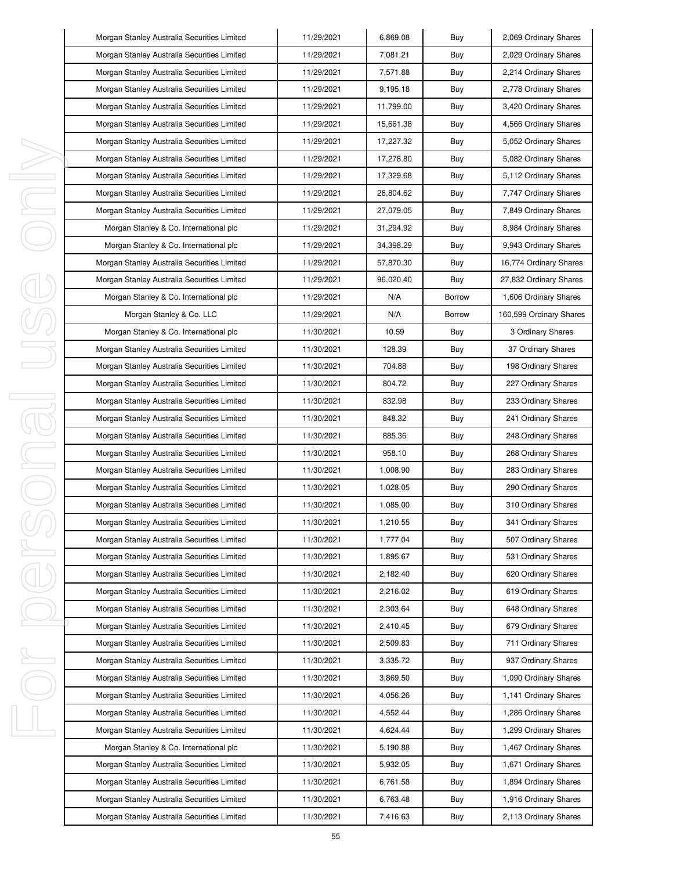| Morgan Stanley Australia Securities Limited | 11/29/2021 | 6,869.08  | Buy           | 2,069 Ordinary Shares   |
|---------------------------------------------|------------|-----------|---------------|-------------------------|
| Morgan Stanley Australia Securities Limited | 11/29/2021 | 7,081.21  | Buy           | 2,029 Ordinary Shares   |
| Morgan Stanley Australia Securities Limited | 11/29/2021 | 7,571.88  | Buy           | 2,214 Ordinary Shares   |
| Morgan Stanley Australia Securities Limited | 11/29/2021 | 9,195.18  | Buy           | 2,778 Ordinary Shares   |
| Morgan Stanley Australia Securities Limited | 11/29/2021 | 11,799.00 | Buy           | 3,420 Ordinary Shares   |
| Morgan Stanley Australia Securities Limited | 11/29/2021 | 15,661.38 | Buy           | 4,566 Ordinary Shares   |
| Morgan Stanley Australia Securities Limited | 11/29/2021 | 17,227.32 | Buy           | 5,052 Ordinary Shares   |
| Morgan Stanley Australia Securities Limited | 11/29/2021 | 17,278.80 | Buy           | 5,082 Ordinary Shares   |
| Morgan Stanley Australia Securities Limited | 11/29/2021 | 17,329.68 | Buy           | 5,112 Ordinary Shares   |
| Morgan Stanley Australia Securities Limited | 11/29/2021 | 26,804.62 | Buy           | 7,747 Ordinary Shares   |
| Morgan Stanley Australia Securities Limited | 11/29/2021 | 27,079.05 | Buy           | 7,849 Ordinary Shares   |
| Morgan Stanley & Co. International plc      | 11/29/2021 | 31,294.92 | Buy           | 8,984 Ordinary Shares   |
| Morgan Stanley & Co. International plc      | 11/29/2021 | 34,398.29 | Buy           | 9,943 Ordinary Shares   |
| Morgan Stanley Australia Securities Limited | 11/29/2021 | 57,870.30 | Buy           | 16,774 Ordinary Shares  |
| Morgan Stanley Australia Securities Limited | 11/29/2021 | 96,020.40 | Buy           | 27,832 Ordinary Shares  |
| Morgan Stanley & Co. International plc      | 11/29/2021 | N/A       | <b>Borrow</b> | 1,606 Ordinary Shares   |
| Morgan Stanley & Co. LLC                    | 11/29/2021 | N/A       | <b>Borrow</b> | 160,599 Ordinary Shares |
| Morgan Stanley & Co. International plc      | 11/30/2021 | 10.59     | Buy           | 3 Ordinary Shares       |
| Morgan Stanley Australia Securities Limited | 11/30/2021 | 128.39    | Buy           | 37 Ordinary Shares      |
| Morgan Stanley Australia Securities Limited | 11/30/2021 | 704.88    | Buy           | 198 Ordinary Shares     |
| Morgan Stanley Australia Securities Limited | 11/30/2021 | 804.72    | Buy           | 227 Ordinary Shares     |
| Morgan Stanley Australia Securities Limited | 11/30/2021 | 832.98    | Buy           | 233 Ordinary Shares     |
| Morgan Stanley Australia Securities Limited | 11/30/2021 | 848.32    | Buy           | 241 Ordinary Shares     |
| Morgan Stanley Australia Securities Limited | 11/30/2021 | 885.36    | Buy           | 248 Ordinary Shares     |
| Morgan Stanley Australia Securities Limited | 11/30/2021 | 958.10    | Buy           | 268 Ordinary Shares     |
| Morgan Stanley Australia Securities Limited | 11/30/2021 | 1,008.90  | Buy           | 283 Ordinary Shares     |
| Morgan Stanley Australia Securities Limited | 11/30/2021 | 1,028.05  | Buy           | 290 Ordinary Shares     |
| Morgan Stanley Australia Securities Limited | 11/30/2021 | 1,085.00  | Buy           | 310 Ordinary Shares     |
| Morgan Stanley Australia Securities Limited | 11/30/2021 | 1,210.55  | Buy           | 341 Ordinary Shares     |
| Morgan Stanley Australia Securities Limited | 11/30/2021 | 1,777.04  | Buy           | 507 Ordinary Shares     |
| Morgan Stanley Australia Securities Limited | 11/30/2021 | 1,895.67  | Buy           | 531 Ordinary Shares     |
| Morgan Stanley Australia Securities Limited | 11/30/2021 | 2,182.40  | Buy           | 620 Ordinary Shares     |
| Morgan Stanley Australia Securities Limited | 11/30/2021 | 2,216.02  | Buy           | 619 Ordinary Shares     |
| Morgan Stanley Australia Securities Limited | 11/30/2021 | 2,303.64  | Buy           | 648 Ordinary Shares     |
| Morgan Stanley Australia Securities Limited | 11/30/2021 | 2,410.45  | Buy           | 679 Ordinary Shares     |
| Morgan Stanley Australia Securities Limited | 11/30/2021 | 2,509.83  | Buy           | 711 Ordinary Shares     |
| Morgan Stanley Australia Securities Limited | 11/30/2021 | 3,335.72  | Buy           | 937 Ordinary Shares     |
| Morgan Stanley Australia Securities Limited | 11/30/2021 | 3,869.50  | Buy           | 1,090 Ordinary Shares   |
| Morgan Stanley Australia Securities Limited | 11/30/2021 | 4,056.26  | Buy           | 1,141 Ordinary Shares   |
| Morgan Stanley Australia Securities Limited | 11/30/2021 | 4,552.44  | Buy           | 1,286 Ordinary Shares   |
| Morgan Stanley Australia Securities Limited | 11/30/2021 | 4,624.44  | Buy           | 1,299 Ordinary Shares   |
| Morgan Stanley & Co. International plc      | 11/30/2021 | 5,190.88  | Buy           | 1,467 Ordinary Shares   |
| Morgan Stanley Australia Securities Limited | 11/30/2021 | 5,932.05  | Buy           | 1,671 Ordinary Shares   |
| Morgan Stanley Australia Securities Limited | 11/30/2021 | 6,761.58  | Buy           | 1,894 Ordinary Shares   |
| Morgan Stanley Australia Securities Limited | 11/30/2021 | 6,763.48  | Buy           | 1,916 Ordinary Shares   |
| Morgan Stanley Australia Securities Limited | 11/30/2021 | 7,416.63  | Buy           | 2,113 Ordinary Shares   |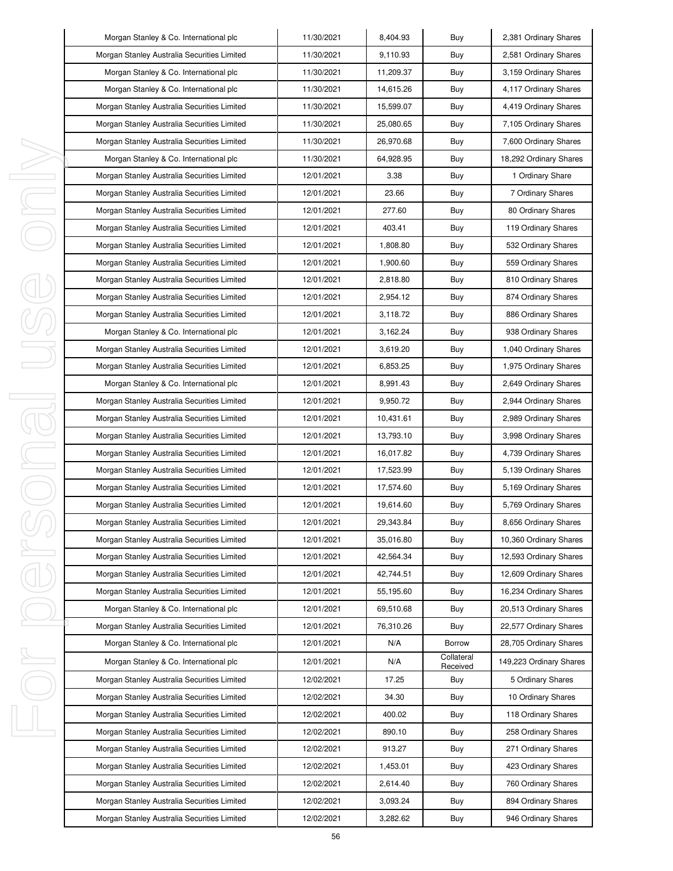|   | Morgan Stanley & Co. International plc      | 11/30/2021 | 8,404.93  | Buy                    | 2,381 Ordinary Shares   |
|---|---------------------------------------------|------------|-----------|------------------------|-------------------------|
|   | Morgan Stanley Australia Securities Limited | 11/30/2021 | 9,110.93  | Buy                    | 2,581 Ordinary Shares   |
|   | Morgan Stanley & Co. International plc      | 11/30/2021 | 11,209.37 | Buy                    | 3,159 Ordinary Shares   |
|   | Morgan Stanley & Co. International plc      | 11/30/2021 | 14,615.26 | Buy                    | 4,117 Ordinary Shares   |
|   | Morgan Stanley Australia Securities Limited | 11/30/2021 | 15,599.07 | Buy                    | 4,419 Ordinary Shares   |
|   | Morgan Stanley Australia Securities Limited | 11/30/2021 | 25,080.65 | Buy                    | 7,105 Ordinary Shares   |
|   | Morgan Stanley Australia Securities Limited | 11/30/2021 | 26,970.68 | Buy                    | 7,600 Ordinary Shares   |
|   | Morgan Stanley & Co. International plc      | 11/30/2021 | 64,928.95 | Buy                    | 18,292 Ordinary Shares  |
| I | Morgan Stanley Australia Securities Limited | 12/01/2021 | 3.38      | Buy                    | 1 Ordinary Share        |
| J | Morgan Stanley Australia Securities Limited | 12/01/2021 | 23.66     | Buy                    | 7 Ordinary Shares       |
| I | Morgan Stanley Australia Securities Limited | 12/01/2021 | 277.60    | Buy                    | 80 Ordinary Shares      |
|   | Morgan Stanley Australia Securities Limited | 12/01/2021 | 403.41    | Buy                    | 119 Ordinary Shares     |
|   | Morgan Stanley Australia Securities Limited | 12/01/2021 | 1.808.80  | Buy                    | 532 Ordinary Shares     |
|   | Morgan Stanley Australia Securities Limited | 12/01/2021 | 1,900.60  | Buy                    | 559 Ordinary Shares     |
|   | Morgan Stanley Australia Securities Limited | 12/01/2021 | 2,818.80  | Buy                    | 810 Ordinary Shares     |
|   | Morgan Stanley Australia Securities Limited | 12/01/2021 | 2,954.12  | Buy                    | 874 Ordinary Shares     |
|   | Morgan Stanley Australia Securities Limited | 12/01/2021 | 3,118.72  | Buy                    | 886 Ordinary Shares     |
|   | Morgan Stanley & Co. International plc      | 12/01/2021 | 3,162.24  | Buy                    | 938 Ordinary Shares     |
|   | Morgan Stanley Australia Securities Limited | 12/01/2021 | 3,619.20  | Buy                    | 1,040 Ordinary Shares   |
|   | Morgan Stanley Australia Securities Limited | 12/01/2021 | 6,853.25  | Buy                    | 1,975 Ordinary Shares   |
|   | Morgan Stanley & Co. International plc      | 12/01/2021 | 8,991.43  | Buy                    | 2,649 Ordinary Shares   |
| I | Morgan Stanley Australia Securities Limited | 12/01/2021 | 9,950.72  | Buy                    | 2,944 Ordinary Shares   |
| Į | Morgan Stanley Australia Securities Limited | 12/01/2021 | 10,431.61 | Buy                    | 2,989 Ordinary Shares   |
|   | Morgan Stanley Australia Securities Limited | 12/01/2021 | 13,793.10 | Buy                    | 3,998 Ordinary Shares   |
| J | Morgan Stanley Australia Securities Limited | 12/01/2021 | 16,017.82 | Buy                    | 4,739 Ordinary Shares   |
| I | Morgan Stanley Australia Securities Limited | 12/01/2021 | 17,523.99 | Buy                    | 5,139 Ordinary Shares   |
|   | Morgan Stanley Australia Securities Limited | 12/01/2021 | 17,574.60 | Buy                    | 5,169 Ordinary Shares   |
|   | Morgan Stanley Australia Securities Limited | 12/01/2021 | 19,614.60 | Buy                    | 5,769 Ordinary Shares   |
|   | Morgan Stanley Australia Securities Limited | 12/01/2021 | 29,343.84 | Buy                    | 8,656 Ordinary Shares   |
|   | Morgan Stanley Australia Securities Limited | 12/01/2021 | 35,016.80 | Buy                    | 10,360 Ordinary Shares  |
| J | Morgan Stanley Australia Securities Limited | 12/01/2021 | 42,564.34 | Buy                    | 12,593 Ordinary Shares  |
|   | Morgan Stanley Australia Securities Limited | 12/01/2021 | 42,744.51 | Buy                    | 12,609 Ordinary Shares  |
|   | Morgan Stanley Australia Securities Limited | 12/01/2021 | 55,195.60 | Buy                    | 16,234 Ordinary Shares  |
|   | Morgan Stanley & Co. International plc      | 12/01/2021 | 69,510.68 | Buy                    | 20,513 Ordinary Shares  |
|   | Morgan Stanley Australia Securities Limited | 12/01/2021 | 76,310.26 | Buy                    | 22,577 Ordinary Shares  |
|   | Morgan Stanley & Co. International plc      | 12/01/2021 | N/A       | Borrow                 | 28,705 Ordinary Shares  |
| J | Morgan Stanley & Co. International plc      | 12/01/2021 | N/A       | Collateral<br>Received | 149,223 Ordinary Shares |
|   | Morgan Stanley Australia Securities Limited | 12/02/2021 | 17.25     | Buy                    | 5 Ordinary Shares       |
|   | Morgan Stanley Australia Securities Limited | 12/02/2021 | 34.30     | Buy                    | 10 Ordinary Shares      |
|   | Morgan Stanley Australia Securities Limited | 12/02/2021 | 400.02    | Buy                    | 118 Ordinary Shares     |
| J | Morgan Stanley Australia Securities Limited | 12/02/2021 | 890.10    | Buy                    | 258 Ordinary Shares     |
|   | Morgan Stanley Australia Securities Limited | 12/02/2021 | 913.27    | Buy                    | 271 Ordinary Shares     |
|   | Morgan Stanley Australia Securities Limited | 12/02/2021 | 1,453.01  | Buy                    | 423 Ordinary Shares     |
|   | Morgan Stanley Australia Securities Limited | 12/02/2021 | 2,614.40  | Buy                    | 760 Ordinary Shares     |
|   | Morgan Stanley Australia Securities Limited | 12/02/2021 | 3,093.24  | Buy                    | 894 Ordinary Shares     |
|   | Morgan Stanley Australia Securities Limited | 12/02/2021 | 3,282.62  | Buy                    | 946 Ordinary Shares     |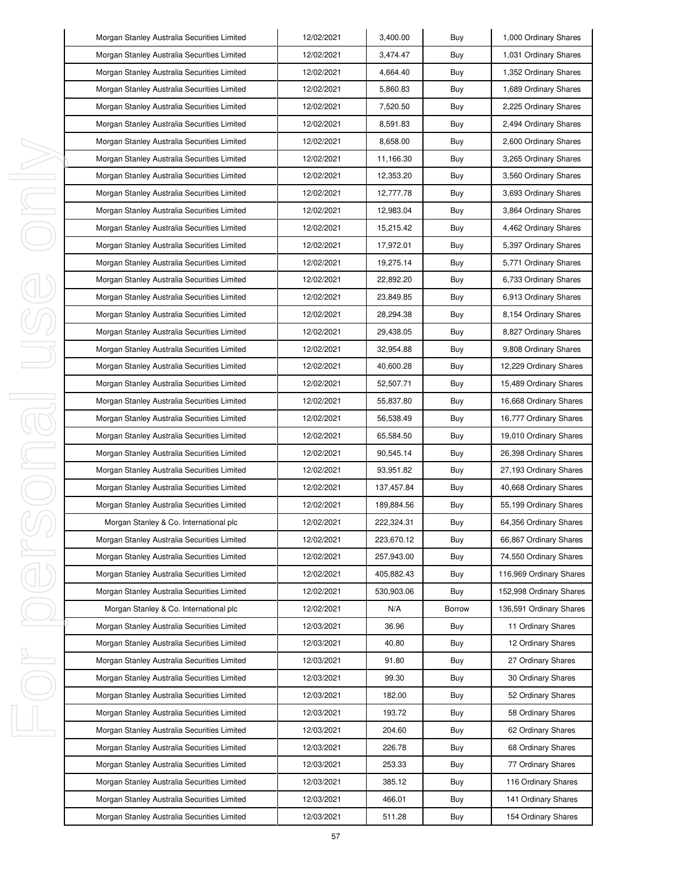|   | Morgan Stanley Australia Securities Limited | 12/02/2021 | 3,400.00   | Buy    | 1,000 Ordinary Shares   |
|---|---------------------------------------------|------------|------------|--------|-------------------------|
|   | Morgan Stanley Australia Securities Limited | 12/02/2021 | 3,474.47   | Buy    | 1,031 Ordinary Shares   |
|   | Morgan Stanley Australia Securities Limited | 12/02/2021 | 4,664.40   | Buy    | 1,352 Ordinary Shares   |
|   | Morgan Stanley Australia Securities Limited | 12/02/2021 | 5,860.83   | Buy    | 1,689 Ordinary Shares   |
|   | Morgan Stanley Australia Securities Limited | 12/02/2021 | 7,520.50   | Buy    | 2,225 Ordinary Shares   |
|   | Morgan Stanley Australia Securities Limited | 12/02/2021 | 8,591.83   | Buy    | 2,494 Ordinary Shares   |
|   | Morgan Stanley Australia Securities Limited | 12/02/2021 | 8,658.00   | Buy    | 2,600 Ordinary Shares   |
|   | Morgan Stanley Australia Securities Limited | 12/02/2021 | 11,166.30  | Buy    | 3,265 Ordinary Shares   |
| I | Morgan Stanley Australia Securities Limited | 12/02/2021 | 12,353.20  | Buy    | 3,560 Ordinary Shares   |
| I | Morgan Stanley Australia Securities Limited | 12/02/2021 | 12,777.78  | Buy    | 3,693 Ordinary Shares   |
| I | Morgan Stanley Australia Securities Limited | 12/02/2021 | 12,983.04  | Buy    | 3,864 Ordinary Shares   |
|   | Morgan Stanley Australia Securities Limited | 12/02/2021 | 15,215.42  | Buy    | 4,462 Ordinary Shares   |
|   | Morgan Stanley Australia Securities Limited | 12/02/2021 | 17,972.01  | Buy    | 5,397 Ordinary Shares   |
|   | Morgan Stanley Australia Securities Limited | 12/02/2021 | 19,275.14  | Buy    | 5,771 Ordinary Shares   |
|   | Morgan Stanley Australia Securities Limited | 12/02/2021 | 22,892.20  | Buy    | 6,733 Ordinary Shares   |
|   | Morgan Stanley Australia Securities Limited | 12/02/2021 | 23,849.85  | Buy    | 6,913 Ordinary Shares   |
|   | Morgan Stanley Australia Securities Limited | 12/02/2021 | 28,294.38  | Buy    | 8,154 Ordinary Shares   |
|   | Morgan Stanley Australia Securities Limited | 12/02/2021 | 29,438.05  | Buy    | 8,827 Ordinary Shares   |
|   | Morgan Stanley Australia Securities Limited | 12/02/2021 | 32,954.88  | Buy    | 9,808 Ordinary Shares   |
|   | Morgan Stanley Australia Securities Limited | 12/02/2021 | 40,600.28  | Buy    | 12,229 Ordinary Shares  |
|   | Morgan Stanley Australia Securities Limited | 12/02/2021 | 52,507.71  | Buy    | 15,489 Ordinary Shares  |
| I | Morgan Stanley Australia Securities Limited | 12/02/2021 | 55,837.80  | Buy    | 16,668 Ordinary Shares  |
| j | Morgan Stanley Australia Securities Limited | 12/02/2021 | 56,538.49  | Buy    | 16,777 Ordinary Shares  |
|   | Morgan Stanley Australia Securities Limited | 12/02/2021 | 65,584.50  | Buy    | 19,010 Ordinary Shares  |
| I | Morgan Stanley Australia Securities Limited | 12/02/2021 | 90,545.14  | Buy    | 26,398 Ordinary Shares  |
| I | Morgan Stanley Australia Securities Limited | 12/02/2021 | 93,951.82  | Buy    | 27,193 Ordinary Shares  |
|   | Morgan Stanley Australia Securities Limited | 12/02/2021 | 137,457.84 | Buy    | 40,668 Ordinary Shares  |
|   | Morgan Stanley Australia Securities Limited | 12/02/2021 | 189,884.56 | Buy    | 55,199 Ordinary Shares  |
|   | Morgan Stanley & Co. International plc      | 12/02/2021 | 222,324.31 | Buy    | 64,356 Ordinary Shares  |
|   | Morgan Stanley Australia Securities Limited | 12/02/2021 | 223,670.12 | Buy    | 66,867 Ordinary Shares  |
| I | Morgan Stanley Australia Securities Limited | 12/02/2021 | 257,943.00 | Buy    | 74,550 Ordinary Shares  |
|   | Morgan Stanley Australia Securities Limited | 12/02/2021 | 405,882.43 | Buy    | 116,969 Ordinary Shares |
|   | Morgan Stanley Australia Securities Limited | 12/02/2021 | 530,903.06 | Buy    | 152,998 Ordinary Shares |
|   | Morgan Stanley & Co. International plc      | 12/02/2021 | N/A        | Borrow | 136,591 Ordinary Shares |
|   | Morgan Stanley Australia Securities Limited | 12/03/2021 | 36.96      | Buy    | 11 Ordinary Shares      |
|   | Morgan Stanley Australia Securities Limited | 12/03/2021 | 40.80      | Buy    | 12 Ordinary Shares      |
| ı | Morgan Stanley Australia Securities Limited | 12/03/2021 | 91.80      | Buy    | 27 Ordinary Shares      |
|   | Morgan Stanley Australia Securities Limited | 12/03/2021 | 99.30      | Buy    | 30 Ordinary Shares      |
|   | Morgan Stanley Australia Securities Limited | 12/03/2021 | 182.00     | Buy    | 52 Ordinary Shares      |
|   | Morgan Stanley Australia Securities Limited | 12/03/2021 | 193.72     | Buy    | 58 Ordinary Shares      |
| I | Morgan Stanley Australia Securities Limited | 12/03/2021 | 204.60     | Buy    | 62 Ordinary Shares      |
|   | Morgan Stanley Australia Securities Limited | 12/03/2021 | 226.78     | Buy    | 68 Ordinary Shares      |
|   | Morgan Stanley Australia Securities Limited | 12/03/2021 | 253.33     | Buy    | 77 Ordinary Shares      |
|   | Morgan Stanley Australia Securities Limited | 12/03/2021 | 385.12     | Buy    | 116 Ordinary Shares     |
|   | Morgan Stanley Australia Securities Limited | 12/03/2021 | 466.01     | Buy    | 141 Ordinary Shares     |
|   | Morgan Stanley Australia Securities Limited | 12/03/2021 | 511.28     | Buy    | 154 Ordinary Shares     |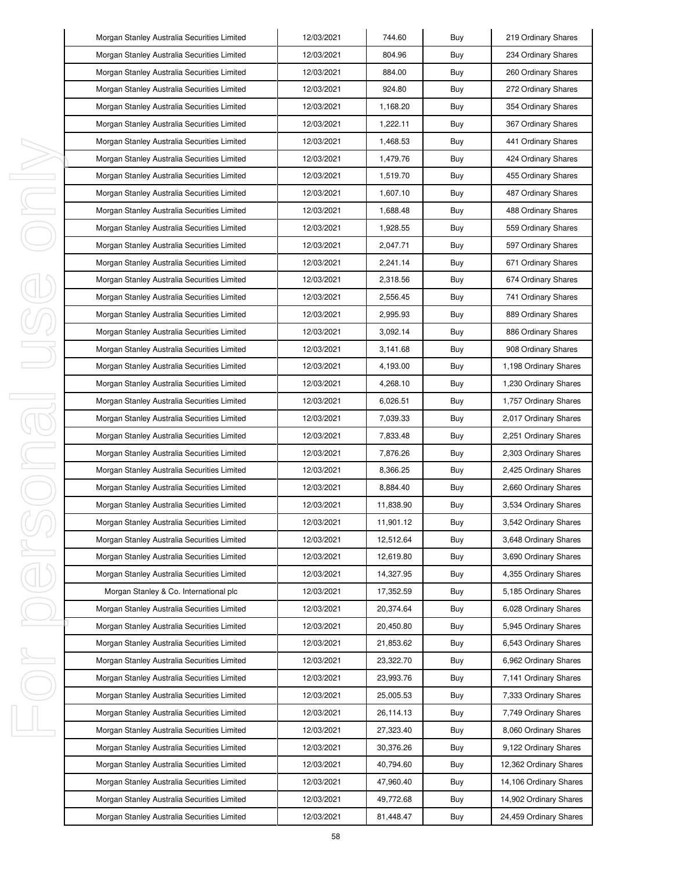|   | Morgan Stanley Australia Securities Limited | 12/03/2021 | 744.60    | Buy | 219 Ordinary Shares    |
|---|---------------------------------------------|------------|-----------|-----|------------------------|
|   | Morgan Stanley Australia Securities Limited | 12/03/2021 | 804.96    | Buy | 234 Ordinary Shares    |
|   | Morgan Stanley Australia Securities Limited | 12/03/2021 | 884.00    | Buy | 260 Ordinary Shares    |
|   | Morgan Stanley Australia Securities Limited | 12/03/2021 | 924.80    | Buy | 272 Ordinary Shares    |
|   | Morgan Stanley Australia Securities Limited | 12/03/2021 | 1,168.20  | Buy | 354 Ordinary Shares    |
|   | Morgan Stanley Australia Securities Limited | 12/03/2021 | 1,222.11  | Buy | 367 Ordinary Shares    |
|   | Morgan Stanley Australia Securities Limited | 12/03/2021 | 1,468.53  | Buy | 441 Ordinary Shares    |
|   | Morgan Stanley Australia Securities Limited | 12/03/2021 | 1,479.76  | Buy | 424 Ordinary Shares    |
| ı | Morgan Stanley Australia Securities Limited | 12/03/2021 | 1,519.70  | Buy | 455 Ordinary Shares    |
| J | Morgan Stanley Australia Securities Limited | 12/03/2021 | 1,607.10  | Buy | 487 Ordinary Shares    |
| I | Morgan Stanley Australia Securities Limited | 12/03/2021 | 1,688.48  | Buy | 488 Ordinary Shares    |
|   | Morgan Stanley Australia Securities Limited | 12/03/2021 | 1,928.55  | Buy | 559 Ordinary Shares    |
|   | Morgan Stanley Australia Securities Limited | 12/03/2021 | 2,047.71  | Buy | 597 Ordinary Shares    |
|   | Morgan Stanley Australia Securities Limited | 12/03/2021 | 2,241.14  | Buy | 671 Ordinary Shares    |
|   | Morgan Stanley Australia Securities Limited | 12/03/2021 | 2,318.56  | Buy | 674 Ordinary Shares    |
|   | Morgan Stanley Australia Securities Limited | 12/03/2021 | 2,556.45  | Buy | 741 Ordinary Shares    |
|   | Morgan Stanley Australia Securities Limited | 12/03/2021 | 2,995.93  | Buy | 889 Ordinary Shares    |
|   | Morgan Stanley Australia Securities Limited | 12/03/2021 | 3.092.14  | Buy | 886 Ordinary Shares    |
|   | Morgan Stanley Australia Securities Limited | 12/03/2021 | 3,141.68  | Buy | 908 Ordinary Shares    |
|   | Morgan Stanley Australia Securities Limited | 12/03/2021 | 4,193.00  | Buy | 1,198 Ordinary Shares  |
|   | Morgan Stanley Australia Securities Limited | 12/03/2021 | 4,268.10  | Buy | 1,230 Ordinary Shares  |
| J | Morgan Stanley Australia Securities Limited | 12/03/2021 | 6,026.51  | Buy | 1,757 Ordinary Shares  |
| 1 | Morgan Stanley Australia Securities Limited | 12/03/2021 | 7,039.33  | Buy | 2,017 Ordinary Shares  |
|   | Morgan Stanley Australia Securities Limited | 12/03/2021 | 7,833.48  | Buy | 2,251 Ordinary Shares  |
| I | Morgan Stanley Australia Securities Limited | 12/03/2021 | 7,876.26  | Buy | 2,303 Ordinary Shares  |
|   | Morgan Stanley Australia Securities Limited | 12/03/2021 | 8,366.25  | Buy | 2,425 Ordinary Shares  |
|   | Morgan Stanley Australia Securities Limited | 12/03/2021 | 8,884.40  | Buy | 2,660 Ordinary Shares  |
|   | Morgan Stanley Australia Securities Limited | 12/03/2021 | 11,838.90 | Buy | 3,534 Ordinary Shares  |
|   | Morgan Stanley Australia Securities Limited | 12/03/2021 | 11,901.12 | Buy | 3,542 Ordinary Shares  |
|   | Morgan Stanley Australia Securities Limited | 12/03/2021 | 12,512.64 | Buy | 3,648 Ordinary Shares  |
| I | Morgan Stanley Australia Securities Limited | 12/03/2021 | 12,619.80 | Buy | 3,690 Ordinary Shares  |
|   | Morgan Stanley Australia Securities Limited | 12/03/2021 | 14,327.95 | Buy | 4,355 Ordinary Shares  |
|   | Morgan Stanley & Co. International plc      | 12/03/2021 | 17,352.59 | Buy | 5,185 Ordinary Shares  |
|   | Morgan Stanley Australia Securities Limited | 12/03/2021 | 20,374.64 | Buy | 6,028 Ordinary Shares  |
|   | Morgan Stanley Australia Securities Limited | 12/03/2021 | 20,450.80 | Buy | 5,945 Ordinary Shares  |
|   | Morgan Stanley Australia Securities Limited | 12/03/2021 | 21,853.62 | Buy | 6,543 Ordinary Shares  |
| ı | Morgan Stanley Australia Securities Limited | 12/03/2021 | 23,322.70 | Buy | 6,962 Ordinary Shares  |
|   | Morgan Stanley Australia Securities Limited | 12/03/2021 | 23,993.76 | Buy | 7,141 Ordinary Shares  |
|   | Morgan Stanley Australia Securities Limited | 12/03/2021 | 25,005.53 | Buy | 7,333 Ordinary Shares  |
|   | Morgan Stanley Australia Securities Limited | 12/03/2021 | 26,114.13 | Buy | 7,749 Ordinary Shares  |
| I | Morgan Stanley Australia Securities Limited | 12/03/2021 | 27,323.40 | Buy | 8,060 Ordinary Shares  |
|   | Morgan Stanley Australia Securities Limited | 12/03/2021 | 30,376.26 | Buy | 9,122 Ordinary Shares  |
|   | Morgan Stanley Australia Securities Limited | 12/03/2021 | 40,794.60 | Buy | 12,362 Ordinary Shares |
|   | Morgan Stanley Australia Securities Limited | 12/03/2021 | 47,960.40 | Buy | 14,106 Ordinary Shares |
|   | Morgan Stanley Australia Securities Limited | 12/03/2021 | 49,772.68 | Buy | 14,902 Ordinary Shares |
|   | Morgan Stanley Australia Securities Limited | 12/03/2021 | 81,448.47 | Buy | 24,459 Ordinary Shares |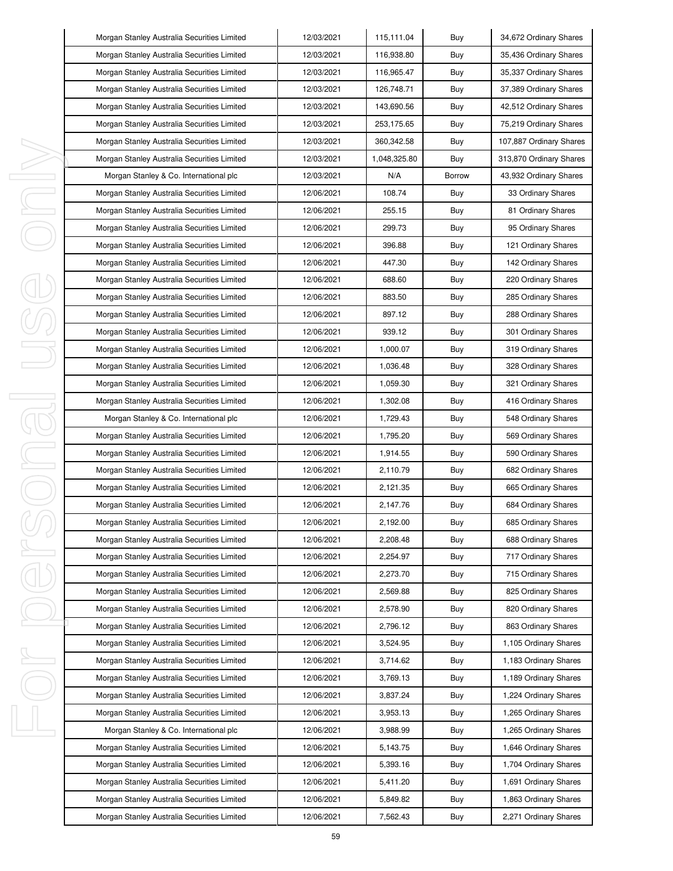|   | Morgan Stanley Australia Securities Limited | 12/03/2021 | 115,111.04   | Buy           | 34,672 Ordinary Shares  |
|---|---------------------------------------------|------------|--------------|---------------|-------------------------|
|   | Morgan Stanley Australia Securities Limited | 12/03/2021 | 116,938.80   | Buy           | 35,436 Ordinary Shares  |
|   | Morgan Stanley Australia Securities Limited | 12/03/2021 | 116,965.47   | Buy           | 35,337 Ordinary Shares  |
|   | Morgan Stanley Australia Securities Limited | 12/03/2021 | 126,748.71   | Buy           | 37,389 Ordinary Shares  |
|   | Morgan Stanley Australia Securities Limited | 12/03/2021 | 143,690.56   | Buy           | 42,512 Ordinary Shares  |
|   | Morgan Stanley Australia Securities Limited | 12/03/2021 | 253,175.65   | Buy           | 75,219 Ordinary Shares  |
|   | Morgan Stanley Australia Securities Limited | 12/03/2021 | 360,342.58   | Buy           | 107,887 Ordinary Shares |
|   | Morgan Stanley Australia Securities Limited | 12/03/2021 | 1,048,325.80 | Buy           | 313,870 Ordinary Shares |
| I | Morgan Stanley & Co. International plc      | 12/03/2021 | N/A          | <b>Borrow</b> | 43,932 Ordinary Shares  |
| I | Morgan Stanley Australia Securities Limited | 12/06/2021 | 108.74       | Buy           | 33 Ordinary Shares      |
| ı | Morgan Stanley Australia Securities Limited | 12/06/2021 | 255.15       | Buy           | 81 Ordinary Shares      |
|   | Morgan Stanley Australia Securities Limited | 12/06/2021 | 299.73       | Buy           | 95 Ordinary Shares      |
|   | Morgan Stanley Australia Securities Limited | 12/06/2021 | 396.88       | Buy           | 121 Ordinary Shares     |
|   | Morgan Stanley Australia Securities Limited | 12/06/2021 | 447.30       | Buy           | 142 Ordinary Shares     |
|   | Morgan Stanley Australia Securities Limited | 12/06/2021 | 688.60       | Buy           | 220 Ordinary Shares     |
|   | Morgan Stanley Australia Securities Limited | 12/06/2021 | 883.50       | Buy           | 285 Ordinary Shares     |
|   | Morgan Stanley Australia Securities Limited | 12/06/2021 | 897.12       | Buy           | 288 Ordinary Shares     |
|   | Morgan Stanley Australia Securities Limited | 12/06/2021 | 939.12       | Buy           | 301 Ordinary Shares     |
|   | Morgan Stanley Australia Securities Limited | 12/06/2021 | 1,000.07     | Buy           | 319 Ordinary Shares     |
|   | Morgan Stanley Australia Securities Limited | 12/06/2021 | 1,036.48     | Buy           | 328 Ordinary Shares     |
|   | Morgan Stanley Australia Securities Limited | 12/06/2021 | 1,059.30     | Buy           | 321 Ordinary Shares     |
| I | Morgan Stanley Australia Securities Limited | 12/06/2021 | 1,302.08     | Buy           | 416 Ordinary Shares     |
| J | Morgan Stanley & Co. International plc      | 12/06/2021 | 1,729.43     | Buy           | 548 Ordinary Shares     |
|   | Morgan Stanley Australia Securities Limited | 12/06/2021 | 1,795.20     | Buy           | 569 Ordinary Shares     |
| J | Morgan Stanley Australia Securities Limited | 12/06/2021 | 1,914.55     | Buy           | 590 Ordinary Shares     |
| I | Morgan Stanley Australia Securities Limited | 12/06/2021 | 2,110.79     | Buy           | 682 Ordinary Shares     |
|   | Morgan Stanley Australia Securities Limited | 12/06/2021 | 2,121.35     | Buy           | 665 Ordinary Shares     |
|   | Morgan Stanley Australia Securities Limited | 12/06/2021 | 2,147.76     | Buy           | 684 Ordinary Shares     |
|   | Morgan Stanley Australia Securities Limited | 12/06/2021 | 2,192.00     | Buy           | 685 Ordinary Shares     |
|   | Morgan Stanley Australia Securities Limited | 12/06/2021 | 2,208.48     | Buy           | 688 Ordinary Shares     |
| I | Morgan Stanley Australia Securities Limited | 12/06/2021 | 2,254.97     | Buy           | 717 Ordinary Shares     |
|   | Morgan Stanley Australia Securities Limited | 12/06/2021 | 2,273.70     | Buy           | 715 Ordinary Shares     |
|   | Morgan Stanley Australia Securities Limited | 12/06/2021 | 2,569.88     | Buy           | 825 Ordinary Shares     |
|   | Morgan Stanley Australia Securities Limited | 12/06/2021 | 2,578.90     | Buy           | 820 Ordinary Shares     |
|   | Morgan Stanley Australia Securities Limited | 12/06/2021 | 2,796.12     | Buy           | 863 Ordinary Shares     |
|   | Morgan Stanley Australia Securities Limited | 12/06/2021 | 3,524.95     | Buy           | 1,105 Ordinary Shares   |
| ı | Morgan Stanley Australia Securities Limited | 12/06/2021 | 3,714.62     | Buy           | 1,183 Ordinary Shares   |
|   | Morgan Stanley Australia Securities Limited | 12/06/2021 | 3,769.13     | Buy           | 1,189 Ordinary Shares   |
|   | Morgan Stanley Australia Securities Limited | 12/06/2021 | 3,837.24     | Buy           | 1,224 Ordinary Shares   |
|   | Morgan Stanley Australia Securities Limited | 12/06/2021 | 3,953.13     | Buy           | 1,265 Ordinary Shares   |
| J | Morgan Stanley & Co. International plc      | 12/06/2021 | 3,988.99     | Buy           | 1,265 Ordinary Shares   |
|   | Morgan Stanley Australia Securities Limited | 12/06/2021 | 5,143.75     | Buy           | 1,646 Ordinary Shares   |
|   | Morgan Stanley Australia Securities Limited | 12/06/2021 | 5,393.16     | Buy           | 1,704 Ordinary Shares   |
|   | Morgan Stanley Australia Securities Limited | 12/06/2021 | 5,411.20     | Buy           | 1,691 Ordinary Shares   |
|   | Morgan Stanley Australia Securities Limited | 12/06/2021 | 5,849.82     | Buy           | 1,863 Ordinary Shares   |
|   | Morgan Stanley Australia Securities Limited | 12/06/2021 | 7,562.43     | Buy           | 2,271 Ordinary Shares   |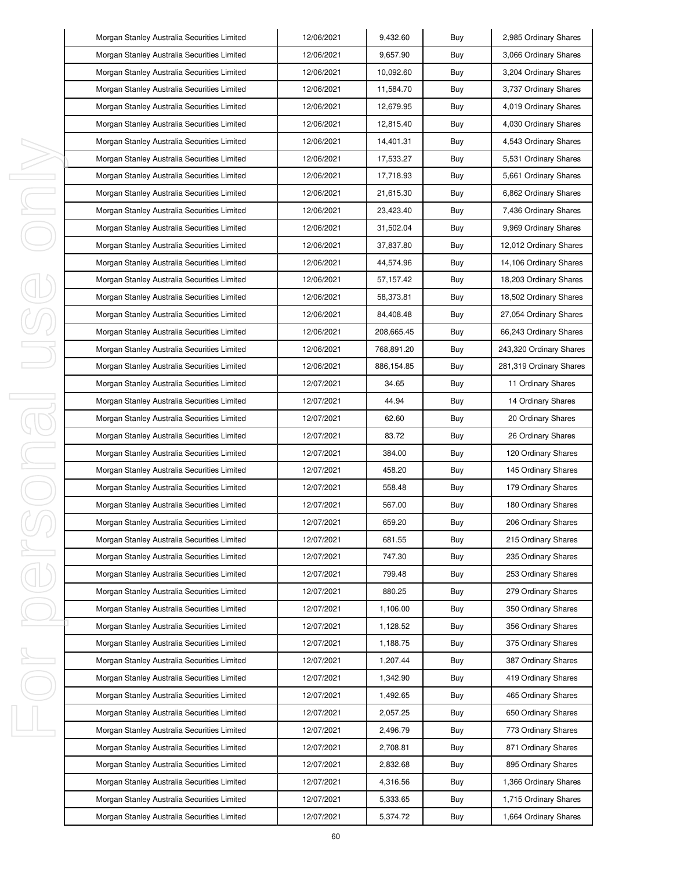|        | Morgan Stanley Australia Securities Limited | 12/06/2021 | 9,432.60   | Buy | 2,985 Ordinary Shares   |
|--------|---------------------------------------------|------------|------------|-----|-------------------------|
|        | Morgan Stanley Australia Securities Limited | 12/06/2021 | 9,657.90   | Buy | 3,066 Ordinary Shares   |
|        | Morgan Stanley Australia Securities Limited | 12/06/2021 | 10,092.60  | Buy | 3,204 Ordinary Shares   |
|        | Morgan Stanley Australia Securities Limited | 12/06/2021 | 11,584.70  | Buy | 3,737 Ordinary Shares   |
|        | Morgan Stanley Australia Securities Limited | 12/06/2021 | 12,679.95  | Buy | 4,019 Ordinary Shares   |
|        | Morgan Stanley Australia Securities Limited | 12/06/2021 | 12,815.40  | Buy | 4,030 Ordinary Shares   |
|        | Morgan Stanley Australia Securities Limited | 12/06/2021 | 14,401.31  | Buy | 4,543 Ordinary Shares   |
|        | Morgan Stanley Australia Securities Limited | 12/06/2021 | 17,533.27  | Buy | 5,531 Ordinary Shares   |
| I      | Morgan Stanley Australia Securities Limited | 12/06/2021 | 17,718.93  | Buy | 5,661 Ordinary Shares   |
| I      | Morgan Stanley Australia Securities Limited | 12/06/2021 | 21,615.30  | Buy | 6,862 Ordinary Shares   |
| I      | Morgan Stanley Australia Securities Limited | 12/06/2021 | 23,423.40  | Buy | 7,436 Ordinary Shares   |
|        | Morgan Stanley Australia Securities Limited | 12/06/2021 | 31,502.04  | Buy | 9,969 Ordinary Shares   |
|        | Morgan Stanley Australia Securities Limited | 12/06/2021 | 37,837.80  | Buy | 12,012 Ordinary Shares  |
|        | Morgan Stanley Australia Securities Limited | 12/06/2021 | 44,574.96  | Buy | 14,106 Ordinary Shares  |
|        | Morgan Stanley Australia Securities Limited | 12/06/2021 | 57,157.42  | Buy | 18,203 Ordinary Shares  |
|        | Morgan Stanley Australia Securities Limited | 12/06/2021 | 58,373.81  | Buy | 18,502 Ordinary Shares  |
|        | Morgan Stanley Australia Securities Limited | 12/06/2021 | 84,408.48  | Buy | 27,054 Ordinary Shares  |
|        | Morgan Stanley Australia Securities Limited | 12/06/2021 | 208,665.45 | Buy | 66,243 Ordinary Shares  |
|        | Morgan Stanley Australia Securities Limited | 12/06/2021 | 768,891.20 | Buy | 243,320 Ordinary Shares |
|        | Morgan Stanley Australia Securities Limited | 12/06/2021 | 886,154.85 | Buy | 281,319 Ordinary Shares |
|        | Morgan Stanley Australia Securities Limited | 12/07/2021 | 34.65      | Buy | 11 Ordinary Shares      |
| I<br>j | Morgan Stanley Australia Securities Limited | 12/07/2021 | 44.94      | Buy | 14 Ordinary Shares      |
|        | Morgan Stanley Australia Securities Limited | 12/07/2021 | 62.60      | Buy | 20 Ordinary Shares      |
|        | Morgan Stanley Australia Securities Limited | 12/07/2021 | 83.72      | Buy | 26 Ordinary Shares      |
| I      | Morgan Stanley Australia Securities Limited | 12/07/2021 | 384.00     | Buy | 120 Ordinary Shares     |
| I      | Morgan Stanley Australia Securities Limited | 12/07/2021 | 458.20     | Buy | 145 Ordinary Shares     |
|        | Morgan Stanley Australia Securities Limited | 12/07/2021 | 558.48     | Buy | 179 Ordinary Shares     |
|        | Morgan Stanley Australia Securities Limited | 12/07/2021 | 567.00     | Buy | 180 Ordinary Shares     |
|        | Morgan Stanley Australia Securities Limited | 12/07/2021 | 659.20     | Buy | 206 Ordinary Shares     |
|        | Morgan Stanley Australia Securities Limited | 12/07/2021 | 681.55     | Buy | 215 Ordinary Shares     |
| I      | Morgan Stanley Australia Securities Limited | 12/07/2021 | 747.30     | Buy | 235 Ordinary Shares     |
|        | Morgan Stanley Australia Securities Limited | 12/07/2021 | 799.48     | Buy | 253 Ordinary Shares     |
|        | Morgan Stanley Australia Securities Limited | 12/07/2021 | 880.25     | Buy | 279 Ordinary Shares     |
|        | Morgan Stanley Australia Securities Limited | 12/07/2021 | 1,106.00   | Buy | 350 Ordinary Shares     |
|        | Morgan Stanley Australia Securities Limited | 12/07/2021 | 1,128.52   | Buy | 356 Ordinary Shares     |
|        | Morgan Stanley Australia Securities Limited | 12/07/2021 | 1,188.75   | Buy | 375 Ordinary Shares     |
| ı      | Morgan Stanley Australia Securities Limited | 12/07/2021 | 1,207.44   | Buy | 387 Ordinary Shares     |
|        | Morgan Stanley Australia Securities Limited | 12/07/2021 | 1,342.90   | Buy | 419 Ordinary Shares     |
|        | Morgan Stanley Australia Securities Limited | 12/07/2021 | 1,492.65   | Buy | 465 Ordinary Shares     |
|        | Morgan Stanley Australia Securities Limited | 12/07/2021 | 2,057.25   | Buy | 650 Ordinary Shares     |
| I      | Morgan Stanley Australia Securities Limited | 12/07/2021 | 2,496.79   | Buy | 773 Ordinary Shares     |
|        | Morgan Stanley Australia Securities Limited | 12/07/2021 | 2,708.81   | Buy | 871 Ordinary Shares     |
|        | Morgan Stanley Australia Securities Limited | 12/07/2021 | 2,832.68   | Buy | 895 Ordinary Shares     |
|        | Morgan Stanley Australia Securities Limited | 12/07/2021 | 4,316.56   | Buy | 1,366 Ordinary Shares   |
|        | Morgan Stanley Australia Securities Limited | 12/07/2021 | 5,333.65   | Buy | 1,715 Ordinary Shares   |
|        | Morgan Stanley Australia Securities Limited | 12/07/2021 | 5,374.72   | Buy | 1,664 Ordinary Shares   |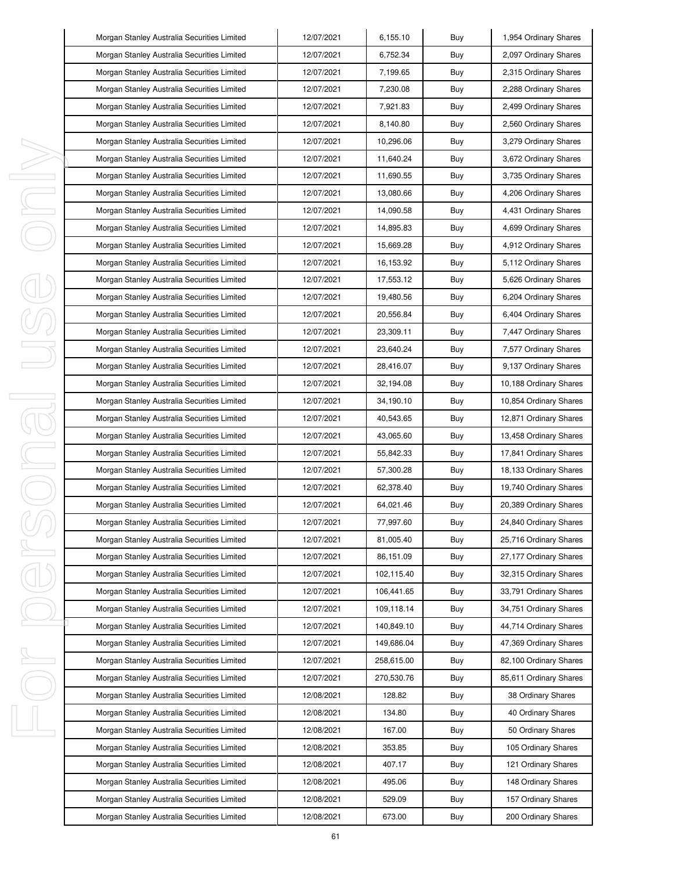|        | Morgan Stanley Australia Securities Limited | 12/07/2021 | 6,155.10   | Buy | 1,954 Ordinary Shares  |
|--------|---------------------------------------------|------------|------------|-----|------------------------|
|        | Morgan Stanley Australia Securities Limited | 12/07/2021 | 6,752.34   | Buy | 2,097 Ordinary Shares  |
|        | Morgan Stanley Australia Securities Limited | 12/07/2021 | 7,199.65   | Buy | 2,315 Ordinary Shares  |
|        | Morgan Stanley Australia Securities Limited | 12/07/2021 | 7,230.08   | Buy | 2,288 Ordinary Shares  |
|        | Morgan Stanley Australia Securities Limited | 12/07/2021 | 7,921.83   | Buy | 2,499 Ordinary Shares  |
|        | Morgan Stanley Australia Securities Limited | 12/07/2021 | 8,140.80   | Buy | 2,560 Ordinary Shares  |
|        | Morgan Stanley Australia Securities Limited | 12/07/2021 | 10,296.06  | Buy | 3,279 Ordinary Shares  |
|        | Morgan Stanley Australia Securities Limited | 12/07/2021 | 11,640.24  | Buy | 3,672 Ordinary Shares  |
| I,     | Morgan Stanley Australia Securities Limited | 12/07/2021 | 11,690.55  | Buy | 3,735 Ordinary Shares  |
| J,     | Morgan Stanley Australia Securities Limited | 12/07/2021 | 13,080.66  | Buy | 4,206 Ordinary Shares  |
| I,     | Morgan Stanley Australia Securities Limited | 12/07/2021 | 14,090.58  | Buy | 4,431 Ordinary Shares  |
|        | Morgan Stanley Australia Securities Limited | 12/07/2021 | 14,895.83  | Buy | 4,699 Ordinary Shares  |
|        | Morgan Stanley Australia Securities Limited | 12/07/2021 | 15,669.28  | Buy | 4,912 Ordinary Shares  |
|        | Morgan Stanley Australia Securities Limited | 12/07/2021 | 16,153.92  | Buy | 5,112 Ordinary Shares  |
|        | Morgan Stanley Australia Securities Limited | 12/07/2021 | 17,553.12  | Buy | 5,626 Ordinary Shares  |
|        | Morgan Stanley Australia Securities Limited | 12/07/2021 | 19,480.56  | Buy | 6,204 Ordinary Shares  |
|        | Morgan Stanley Australia Securities Limited | 12/07/2021 | 20,556.84  | Buy | 6,404 Ordinary Shares  |
|        | Morgan Stanley Australia Securities Limited | 12/07/2021 | 23,309.11  | Buy | 7,447 Ordinary Shares  |
|        | Morgan Stanley Australia Securities Limited | 12/07/2021 | 23,640.24  | Buy | 7,577 Ordinary Shares  |
|        | Morgan Stanley Australia Securities Limited | 12/07/2021 | 28,416.07  | Buy | 9,137 Ordinary Shares  |
|        | Morgan Stanley Australia Securities Limited | 12/07/2021 | 32,194.08  | Buy | 10,188 Ordinary Shares |
| I<br>1 | Morgan Stanley Australia Securities Limited | 12/07/2021 | 34,190.10  | Buy | 10,854 Ordinary Shares |
|        | Morgan Stanley Australia Securities Limited | 12/07/2021 | 40,543.65  | Buy | 12,871 Ordinary Shares |
|        | Morgan Stanley Australia Securities Limited | 12/07/2021 | 43,065.60  | Buy | 13,458 Ordinary Shares |
| I      | Morgan Stanley Australia Securities Limited | 12/07/2021 | 55,842.33  | Buy | 17,841 Ordinary Shares |
|        | Morgan Stanley Australia Securities Limited | 12/07/2021 | 57,300.28  | Buy | 18,133 Ordinary Shares |
|        | Morgan Stanley Australia Securities Limited | 12/07/2021 | 62,378.40  | Buy | 19,740 Ordinary Shares |
|        | Morgan Stanley Australia Securities Limited | 12/07/2021 | 64,021.46  | Buy | 20,389 Ordinary Shares |
|        | Morgan Stanley Australia Securities Limited | 12/07/2021 | 77,997.60  | Buy | 24,840 Ordinary Shares |
|        | Morgan Stanley Australia Securities Limited | 12/07/2021 | 81,005.40  | Buy | 25,716 Ordinary Shares |
| I      | Morgan Stanley Australia Securities Limited | 12/07/2021 | 86,151.09  | Buy | 27,177 Ordinary Shares |
|        | Morgan Stanley Australia Securities Limited | 12/07/2021 | 102,115.40 | Buy | 32,315 Ordinary Shares |
|        | Morgan Stanley Australia Securities Limited | 12/07/2021 | 106,441.65 | Buy | 33,791 Ordinary Shares |
|        | Morgan Stanley Australia Securities Limited | 12/07/2021 | 109,118.14 | Buy | 34,751 Ordinary Shares |
|        | Morgan Stanley Australia Securities Limited | 12/07/2021 | 140,849.10 | Buy | 44,714 Ordinary Shares |
|        | Morgan Stanley Australia Securities Limited | 12/07/2021 | 149,686.04 | Buy | 47,369 Ordinary Shares |
| I,     | Morgan Stanley Australia Securities Limited | 12/07/2021 | 258,615.00 | Buy | 82,100 Ordinary Shares |
|        | Morgan Stanley Australia Securities Limited | 12/07/2021 | 270,530.76 | Buy | 85,611 Ordinary Shares |
|        | Morgan Stanley Australia Securities Limited | 12/08/2021 | 128.82     | Buy | 38 Ordinary Shares     |
|        | Morgan Stanley Australia Securities Limited | 12/08/2021 | 134.80     | Buy | 40 Ordinary Shares     |
| I,     | Morgan Stanley Australia Securities Limited | 12/08/2021 | 167.00     | Buy | 50 Ordinary Shares     |
|        | Morgan Stanley Australia Securities Limited | 12/08/2021 | 353.85     | Buy | 105 Ordinary Shares    |
|        | Morgan Stanley Australia Securities Limited | 12/08/2021 | 407.17     | Buy | 121 Ordinary Shares    |
|        | Morgan Stanley Australia Securities Limited | 12/08/2021 | 495.06     | Buy | 148 Ordinary Shares    |
|        | Morgan Stanley Australia Securities Limited | 12/08/2021 | 529.09     | Buy | 157 Ordinary Shares    |
|        | Morgan Stanley Australia Securities Limited | 12/08/2021 | 673.00     | Buy | 200 Ordinary Shares    |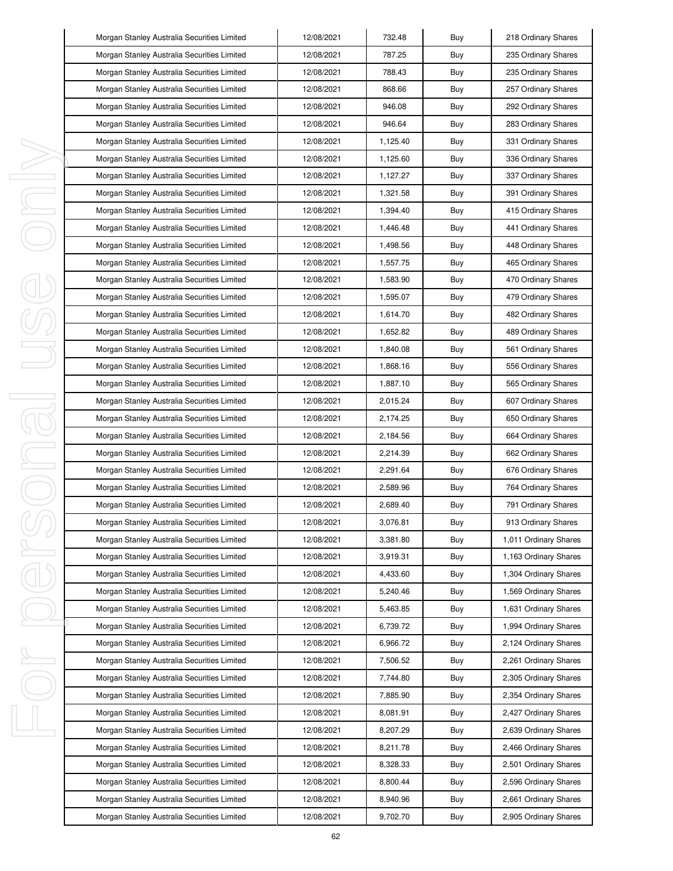|   | Morgan Stanley Australia Securities Limited | 12/08/2021 | 732.48   | Buy | 218 Ordinary Shares   |
|---|---------------------------------------------|------------|----------|-----|-----------------------|
|   | Morgan Stanley Australia Securities Limited | 12/08/2021 | 787.25   | Buy | 235 Ordinary Shares   |
|   | Morgan Stanley Australia Securities Limited | 12/08/2021 | 788.43   | Buy | 235 Ordinary Shares   |
|   | Morgan Stanley Australia Securities Limited | 12/08/2021 | 868.66   | Buy | 257 Ordinary Shares   |
|   | Morgan Stanley Australia Securities Limited | 12/08/2021 | 946.08   | Buy | 292 Ordinary Shares   |
|   | Morgan Stanley Australia Securities Limited | 12/08/2021 | 946.64   | Buy | 283 Ordinary Shares   |
|   | Morgan Stanley Australia Securities Limited | 12/08/2021 | 1,125.40 | Buy | 331 Ordinary Shares   |
|   | Morgan Stanley Australia Securities Limited | 12/08/2021 | 1,125.60 | Buy | 336 Ordinary Shares   |
|   | Morgan Stanley Australia Securities Limited | 12/08/2021 | 1,127.27 | Buy | 337 Ordinary Shares   |
| ı | Morgan Stanley Australia Securities Limited | 12/08/2021 | 1,321.58 | Buy | 391 Ordinary Shares   |
| ı | Morgan Stanley Australia Securities Limited | 12/08/2021 | 1,394.40 | Buy | 415 Ordinary Shares   |
|   | Morgan Stanley Australia Securities Limited | 12/08/2021 | 1,446.48 | Buy | 441 Ordinary Shares   |
|   | Morgan Stanley Australia Securities Limited | 12/08/2021 | 1,498.56 | Buy | 448 Ordinary Shares   |
|   | Morgan Stanley Australia Securities Limited | 12/08/2021 | 1,557.75 | Buy | 465 Ordinary Shares   |
|   | Morgan Stanley Australia Securities Limited | 12/08/2021 | 1,583.90 | Buy | 470 Ordinary Shares   |
|   | Morgan Stanley Australia Securities Limited | 12/08/2021 | 1,595.07 | Buy | 479 Ordinary Shares   |
|   | Morgan Stanley Australia Securities Limited | 12/08/2021 | 1,614.70 | Buy | 482 Ordinary Shares   |
|   | Morgan Stanley Australia Securities Limited | 12/08/2021 | 1,652.82 | Buy | 489 Ordinary Shares   |
|   | Morgan Stanley Australia Securities Limited | 12/08/2021 | 1,840.08 | Buy | 561 Ordinary Shares   |
|   | Morgan Stanley Australia Securities Limited | 12/08/2021 | 1,868.16 | Buy | 556 Ordinary Shares   |
|   | Morgan Stanley Australia Securities Limited | 12/08/2021 | 1,887.10 | Buy | 565 Ordinary Shares   |
| J | Morgan Stanley Australia Securities Limited | 12/08/2021 | 2,015.24 | Buy | 607 Ordinary Shares   |
|   | Morgan Stanley Australia Securities Limited | 12/08/2021 | 2,174.25 | Buy | 650 Ordinary Shares   |
|   | Morgan Stanley Australia Securities Limited | 12/08/2021 | 2,184.56 | Buy | 664 Ordinary Shares   |
| I | Morgan Stanley Australia Securities Limited | 12/08/2021 | 2,214.39 | Buy | 662 Ordinary Shares   |
|   | Morgan Stanley Australia Securities Limited | 12/08/2021 | 2,291.64 | Buy | 676 Ordinary Shares   |
|   | Morgan Stanley Australia Securities Limited | 12/08/2021 | 2,589.96 | Buy | 764 Ordinary Shares   |
|   | Morgan Stanley Australia Securities Limited | 12/08/2021 | 2,689.40 | Buy | 791 Ordinary Shares   |
|   | Morgan Stanley Australia Securities Limited | 12/08/2021 | 3,076.81 | Buy | 913 Ordinary Shares   |
|   | Morgan Stanley Australia Securities Limited | 12/08/2021 | 3,381.80 | Buy | 1,011 Ordinary Shares |
| I | Morgan Stanley Australia Securities Limited | 12/08/2021 | 3.919.31 | Buy | 1,163 Ordinary Shares |
|   | Morgan Stanley Australia Securities Limited | 12/08/2021 | 4,433.60 | Buy | 1,304 Ordinary Shares |
|   | Morgan Stanley Australia Securities Limited | 12/08/2021 | 5,240.46 | Buy | 1,569 Ordinary Shares |
|   | Morgan Stanley Australia Securities Limited | 12/08/2021 | 5,463.85 | Buy | 1,631 Ordinary Shares |
|   | Morgan Stanley Australia Securities Limited | 12/08/2021 | 6,739.72 | Buy | 1,994 Ordinary Shares |
|   | Morgan Stanley Australia Securities Limited | 12/08/2021 | 6,966.72 | Buy | 2,124 Ordinary Shares |
| ı | Morgan Stanley Australia Securities Limited | 12/08/2021 | 7,506.52 | Buy | 2,261 Ordinary Shares |
|   | Morgan Stanley Australia Securities Limited | 12/08/2021 | 7,744.80 | Buy | 2,305 Ordinary Shares |
|   | Morgan Stanley Australia Securities Limited | 12/08/2021 | 7,885.90 | Buy | 2,354 Ordinary Shares |
|   | Morgan Stanley Australia Securities Limited | 12/08/2021 | 8,081.91 | Buy | 2,427 Ordinary Shares |
| J | Morgan Stanley Australia Securities Limited | 12/08/2021 | 8,207.29 | Buy | 2,639 Ordinary Shares |
|   | Morgan Stanley Australia Securities Limited | 12/08/2021 | 8,211.78 | Buy | 2,466 Ordinary Shares |
|   | Morgan Stanley Australia Securities Limited | 12/08/2021 | 8,328.33 | Buy | 2,501 Ordinary Shares |
|   | Morgan Stanley Australia Securities Limited | 12/08/2021 | 8,800.44 | Buy | 2,596 Ordinary Shares |
|   | Morgan Stanley Australia Securities Limited | 12/08/2021 | 8,940.96 | Buy | 2,661 Ordinary Shares |
|   | Morgan Stanley Australia Securities Limited | 12/08/2021 | 9,702.70 | Buy | 2,905 Ordinary Shares |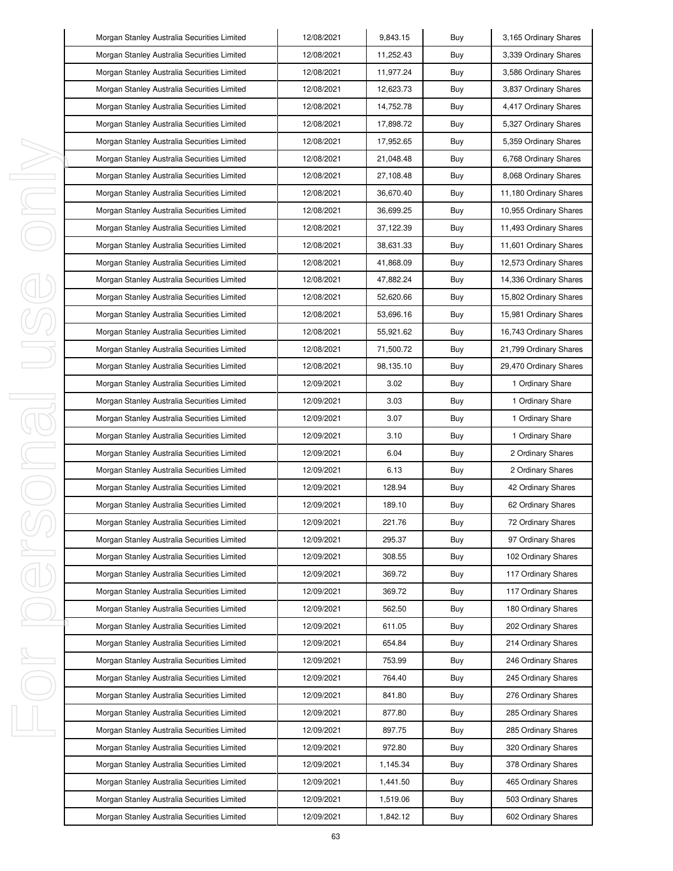|        | Morgan Stanley Australia Securities Limited | 12/08/2021 | 9,843.15  | Buy | 3,165 Ordinary Shares  |
|--------|---------------------------------------------|------------|-----------|-----|------------------------|
|        | Morgan Stanley Australia Securities Limited | 12/08/2021 | 11,252.43 | Buy | 3,339 Ordinary Shares  |
|        | Morgan Stanley Australia Securities Limited | 12/08/2021 | 11,977.24 | Buy | 3,586 Ordinary Shares  |
|        | Morgan Stanley Australia Securities Limited | 12/08/2021 | 12,623.73 | Buy | 3,837 Ordinary Shares  |
|        | Morgan Stanley Australia Securities Limited | 12/08/2021 | 14,752.78 | Buy | 4,417 Ordinary Shares  |
|        | Morgan Stanley Australia Securities Limited | 12/08/2021 | 17,898.72 | Buy | 5,327 Ordinary Shares  |
|        | Morgan Stanley Australia Securities Limited | 12/08/2021 | 17,952.65 | Buy | 5,359 Ordinary Shares  |
|        | Morgan Stanley Australia Securities Limited | 12/08/2021 | 21,048.48 | Buy | 6,768 Ordinary Shares  |
| I      | Morgan Stanley Australia Securities Limited | 12/08/2021 | 27,108.48 | Buy | 8,068 Ordinary Shares  |
| I      | Morgan Stanley Australia Securities Limited | 12/08/2021 | 36,670.40 | Buy | 11,180 Ordinary Shares |
| I      | Morgan Stanley Australia Securities Limited | 12/08/2021 | 36,699.25 | Buy | 10,955 Ordinary Shares |
|        | Morgan Stanley Australia Securities Limited | 12/08/2021 | 37,122.39 | Buy | 11,493 Ordinary Shares |
|        | Morgan Stanley Australia Securities Limited | 12/08/2021 | 38,631.33 | Buy | 11,601 Ordinary Shares |
|        | Morgan Stanley Australia Securities Limited | 12/08/2021 | 41,868.09 | Buy | 12,573 Ordinary Shares |
|        | Morgan Stanley Australia Securities Limited | 12/08/2021 | 47,882.24 | Buy | 14,336 Ordinary Shares |
|        | Morgan Stanley Australia Securities Limited | 12/08/2021 | 52,620.66 | Buy | 15,802 Ordinary Shares |
|        | Morgan Stanley Australia Securities Limited | 12/08/2021 | 53,696.16 | Buy | 15,981 Ordinary Shares |
|        | Morgan Stanley Australia Securities Limited | 12/08/2021 | 55,921.62 | Buy | 16,743 Ordinary Shares |
|        | Morgan Stanley Australia Securities Limited | 12/08/2021 | 71,500.72 | Buy | 21,799 Ordinary Shares |
|        | Morgan Stanley Australia Securities Limited | 12/08/2021 | 98,135.10 | Buy | 29,470 Ordinary Shares |
|        | Morgan Stanley Australia Securities Limited | 12/09/2021 | 3.02      | Buy | 1 Ordinary Share       |
| I<br>j | Morgan Stanley Australia Securities Limited | 12/09/2021 | 3.03      | Buy | 1 Ordinary Share       |
|        | Morgan Stanley Australia Securities Limited | 12/09/2021 | 3.07      | Buy | 1 Ordinary Share       |
|        | Morgan Stanley Australia Securities Limited | 12/09/2021 | 3.10      | Buy | 1 Ordinary Share       |
| I      | Morgan Stanley Australia Securities Limited | 12/09/2021 | 6.04      | Buy | 2 Ordinary Shares      |
| I      | Morgan Stanley Australia Securities Limited | 12/09/2021 | 6.13      | Buy | 2 Ordinary Shares      |
|        | Morgan Stanley Australia Securities Limited | 12/09/2021 | 128.94    | Buy | 42 Ordinary Shares     |
|        | Morgan Stanley Australia Securities Limited | 12/09/2021 | 189.10    | Buy | 62 Ordinary Shares     |
|        | Morgan Stanley Australia Securities Limited | 12/09/2021 | 221.76    | Buy | 72 Ordinary Shares     |
|        | Morgan Stanley Australia Securities Limited | 12/09/2021 | 295.37    | Buy | 97 Ordinary Shares     |
| I      | Morgan Stanley Australia Securities Limited | 12/09/2021 | 308.55    | Buy | 102 Ordinary Shares    |
|        | Morgan Stanley Australia Securities Limited | 12/09/2021 | 369.72    | Buy | 117 Ordinary Shares    |
|        | Morgan Stanley Australia Securities Limited | 12/09/2021 | 369.72    | Buy | 117 Ordinary Shares    |
|        | Morgan Stanley Australia Securities Limited | 12/09/2021 | 562.50    | Buy | 180 Ordinary Shares    |
|        | Morgan Stanley Australia Securities Limited | 12/09/2021 | 611.05    | Buy | 202 Ordinary Shares    |
|        | Morgan Stanley Australia Securities Limited | 12/09/2021 | 654.84    | Buy | 214 Ordinary Shares    |
| ı      | Morgan Stanley Australia Securities Limited | 12/09/2021 | 753.99    | Buy | 246 Ordinary Shares    |
|        | Morgan Stanley Australia Securities Limited | 12/09/2021 | 764.40    | Buy | 245 Ordinary Shares    |
|        | Morgan Stanley Australia Securities Limited | 12/09/2021 | 841.80    | Buy | 276 Ordinary Shares    |
|        | Morgan Stanley Australia Securities Limited | 12/09/2021 | 877.80    | Buy | 285 Ordinary Shares    |
| I      | Morgan Stanley Australia Securities Limited | 12/09/2021 | 897.75    | Buy | 285 Ordinary Shares    |
|        | Morgan Stanley Australia Securities Limited | 12/09/2021 | 972.80    | Buy | 320 Ordinary Shares    |
|        | Morgan Stanley Australia Securities Limited | 12/09/2021 | 1,145.34  | Buy | 378 Ordinary Shares    |
|        | Morgan Stanley Australia Securities Limited | 12/09/2021 | 1,441.50  | Buy | 465 Ordinary Shares    |
|        | Morgan Stanley Australia Securities Limited | 12/09/2021 | 1,519.06  | Buy | 503 Ordinary Shares    |
|        | Morgan Stanley Australia Securities Limited | 12/09/2021 | 1,842.12  | Buy | 602 Ordinary Shares    |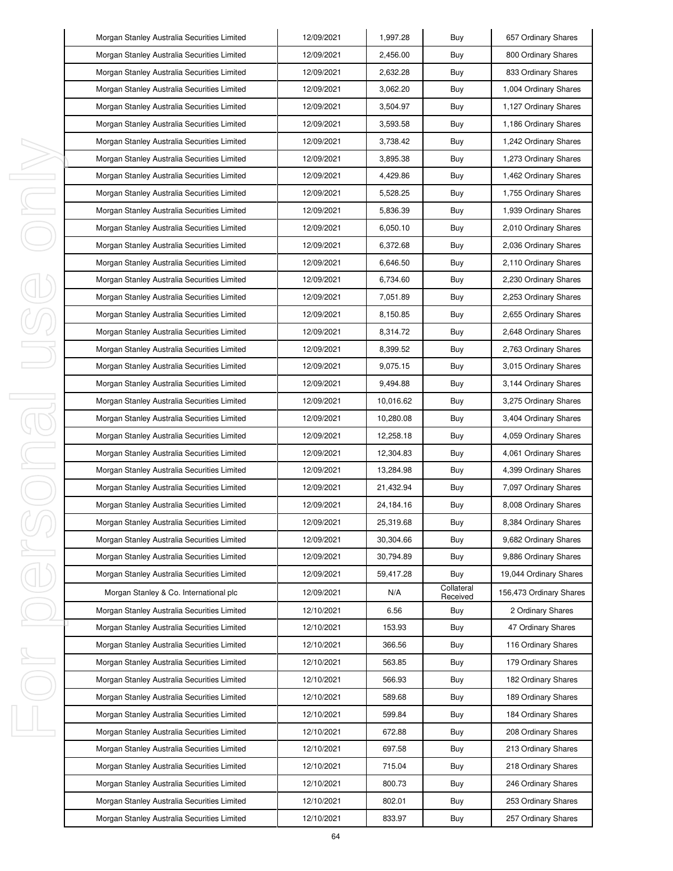|   | Morgan Stanley Australia Securities Limited | 12/09/2021 | 1,997.28  | Buy                    | 657 Ordinary Shares     |
|---|---------------------------------------------|------------|-----------|------------------------|-------------------------|
|   | Morgan Stanley Australia Securities Limited | 12/09/2021 | 2,456.00  | Buy                    | 800 Ordinary Shares     |
|   | Morgan Stanley Australia Securities Limited | 12/09/2021 | 2,632.28  | Buy                    | 833 Ordinary Shares     |
|   | Morgan Stanley Australia Securities Limited | 12/09/2021 | 3,062.20  | Buy                    | 1,004 Ordinary Shares   |
|   | Morgan Stanley Australia Securities Limited | 12/09/2021 | 3,504.97  | Buy                    | 1,127 Ordinary Shares   |
|   | Morgan Stanley Australia Securities Limited | 12/09/2021 | 3,593.58  | Buy                    | 1,186 Ordinary Shares   |
|   | Morgan Stanley Australia Securities Limited | 12/09/2021 | 3,738.42  | Buy                    | 1,242 Ordinary Shares   |
|   | Morgan Stanley Australia Securities Limited | 12/09/2021 | 3,895.38  | Buy                    | 1,273 Ordinary Shares   |
| I | Morgan Stanley Australia Securities Limited | 12/09/2021 | 4,429.86  | Buy                    | 1,462 Ordinary Shares   |
| I | Morgan Stanley Australia Securities Limited | 12/09/2021 | 5,528.25  | Buy                    | 1,755 Ordinary Shares   |
| I | Morgan Stanley Australia Securities Limited | 12/09/2021 | 5,836.39  | Buy                    | 1,939 Ordinary Shares   |
|   | Morgan Stanley Australia Securities Limited | 12/09/2021 | 6,050.10  | Buy                    | 2,010 Ordinary Shares   |
|   | Morgan Stanley Australia Securities Limited | 12/09/2021 | 6,372.68  | Buy                    | 2,036 Ordinary Shares   |
|   | Morgan Stanley Australia Securities Limited | 12/09/2021 | 6,646.50  | Buy                    | 2,110 Ordinary Shares   |
|   | Morgan Stanley Australia Securities Limited | 12/09/2021 | 6,734.60  | Buy                    | 2,230 Ordinary Shares   |
|   | Morgan Stanley Australia Securities Limited | 12/09/2021 | 7,051.89  | Buy                    | 2,253 Ordinary Shares   |
|   | Morgan Stanley Australia Securities Limited | 12/09/2021 | 8,150.85  | Buy                    | 2,655 Ordinary Shares   |
|   | Morgan Stanley Australia Securities Limited | 12/09/2021 | 8,314.72  | Buy                    | 2,648 Ordinary Shares   |
|   | Morgan Stanley Australia Securities Limited | 12/09/2021 | 8,399.52  | Buy                    | 2,763 Ordinary Shares   |
|   | Morgan Stanley Australia Securities Limited | 12/09/2021 | 9,075.15  | Buy                    | 3,015 Ordinary Shares   |
|   | Morgan Stanley Australia Securities Limited | 12/09/2021 | 9,494.88  | Buy                    | 3,144 Ordinary Shares   |
| I | Morgan Stanley Australia Securities Limited | 12/09/2021 | 10,016.62 | Buy                    | 3,275 Ordinary Shares   |
| j | Morgan Stanley Australia Securities Limited | 12/09/2021 | 10,280.08 | Buy                    | 3,404 Ordinary Shares   |
|   | Morgan Stanley Australia Securities Limited | 12/09/2021 | 12,258.18 | Buy                    | 4,059 Ordinary Shares   |
| I | Morgan Stanley Australia Securities Limited | 12/09/2021 | 12,304.83 | Buy                    | 4,061 Ordinary Shares   |
| I | Morgan Stanley Australia Securities Limited | 12/09/2021 | 13,284.98 | Buy                    | 4,399 Ordinary Shares   |
|   | Morgan Stanley Australia Securities Limited | 12/09/2021 | 21,432.94 | Buy                    | 7,097 Ordinary Shares   |
|   | Morgan Stanley Australia Securities Limited | 12/09/2021 | 24,184.16 | Buy                    | 8,008 Ordinary Shares   |
|   | Morgan Stanley Australia Securities Limited | 12/09/2021 | 25,319.68 | Buy                    | 8,384 Ordinary Shares   |
|   | Morgan Stanley Australia Securities Limited | 12/09/2021 | 30,304.66 | Buy                    | 9,682 Ordinary Shares   |
| I | Morgan Stanley Australia Securities Limited | 12/09/2021 | 30,794.89 | Buy                    | 9,886 Ordinary Shares   |
|   | Morgan Stanley Australia Securities Limited | 12/09/2021 | 59,417.28 | Buy                    | 19,044 Ordinary Shares  |
|   | Morgan Stanley & Co. International plc      | 12/09/2021 | N/A       | Collateral<br>Received | 156,473 Ordinary Shares |
|   | Morgan Stanley Australia Securities Limited | 12/10/2021 | 6.56      | Buy                    | 2 Ordinary Shares       |
|   | Morgan Stanley Australia Securities Limited | 12/10/2021 | 153.93    | Buy                    | 47 Ordinary Shares      |
|   | Morgan Stanley Australia Securities Limited | 12/10/2021 | 366.56    | Buy                    | 116 Ordinary Shares     |
| I | Morgan Stanley Australia Securities Limited | 12/10/2021 | 563.85    | Buy                    | 179 Ordinary Shares     |
|   | Morgan Stanley Australia Securities Limited | 12/10/2021 | 566.93    | Buy                    | 182 Ordinary Shares     |
|   | Morgan Stanley Australia Securities Limited | 12/10/2021 | 589.68    | Buy                    | 189 Ordinary Shares     |
|   | Morgan Stanley Australia Securities Limited | 12/10/2021 | 599.84    | Buy                    | 184 Ordinary Shares     |
| I | Morgan Stanley Australia Securities Limited | 12/10/2021 | 672.88    | Buy                    | 208 Ordinary Shares     |
|   | Morgan Stanley Australia Securities Limited | 12/10/2021 | 697.58    | Buy                    | 213 Ordinary Shares     |
|   | Morgan Stanley Australia Securities Limited | 12/10/2021 | 715.04    | Buy                    | 218 Ordinary Shares     |
|   | Morgan Stanley Australia Securities Limited | 12/10/2021 | 800.73    | Buy                    | 246 Ordinary Shares     |
|   | Morgan Stanley Australia Securities Limited | 12/10/2021 | 802.01    | Buy                    | 253 Ordinary Shares     |
|   | Morgan Stanley Australia Securities Limited | 12/10/2021 | 833.97    | Buy                    | 257 Ordinary Shares     |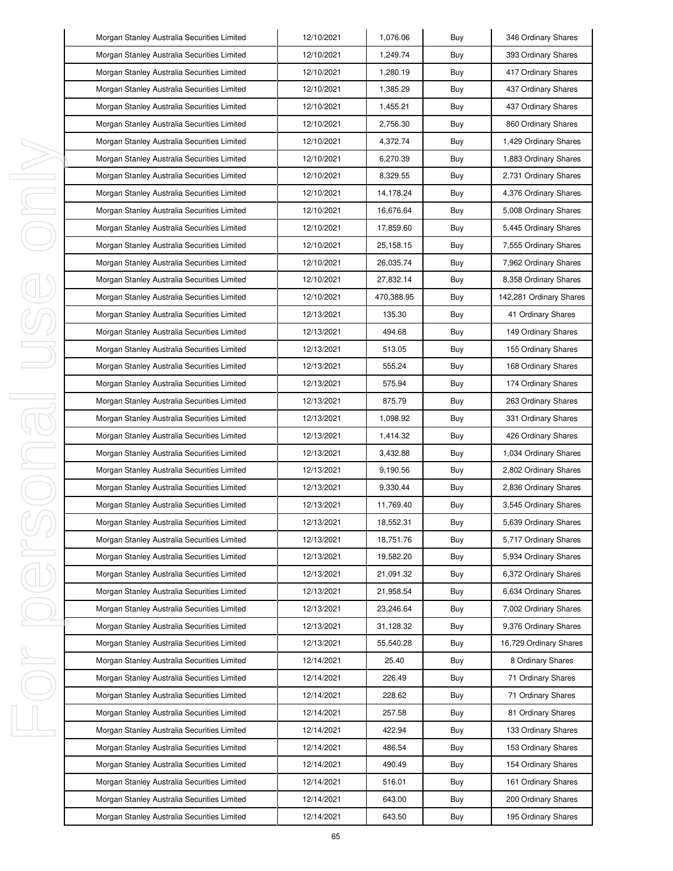|         | Morgan Stanley Australia Securities Limited | 12/10/2021 | 1,076.06    | Buy | 346 Ordinary Shares     |
|---------|---------------------------------------------|------------|-------------|-----|-------------------------|
|         | Morgan Stanley Australia Securities Limited | 12/10/2021 | 1,249.74    | Buy | 393 Ordinary Shares     |
|         | Morgan Stanley Australia Securities Limited | 12/10/2021 | 1,280.19    | Buy | 417 Ordinary Shares     |
|         | Morgan Stanley Australia Securities Limited | 12/10/2021 | 1,385.29    | Buy | 437 Ordinary Shares     |
|         | Morgan Stanley Australia Securities Limited | 12/10/2021 | 1,455.21    | Buy | 437 Ordinary Shares     |
|         | Morgan Stanley Australia Securities Limited | 12/10/2021 | 2,756.30    | Buy | 860 Ordinary Shares     |
|         | Morgan Stanley Australia Securities Limited | 12/10/2021 | 4,372.74    | Buy | 1,429 Ordinary Shares   |
|         | Morgan Stanley Australia Securities Limited | 12/10/2021 | 6,270.39    | Buy | 1,883 Ordinary Shares   |
| I,      | Morgan Stanley Australia Securities Limited | 12/10/2021 | 8,329.55    | Buy | 2,731 Ordinary Shares   |
| I       | Morgan Stanley Australia Securities Limited | 12/10/2021 | 14,178.24   | Buy | 4,376 Ordinary Shares   |
| I,      | Morgan Stanley Australia Securities Limited | 12/10/2021 | 16,676.64   | Buy | 5,008 Ordinary Shares   |
|         | Morgan Stanley Australia Securities Limited | 12/10/2021 | 17,859.60   | Buy | 5,445 Ordinary Shares   |
|         | Morgan Stanley Australia Securities Limited | 12/10/2021 | 25, 158. 15 | Buy | 7,555 Ordinary Shares   |
|         | Morgan Stanley Australia Securities Limited | 12/10/2021 | 26,035.74   | Buy | 7,962 Ordinary Shares   |
|         | Morgan Stanley Australia Securities Limited | 12/10/2021 | 27,832.14   | Buy | 8,358 Ordinary Shares   |
|         | Morgan Stanley Australia Securities Limited | 12/10/2021 | 470,388.95  | Buy | 142,281 Ordinary Shares |
|         | Morgan Stanley Australia Securities Limited | 12/13/2021 | 135.30      | Buy | 41 Ordinary Shares      |
|         | Morgan Stanley Australia Securities Limited | 12/13/2021 | 494.68      | Buy | 149 Ordinary Shares     |
|         | Morgan Stanley Australia Securities Limited | 12/13/2021 | 513.05      | Buy | 155 Ordinary Shares     |
|         | Morgan Stanley Australia Securities Limited | 12/13/2021 | 555.24      | Buy | 168 Ordinary Shares     |
|         | Morgan Stanley Australia Securities Limited | 12/13/2021 | 575.94      | Buy | 174 Ordinary Shares     |
| I<br>J. | Morgan Stanley Australia Securities Limited | 12/13/2021 | 875.79      | Buy | 263 Ordinary Shares     |
|         | Morgan Stanley Australia Securities Limited | 12/13/2021 | 1,098.92    | Buy | 331 Ordinary Shares     |
|         | Morgan Stanley Australia Securities Limited | 12/13/2021 | 1,414.32    | Buy | 426 Ordinary Shares     |
| I,      | Morgan Stanley Australia Securities Limited | 12/13/2021 | 3,432.88    | Buy | 1,034 Ordinary Shares   |
| I       | Morgan Stanley Australia Securities Limited | 12/13/2021 | 9,190.56    | Buy | 2,802 Ordinary Shares   |
|         | Morgan Stanley Australia Securities Limited | 12/13/2021 | 9,330.44    | Buy | 2,836 Ordinary Shares   |
|         | Morgan Stanley Australia Securities Limited | 12/13/2021 | 11,769.40   | Buy | 3,545 Ordinary Shares   |
|         | Morgan Stanley Australia Securities Limited | 12/13/2021 | 18,552.31   | Buy | 5,639 Ordinary Shares   |
|         | Morgan Stanley Australia Securities Limited | 12/13/2021 | 18,751.76   | Buy | 5,717 Ordinary Shares   |
| ı       | Morgan Stanley Australia Securities Limited | 12/13/2021 | 19,582.20   | Buy | 5,934 Ordinary Shares   |
|         | Morgan Stanley Australia Securities Limited | 12/13/2021 | 21,091.32   | Buy | 6,372 Ordinary Shares   |
|         | Morgan Stanley Australia Securities Limited | 12/13/2021 | 21,958.54   | Buy | 6,634 Ordinary Shares   |
|         | Morgan Stanley Australia Securities Limited | 12/13/2021 | 23,246.64   | Buy | 7,002 Ordinary Shares   |
|         | Morgan Stanley Australia Securities Limited | 12/13/2021 | 31,128.32   | Buy | 9,376 Ordinary Shares   |
|         | Morgan Stanley Australia Securities Limited | 12/13/2021 | 55,540.28   | Buy | 16,729 Ordinary Shares  |
| I,      | Morgan Stanley Australia Securities Limited | 12/14/2021 | 25.40       | Buy | 8 Ordinary Shares       |
|         | Morgan Stanley Australia Securities Limited | 12/14/2021 | 226.49      | Buy | 71 Ordinary Shares      |
|         | Morgan Stanley Australia Securities Limited | 12/14/2021 | 228.62      | Buy | 71 Ordinary Shares      |
|         | Morgan Stanley Australia Securities Limited | 12/14/2021 | 257.58      | Buy | 81 Ordinary Shares      |
| I,      | Morgan Stanley Australia Securities Limited | 12/14/2021 | 422.94      | Buy | 133 Ordinary Shares     |
|         | Morgan Stanley Australia Securities Limited | 12/14/2021 | 486.54      | Buy | 153 Ordinary Shares     |
|         | Morgan Stanley Australia Securities Limited | 12/14/2021 | 490.49      | Buy | 154 Ordinary Shares     |
|         | Morgan Stanley Australia Securities Limited | 12/14/2021 | 516.01      | Buy | 161 Ordinary Shares     |
|         | Morgan Stanley Australia Securities Limited | 12/14/2021 | 643.00      | Buy | 200 Ordinary Shares     |
|         | Morgan Stanley Australia Securities Limited | 12/14/2021 | 643.50      | Buy | 195 Ordinary Shares     |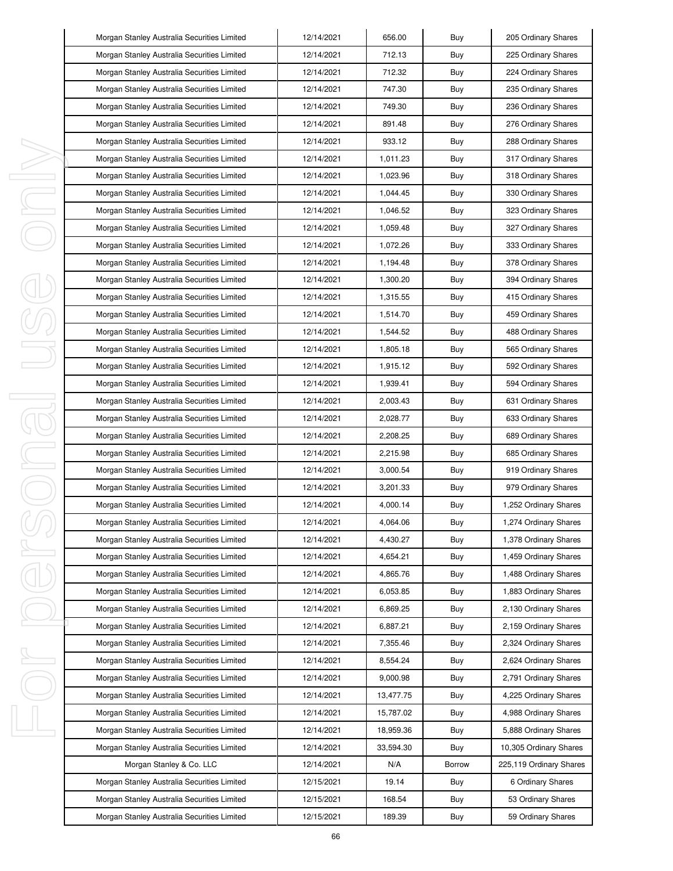|    | Morgan Stanley Australia Securities Limited | 12/14/2021 | 656.00    | Buy    | 205 Ordinary Shares     |
|----|---------------------------------------------|------------|-----------|--------|-------------------------|
|    | Morgan Stanley Australia Securities Limited | 12/14/2021 | 712.13    | Buy    | 225 Ordinary Shares     |
|    | Morgan Stanley Australia Securities Limited | 12/14/2021 | 712.32    | Buy    | 224 Ordinary Shares     |
|    | Morgan Stanley Australia Securities Limited | 12/14/2021 | 747.30    | Buy    | 235 Ordinary Shares     |
|    | Morgan Stanley Australia Securities Limited | 12/14/2021 | 749.30    | Buy    | 236 Ordinary Shares     |
|    | Morgan Stanley Australia Securities Limited | 12/14/2021 | 891.48    | Buy    | 276 Ordinary Shares     |
|    | Morgan Stanley Australia Securities Limited | 12/14/2021 | 933.12    | Buy    | 288 Ordinary Shares     |
|    | Morgan Stanley Australia Securities Limited | 12/14/2021 | 1,011.23  | Buy    | 317 Ordinary Shares     |
| I, | Morgan Stanley Australia Securities Limited | 12/14/2021 | 1,023.96  | Buy    | 318 Ordinary Shares     |
| J, | Morgan Stanley Australia Securities Limited | 12/14/2021 | 1,044.45  | Buy    | 330 Ordinary Shares     |
| I, | Morgan Stanley Australia Securities Limited | 12/14/2021 | 1,046.52  | Buy    | 323 Ordinary Shares     |
|    | Morgan Stanley Australia Securities Limited | 12/14/2021 | 1,059.48  | Buy    | 327 Ordinary Shares     |
|    | Morgan Stanley Australia Securities Limited | 12/14/2021 | 1,072.26  | Buy    | 333 Ordinary Shares     |
|    | Morgan Stanley Australia Securities Limited | 12/14/2021 | 1,194.48  | Buy    | 378 Ordinary Shares     |
|    | Morgan Stanley Australia Securities Limited | 12/14/2021 | 1,300.20  | Buy    | 394 Ordinary Shares     |
|    | Morgan Stanley Australia Securities Limited | 12/14/2021 | 1,315.55  | Buy    | 415 Ordinary Shares     |
|    | Morgan Stanley Australia Securities Limited | 12/14/2021 | 1,514.70  | Buy    | 459 Ordinary Shares     |
|    | Morgan Stanley Australia Securities Limited | 12/14/2021 | 1,544.52  | Buy    | 488 Ordinary Shares     |
|    | Morgan Stanley Australia Securities Limited | 12/14/2021 | 1,805.18  | Buy    | 565 Ordinary Shares     |
|    | Morgan Stanley Australia Securities Limited | 12/14/2021 | 1,915.12  | Buy    | 592 Ordinary Shares     |
|    | Morgan Stanley Australia Securities Limited | 12/14/2021 | 1,939.41  | Buy    | 594 Ordinary Shares     |
| I  | Morgan Stanley Australia Securities Limited | 12/14/2021 | 2,003.43  | Buy    | 631 Ordinary Shares     |
| 1  | Morgan Stanley Australia Securities Limited | 12/14/2021 | 2,028.77  | Buy    | 633 Ordinary Shares     |
|    | Morgan Stanley Australia Securities Limited | 12/14/2021 | 2,208.25  | Buy    | 689 Ordinary Shares     |
| I  | Morgan Stanley Australia Securities Limited | 12/14/2021 | 2,215.98  | Buy    | 685 Ordinary Shares     |
|    | Morgan Stanley Australia Securities Limited | 12/14/2021 | 3,000.54  | Buy    | 919 Ordinary Shares     |
|    | Morgan Stanley Australia Securities Limited | 12/14/2021 | 3,201.33  | Buy    | 979 Ordinary Shares     |
|    | Morgan Stanley Australia Securities Limited | 12/14/2021 | 4,000.14  | Buy    | 1,252 Ordinary Shares   |
|    | Morgan Stanley Australia Securities Limited | 12/14/2021 | 4,064.06  | Buy    | 1,274 Ordinary Shares   |
|    | Morgan Stanley Australia Securities Limited | 12/14/2021 | 4,430.27  | Buy    | 1,378 Ordinary Shares   |
| I  | Morgan Stanley Australia Securities Limited | 12/14/2021 | 4,654.21  | Buy    | 1,459 Ordinary Shares   |
|    | Morgan Stanley Australia Securities Limited | 12/14/2021 | 4,865.76  | Buy    | 1,488 Ordinary Shares   |
|    | Morgan Stanley Australia Securities Limited | 12/14/2021 | 6,053.85  | Buy    | 1,883 Ordinary Shares   |
|    | Morgan Stanley Australia Securities Limited | 12/14/2021 | 6,869.25  | Buy    | 2,130 Ordinary Shares   |
|    | Morgan Stanley Australia Securities Limited | 12/14/2021 | 6,887.21  | Buy    | 2,159 Ordinary Shares   |
|    | Morgan Stanley Australia Securities Limited | 12/14/2021 | 7,355.46  | Buy    | 2,324 Ordinary Shares   |
| I, | Morgan Stanley Australia Securities Limited | 12/14/2021 | 8,554.24  | Buy    | 2,624 Ordinary Shares   |
|    | Morgan Stanley Australia Securities Limited | 12/14/2021 | 9,000.98  | Buy    | 2,791 Ordinary Shares   |
|    | Morgan Stanley Australia Securities Limited | 12/14/2021 | 13,477.75 | Buy    | 4,225 Ordinary Shares   |
|    | Morgan Stanley Australia Securities Limited | 12/14/2021 | 15,787.02 | Buy    | 4,988 Ordinary Shares   |
| I, | Morgan Stanley Australia Securities Limited | 12/14/2021 | 18,959.36 | Buy    | 5,888 Ordinary Shares   |
|    | Morgan Stanley Australia Securities Limited | 12/14/2021 | 33,594.30 | Buy    | 10,305 Ordinary Shares  |
|    | Morgan Stanley & Co. LLC                    | 12/14/2021 | N/A       | Borrow | 225,119 Ordinary Shares |
|    | Morgan Stanley Australia Securities Limited | 12/15/2021 | 19.14     | Buy    | 6 Ordinary Shares       |
|    | Morgan Stanley Australia Securities Limited | 12/15/2021 | 168.54    | Buy    | 53 Ordinary Shares      |
|    | Morgan Stanley Australia Securities Limited | 12/15/2021 | 189.39    | Buy    | 59 Ordinary Shares      |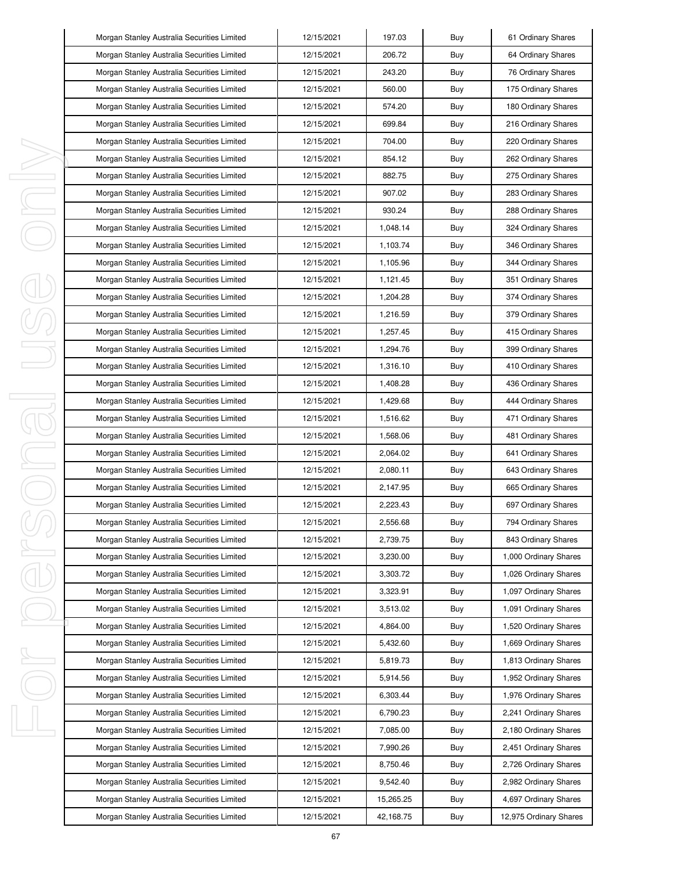|        | Morgan Stanley Australia Securities Limited | 12/15/2021 | 197.03    | Buy | 61 Ordinary Shares     |
|--------|---------------------------------------------|------------|-----------|-----|------------------------|
|        | Morgan Stanley Australia Securities Limited | 12/15/2021 | 206.72    | Buy | 64 Ordinary Shares     |
|        | Morgan Stanley Australia Securities Limited | 12/15/2021 | 243.20    | Buy | 76 Ordinary Shares     |
|        | Morgan Stanley Australia Securities Limited | 12/15/2021 | 560.00    | Buy | 175 Ordinary Shares    |
|        | Morgan Stanley Australia Securities Limited | 12/15/2021 | 574.20    | Buy | 180 Ordinary Shares    |
|        | Morgan Stanley Australia Securities Limited | 12/15/2021 | 699.84    | Buy | 216 Ordinary Shares    |
|        | Morgan Stanley Australia Securities Limited | 12/15/2021 | 704.00    | Buy | 220 Ordinary Shares    |
|        | Morgan Stanley Australia Securities Limited | 12/15/2021 | 854.12    | Buy | 262 Ordinary Shares    |
| ı      | Morgan Stanley Australia Securities Limited | 12/15/2021 | 882.75    | Buy | 275 Ordinary Shares    |
| J,     | Morgan Stanley Australia Securities Limited | 12/15/2021 | 907.02    | Buy | 283 Ordinary Shares    |
| I,     | Morgan Stanley Australia Securities Limited | 12/15/2021 | 930.24    | Buy | 288 Ordinary Shares    |
|        | Morgan Stanley Australia Securities Limited | 12/15/2021 | 1,048.14  | Buy | 324 Ordinary Shares    |
|        | Morgan Stanley Australia Securities Limited | 12/15/2021 | 1,103.74  | Buy | 346 Ordinary Shares    |
|        | Morgan Stanley Australia Securities Limited | 12/15/2021 | 1,105.96  | Buy | 344 Ordinary Shares    |
|        | Morgan Stanley Australia Securities Limited | 12/15/2021 | 1,121.45  | Buy | 351 Ordinary Shares    |
|        | Morgan Stanley Australia Securities Limited | 12/15/2021 | 1,204.28  | Buy | 374 Ordinary Shares    |
|        | Morgan Stanley Australia Securities Limited | 12/15/2021 | 1,216.59  | Buy | 379 Ordinary Shares    |
|        | Morgan Stanley Australia Securities Limited | 12/15/2021 | 1.257.45  | Buy | 415 Ordinary Shares    |
|        | Morgan Stanley Australia Securities Limited | 12/15/2021 | 1,294.76  | Buy | 399 Ordinary Shares    |
|        | Morgan Stanley Australia Securities Limited | 12/15/2021 | 1,316.10  | Buy | 410 Ordinary Shares    |
|        | Morgan Stanley Australia Securities Limited | 12/15/2021 | 1,408.28  | Buy | 436 Ordinary Shares    |
| I<br>1 | Morgan Stanley Australia Securities Limited | 12/15/2021 | 1,429.68  | Buy | 444 Ordinary Shares    |
|        | Morgan Stanley Australia Securities Limited | 12/15/2021 | 1,516.62  | Buy | 471 Ordinary Shares    |
|        | Morgan Stanley Australia Securities Limited | 12/15/2021 | 1,568.06  | Buy | 481 Ordinary Shares    |
| I      | Morgan Stanley Australia Securities Limited | 12/15/2021 | 2,064.02  | Buy | 641 Ordinary Shares    |
|        | Morgan Stanley Australia Securities Limited | 12/15/2021 | 2,080.11  | Buy | 643 Ordinary Shares    |
|        | Morgan Stanley Australia Securities Limited | 12/15/2021 | 2,147.95  | Buy | 665 Ordinary Shares    |
|        | Morgan Stanley Australia Securities Limited | 12/15/2021 | 2,223.43  | Buy | 697 Ordinary Shares    |
|        | Morgan Stanley Australia Securities Limited | 12/15/2021 | 2,556.68  | Buy | 794 Ordinary Shares    |
|        | Morgan Stanley Australia Securities Limited | 12/15/2021 | 2,739.75  | Buy | 843 Ordinary Shares    |
| I      | Morgan Stanley Australia Securities Limited | 12/15/2021 | 3,230.00  | Buy | 1,000 Ordinary Shares  |
|        | Morgan Stanley Australia Securities Limited | 12/15/2021 | 3,303.72  | Buy | 1,026 Ordinary Shares  |
|        | Morgan Stanley Australia Securities Limited | 12/15/2021 | 3,323.91  | Buy | 1,097 Ordinary Shares  |
|        | Morgan Stanley Australia Securities Limited | 12/15/2021 | 3,513.02  | Buy | 1,091 Ordinary Shares  |
|        | Morgan Stanley Australia Securities Limited | 12/15/2021 | 4,864.00  | Buy | 1,520 Ordinary Shares  |
|        | Morgan Stanley Australia Securities Limited | 12/15/2021 | 5,432.60  | Buy | 1,669 Ordinary Shares  |
| I,     | Morgan Stanley Australia Securities Limited | 12/15/2021 | 5,819.73  | Buy | 1,813 Ordinary Shares  |
|        | Morgan Stanley Australia Securities Limited | 12/15/2021 | 5,914.56  | Buy | 1,952 Ordinary Shares  |
|        | Morgan Stanley Australia Securities Limited | 12/15/2021 | 6,303.44  | Buy | 1,976 Ordinary Shares  |
|        | Morgan Stanley Australia Securities Limited | 12/15/2021 | 6,790.23  | Buy | 2,241 Ordinary Shares  |
| I,     | Morgan Stanley Australia Securities Limited | 12/15/2021 | 7,085.00  | Buy | 2,180 Ordinary Shares  |
|        | Morgan Stanley Australia Securities Limited | 12/15/2021 | 7,990.26  | Buy | 2,451 Ordinary Shares  |
|        | Morgan Stanley Australia Securities Limited | 12/15/2021 | 8,750.46  | Buy | 2,726 Ordinary Shares  |
|        | Morgan Stanley Australia Securities Limited | 12/15/2021 | 9,542.40  | Buy | 2,982 Ordinary Shares  |
|        | Morgan Stanley Australia Securities Limited | 12/15/2021 | 15,265.25 | Buy | 4,697 Ordinary Shares  |
|        | Morgan Stanley Australia Securities Limited | 12/15/2021 | 42,168.75 | Buy | 12,975 Ordinary Shares |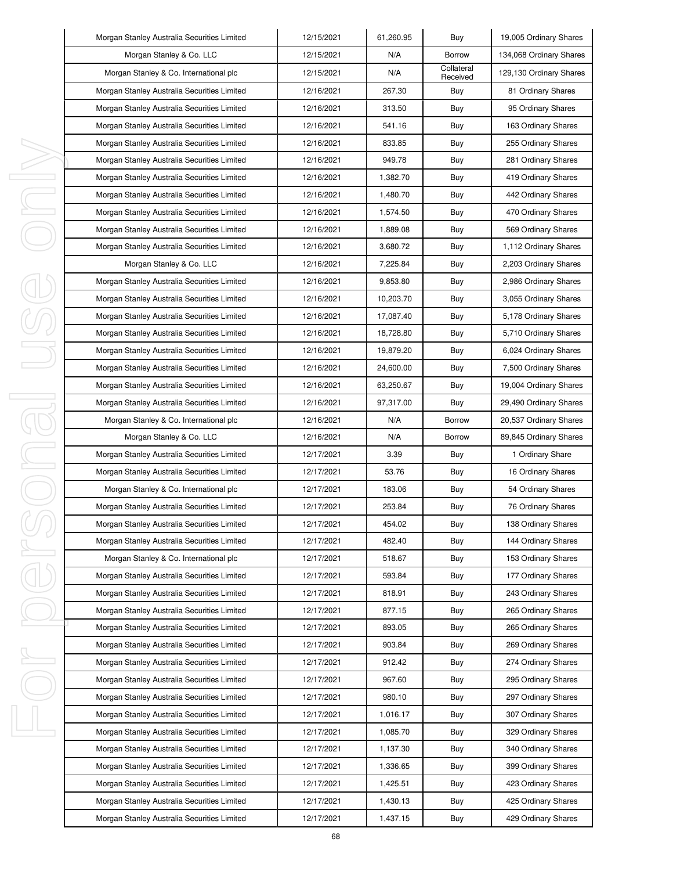| Morgan Stanley Australia Securities Limited | 12/15/2021 | 61,260.95 | Buy                    | 19,005 Ordinary Shares  |
|---------------------------------------------|------------|-----------|------------------------|-------------------------|
| Morgan Stanley & Co. LLC                    | 12/15/2021 | N/A       | <b>Borrow</b>          | 134,068 Ordinary Shares |
| Morgan Stanley & Co. International plc      | 12/15/2021 | N/A       | Collateral<br>Received | 129,130 Ordinary Shares |
| Morgan Stanley Australia Securities Limited | 12/16/2021 | 267.30    | Buy                    | 81 Ordinary Shares      |
| Morgan Stanley Australia Securities Limited | 12/16/2021 | 313.50    | Buy                    | 95 Ordinary Shares      |
| Morgan Stanley Australia Securities Limited | 12/16/2021 | 541.16    | Buy                    | 163 Ordinary Shares     |
| Morgan Stanley Australia Securities Limited | 12/16/2021 | 833.85    | Buy                    | 255 Ordinary Shares     |
| Morgan Stanley Australia Securities Limited | 12/16/2021 | 949.78    | Buy                    | 281 Ordinary Shares     |
| Morgan Stanley Australia Securities Limited | 12/16/2021 | 1,382.70  | Buy                    | 419 Ordinary Shares     |
| Morgan Stanley Australia Securities Limited | 12/16/2021 | 1,480.70  | Buy                    | 442 Ordinary Shares     |
| Morgan Stanley Australia Securities Limited | 12/16/2021 | 1,574.50  | Buy                    | 470 Ordinary Shares     |
| Morgan Stanley Australia Securities Limited | 12/16/2021 | 1,889.08  | Buy                    | 569 Ordinary Shares     |
| Morgan Stanley Australia Securities Limited | 12/16/2021 | 3,680.72  | Buy                    | 1,112 Ordinary Shares   |
| Morgan Stanley & Co. LLC                    | 12/16/2021 | 7,225.84  | Buy                    | 2,203 Ordinary Shares   |
| Morgan Stanley Australia Securities Limited | 12/16/2021 | 9,853.80  | Buy                    | 2,986 Ordinary Shares   |
| Morgan Stanley Australia Securities Limited | 12/16/2021 | 10,203.70 | Buy                    | 3,055 Ordinary Shares   |
| Morgan Stanley Australia Securities Limited | 12/16/2021 | 17,087.40 | Buy                    | 5,178 Ordinary Shares   |
| Morgan Stanley Australia Securities Limited | 12/16/2021 | 18,728.80 | Buy                    | 5,710 Ordinary Shares   |
| Morgan Stanley Australia Securities Limited | 12/16/2021 | 19,879.20 | Buy                    | 6,024 Ordinary Shares   |
| Morgan Stanley Australia Securities Limited | 12/16/2021 | 24,600.00 | Buy                    | 7,500 Ordinary Shares   |
| Morgan Stanley Australia Securities Limited | 12/16/2021 | 63,250.67 | Buy                    | 19,004 Ordinary Shares  |
| Morgan Stanley Australia Securities Limited | 12/16/2021 | 97,317.00 | Buy                    | 29,490 Ordinary Shares  |
| Morgan Stanley & Co. International plc      | 12/16/2021 | N/A       | <b>Borrow</b>          | 20,537 Ordinary Shares  |
|                                             |            |           |                        |                         |
| Morgan Stanley & Co. LLC                    | 12/16/2021 | N/A       | Borrow                 | 89,845 Ordinary Shares  |
| Morgan Stanley Australia Securities Limited | 12/17/2021 | 3.39      | Buy                    | 1 Ordinary Share        |
| Morgan Stanley Australia Securities Limited | 12/17/2021 | 53.76     | Buy                    | 16 Ordinary Shares      |
| Morgan Stanley & Co. International plc      | 12/17/2021 | 183.06    | Buy                    | 54 Ordinary Shares      |
| Morgan Stanley Australia Securities Limited | 12/17/2021 | 253.84    | Buy                    | 76 Ordinary Shares      |
| Morgan Stanley Australia Securities Limited | 12/17/2021 | 454.02    | Buy                    | 138 Ordinary Shares     |
| Morgan Stanley Australia Securities Limited | 12/17/2021 | 482.40    | Buy                    | 144 Ordinary Shares     |
| Morgan Stanley & Co. International plc      | 12/17/2021 | 518.67    | Buy                    | 153 Ordinary Shares     |
| Morgan Stanley Australia Securities Limited | 12/17/2021 | 593.84    | Buy                    | 177 Ordinary Shares     |
| Morgan Stanley Australia Securities Limited | 12/17/2021 | 818.91    | Buy                    | 243 Ordinary Shares     |
| Morgan Stanley Australia Securities Limited | 12/17/2021 | 877.15    | Buy                    | 265 Ordinary Shares     |
| Morgan Stanley Australia Securities Limited | 12/17/2021 | 893.05    | Buy                    | 265 Ordinary Shares     |
| Morgan Stanley Australia Securities Limited | 12/17/2021 | 903.84    | Buy                    | 269 Ordinary Shares     |
| Morgan Stanley Australia Securities Limited | 12/17/2021 | 912.42    | Buy                    | 274 Ordinary Shares     |
| Morgan Stanley Australia Securities Limited | 12/17/2021 | 967.60    | Buy                    | 295 Ordinary Shares     |
| Morgan Stanley Australia Securities Limited | 12/17/2021 | 980.10    | Buy                    | 297 Ordinary Shares     |
| Morgan Stanley Australia Securities Limited | 12/17/2021 | 1,016.17  | Buy                    | 307 Ordinary Shares     |
| Morgan Stanley Australia Securities Limited | 12/17/2021 | 1,085.70  | Buy                    | 329 Ordinary Shares     |
| Morgan Stanley Australia Securities Limited | 12/17/2021 | 1,137.30  | Buy                    | 340 Ordinary Shares     |
| Morgan Stanley Australia Securities Limited | 12/17/2021 | 1,336.65  | Buy                    | 399 Ordinary Shares     |
| Morgan Stanley Australia Securities Limited | 12/17/2021 | 1,425.51  | Buy                    | 423 Ordinary Shares     |
| Morgan Stanley Australia Securities Limited | 12/17/2021 | 1,430.13  | Buy                    | 425 Ordinary Shares     |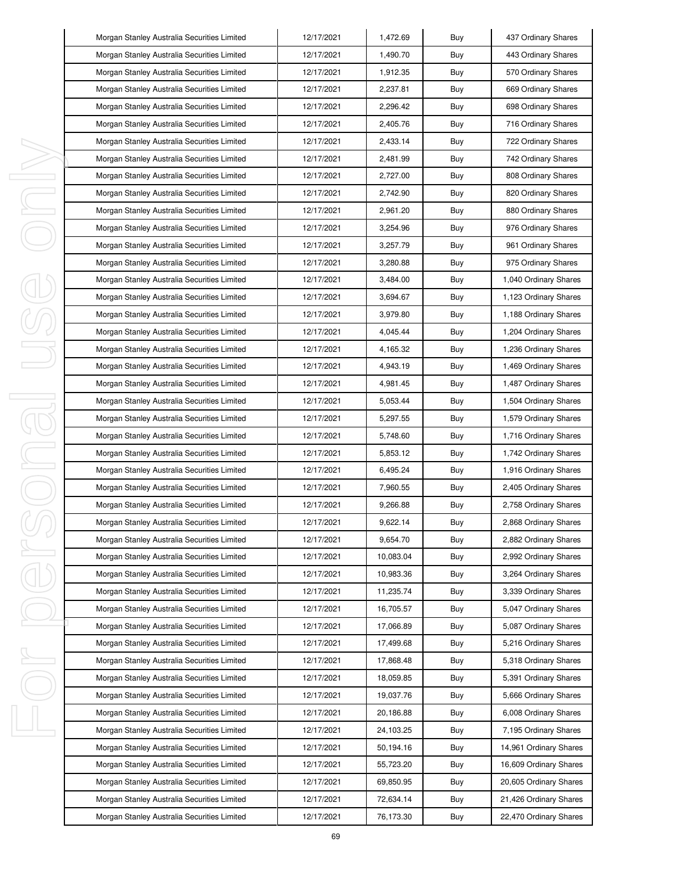| Morgan Stanley Australia Securities Limited | 12/17/2021 | 1,472.69  | Buy | 437 Ordinary Shares    |
|---------------------------------------------|------------|-----------|-----|------------------------|
| Morgan Stanley Australia Securities Limited | 12/17/2021 | 1,490.70  | Buy | 443 Ordinary Shares    |
| Morgan Stanley Australia Securities Limited | 12/17/2021 | 1,912.35  | Buy | 570 Ordinary Shares    |
| Morgan Stanley Australia Securities Limited | 12/17/2021 | 2,237.81  | Buy | 669 Ordinary Shares    |
| Morgan Stanley Australia Securities Limited | 12/17/2021 | 2,296.42  | Buy | 698 Ordinary Shares    |
| Morgan Stanley Australia Securities Limited | 12/17/2021 | 2,405.76  | Buy | 716 Ordinary Shares    |
| Morgan Stanley Australia Securities Limited | 12/17/2021 | 2,433.14  | Buy | 722 Ordinary Shares    |
| Morgan Stanley Australia Securities Limited | 12/17/2021 | 2,481.99  | Buy | 742 Ordinary Shares    |
| Morgan Stanley Australia Securities Limited | 12/17/2021 | 2,727.00  | Buy | 808 Ordinary Shares    |
| Morgan Stanley Australia Securities Limited | 12/17/2021 | 2,742.90  | Buy | 820 Ordinary Shares    |
| Morgan Stanley Australia Securities Limited | 12/17/2021 | 2,961.20  | Buy | 880 Ordinary Shares    |
| Morgan Stanley Australia Securities Limited | 12/17/2021 | 3,254.96  | Buy | 976 Ordinary Shares    |
| Morgan Stanley Australia Securities Limited | 12/17/2021 | 3,257.79  | Buy | 961 Ordinary Shares    |
| Morgan Stanley Australia Securities Limited | 12/17/2021 | 3,280.88  | Buy | 975 Ordinary Shares    |
| Morgan Stanley Australia Securities Limited | 12/17/2021 | 3,484.00  | Buy | 1,040 Ordinary Shares  |
| Morgan Stanley Australia Securities Limited | 12/17/2021 | 3,694.67  | Buy | 1,123 Ordinary Shares  |
| Morgan Stanley Australia Securities Limited | 12/17/2021 | 3,979.80  | Buy | 1,188 Ordinary Shares  |
| Morgan Stanley Australia Securities Limited | 12/17/2021 | 4,045.44  | Buy | 1,204 Ordinary Shares  |
| Morgan Stanley Australia Securities Limited | 12/17/2021 | 4,165.32  | Buy | 1,236 Ordinary Shares  |
| Morgan Stanley Australia Securities Limited | 12/17/2021 | 4,943.19  | Buy | 1,469 Ordinary Shares  |
| Morgan Stanley Australia Securities Limited | 12/17/2021 | 4,981.45  | Buy | 1,487 Ordinary Shares  |
| Morgan Stanley Australia Securities Limited | 12/17/2021 | 5,053.44  | Buy | 1,504 Ordinary Shares  |
| Morgan Stanley Australia Securities Limited | 12/17/2021 | 5,297.55  | Buy | 1,579 Ordinary Shares  |
| Morgan Stanley Australia Securities Limited | 12/17/2021 | 5,748.60  | Buy | 1,716 Ordinary Shares  |
| Morgan Stanley Australia Securities Limited | 12/17/2021 | 5,853.12  | Buy | 1,742 Ordinary Shares  |
| Morgan Stanley Australia Securities Limited | 12/17/2021 | 6.495.24  | Buy | 1,916 Ordinary Shares  |
| Morgan Stanley Australia Securities Limited | 12/17/2021 | 7,960.55  | Buy | 2,405 Ordinary Shares  |
| Morgan Stanley Australia Securities Limited | 12/17/2021 | 9,266.88  | Buy | 2,758 Ordinary Shares  |
| Morgan Stanley Australia Securities Limited | 12/17/2021 | 9,622.14  | Buy | 2,868 Ordinary Shares  |
| Morgan Stanley Australia Securities Limited | 12/17/2021 | 9,654.70  | Buy | 2,882 Ordinary Shares  |
| Morgan Stanley Australia Securities Limited | 12/17/2021 | 10,083.04 | Buy | 2,992 Ordinary Shares  |
| Morgan Stanley Australia Securities Limited | 12/17/2021 | 10,983.36 | Buy | 3,264 Ordinary Shares  |
| Morgan Stanley Australia Securities Limited | 12/17/2021 | 11,235.74 | Buy | 3,339 Ordinary Shares  |
| Morgan Stanley Australia Securities Limited | 12/17/2021 | 16,705.57 | Buy | 5,047 Ordinary Shares  |
| Morgan Stanley Australia Securities Limited | 12/17/2021 | 17,066.89 | Buy | 5,087 Ordinary Shares  |
| Morgan Stanley Australia Securities Limited | 12/17/2021 | 17,499.68 | Buy | 5,216 Ordinary Shares  |
| Morgan Stanley Australia Securities Limited | 12/17/2021 | 17,868.48 | Buy | 5,318 Ordinary Shares  |
| Morgan Stanley Australia Securities Limited | 12/17/2021 | 18,059.85 | Buy | 5,391 Ordinary Shares  |
| Morgan Stanley Australia Securities Limited | 12/17/2021 | 19,037.76 | Buy | 5,666 Ordinary Shares  |
| Morgan Stanley Australia Securities Limited | 12/17/2021 | 20,186.88 | Buy | 6,008 Ordinary Shares  |
| Morgan Stanley Australia Securities Limited | 12/17/2021 | 24,103.25 | Buy | 7,195 Ordinary Shares  |
| Morgan Stanley Australia Securities Limited | 12/17/2021 | 50,194.16 | Buy | 14,961 Ordinary Shares |
| Morgan Stanley Australia Securities Limited | 12/17/2021 | 55,723.20 | Buy | 16,609 Ordinary Shares |
| Morgan Stanley Australia Securities Limited | 12/17/2021 | 69,850.95 | Buy | 20,605 Ordinary Shares |
| Morgan Stanley Australia Securities Limited | 12/17/2021 | 72,634.14 | Buy | 21,426 Ordinary Shares |
| Morgan Stanley Australia Securities Limited | 12/17/2021 | 76,173.30 | Buy | 22,470 Ordinary Shares |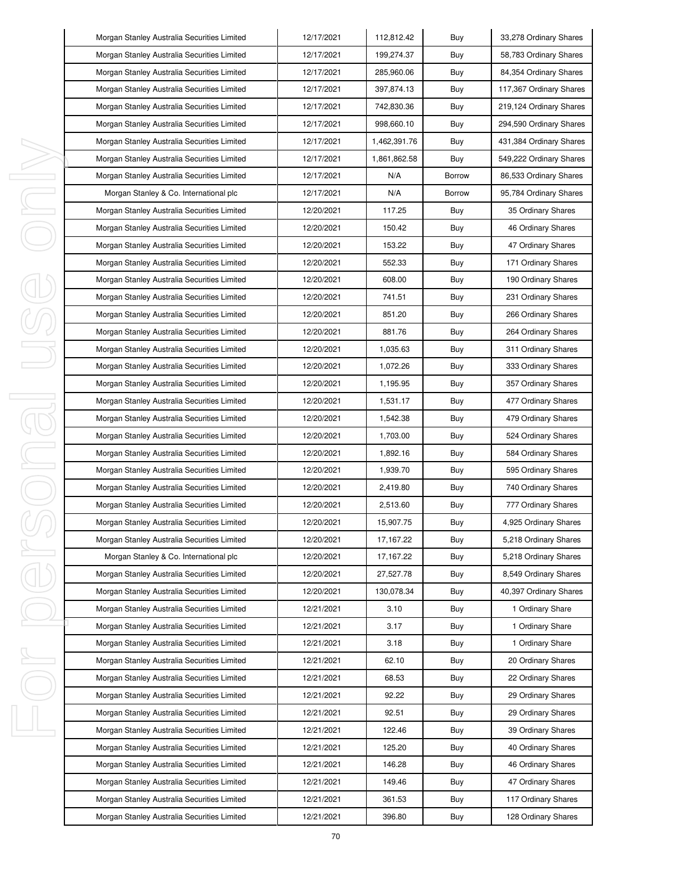|         | Morgan Stanley Australia Securities Limited | 12/17/2021 | 112,812.42   | Buy           | 33,278 Ordinary Shares  |
|---------|---------------------------------------------|------------|--------------|---------------|-------------------------|
|         | Morgan Stanley Australia Securities Limited | 12/17/2021 | 199,274.37   | Buy           | 58,783 Ordinary Shares  |
|         | Morgan Stanley Australia Securities Limited | 12/17/2021 | 285,960.06   | Buy           | 84,354 Ordinary Shares  |
|         | Morgan Stanley Australia Securities Limited | 12/17/2021 | 397,874.13   | Buy           | 117,367 Ordinary Shares |
|         | Morgan Stanley Australia Securities Limited | 12/17/2021 | 742,830.36   | Buy           | 219,124 Ordinary Shares |
|         | Morgan Stanley Australia Securities Limited | 12/17/2021 | 998,660.10   | Buy           | 294,590 Ordinary Shares |
|         | Morgan Stanley Australia Securities Limited | 12/17/2021 | 1,462,391.76 | Buy           | 431,384 Ordinary Shares |
|         | Morgan Stanley Australia Securities Limited | 12/17/2021 | 1,861,862.58 | Buy           | 549,222 Ordinary Shares |
| ı       | Morgan Stanley Australia Securities Limited | 12/17/2021 | N/A          | <b>Borrow</b> | 86,533 Ordinary Shares  |
| I       | Morgan Stanley & Co. International plc      | 12/17/2021 | N/A          | <b>Borrow</b> | 95,784 Ordinary Shares  |
| I,      | Morgan Stanley Australia Securities Limited | 12/20/2021 | 117.25       | Buy           | 35 Ordinary Shares      |
|         | Morgan Stanley Australia Securities Limited | 12/20/2021 | 150.42       | Buy           | 46 Ordinary Shares      |
|         | Morgan Stanley Australia Securities Limited | 12/20/2021 | 153.22       | Buy           | 47 Ordinary Shares      |
|         | Morgan Stanley Australia Securities Limited | 12/20/2021 | 552.33       | Buy           | 171 Ordinary Shares     |
|         | Morgan Stanley Australia Securities Limited | 12/20/2021 | 608.00       | Buy           | 190 Ordinary Shares     |
|         | Morgan Stanley Australia Securities Limited | 12/20/2021 | 741.51       | Buy           | 231 Ordinary Shares     |
|         | Morgan Stanley Australia Securities Limited | 12/20/2021 | 851.20       | Buy           | 266 Ordinary Shares     |
|         | Morgan Stanley Australia Securities Limited | 12/20/2021 | 881.76       | Buy           | 264 Ordinary Shares     |
|         | Morgan Stanley Australia Securities Limited | 12/20/2021 | 1,035.63     | Buy           | 311 Ordinary Shares     |
|         | Morgan Stanley Australia Securities Limited | 12/20/2021 | 1,072.26     | Buy           | 333 Ordinary Shares     |
|         | Morgan Stanley Australia Securities Limited | 12/20/2021 | 1,195.95     | Buy           | 357 Ordinary Shares     |
| I<br>J. | Morgan Stanley Australia Securities Limited | 12/20/2021 | 1,531.17     | Buy           | 477 Ordinary Shares     |
|         | Morgan Stanley Australia Securities Limited | 12/20/2021 | 1,542.38     | Buy           | 479 Ordinary Shares     |
|         | Morgan Stanley Australia Securities Limited | 12/20/2021 | 1,703.00     | Buy           | 524 Ordinary Shares     |
| I,      | Morgan Stanley Australia Securities Limited | 12/20/2021 | 1,892.16     | Buy           | 584 Ordinary Shares     |
| I       | Morgan Stanley Australia Securities Limited | 12/20/2021 | 1,939.70     | Buy           | 595 Ordinary Shares     |
|         | Morgan Stanley Australia Securities Limited | 12/20/2021 | 2,419.80     | Buy           | 740 Ordinary Shares     |
|         | Morgan Stanley Australia Securities Limited | 12/20/2021 | 2,513.60     | Buy           | 777 Ordinary Shares     |
|         | Morgan Stanley Australia Securities Limited | 12/20/2021 | 15,907.75    | Buy           | 4,925 Ordinary Shares   |
|         | Morgan Stanley Australia Securities Limited | 12/20/2021 | 17, 167.22   | Buy           | 5,218 Ordinary Shares   |
| I       | Morgan Stanley & Co. International plc      | 12/20/2021 | 17, 167.22   | Buy           | 5,218 Ordinary Shares   |
|         | Morgan Stanley Australia Securities Limited | 12/20/2021 | 27,527.78    | Buy           | 8,549 Ordinary Shares   |
|         | Morgan Stanley Australia Securities Limited | 12/20/2021 | 130,078.34   | Buy           | 40,397 Ordinary Shares  |
|         | Morgan Stanley Australia Securities Limited | 12/21/2021 | 3.10         | Buy           | 1 Ordinary Share        |
|         | Morgan Stanley Australia Securities Limited | 12/21/2021 | 3.17         | Buy           | 1 Ordinary Share        |
|         | Morgan Stanley Australia Securities Limited | 12/21/2021 | 3.18         | Buy           | 1 Ordinary Share        |
| I,      | Morgan Stanley Australia Securities Limited | 12/21/2021 | 62.10        | Buy           | 20 Ordinary Shares      |
|         | Morgan Stanley Australia Securities Limited | 12/21/2021 | 68.53        | Buy           | 22 Ordinary Shares      |
|         | Morgan Stanley Australia Securities Limited | 12/21/2021 | 92.22        | Buy           | 29 Ordinary Shares      |
|         | Morgan Stanley Australia Securities Limited | 12/21/2021 | 92.51        | Buy           | 29 Ordinary Shares      |
| I,      | Morgan Stanley Australia Securities Limited | 12/21/2021 | 122.46       | Buy           | 39 Ordinary Shares      |
|         | Morgan Stanley Australia Securities Limited | 12/21/2021 | 125.20       | Buy           | 40 Ordinary Shares      |
|         | Morgan Stanley Australia Securities Limited | 12/21/2021 | 146.28       | Buy           | 46 Ordinary Shares      |
|         | Morgan Stanley Australia Securities Limited | 12/21/2021 | 149.46       | Buy           | 47 Ordinary Shares      |
|         | Morgan Stanley Australia Securities Limited | 12/21/2021 | 361.53       | Buy           | 117 Ordinary Shares     |
|         | Morgan Stanley Australia Securities Limited | 12/21/2021 | 396.80       | Buy           | 128 Ordinary Shares     |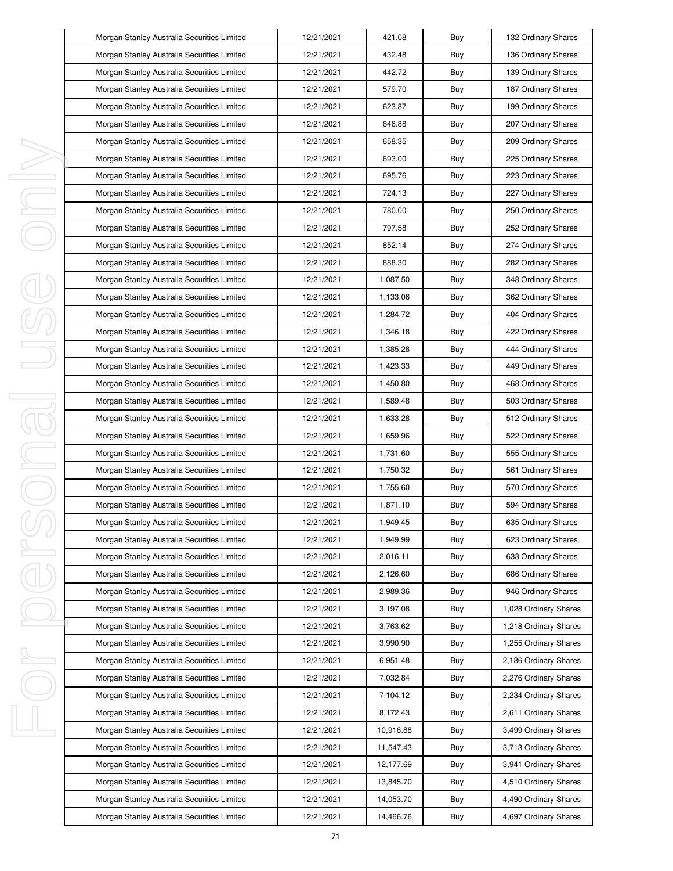|   | Morgan Stanley Australia Securities Limited | 12/21/2021 | 421.08    | Buy | 132 Ordinary Shares   |
|---|---------------------------------------------|------------|-----------|-----|-----------------------|
|   | Morgan Stanley Australia Securities Limited | 12/21/2021 | 432.48    | Buy | 136 Ordinary Shares   |
|   | Morgan Stanley Australia Securities Limited | 12/21/2021 | 442.72    | Buy | 139 Ordinary Shares   |
|   | Morgan Stanley Australia Securities Limited | 12/21/2021 | 579.70    | Buy | 187 Ordinary Shares   |
|   | Morgan Stanley Australia Securities Limited | 12/21/2021 | 623.87    | Buy | 199 Ordinary Shares   |
|   | Morgan Stanley Australia Securities Limited | 12/21/2021 | 646.88    | Buy | 207 Ordinary Shares   |
|   | Morgan Stanley Australia Securities Limited | 12/21/2021 | 658.35    | Buy | 209 Ordinary Shares   |
|   | Morgan Stanley Australia Securities Limited | 12/21/2021 | 693.00    | Buy | 225 Ordinary Shares   |
|   | Morgan Stanley Australia Securities Limited | 12/21/2021 | 695.76    | Buy | 223 Ordinary Shares   |
|   | Morgan Stanley Australia Securities Limited | 12/21/2021 | 724.13    | Buy | 227 Ordinary Shares   |
| J | Morgan Stanley Australia Securities Limited | 12/21/2021 | 780.00    | Buy | 250 Ordinary Shares   |
|   | Morgan Stanley Australia Securities Limited | 12/21/2021 | 797.58    | Buy | 252 Ordinary Shares   |
|   | Morgan Stanley Australia Securities Limited | 12/21/2021 | 852.14    | Buy | 274 Ordinary Shares   |
|   | Morgan Stanley Australia Securities Limited | 12/21/2021 | 888.30    | Buy | 282 Ordinary Shares   |
|   | Morgan Stanley Australia Securities Limited | 12/21/2021 | 1,087.50  | Buy | 348 Ordinary Shares   |
|   | Morgan Stanley Australia Securities Limited | 12/21/2021 | 1,133.06  | Buy | 362 Ordinary Shares   |
|   | Morgan Stanley Australia Securities Limited | 12/21/2021 | 1,284.72  | Buy | 404 Ordinary Shares   |
|   | Morgan Stanley Australia Securities Limited | 12/21/2021 | 1,346.18  | Buy | 422 Ordinary Shares   |
|   | Morgan Stanley Australia Securities Limited | 12/21/2021 | 1,385.28  | Buy | 444 Ordinary Shares   |
|   | Morgan Stanley Australia Securities Limited | 12/21/2021 | 1,423.33  | Buy | 449 Ordinary Shares   |
|   | Morgan Stanley Australia Securities Limited | 12/21/2021 | 1,450.80  | Buy | 468 Ordinary Shares   |
|   | Morgan Stanley Australia Securities Limited | 12/21/2021 | 1,589.48  | Buy | 503 Ordinary Shares   |
|   | Morgan Stanley Australia Securities Limited | 12/21/2021 | 1,633.28  | Buy | 512 Ordinary Shares   |
|   | Morgan Stanley Australia Securities Limited | 12/21/2021 | 1,659.96  | Buy | 522 Ordinary Shares   |
| I | Morgan Stanley Australia Securities Limited | 12/21/2021 | 1,731.60  | Buy | 555 Ordinary Shares   |
|   | Morgan Stanley Australia Securities Limited | 12/21/2021 | 1,750.32  | Buy | 561 Ordinary Shares   |
|   | Morgan Stanley Australia Securities Limited | 12/21/2021 | 1,755.60  | Buy | 570 Ordinary Shares   |
|   | Morgan Stanley Australia Securities Limited | 12/21/2021 | 1,871.10  | Buy | 594 Ordinary Shares   |
|   | Morgan Stanley Australia Securities Limited | 12/21/2021 | 1,949.45  | Buy | 635 Ordinary Shares   |
|   | Morgan Stanley Australia Securities Limited | 12/21/2021 | 1,949.99  | Buy | 623 Ordinary Shares   |
| J | Morgan Stanley Australia Securities Limited | 12/21/2021 | 2,016.11  | Buy | 633 Ordinary Shares   |
|   | Morgan Stanley Australia Securities Limited | 12/21/2021 | 2,126.60  | Buy | 686 Ordinary Shares   |
|   | Morgan Stanley Australia Securities Limited | 12/21/2021 | 2,989.36  | Buy | 946 Ordinary Shares   |
|   | Morgan Stanley Australia Securities Limited | 12/21/2021 | 3,197.08  | Buy | 1,028 Ordinary Shares |
|   | Morgan Stanley Australia Securities Limited | 12/21/2021 | 3,763.62  | Buy | 1,218 Ordinary Shares |
|   | Morgan Stanley Australia Securities Limited | 12/21/2021 | 3,990.90  | Buy | 1,255 Ordinary Shares |
| ı | Morgan Stanley Australia Securities Limited | 12/21/2021 | 6,951.48  | Buy | 2,186 Ordinary Shares |
|   | Morgan Stanley Australia Securities Limited | 12/21/2021 | 7,032.84  | Buy | 2,276 Ordinary Shares |
|   | Morgan Stanley Australia Securities Limited | 12/21/2021 | 7,104.12  | Buy | 2,234 Ordinary Shares |
|   | Morgan Stanley Australia Securities Limited | 12/21/2021 | 8,172.43  | Buy | 2,611 Ordinary Shares |
|   | Morgan Stanley Australia Securities Limited | 12/21/2021 | 10,916.88 | Buy | 3,499 Ordinary Shares |
|   | Morgan Stanley Australia Securities Limited | 12/21/2021 | 11,547.43 | Buy | 3,713 Ordinary Shares |
|   | Morgan Stanley Australia Securities Limited | 12/21/2021 | 12,177.69 | Buy | 3,941 Ordinary Shares |
|   | Morgan Stanley Australia Securities Limited | 12/21/2021 | 13,845.70 | Buy | 4,510 Ordinary Shares |
|   | Morgan Stanley Australia Securities Limited | 12/21/2021 | 14,053.70 | Buy | 4,490 Ordinary Shares |
|   | Morgan Stanley Australia Securities Limited | 12/21/2021 | 14,466.76 | Buy | 4,697 Ordinary Shares |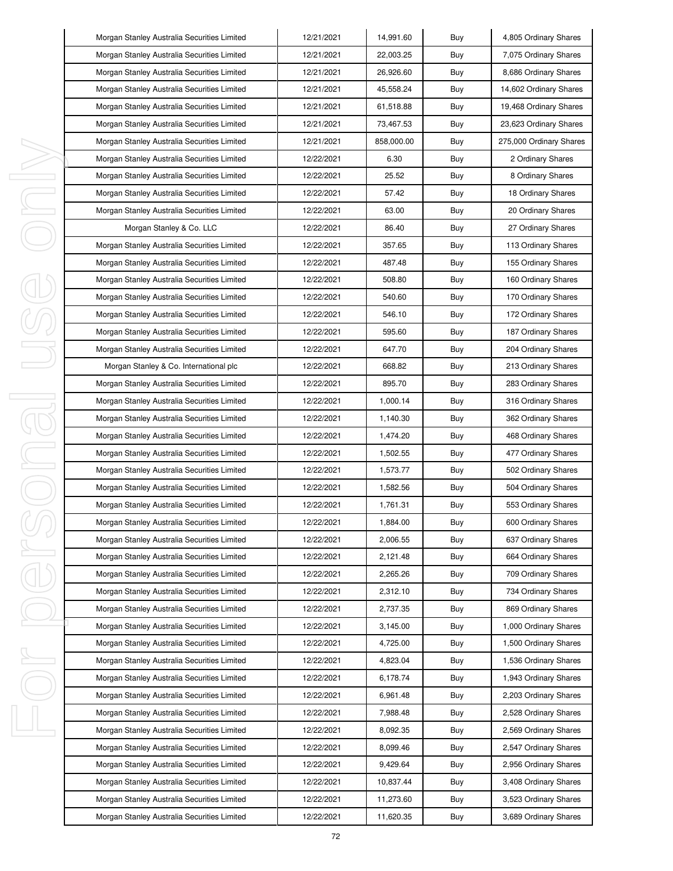| Morgan Stanley Australia Securities Limited | 12/21/2021 | 14,991.60  | Buy | 4,805 Ordinary Shares   |
|---------------------------------------------|------------|------------|-----|-------------------------|
| Morgan Stanley Australia Securities Limited | 12/21/2021 | 22,003.25  | Buy | 7,075 Ordinary Shares   |
| Morgan Stanley Australia Securities Limited | 12/21/2021 | 26,926.60  | Buy | 8,686 Ordinary Shares   |
| Morgan Stanley Australia Securities Limited | 12/21/2021 | 45,558.24  | Buy | 14,602 Ordinary Shares  |
| Morgan Stanley Australia Securities Limited | 12/21/2021 | 61,518.88  | Buy | 19,468 Ordinary Shares  |
| Morgan Stanley Australia Securities Limited | 12/21/2021 | 73,467.53  | Buy | 23,623 Ordinary Shares  |
| Morgan Stanley Australia Securities Limited | 12/21/2021 | 858.000.00 | Buy | 275,000 Ordinary Shares |
| Morgan Stanley Australia Securities Limited | 12/22/2021 | 6.30       | Buy | 2 Ordinary Shares       |
| Morgan Stanley Australia Securities Limited | 12/22/2021 | 25.52      | Buy | 8 Ordinary Shares       |
| Morgan Stanley Australia Securities Limited | 12/22/2021 | 57.42      | Buy | 18 Ordinary Shares      |
| Morgan Stanley Australia Securities Limited | 12/22/2021 | 63.00      | Buy | 20 Ordinary Shares      |
| Morgan Stanley & Co. LLC                    | 12/22/2021 | 86.40      | Buy | 27 Ordinary Shares      |
| Morgan Stanley Australia Securities Limited | 12/22/2021 | 357.65     | Buy | 113 Ordinary Shares     |
| Morgan Stanley Australia Securities Limited | 12/22/2021 | 487.48     | Buy | 155 Ordinary Shares     |
| Morgan Stanley Australia Securities Limited | 12/22/2021 | 508.80     | Buy | 160 Ordinary Shares     |
| Morgan Stanley Australia Securities Limited | 12/22/2021 | 540.60     | Buy | 170 Ordinary Shares     |
| Morgan Stanley Australia Securities Limited | 12/22/2021 | 546.10     | Buy | 172 Ordinary Shares     |
| Morgan Stanley Australia Securities Limited | 12/22/2021 | 595.60     | Buy | 187 Ordinary Shares     |
| Morgan Stanley Australia Securities Limited | 12/22/2021 | 647.70     | Buy | 204 Ordinary Shares     |
| Morgan Stanley & Co. International plc      | 12/22/2021 | 668.82     | Buy | 213 Ordinary Shares     |
| Morgan Stanley Australia Securities Limited | 12/22/2021 | 895.70     | Buy | 283 Ordinary Shares     |
| Morgan Stanley Australia Securities Limited | 12/22/2021 | 1,000.14   | Buy | 316 Ordinary Shares     |
| Morgan Stanley Australia Securities Limited | 12/22/2021 | 1,140.30   | Buy | 362 Ordinary Shares     |
| Morgan Stanley Australia Securities Limited | 12/22/2021 | 1,474.20   | Buy | 468 Ordinary Shares     |
| Morgan Stanley Australia Securities Limited | 12/22/2021 | 1,502.55   | Buy | 477 Ordinary Shares     |
| Morgan Stanley Australia Securities Limited | 12/22/2021 | 1,573.77   | Buy | 502 Ordinary Shares     |
| Morgan Stanley Australia Securities Limited | 12/22/2021 | 1,582.56   | Buy | 504 Ordinary Shares     |
| Morgan Stanley Australia Securities Limited | 12/22/2021 | 1,761.31   | Buy | 553 Ordinary Shares     |
| Morgan Stanley Australia Securities Limited | 12/22/2021 | 1,884.00   | Buy | 600 Ordinary Shares     |
| Morgan Stanley Australia Securities Limited | 12/22/2021 | 2,006.55   | Buy | 637 Ordinary Shares     |
| Morgan Stanley Australia Securities Limited | 12/22/2021 | 2,121.48   | Buy | 664 Ordinary Shares     |
| Morgan Stanley Australia Securities Limited | 12/22/2021 | 2,265.26   | Buy | 709 Ordinary Shares     |
| Morgan Stanley Australia Securities Limited | 12/22/2021 | 2,312.10   | Buy | 734 Ordinary Shares     |
| Morgan Stanley Australia Securities Limited | 12/22/2021 | 2,737.35   | Buy | 869 Ordinary Shares     |
| Morgan Stanley Australia Securities Limited | 12/22/2021 | 3,145.00   | Buy | 1,000 Ordinary Shares   |
| Morgan Stanley Australia Securities Limited | 12/22/2021 | 4,725.00   | Buy | 1,500 Ordinary Shares   |
| Morgan Stanley Australia Securities Limited | 12/22/2021 | 4,823.04   | Buy | 1,536 Ordinary Shares   |
| Morgan Stanley Australia Securities Limited | 12/22/2021 | 6,178.74   | Buy | 1,943 Ordinary Shares   |
| Morgan Stanley Australia Securities Limited | 12/22/2021 | 6,961.48   | Buy | 2,203 Ordinary Shares   |
| Morgan Stanley Australia Securities Limited | 12/22/2021 | 7,988.48   | Buy | 2,528 Ordinary Shares   |
| Morgan Stanley Australia Securities Limited | 12/22/2021 | 8,092.35   | Buy | 2,569 Ordinary Shares   |
| Morgan Stanley Australia Securities Limited | 12/22/2021 | 8,099.46   | Buy | 2,547 Ordinary Shares   |
| Morgan Stanley Australia Securities Limited | 12/22/2021 | 9,429.64   | Buy | 2,956 Ordinary Shares   |
| Morgan Stanley Australia Securities Limited | 12/22/2021 | 10,837.44  | Buy | 3,408 Ordinary Shares   |
| Morgan Stanley Australia Securities Limited | 12/22/2021 | 11,273.60  | Buy | 3,523 Ordinary Shares   |
| Morgan Stanley Australia Securities Limited | 12/22/2021 | 11,620.35  | Buy | 3,689 Ordinary Shares   |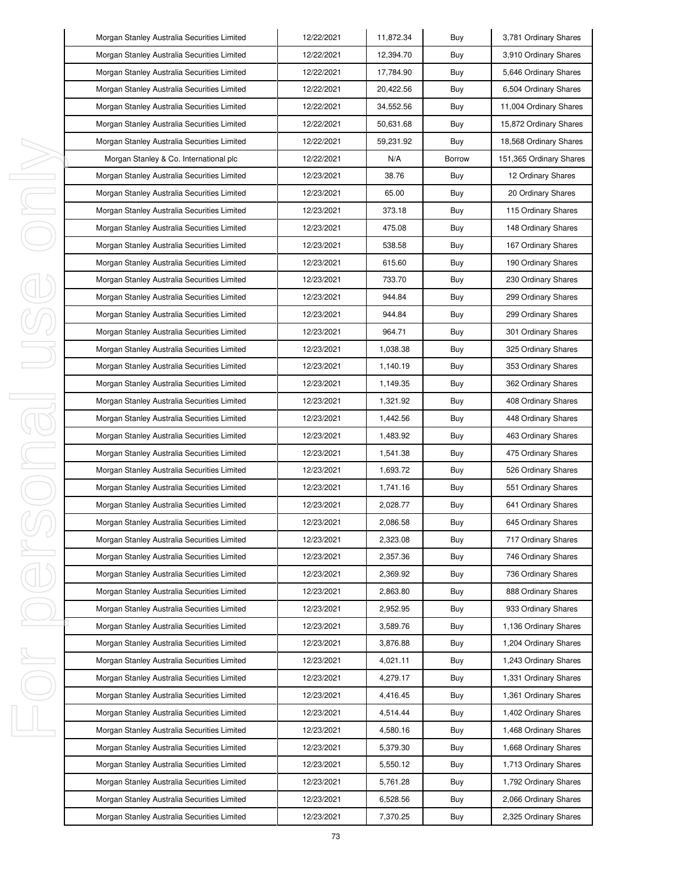|         | Morgan Stanley Australia Securities Limited | 12/22/2021 | 11,872.34 | Buy    | 3,781 Ordinary Shares   |
|---------|---------------------------------------------|------------|-----------|--------|-------------------------|
|         | Morgan Stanley Australia Securities Limited | 12/22/2021 | 12,394.70 | Buy    | 3,910 Ordinary Shares   |
|         | Morgan Stanley Australia Securities Limited | 12/22/2021 | 17,784.90 | Buy    | 5,646 Ordinary Shares   |
|         | Morgan Stanley Australia Securities Limited | 12/22/2021 | 20,422.56 | Buy    | 6,504 Ordinary Shares   |
|         | Morgan Stanley Australia Securities Limited | 12/22/2021 | 34,552.56 | Buy    | 11,004 Ordinary Shares  |
|         | Morgan Stanley Australia Securities Limited | 12/22/2021 | 50,631.68 | Buy    | 15,872 Ordinary Shares  |
|         | Morgan Stanley Australia Securities Limited | 12/22/2021 | 59,231.92 | Buy    | 18,568 Ordinary Shares  |
|         | Morgan Stanley & Co. International plc      | 12/22/2021 | N/A       | Borrow | 151,365 Ordinary Shares |
| I,      | Morgan Stanley Australia Securities Limited | 12/23/2021 | 38.76     | Buy    | 12 Ordinary Shares      |
| E       | Morgan Stanley Australia Securities Limited | 12/23/2021 | 65.00     | Buy    | 20 Ordinary Shares      |
| J       | Morgan Stanley Australia Securities Limited | 12/23/2021 | 373.18    | Buy    | 115 Ordinary Shares     |
|         | Morgan Stanley Australia Securities Limited | 12/23/2021 | 475.08    | Buy    | 148 Ordinary Shares     |
|         | Morgan Stanley Australia Securities Limited | 12/23/2021 | 538.58    | Buy    | 167 Ordinary Shares     |
|         | Morgan Stanley Australia Securities Limited | 12/23/2021 | 615.60    | Buy    | 190 Ordinary Shares     |
|         | Morgan Stanley Australia Securities Limited | 12/23/2021 | 733.70    | Buy    | 230 Ordinary Shares     |
|         | Morgan Stanley Australia Securities Limited | 12/23/2021 | 944.84    | Buy    | 299 Ordinary Shares     |
|         | Morgan Stanley Australia Securities Limited | 12/23/2021 | 944.84    | Buy    | 299 Ordinary Shares     |
|         | Morgan Stanley Australia Securities Limited | 12/23/2021 | 964.71    | Buy    | 301 Ordinary Shares     |
|         | Morgan Stanley Australia Securities Limited | 12/23/2021 | 1,038.38  | Buy    | 325 Ordinary Shares     |
|         | Morgan Stanley Australia Securities Limited | 12/23/2021 | 1,140.19  | Buy    | 353 Ordinary Shares     |
|         | Morgan Stanley Australia Securities Limited | 12/23/2021 | 1,149.35  | Buy    | 362 Ordinary Shares     |
| J,<br>₹ | Morgan Stanley Australia Securities Limited | 12/23/2021 | 1,321.92  | Buy    | 408 Ordinary Shares     |
|         | Morgan Stanley Australia Securities Limited | 12/23/2021 | 1,442.56  | Buy    | 448 Ordinary Shares     |
|         | Morgan Stanley Australia Securities Limited | 12/23/2021 | 1,483.92  | Buy    | 463 Ordinary Shares     |
| E       | Morgan Stanley Australia Securities Limited | 12/23/2021 | 1,541.38  | Buy    | 475 Ordinary Shares     |
| E       | Morgan Stanley Australia Securities Limited | 12/23/2021 | 1,693.72  | Buy    | 526 Ordinary Shares     |
|         | Morgan Stanley Australia Securities Limited | 12/23/2021 | 1,741.16  | Buy    | 551 Ordinary Shares     |
|         | Morgan Stanley Australia Securities Limited | 12/23/2021 | 2,028.77  | Buy    | 641 Ordinary Shares     |
|         | Morgan Stanley Australia Securities Limited | 12/23/2021 | 2,086.58  | Buy    | 645 Ordinary Shares     |
|         | Morgan Stanley Australia Securities Limited | 12/23/2021 | 2,323.08  | Buy    | 717 Ordinary Shares     |
| I,      | Morgan Stanley Australia Securities Limited | 12/23/2021 | 2,357.36  | Buy    | 746 Ordinary Shares     |
|         | Morgan Stanley Australia Securities Limited | 12/23/2021 | 2,369.92  | Buy    | 736 Ordinary Shares     |
|         | Morgan Stanley Australia Securities Limited | 12/23/2021 | 2,863.80  | Buy    | 888 Ordinary Shares     |
|         | Morgan Stanley Australia Securities Limited | 12/23/2021 | 2,952.95  | Buy    | 933 Ordinary Shares     |
|         | Morgan Stanley Australia Securities Limited | 12/23/2021 | 3,589.76  | Buy    | 1,136 Ordinary Shares   |
|         | Morgan Stanley Australia Securities Limited | 12/23/2021 | 3,876.88  | Buy    | 1,204 Ordinary Shares   |
| J       | Morgan Stanley Australia Securities Limited | 12/23/2021 | 4,021.11  | Buy    | 1,243 Ordinary Shares   |
|         | Morgan Stanley Australia Securities Limited | 12/23/2021 | 4,279.17  | Buy    | 1,331 Ordinary Shares   |
|         | Morgan Stanley Australia Securities Limited | 12/23/2021 | 4,416.45  | Buy    | 1,361 Ordinary Shares   |
|         | Morgan Stanley Australia Securities Limited | 12/23/2021 | 4,514.44  | Buy    | 1,402 Ordinary Shares   |
| J       | Morgan Stanley Australia Securities Limited | 12/23/2021 | 4,580.16  | Buy    | 1,468 Ordinary Shares   |
|         | Morgan Stanley Australia Securities Limited | 12/23/2021 | 5,379.30  | Buy    | 1,668 Ordinary Shares   |
|         | Morgan Stanley Australia Securities Limited | 12/23/2021 | 5,550.12  | Buy    | 1,713 Ordinary Shares   |
|         | Morgan Stanley Australia Securities Limited | 12/23/2021 | 5,761.28  | Buy    | 1,792 Ordinary Shares   |
|         | Morgan Stanley Australia Securities Limited | 12/23/2021 | 6,528.56  | Buy    | 2,066 Ordinary Shares   |
|         | Morgan Stanley Australia Securities Limited | 12/23/2021 | 7,370.25  | Buy    | 2,325 Ordinary Shares   |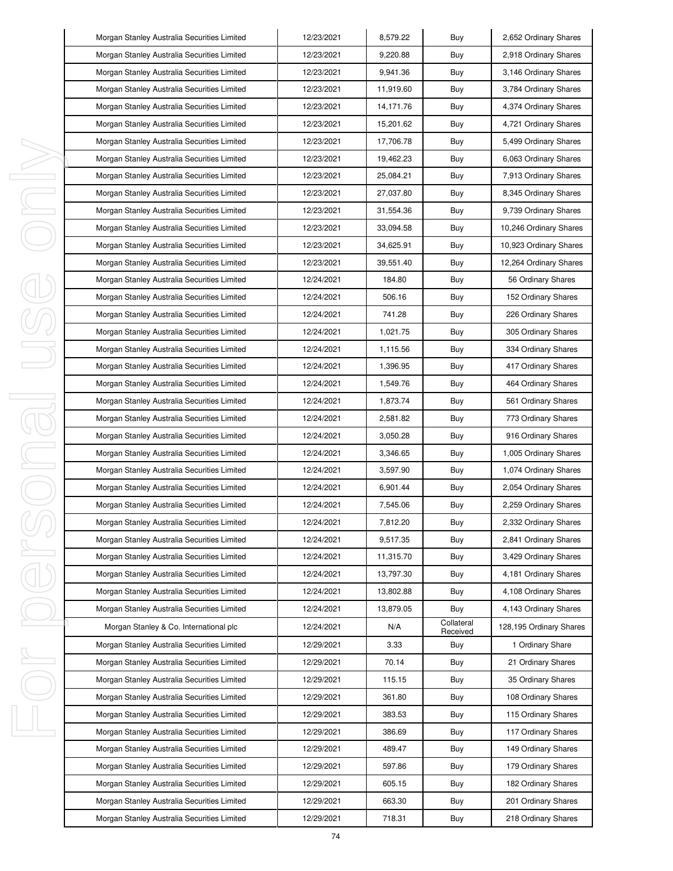|         | Morgan Stanley Australia Securities Limited | 12/23/2021 | 8,579.22   | Buy                    | 2,652 Ordinary Shares   |
|---------|---------------------------------------------|------------|------------|------------------------|-------------------------|
|         | Morgan Stanley Australia Securities Limited | 12/23/2021 | 9,220.88   | Buy                    | 2,918 Ordinary Shares   |
|         | Morgan Stanley Australia Securities Limited | 12/23/2021 | 9,941.36   | Buy                    | 3,146 Ordinary Shares   |
|         | Morgan Stanley Australia Securities Limited | 12/23/2021 | 11,919.60  | Buy                    | 3,784 Ordinary Shares   |
|         | Morgan Stanley Australia Securities Limited | 12/23/2021 | 14, 171.76 | Buy                    | 4,374 Ordinary Shares   |
|         | Morgan Stanley Australia Securities Limited | 12/23/2021 | 15,201.62  | Buy                    | 4,721 Ordinary Shares   |
|         | Morgan Stanley Australia Securities Limited | 12/23/2021 | 17,706.78  | Buy                    | 5,499 Ordinary Shares   |
|         | Morgan Stanley Australia Securities Limited | 12/23/2021 | 19,462.23  | Buy                    | 6,063 Ordinary Shares   |
| I,      | Morgan Stanley Australia Securities Limited | 12/23/2021 | 25,084.21  | Buy                    | 7,913 Ordinary Shares   |
| I       | Morgan Stanley Australia Securities Limited | 12/23/2021 | 27,037.80  | Buy                    | 8,345 Ordinary Shares   |
| I,      | Morgan Stanley Australia Securities Limited | 12/23/2021 | 31,554.36  | Buy                    | 9,739 Ordinary Shares   |
|         | Morgan Stanley Australia Securities Limited | 12/23/2021 | 33,094.58  | Buy                    | 10,246 Ordinary Shares  |
|         | Morgan Stanley Australia Securities Limited | 12/23/2021 | 34,625.91  | Buy                    | 10,923 Ordinary Shares  |
|         | Morgan Stanley Australia Securities Limited | 12/23/2021 | 39,551.40  | Buy                    | 12,264 Ordinary Shares  |
|         | Morgan Stanley Australia Securities Limited | 12/24/2021 | 184.80     | Buy                    | 56 Ordinary Shares      |
|         | Morgan Stanley Australia Securities Limited | 12/24/2021 | 506.16     | Buy                    | 152 Ordinary Shares     |
|         | Morgan Stanley Australia Securities Limited | 12/24/2021 | 741.28     | Buy                    | 226 Ordinary Shares     |
|         | Morgan Stanley Australia Securities Limited | 12/24/2021 | 1,021.75   | Buy                    | 305 Ordinary Shares     |
|         | Morgan Stanley Australia Securities Limited | 12/24/2021 | 1,115.56   | Buy                    | 334 Ordinary Shares     |
|         | Morgan Stanley Australia Securities Limited | 12/24/2021 | 1,396.95   | Buy                    | 417 Ordinary Shares     |
|         | Morgan Stanley Australia Securities Limited | 12/24/2021 | 1,549.76   | Buy                    | 464 Ordinary Shares     |
| I<br>J. | Morgan Stanley Australia Securities Limited | 12/24/2021 | 1,873.74   | Buy                    | 561 Ordinary Shares     |
|         | Morgan Stanley Australia Securities Limited | 12/24/2021 | 2,581.82   | Buy                    | 773 Ordinary Shares     |
| I,      | Morgan Stanley Australia Securities Limited | 12/24/2021 | 3,050.28   | Buy                    | 916 Ordinary Shares     |
|         | Morgan Stanley Australia Securities Limited | 12/24/2021 | 3,346.65   | Buy                    | 1,005 Ordinary Shares   |
| I       | Morgan Stanley Australia Securities Limited | 12/24/2021 | 3,597.90   | Buy                    | 1,074 Ordinary Shares   |
|         | Morgan Stanley Australia Securities Limited | 12/24/2021 | 6,901.44   | Buy                    | 2,054 Ordinary Shares   |
|         | Morgan Stanley Australia Securities Limited | 12/24/2021 | 7,545.06   | Buy                    | 2,259 Ordinary Shares   |
|         | Morgan Stanley Australia Securities Limited | 12/24/2021 | 7,812.20   | Buy                    | 2,332 Ordinary Shares   |
|         | Morgan Stanley Australia Securities Limited | 12/24/2021 | 9,517.35   | Buy                    | 2,841 Ordinary Shares   |
| I       | Morgan Stanley Australia Securities Limited | 12/24/2021 | 11,315.70  | Buy                    | 3,429 Ordinary Shares   |
|         | Morgan Stanley Australia Securities Limited | 12/24/2021 | 13,797.30  | Buy                    | 4,181 Ordinary Shares   |
|         | Morgan Stanley Australia Securities Limited | 12/24/2021 | 13,802.88  | Buy                    | 4,108 Ordinary Shares   |
|         | Morgan Stanley Australia Securities Limited | 12/24/2021 | 13,879.05  | Buy                    | 4,143 Ordinary Shares   |
|         | Morgan Stanley & Co. International plc      | 12/24/2021 | N/A        | Collateral<br>Received | 128,195 Ordinary Shares |
|         | Morgan Stanley Australia Securities Limited | 12/29/2021 | 3.33       | Buy                    | 1 Ordinary Share        |
| I,      | Morgan Stanley Australia Securities Limited | 12/29/2021 | 70.14      | Buy                    | 21 Ordinary Shares      |
|         | Morgan Stanley Australia Securities Limited | 12/29/2021 | 115.15     | Buy                    | 35 Ordinary Shares      |
|         | Morgan Stanley Australia Securities Limited | 12/29/2021 | 361.80     | Buy                    | 108 Ordinary Shares     |
|         | Morgan Stanley Australia Securities Limited | 12/29/2021 | 383.53     | Buy                    | 115 Ordinary Shares     |
| I,      | Morgan Stanley Australia Securities Limited | 12/29/2021 | 386.69     | Buy                    | 117 Ordinary Shares     |
|         | Morgan Stanley Australia Securities Limited | 12/29/2021 | 489.47     | Buy                    | 149 Ordinary Shares     |
|         | Morgan Stanley Australia Securities Limited | 12/29/2021 | 597.86     | Buy                    | 179 Ordinary Shares     |
|         | Morgan Stanley Australia Securities Limited | 12/29/2021 | 605.15     | Buy                    | 182 Ordinary Shares     |
|         | Morgan Stanley Australia Securities Limited | 12/29/2021 | 663.30     | Buy                    | 201 Ordinary Shares     |
|         | Morgan Stanley Australia Securities Limited | 12/29/2021 | 718.31     | Buy                    | 218 Ordinary Shares     |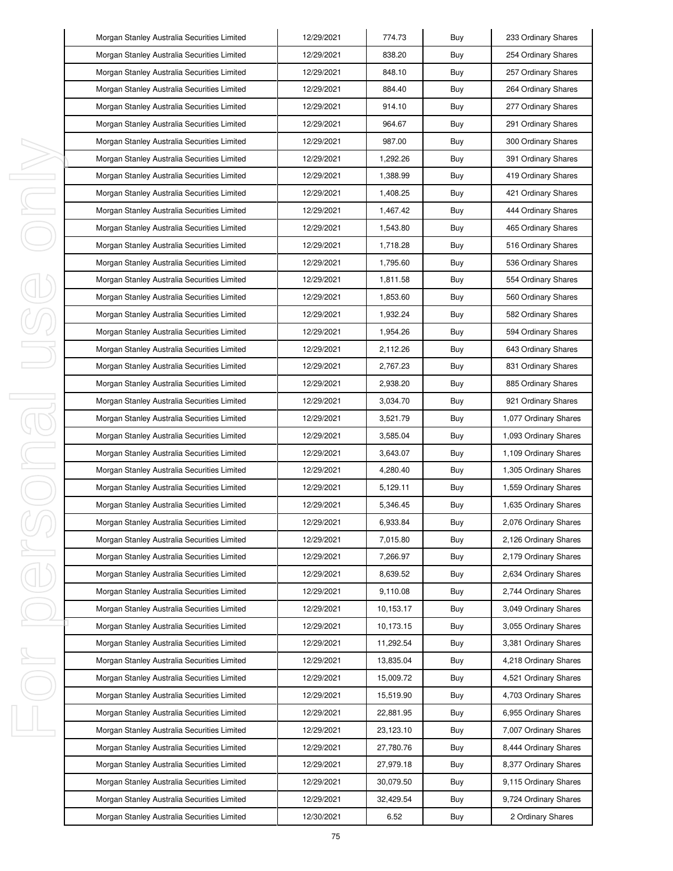|    | Morgan Stanley Australia Securities Limited | 12/29/2021 | 774.73    | Buy | 233 Ordinary Shares   |
|----|---------------------------------------------|------------|-----------|-----|-----------------------|
|    | Morgan Stanley Australia Securities Limited | 12/29/2021 | 838.20    | Buy | 254 Ordinary Shares   |
|    | Morgan Stanley Australia Securities Limited | 12/29/2021 | 848.10    | Buy | 257 Ordinary Shares   |
|    | Morgan Stanley Australia Securities Limited | 12/29/2021 | 884.40    | Buy | 264 Ordinary Shares   |
|    | Morgan Stanley Australia Securities Limited | 12/29/2021 | 914.10    | Buy | 277 Ordinary Shares   |
|    | Morgan Stanley Australia Securities Limited | 12/29/2021 | 964.67    | Buy | 291 Ordinary Shares   |
|    | Morgan Stanley Australia Securities Limited | 12/29/2021 | 987.00    | Buy | 300 Ordinary Shares   |
|    | Morgan Stanley Australia Securities Limited | 12/29/2021 | 1,292.26  | Buy | 391 Ordinary Shares   |
| I  | Morgan Stanley Australia Securities Limited | 12/29/2021 | 1,388.99  | Buy | 419 Ordinary Shares   |
| J  | Morgan Stanley Australia Securities Limited | 12/29/2021 | 1,408.25  | Buy | 421 Ordinary Shares   |
| I  | Morgan Stanley Australia Securities Limited | 12/29/2021 | 1,467.42  | Buy | 444 Ordinary Shares   |
|    | Morgan Stanley Australia Securities Limited | 12/29/2021 | 1,543.80  | Buy | 465 Ordinary Shares   |
|    | Morgan Stanley Australia Securities Limited | 12/29/2021 | 1,718.28  | Buy | 516 Ordinary Shares   |
|    | Morgan Stanley Australia Securities Limited | 12/29/2021 | 1,795.60  | Buy | 536 Ordinary Shares   |
|    | Morgan Stanley Australia Securities Limited | 12/29/2021 | 1,811.58  | Buy | 554 Ordinary Shares   |
|    | Morgan Stanley Australia Securities Limited | 12/29/2021 | 1,853.60  | Buy | 560 Ordinary Shares   |
|    | Morgan Stanley Australia Securities Limited | 12/29/2021 | 1,932.24  | Buy | 582 Ordinary Shares   |
|    | Morgan Stanley Australia Securities Limited | 12/29/2021 | 1,954.26  | Buy | 594 Ordinary Shares   |
|    | Morgan Stanley Australia Securities Limited | 12/29/2021 | 2,112.26  | Buy | 643 Ordinary Shares   |
|    | Morgan Stanley Australia Securities Limited | 12/29/2021 | 2,767.23  | Buy | 831 Ordinary Shares   |
|    | Morgan Stanley Australia Securities Limited | 12/29/2021 | 2,938.20  | Buy | 885 Ordinary Shares   |
| I  | Morgan Stanley Australia Securities Limited | 12/29/2021 | 3,034.70  | Buy | 921 Ordinary Shares   |
| j  | Morgan Stanley Australia Securities Limited | 12/29/2021 | 3,521.79  | Buy | 1,077 Ordinary Shares |
|    | Morgan Stanley Australia Securities Limited | 12/29/2021 | 3,585.04  | Buy | 1,093 Ordinary Shares |
| I  | Morgan Stanley Australia Securities Limited | 12/29/2021 | 3,643.07  | Buy | 1,109 Ordinary Shares |
| I  | Morgan Stanley Australia Securities Limited | 12/29/2021 | 4,280.40  | Buy | 1,305 Ordinary Shares |
|    | Morgan Stanley Australia Securities Limited | 12/29/2021 | 5,129.11  | Buy | 1,559 Ordinary Shares |
|    | Morgan Stanley Australia Securities Limited | 12/29/2021 | 5,346.45  | Buy | 1,635 Ordinary Shares |
|    | Morgan Stanley Australia Securities Limited | 12/29/2021 | 6,933.84  | Buy | 2,076 Ordinary Shares |
|    | Morgan Stanley Australia Securities Limited | 12/29/2021 | 7,015.80  | Buy | 2,126 Ordinary Shares |
| I  | Morgan Stanley Australia Securities Limited | 12/29/2021 | 7,266.97  | Buy | 2,179 Ordinary Shares |
|    | Morgan Stanley Australia Securities Limited | 12/29/2021 | 8,639.52  | Buy | 2,634 Ordinary Shares |
|    | Morgan Stanley Australia Securities Limited | 12/29/2021 | 9,110.08  | Buy | 2,744 Ordinary Shares |
|    | Morgan Stanley Australia Securities Limited | 12/29/2021 | 10,153.17 | Buy | 3,049 Ordinary Shares |
|    | Morgan Stanley Australia Securities Limited | 12/29/2021 | 10,173.15 | Buy | 3,055 Ordinary Shares |
|    | Morgan Stanley Australia Securities Limited | 12/29/2021 | 11,292.54 | Buy | 3,381 Ordinary Shares |
| I, | Morgan Stanley Australia Securities Limited | 12/29/2021 | 13,835.04 | Buy | 4,218 Ordinary Shares |
|    | Morgan Stanley Australia Securities Limited | 12/29/2021 | 15,009.72 | Buy | 4,521 Ordinary Shares |
|    | Morgan Stanley Australia Securities Limited | 12/29/2021 | 15,519.90 | Buy | 4,703 Ordinary Shares |
|    | Morgan Stanley Australia Securities Limited | 12/29/2021 | 22,881.95 | Buy | 6,955 Ordinary Shares |
| I  | Morgan Stanley Australia Securities Limited | 12/29/2021 | 23,123.10 | Buy | 7,007 Ordinary Shares |
|    | Morgan Stanley Australia Securities Limited | 12/29/2021 | 27,780.76 | Buy | 8,444 Ordinary Shares |
|    | Morgan Stanley Australia Securities Limited | 12/29/2021 | 27,979.18 | Buy | 8,377 Ordinary Shares |
|    | Morgan Stanley Australia Securities Limited | 12/29/2021 | 30,079.50 | Buy | 9,115 Ordinary Shares |
|    | Morgan Stanley Australia Securities Limited | 12/29/2021 | 32,429.54 | Buy | 9,724 Ordinary Shares |
|    | Morgan Stanley Australia Securities Limited | 12/30/2021 | 6.52      | Buy | 2 Ordinary Shares     |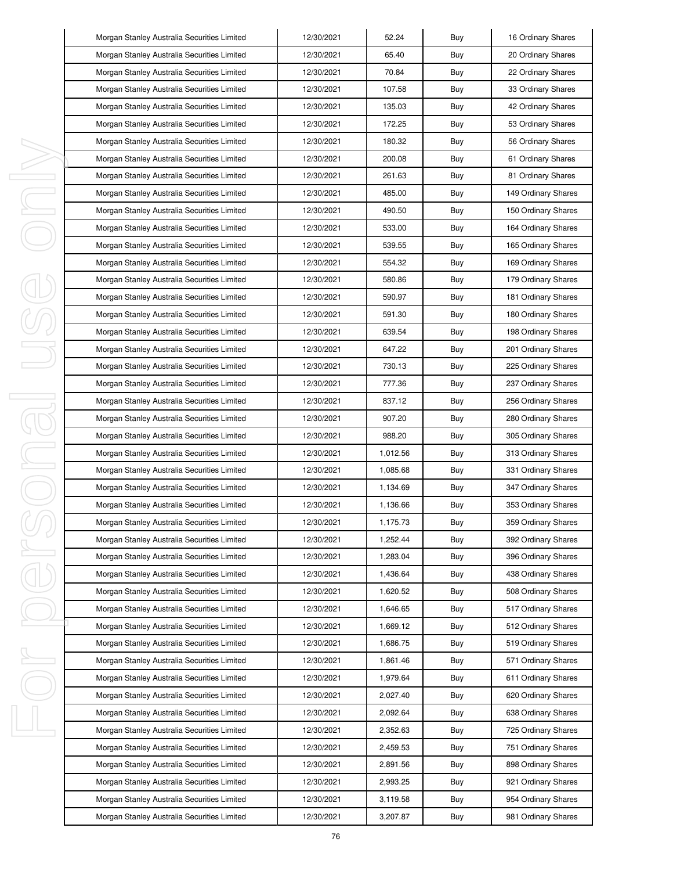|        | Morgan Stanley Australia Securities Limited | 12/30/2021 | 52.24    | Buy | 16 Ordinary Shares  |
|--------|---------------------------------------------|------------|----------|-----|---------------------|
|        | Morgan Stanley Australia Securities Limited | 12/30/2021 | 65.40    | Buy | 20 Ordinary Shares  |
|        | Morgan Stanley Australia Securities Limited | 12/30/2021 | 70.84    | Buy | 22 Ordinary Shares  |
|        | Morgan Stanley Australia Securities Limited | 12/30/2021 | 107.58   | Buy | 33 Ordinary Shares  |
|        | Morgan Stanley Australia Securities Limited | 12/30/2021 | 135.03   | Buy | 42 Ordinary Shares  |
|        | Morgan Stanley Australia Securities Limited | 12/30/2021 | 172.25   | Buy | 53 Ordinary Shares  |
|        | Morgan Stanley Australia Securities Limited | 12/30/2021 | 180.32   | Buy | 56 Ordinary Shares  |
|        | Morgan Stanley Australia Securities Limited | 12/30/2021 | 200.08   | Buy | 61 Ordinary Shares  |
| ı      | Morgan Stanley Australia Securities Limited | 12/30/2021 | 261.63   | Buy | 81 Ordinary Shares  |
| I      | Morgan Stanley Australia Securities Limited | 12/30/2021 | 485.00   | Buy | 149 Ordinary Shares |
| I      | Morgan Stanley Australia Securities Limited | 12/30/2021 | 490.50   | Buy | 150 Ordinary Shares |
|        | Morgan Stanley Australia Securities Limited | 12/30/2021 | 533.00   | Buy | 164 Ordinary Shares |
|        | Morgan Stanley Australia Securities Limited | 12/30/2021 | 539.55   | Buy | 165 Ordinary Shares |
|        | Morgan Stanley Australia Securities Limited | 12/30/2021 | 554.32   | Buy | 169 Ordinary Shares |
|        | Morgan Stanley Australia Securities Limited | 12/30/2021 | 580.86   | Buy | 179 Ordinary Shares |
|        | Morgan Stanley Australia Securities Limited | 12/30/2021 | 590.97   | Buy | 181 Ordinary Shares |
|        | Morgan Stanley Australia Securities Limited | 12/30/2021 | 591.30   | Buy | 180 Ordinary Shares |
|        | Morgan Stanley Australia Securities Limited | 12/30/2021 | 639.54   | Buy | 198 Ordinary Shares |
|        | Morgan Stanley Australia Securities Limited | 12/30/2021 | 647.22   | Buy | 201 Ordinary Shares |
|        | Morgan Stanley Australia Securities Limited | 12/30/2021 | 730.13   | Buy | 225 Ordinary Shares |
|        | Morgan Stanley Australia Securities Limited | 12/30/2021 | 777.36   | Buy | 237 Ordinary Shares |
| I<br>J | Morgan Stanley Australia Securities Limited | 12/30/2021 | 837.12   | Buy | 256 Ordinary Shares |
|        | Morgan Stanley Australia Securities Limited | 12/30/2021 | 907.20   | Buy | 280 Ordinary Shares |
|        | Morgan Stanley Australia Securities Limited | 12/30/2021 | 988.20   | Buy | 305 Ordinary Shares |
| I      | Morgan Stanley Australia Securities Limited | 12/30/2021 | 1,012.56 | Buy | 313 Ordinary Shares |
|        | Morgan Stanley Australia Securities Limited | 12/30/2021 | 1,085.68 | Buy | 331 Ordinary Shares |
|        | Morgan Stanley Australia Securities Limited | 12/30/2021 | 1,134.69 | Buy | 347 Ordinary Shares |
|        | Morgan Stanley Australia Securities Limited | 12/30/2021 | 1,136.66 | Buy | 353 Ordinary Shares |
|        | Morgan Stanley Australia Securities Limited | 12/30/2021 | 1,175.73 | Buy | 359 Ordinary Shares |
|        | Morgan Stanley Australia Securities Limited | 12/30/2021 | 1,252.44 | Buy | 392 Ordinary Shares |
| I      | Morgan Stanley Australia Securities Limited | 12/30/2021 | 1,283.04 | Buy | 396 Ordinary Shares |
|        | Morgan Stanley Australia Securities Limited | 12/30/2021 | 1,436.64 | Buy | 438 Ordinary Shares |
|        | Morgan Stanley Australia Securities Limited | 12/30/2021 | 1,620.52 | Buy | 508 Ordinary Shares |
|        | Morgan Stanley Australia Securities Limited | 12/30/2021 | 1,646.65 | Buy | 517 Ordinary Shares |
|        | Morgan Stanley Australia Securities Limited | 12/30/2021 | 1,669.12 | Buy | 512 Ordinary Shares |
|        | Morgan Stanley Australia Securities Limited | 12/30/2021 | 1,686.75 | Buy | 519 Ordinary Shares |
| ı      | Morgan Stanley Australia Securities Limited | 12/30/2021 | 1,861.46 | Buy | 571 Ordinary Shares |
|        | Morgan Stanley Australia Securities Limited | 12/30/2021 | 1,979.64 | Buy | 611 Ordinary Shares |
|        | Morgan Stanley Australia Securities Limited | 12/30/2021 | 2,027.40 | Buy | 620 Ordinary Shares |
|        | Morgan Stanley Australia Securities Limited | 12/30/2021 | 2,092.64 | Buy | 638 Ordinary Shares |
| J      | Morgan Stanley Australia Securities Limited | 12/30/2021 | 2,352.63 | Buy | 725 Ordinary Shares |
|        | Morgan Stanley Australia Securities Limited | 12/30/2021 | 2,459.53 | Buy | 751 Ordinary Shares |
|        | Morgan Stanley Australia Securities Limited | 12/30/2021 | 2,891.56 | Buy | 898 Ordinary Shares |
|        | Morgan Stanley Australia Securities Limited | 12/30/2021 | 2,993.25 | Buy | 921 Ordinary Shares |
|        | Morgan Stanley Australia Securities Limited | 12/30/2021 | 3,119.58 | Buy | 954 Ordinary Shares |
|        | Morgan Stanley Australia Securities Limited | 12/30/2021 | 3,207.87 | Buy | 981 Ordinary Shares |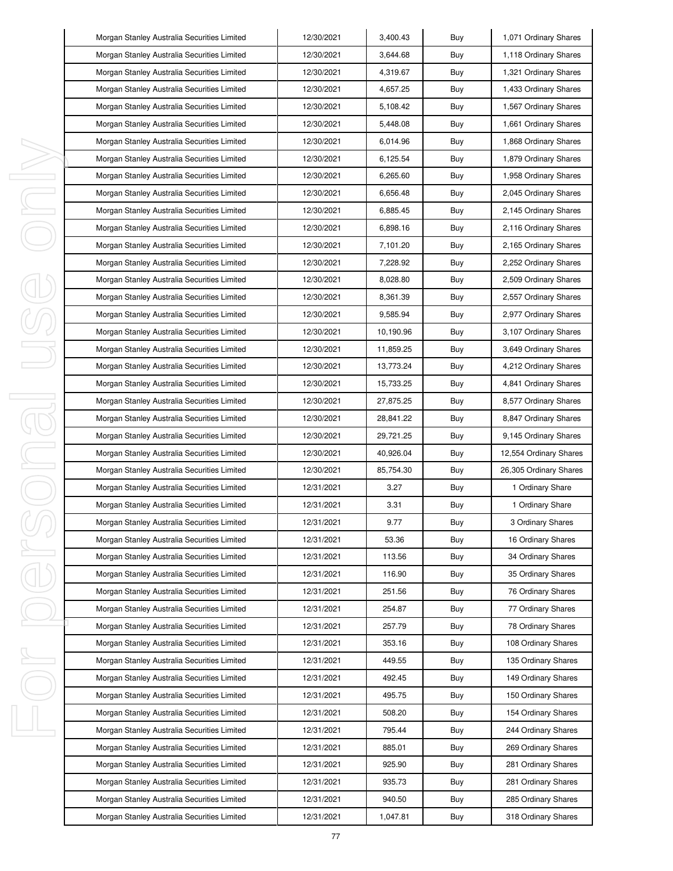|   | Morgan Stanley Australia Securities Limited | 12/30/2021 | 3,400.43  | Buy | 1,071 Ordinary Shares  |
|---|---------------------------------------------|------------|-----------|-----|------------------------|
|   | Morgan Stanley Australia Securities Limited | 12/30/2021 | 3,644.68  | Buy | 1,118 Ordinary Shares  |
|   | Morgan Stanley Australia Securities Limited | 12/30/2021 | 4,319.67  | Buy | 1,321 Ordinary Shares  |
|   | Morgan Stanley Australia Securities Limited | 12/30/2021 | 4,657.25  | Buy | 1,433 Ordinary Shares  |
|   | Morgan Stanley Australia Securities Limited | 12/30/2021 | 5,108.42  | Buy | 1,567 Ordinary Shares  |
|   | Morgan Stanley Australia Securities Limited | 12/30/2021 | 5,448.08  | Buy | 1,661 Ordinary Shares  |
|   | Morgan Stanley Australia Securities Limited | 12/30/2021 | 6,014.96  | Buy | 1,868 Ordinary Shares  |
|   | Morgan Stanley Australia Securities Limited | 12/30/2021 | 6,125.54  | Buy | 1,879 Ordinary Shares  |
|   | Morgan Stanley Australia Securities Limited | 12/30/2021 | 6,265.60  | Buy | 1,958 Ordinary Shares  |
| I | Morgan Stanley Australia Securities Limited | 12/30/2021 | 6,656.48  | Buy | 2,045 Ordinary Shares  |
| I | Morgan Stanley Australia Securities Limited | 12/30/2021 | 6,885.45  | Buy | 2,145 Ordinary Shares  |
|   | Morgan Stanley Australia Securities Limited | 12/30/2021 | 6,898.16  | Buy | 2,116 Ordinary Shares  |
|   | Morgan Stanley Australia Securities Limited | 12/30/2021 | 7,101.20  | Buy | 2,165 Ordinary Shares  |
|   | Morgan Stanley Australia Securities Limited | 12/30/2021 | 7,228.92  | Buy | 2,252 Ordinary Shares  |
|   | Morgan Stanley Australia Securities Limited | 12/30/2021 | 8,028.80  | Buy | 2,509 Ordinary Shares  |
|   | Morgan Stanley Australia Securities Limited | 12/30/2021 | 8,361.39  | Buy | 2,557 Ordinary Shares  |
|   | Morgan Stanley Australia Securities Limited | 12/30/2021 | 9,585.94  | Buy | 2,977 Ordinary Shares  |
|   | Morgan Stanley Australia Securities Limited | 12/30/2021 | 10.190.96 | Buy | 3,107 Ordinary Shares  |
|   | Morgan Stanley Australia Securities Limited | 12/30/2021 | 11,859.25 | Buy | 3,649 Ordinary Shares  |
|   | Morgan Stanley Australia Securities Limited | 12/30/2021 | 13,773.24 | Buy | 4,212 Ordinary Shares  |
|   | Morgan Stanley Australia Securities Limited | 12/30/2021 | 15,733.25 | Buy | 4,841 Ordinary Shares  |
| J | Morgan Stanley Australia Securities Limited | 12/30/2021 | 27,875.25 | Buy | 8,577 Ordinary Shares  |
|   | Morgan Stanley Australia Securities Limited | 12/30/2021 | 28,841.22 | Buy | 8,847 Ordinary Shares  |
|   | Morgan Stanley Australia Securities Limited | 12/30/2021 | 29,721.25 | Buy | 9,145 Ordinary Shares  |
| I | Morgan Stanley Australia Securities Limited | 12/30/2021 | 40,926.04 | Buy | 12,554 Ordinary Shares |
|   | Morgan Stanley Australia Securities Limited | 12/30/2021 | 85,754.30 | Buy | 26,305 Ordinary Shares |
|   | Morgan Stanley Australia Securities Limited | 12/31/2021 | 3.27      | Buy | 1 Ordinary Share       |
|   | Morgan Stanley Australia Securities Limited | 12/31/2021 | 3.31      | Buy | 1 Ordinary Share       |
|   | Morgan Stanley Australia Securities Limited | 12/31/2021 | 9.77      | Buy | 3 Ordinary Shares      |
|   | Morgan Stanley Australia Securities Limited | 12/31/2021 | 53.36     | Buy | 16 Ordinary Shares     |
| I | Morgan Stanley Australia Securities Limited | 12/31/2021 | 113.56    | Buy | 34 Ordinary Shares     |
|   | Morgan Stanley Australia Securities Limited | 12/31/2021 | 116.90    | Buy | 35 Ordinary Shares     |
|   | Morgan Stanley Australia Securities Limited | 12/31/2021 | 251.56    | Buy | 76 Ordinary Shares     |
|   | Morgan Stanley Australia Securities Limited | 12/31/2021 | 254.87    | Buy | 77 Ordinary Shares     |
|   | Morgan Stanley Australia Securities Limited | 12/31/2021 | 257.79    | Buy | 78 Ordinary Shares     |
|   | Morgan Stanley Australia Securities Limited | 12/31/2021 | 353.16    | Buy | 108 Ordinary Shares    |
| ı | Morgan Stanley Australia Securities Limited | 12/31/2021 | 449.55    | Buy | 135 Ordinary Shares    |
|   | Morgan Stanley Australia Securities Limited | 12/31/2021 | 492.45    | Buy | 149 Ordinary Shares    |
|   | Morgan Stanley Australia Securities Limited | 12/31/2021 | 495.75    | Buy | 150 Ordinary Shares    |
|   | Morgan Stanley Australia Securities Limited | 12/31/2021 | 508.20    | Buy | 154 Ordinary Shares    |
| J | Morgan Stanley Australia Securities Limited | 12/31/2021 | 795.44    | Buy | 244 Ordinary Shares    |
|   | Morgan Stanley Australia Securities Limited | 12/31/2021 | 885.01    | Buy | 269 Ordinary Shares    |
|   | Morgan Stanley Australia Securities Limited | 12/31/2021 | 925.90    | Buy | 281 Ordinary Shares    |
|   | Morgan Stanley Australia Securities Limited | 12/31/2021 | 935.73    | Buy | 281 Ordinary Shares    |
|   |                                             |            |           |     |                        |
|   | Morgan Stanley Australia Securities Limited | 12/31/2021 | 940.50    | Buy | 285 Ordinary Shares    |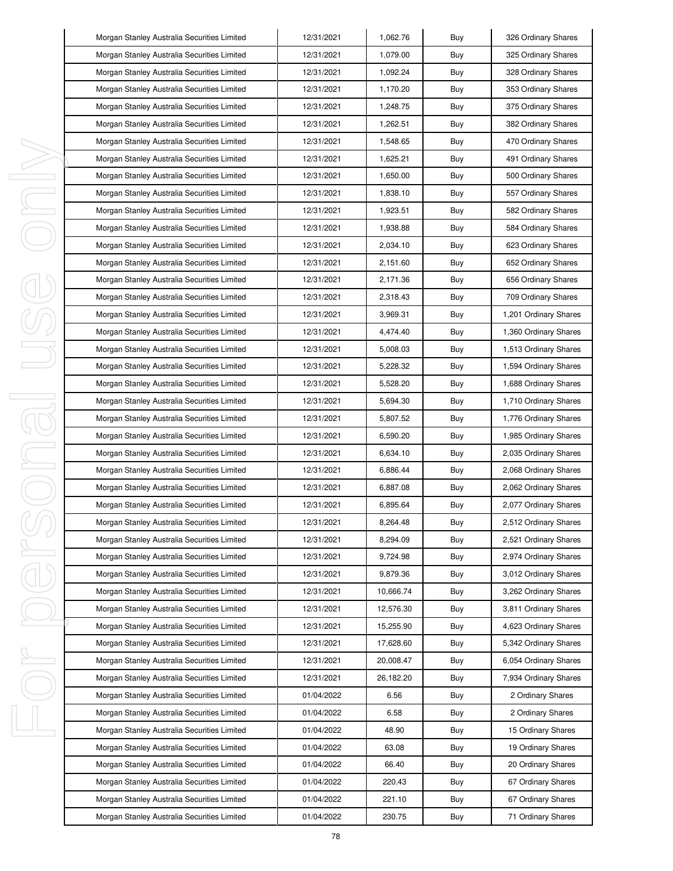|         | Morgan Stanley Australia Securities Limited | 12/31/2021 | 1,062.76  | Buy | 326 Ordinary Shares   |
|---------|---------------------------------------------|------------|-----------|-----|-----------------------|
|         | Morgan Stanley Australia Securities Limited | 12/31/2021 | 1,079.00  | Buy | 325 Ordinary Shares   |
|         | Morgan Stanley Australia Securities Limited | 12/31/2021 | 1,092.24  | Buy | 328 Ordinary Shares   |
|         | Morgan Stanley Australia Securities Limited | 12/31/2021 | 1,170.20  | Buy | 353 Ordinary Shares   |
|         | Morgan Stanley Australia Securities Limited | 12/31/2021 | 1,248.75  | Buy | 375 Ordinary Shares   |
|         | Morgan Stanley Australia Securities Limited | 12/31/2021 | 1,262.51  | Buy | 382 Ordinary Shares   |
|         | Morgan Stanley Australia Securities Limited | 12/31/2021 | 1,548.65  | Buy | 470 Ordinary Shares   |
|         | Morgan Stanley Australia Securities Limited | 12/31/2021 | 1,625.21  | Buy | 491 Ordinary Shares   |
| ı       | Morgan Stanley Australia Securities Limited | 12/31/2021 | 1,650.00  | Buy | 500 Ordinary Shares   |
| J,      | Morgan Stanley Australia Securities Limited | 12/31/2021 | 1,838.10  | Buy | 557 Ordinary Shares   |
| I,      | Morgan Stanley Australia Securities Limited | 12/31/2021 | 1,923.51  | Buy | 582 Ordinary Shares   |
|         | Morgan Stanley Australia Securities Limited | 12/31/2021 | 1,938.88  | Buy | 584 Ordinary Shares   |
|         | Morgan Stanley Australia Securities Limited | 12/31/2021 | 2,034.10  | Buy | 623 Ordinary Shares   |
|         | Morgan Stanley Australia Securities Limited | 12/31/2021 | 2,151.60  | Buy | 652 Ordinary Shares   |
|         | Morgan Stanley Australia Securities Limited | 12/31/2021 | 2,171.36  | Buy | 656 Ordinary Shares   |
|         | Morgan Stanley Australia Securities Limited | 12/31/2021 | 2,318.43  | Buy | 709 Ordinary Shares   |
|         | Morgan Stanley Australia Securities Limited | 12/31/2021 | 3,969.31  | Buy | 1,201 Ordinary Shares |
|         | Morgan Stanley Australia Securities Limited | 12/31/2021 | 4,474.40  | Buy | 1,360 Ordinary Shares |
|         | Morgan Stanley Australia Securities Limited | 12/31/2021 | 5,008.03  | Buy | 1,513 Ordinary Shares |
|         | Morgan Stanley Australia Securities Limited | 12/31/2021 | 5,228.32  | Buy | 1,594 Ordinary Shares |
|         | Morgan Stanley Australia Securities Limited | 12/31/2021 | 5,528.20  | Buy | 1,688 Ordinary Shares |
| I<br>J. | Morgan Stanley Australia Securities Limited | 12/31/2021 | 5,694.30  | Buy | 1,710 Ordinary Shares |
|         | Morgan Stanley Australia Securities Limited | 12/31/2021 | 5,807.52  | Buy | 1,776 Ordinary Shares |
|         | Morgan Stanley Australia Securities Limited | 12/31/2021 | 6,590.20  | Buy | 1,985 Ordinary Shares |
| I       | Morgan Stanley Australia Securities Limited | 12/31/2021 | 6,634.10  | Buy | 2,035 Ordinary Shares |
|         | Morgan Stanley Australia Securities Limited | 12/31/2021 | 6,886.44  | Buy | 2,068 Ordinary Shares |
|         | Morgan Stanley Australia Securities Limited | 12/31/2021 | 6,887.08  | Buy | 2,062 Ordinary Shares |
|         | Morgan Stanley Australia Securities Limited | 12/31/2021 | 6,895.64  | Buy | 2,077 Ordinary Shares |
|         | Morgan Stanley Australia Securities Limited | 12/31/2021 | 8,264.48  | Buy | 2,512 Ordinary Shares |
|         | Morgan Stanley Australia Securities Limited | 12/31/2021 | 8,294.09  | Buy | 2,521 Ordinary Shares |
| I       | Morgan Stanley Australia Securities Limited | 12/31/2021 | 9,724.98  | Buy | 2,974 Ordinary Shares |
|         | Morgan Stanley Australia Securities Limited | 12/31/2021 | 9,879.36  | Buy | 3,012 Ordinary Shares |
|         | Morgan Stanley Australia Securities Limited | 12/31/2021 | 10,666.74 | Buy | 3,262 Ordinary Shares |
|         | Morgan Stanley Australia Securities Limited | 12/31/2021 | 12,576.30 | Buy | 3,811 Ordinary Shares |
|         | Morgan Stanley Australia Securities Limited | 12/31/2021 | 15,255.90 | Buy | 4,623 Ordinary Shares |
|         | Morgan Stanley Australia Securities Limited | 12/31/2021 | 17,628.60 | Buy | 5,342 Ordinary Shares |
| I,      | Morgan Stanley Australia Securities Limited | 12/31/2021 | 20,008.47 | Buy | 6,054 Ordinary Shares |
|         | Morgan Stanley Australia Securities Limited | 12/31/2021 | 26,182.20 | Buy | 7,934 Ordinary Shares |
|         | Morgan Stanley Australia Securities Limited | 01/04/2022 | 6.56      | Buy | 2 Ordinary Shares     |
|         | Morgan Stanley Australia Securities Limited | 01/04/2022 | 6.58      | Buy | 2 Ordinary Shares     |
| I,      | Morgan Stanley Australia Securities Limited | 01/04/2022 | 48.90     | Buy | 15 Ordinary Shares    |
|         | Morgan Stanley Australia Securities Limited | 01/04/2022 | 63.08     | Buy | 19 Ordinary Shares    |
|         | Morgan Stanley Australia Securities Limited | 01/04/2022 | 66.40     | Buy | 20 Ordinary Shares    |
|         | Morgan Stanley Australia Securities Limited | 01/04/2022 | 220.43    | Buy | 67 Ordinary Shares    |
|         | Morgan Stanley Australia Securities Limited | 01/04/2022 | 221.10    | Buy | 67 Ordinary Shares    |
|         | Morgan Stanley Australia Securities Limited | 01/04/2022 | 230.75    | Buy | 71 Ordinary Shares    |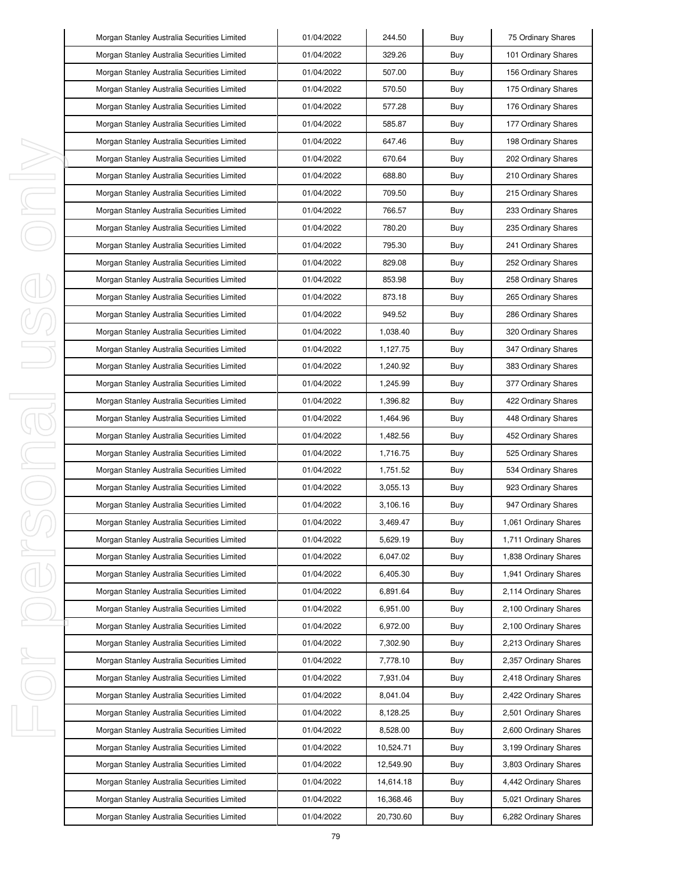|   | Morgan Stanley Australia Securities Limited | 01/04/2022 | 244.50    | Buy | 75 Ordinary Shares    |
|---|---------------------------------------------|------------|-----------|-----|-----------------------|
|   | Morgan Stanley Australia Securities Limited | 01/04/2022 | 329.26    | Buy | 101 Ordinary Shares   |
|   | Morgan Stanley Australia Securities Limited | 01/04/2022 | 507.00    | Buy | 156 Ordinary Shares   |
|   | Morgan Stanley Australia Securities Limited | 01/04/2022 | 570.50    | Buy | 175 Ordinary Shares   |
|   | Morgan Stanley Australia Securities Limited | 01/04/2022 | 577.28    | Buy | 176 Ordinary Shares   |
|   | Morgan Stanley Australia Securities Limited | 01/04/2022 | 585.87    | Buy | 177 Ordinary Shares   |
|   | Morgan Stanley Australia Securities Limited | 01/04/2022 | 647.46    | Buy | 198 Ordinary Shares   |
|   | Morgan Stanley Australia Securities Limited | 01/04/2022 | 670.64    | Buy | 202 Ordinary Shares   |
|   | Morgan Stanley Australia Securities Limited | 01/04/2022 | 688.80    | Buy | 210 Ordinary Shares   |
|   | Morgan Stanley Australia Securities Limited | 01/04/2022 | 709.50    | Buy | 215 Ordinary Shares   |
|   | Morgan Stanley Australia Securities Limited | 01/04/2022 | 766.57    | Buy | 233 Ordinary Shares   |
|   | Morgan Stanley Australia Securities Limited | 01/04/2022 | 780.20    | Buy | 235 Ordinary Shares   |
|   | Morgan Stanley Australia Securities Limited | 01/04/2022 | 795.30    | Buy | 241 Ordinary Shares   |
|   | Morgan Stanley Australia Securities Limited | 01/04/2022 | 829.08    | Buy | 252 Ordinary Shares   |
|   | Morgan Stanley Australia Securities Limited | 01/04/2022 | 853.98    | Buy | 258 Ordinary Shares   |
|   | Morgan Stanley Australia Securities Limited | 01/04/2022 | 873.18    | Buy | 265 Ordinary Shares   |
|   | Morgan Stanley Australia Securities Limited | 01/04/2022 | 949.52    | Buy | 286 Ordinary Shares   |
|   | Morgan Stanley Australia Securities Limited | 01/04/2022 | 1,038.40  | Buy | 320 Ordinary Shares   |
|   | Morgan Stanley Australia Securities Limited | 01/04/2022 | 1,127.75  | Buy | 347 Ordinary Shares   |
|   | Morgan Stanley Australia Securities Limited | 01/04/2022 | 1,240.92  | Buy | 383 Ordinary Shares   |
|   | Morgan Stanley Australia Securities Limited | 01/04/2022 | 1,245.99  | Buy | 377 Ordinary Shares   |
|   | Morgan Stanley Australia Securities Limited | 01/04/2022 | 1,396.82  | Buy | 422 Ordinary Shares   |
|   | Morgan Stanley Australia Securities Limited | 01/04/2022 | 1,464.96  | Buy | 448 Ordinary Shares   |
| J | Morgan Stanley Australia Securities Limited | 01/04/2022 | 1,482.56  | Buy | 452 Ordinary Shares   |
|   | Morgan Stanley Australia Securities Limited | 01/04/2022 | 1,716.75  | Buy | 525 Ordinary Shares   |
|   | Morgan Stanley Australia Securities Limited | 01/04/2022 | 1,751.52  | Buy | 534 Ordinary Shares   |
|   | Morgan Stanley Australia Securities Limited | 01/04/2022 | 3,055.13  | Buy | 923 Ordinary Shares   |
|   | Morgan Stanley Australia Securities Limited | 01/04/2022 | 3,106.16  | Buy | 947 Ordinary Shares   |
|   | Morgan Stanley Australia Securities Limited | 01/04/2022 | 3,469.47  | Buy | 1,061 Ordinary Shares |
|   | Morgan Stanley Australia Securities Limited | 01/04/2022 | 5,629.19  | Buy | 1,711 Ordinary Shares |
| J | Morgan Stanley Australia Securities Limited | 01/04/2022 | 6,047.02  | Buy | 1,838 Ordinary Shares |
|   | Morgan Stanley Australia Securities Limited | 01/04/2022 | 6,405.30  | Buy | 1,941 Ordinary Shares |
|   | Morgan Stanley Australia Securities Limited | 01/04/2022 | 6,891.64  | Buy | 2,114 Ordinary Shares |
|   | Morgan Stanley Australia Securities Limited | 01/04/2022 | 6,951.00  | Buy | 2,100 Ordinary Shares |
|   | Morgan Stanley Australia Securities Limited | 01/04/2022 | 6,972.00  | Buy | 2,100 Ordinary Shares |
|   | Morgan Stanley Australia Securities Limited | 01/04/2022 | 7,302.90  | Buy | 2,213 Ordinary Shares |
| ı | Morgan Stanley Australia Securities Limited | 01/04/2022 | 7,778.10  | Buy | 2,357 Ordinary Shares |
|   | Morgan Stanley Australia Securities Limited | 01/04/2022 | 7,931.04  | Buy | 2,418 Ordinary Shares |
|   | Morgan Stanley Australia Securities Limited | 01/04/2022 | 8,041.04  | Buy | 2,422 Ordinary Shares |
|   | Morgan Stanley Australia Securities Limited | 01/04/2022 | 8,128.25  | Buy | 2,501 Ordinary Shares |
|   | Morgan Stanley Australia Securities Limited | 01/04/2022 | 8,528.00  | Buy | 2,600 Ordinary Shares |
|   | Morgan Stanley Australia Securities Limited | 01/04/2022 | 10,524.71 | Buy | 3,199 Ordinary Shares |
|   | Morgan Stanley Australia Securities Limited | 01/04/2022 | 12,549.90 | Buy | 3,803 Ordinary Shares |
|   | Morgan Stanley Australia Securities Limited | 01/04/2022 | 14,614.18 | Buy | 4,442 Ordinary Shares |
|   | Morgan Stanley Australia Securities Limited | 01/04/2022 | 16,368.46 | Buy | 5,021 Ordinary Shares |
|   | Morgan Stanley Australia Securities Limited | 01/04/2022 | 20,730.60 | Buy | 6,282 Ordinary Shares |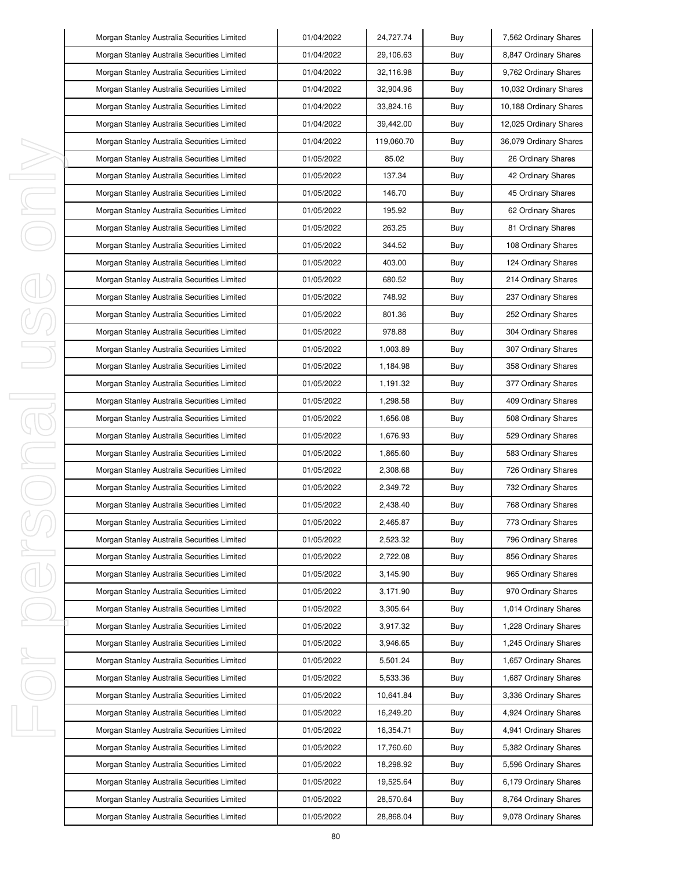|    | Morgan Stanley Australia Securities Limited | 01/04/2022 | 24,727.74  | Buy | 7,562 Ordinary Shares  |
|----|---------------------------------------------|------------|------------|-----|------------------------|
|    | Morgan Stanley Australia Securities Limited | 01/04/2022 | 29,106.63  | Buy | 8,847 Ordinary Shares  |
|    | Morgan Stanley Australia Securities Limited | 01/04/2022 | 32,116.98  | Buy | 9,762 Ordinary Shares  |
|    | Morgan Stanley Australia Securities Limited | 01/04/2022 | 32,904.96  | Buy | 10,032 Ordinary Shares |
|    | Morgan Stanley Australia Securities Limited | 01/04/2022 | 33,824.16  | Buy | 10,188 Ordinary Shares |
|    | Morgan Stanley Australia Securities Limited | 01/04/2022 | 39,442.00  | Buy | 12,025 Ordinary Shares |
|    | Morgan Stanley Australia Securities Limited | 01/04/2022 | 119,060.70 | Buy | 36,079 Ordinary Shares |
|    | Morgan Stanley Australia Securities Limited | 01/05/2022 | 85.02      | Buy | 26 Ordinary Shares     |
| ı  | Morgan Stanley Australia Securities Limited | 01/05/2022 | 137.34     | Buy | 42 Ordinary Shares     |
| J, | Morgan Stanley Australia Securities Limited | 01/05/2022 | 146.70     | Buy | 45 Ordinary Shares     |
| ı  | Morgan Stanley Australia Securities Limited | 01/05/2022 | 195.92     | Buy | 62 Ordinary Shares     |
|    | Morgan Stanley Australia Securities Limited | 01/05/2022 | 263.25     | Buy | 81 Ordinary Shares     |
|    | Morgan Stanley Australia Securities Limited | 01/05/2022 | 344.52     | Buy | 108 Ordinary Shares    |
|    | Morgan Stanley Australia Securities Limited | 01/05/2022 | 403.00     | Buy | 124 Ordinary Shares    |
|    | Morgan Stanley Australia Securities Limited | 01/05/2022 | 680.52     | Buy | 214 Ordinary Shares    |
|    | Morgan Stanley Australia Securities Limited | 01/05/2022 | 748.92     | Buy | 237 Ordinary Shares    |
|    | Morgan Stanley Australia Securities Limited | 01/05/2022 | 801.36     | Buy | 252 Ordinary Shares    |
|    | Morgan Stanley Australia Securities Limited | 01/05/2022 | 978.88     | Buy | 304 Ordinary Shares    |
|    | Morgan Stanley Australia Securities Limited | 01/05/2022 | 1,003.89   | Buy | 307 Ordinary Shares    |
|    | Morgan Stanley Australia Securities Limited | 01/05/2022 | 1,184.98   | Buy | 358 Ordinary Shares    |
|    | Morgan Stanley Australia Securities Limited | 01/05/2022 | 1,191.32   | Buy | 377 Ordinary Shares    |
| I  | Morgan Stanley Australia Securities Limited | 01/05/2022 | 1,298.58   | Buy | 409 Ordinary Shares    |
| 1  | Morgan Stanley Australia Securities Limited | 01/05/2022 | 1,656.08   | Buy | 508 Ordinary Shares    |
|    | Morgan Stanley Australia Securities Limited | 01/05/2022 | 1,676.93   | Buy | 529 Ordinary Shares    |
| I  | Morgan Stanley Australia Securities Limited | 01/05/2022 | 1,865.60   | Buy | 583 Ordinary Shares    |
|    | Morgan Stanley Australia Securities Limited | 01/05/2022 | 2,308.68   | Buy | 726 Ordinary Shares    |
|    | Morgan Stanley Australia Securities Limited | 01/05/2022 | 2,349.72   | Buy | 732 Ordinary Shares    |
|    | Morgan Stanley Australia Securities Limited | 01/05/2022 | 2,438.40   | Buy | 768 Ordinary Shares    |
|    | Morgan Stanley Australia Securities Limited | 01/05/2022 | 2,465.87   | Buy | 773 Ordinary Shares    |
|    | Morgan Stanley Australia Securities Limited | 01/05/2022 | 2,523.32   | Buy | 796 Ordinary Shares    |
| I  | Morgan Stanley Australia Securities Limited | 01/05/2022 | 2,722.08   | Buy | 856 Ordinary Shares    |
|    | Morgan Stanley Australia Securities Limited | 01/05/2022 | 3,145.90   | Buy | 965 Ordinary Shares    |
|    | Morgan Stanley Australia Securities Limited | 01/05/2022 | 3,171.90   | Buy | 970 Ordinary Shares    |
|    | Morgan Stanley Australia Securities Limited | 01/05/2022 | 3,305.64   | Buy | 1,014 Ordinary Shares  |
|    | Morgan Stanley Australia Securities Limited | 01/05/2022 | 3,917.32   | Buy | 1,228 Ordinary Shares  |
|    | Morgan Stanley Australia Securities Limited | 01/05/2022 | 3,946.65   | Buy | 1,245 Ordinary Shares  |
| I, | Morgan Stanley Australia Securities Limited | 01/05/2022 | 5,501.24   | Buy | 1,657 Ordinary Shares  |
|    | Morgan Stanley Australia Securities Limited | 01/05/2022 | 5,533.36   | Buy | 1,687 Ordinary Shares  |
|    | Morgan Stanley Australia Securities Limited | 01/05/2022 | 10,641.84  | Buy | 3,336 Ordinary Shares  |
|    | Morgan Stanley Australia Securities Limited | 01/05/2022 | 16,249.20  | Buy | 4,924 Ordinary Shares  |
| I, | Morgan Stanley Australia Securities Limited | 01/05/2022 | 16,354.71  | Buy | 4,941 Ordinary Shares  |
|    | Morgan Stanley Australia Securities Limited | 01/05/2022 | 17,760.60  | Buy | 5,382 Ordinary Shares  |
|    | Morgan Stanley Australia Securities Limited | 01/05/2022 | 18,298.92  | Buy | 5,596 Ordinary Shares  |
|    | Morgan Stanley Australia Securities Limited | 01/05/2022 | 19,525.64  | Buy | 6,179 Ordinary Shares  |
|    | Morgan Stanley Australia Securities Limited | 01/05/2022 | 28,570.64  | Buy | 8,764 Ordinary Shares  |
|    | Morgan Stanley Australia Securities Limited | 01/05/2022 | 28,868.04  | Buy | 9,078 Ordinary Shares  |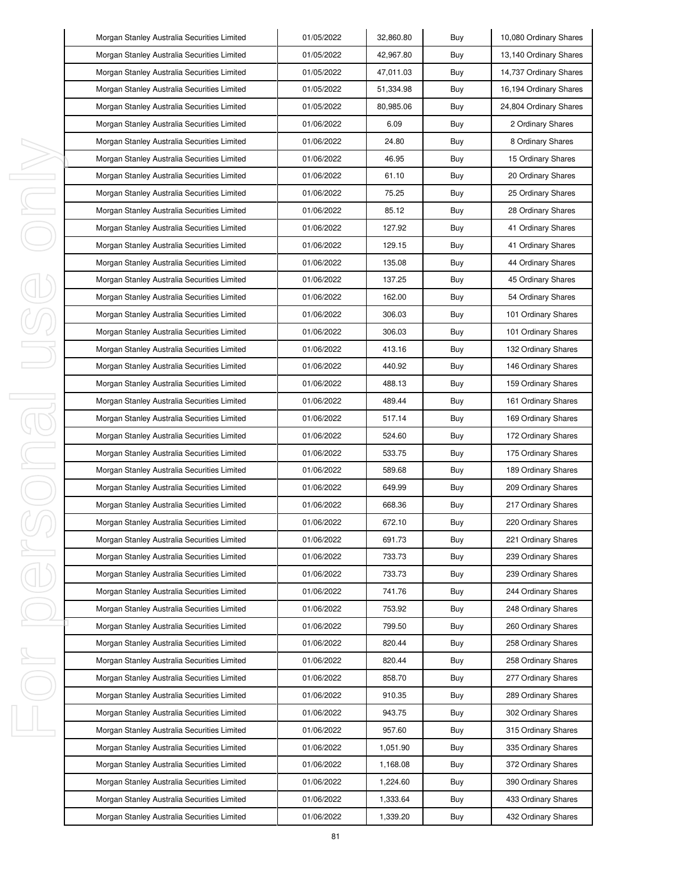|        | Morgan Stanley Australia Securities Limited | 01/05/2022 | 32,860.80 | Buy | 10,080 Ordinary Shares |
|--------|---------------------------------------------|------------|-----------|-----|------------------------|
|        | Morgan Stanley Australia Securities Limited | 01/05/2022 | 42,967.80 | Buy | 13,140 Ordinary Shares |
|        | Morgan Stanley Australia Securities Limited | 01/05/2022 | 47,011.03 | Buy | 14,737 Ordinary Shares |
|        | Morgan Stanley Australia Securities Limited | 01/05/2022 | 51,334.98 | Buy | 16,194 Ordinary Shares |
|        | Morgan Stanley Australia Securities Limited | 01/05/2022 | 80,985.06 | Buy | 24,804 Ordinary Shares |
|        | Morgan Stanley Australia Securities Limited | 01/06/2022 | 6.09      | Buy | 2 Ordinary Shares      |
|        | Morgan Stanley Australia Securities Limited | 01/06/2022 | 24.80     | Buy | 8 Ordinary Shares      |
|        | Morgan Stanley Australia Securities Limited | 01/06/2022 | 46.95     | Buy | 15 Ordinary Shares     |
| ı      | Morgan Stanley Australia Securities Limited | 01/06/2022 | 61.10     | Buy | 20 Ordinary Shares     |
| J,     | Morgan Stanley Australia Securities Limited | 01/06/2022 | 75.25     | Buy | 25 Ordinary Shares     |
| ı      | Morgan Stanley Australia Securities Limited | 01/06/2022 | 85.12     | Buy | 28 Ordinary Shares     |
|        | Morgan Stanley Australia Securities Limited | 01/06/2022 | 127.92    | Buy | 41 Ordinary Shares     |
|        | Morgan Stanley Australia Securities Limited | 01/06/2022 | 129.15    | Buy | 41 Ordinary Shares     |
|        | Morgan Stanley Australia Securities Limited | 01/06/2022 | 135.08    | Buy | 44 Ordinary Shares     |
|        | Morgan Stanley Australia Securities Limited | 01/06/2022 | 137.25    | Buy | 45 Ordinary Shares     |
|        | Morgan Stanley Australia Securities Limited | 01/06/2022 | 162.00    | Buy | 54 Ordinary Shares     |
|        | Morgan Stanley Australia Securities Limited | 01/06/2022 | 306.03    | Buy | 101 Ordinary Shares    |
|        | Morgan Stanley Australia Securities Limited | 01/06/2022 | 306.03    | Buy | 101 Ordinary Shares    |
|        | Morgan Stanley Australia Securities Limited | 01/06/2022 | 413.16    | Buy | 132 Ordinary Shares    |
|        | Morgan Stanley Australia Securities Limited | 01/06/2022 | 440.92    | Buy | 146 Ordinary Shares    |
|        | Morgan Stanley Australia Securities Limited | 01/06/2022 | 488.13    | Buy | 159 Ordinary Shares    |
| I<br>1 | Morgan Stanley Australia Securities Limited | 01/06/2022 | 489.44    | Buy | 161 Ordinary Shares    |
|        | Morgan Stanley Australia Securities Limited | 01/06/2022 | 517.14    | Buy | 169 Ordinary Shares    |
| I      | Morgan Stanley Australia Securities Limited | 01/06/2022 | 524.60    | Buy | 172 Ordinary Shares    |
|        | Morgan Stanley Australia Securities Limited | 01/06/2022 | 533.75    | Buy | 175 Ordinary Shares    |
|        | Morgan Stanley Australia Securities Limited | 01/06/2022 | 589.68    | Buy | 189 Ordinary Shares    |
|        | Morgan Stanley Australia Securities Limited | 01/06/2022 | 649.99    | Buy | 209 Ordinary Shares    |
|        | Morgan Stanley Australia Securities Limited | 01/06/2022 | 668.36    | Buy | 217 Ordinary Shares    |
|        | Morgan Stanley Australia Securities Limited | 01/06/2022 | 672.10    | Buy | 220 Ordinary Shares    |
|        | Morgan Stanley Australia Securities Limited | 01/06/2022 | 691.73    | Buy | 221 Ordinary Shares    |
| I      | Morgan Stanley Australia Securities Limited | 01/06/2022 | 733.73    | Buy | 239 Ordinary Shares    |
|        | Morgan Stanley Australia Securities Limited | 01/06/2022 | 733.73    | Buy | 239 Ordinary Shares    |
|        | Morgan Stanley Australia Securities Limited | 01/06/2022 | 741.76    | Buy | 244 Ordinary Shares    |
|        | Morgan Stanley Australia Securities Limited | 01/06/2022 | 753.92    | Buy | 248 Ordinary Shares    |
|        | Morgan Stanley Australia Securities Limited | 01/06/2022 | 799.50    | Buy | 260 Ordinary Shares    |
|        | Morgan Stanley Australia Securities Limited | 01/06/2022 | 820.44    | Buy | 258 Ordinary Shares    |
| I,     | Morgan Stanley Australia Securities Limited | 01/06/2022 | 820.44    | Buy | 258 Ordinary Shares    |
|        | Morgan Stanley Australia Securities Limited | 01/06/2022 | 858.70    | Buy | 277 Ordinary Shares    |
|        | Morgan Stanley Australia Securities Limited | 01/06/2022 | 910.35    | Buy | 289 Ordinary Shares    |
|        | Morgan Stanley Australia Securities Limited | 01/06/2022 | 943.75    | Buy | 302 Ordinary Shares    |
| I,     | Morgan Stanley Australia Securities Limited | 01/06/2022 | 957.60    | Buy | 315 Ordinary Shares    |
|        | Morgan Stanley Australia Securities Limited | 01/06/2022 | 1,051.90  | Buy | 335 Ordinary Shares    |
|        | Morgan Stanley Australia Securities Limited | 01/06/2022 | 1,168.08  | Buy | 372 Ordinary Shares    |
|        | Morgan Stanley Australia Securities Limited | 01/06/2022 | 1,224.60  | Buy | 390 Ordinary Shares    |
|        | Morgan Stanley Australia Securities Limited | 01/06/2022 | 1,333.64  | Buy | 433 Ordinary Shares    |
|        | Morgan Stanley Australia Securities Limited | 01/06/2022 | 1,339.20  | Buy | 432 Ordinary Shares    |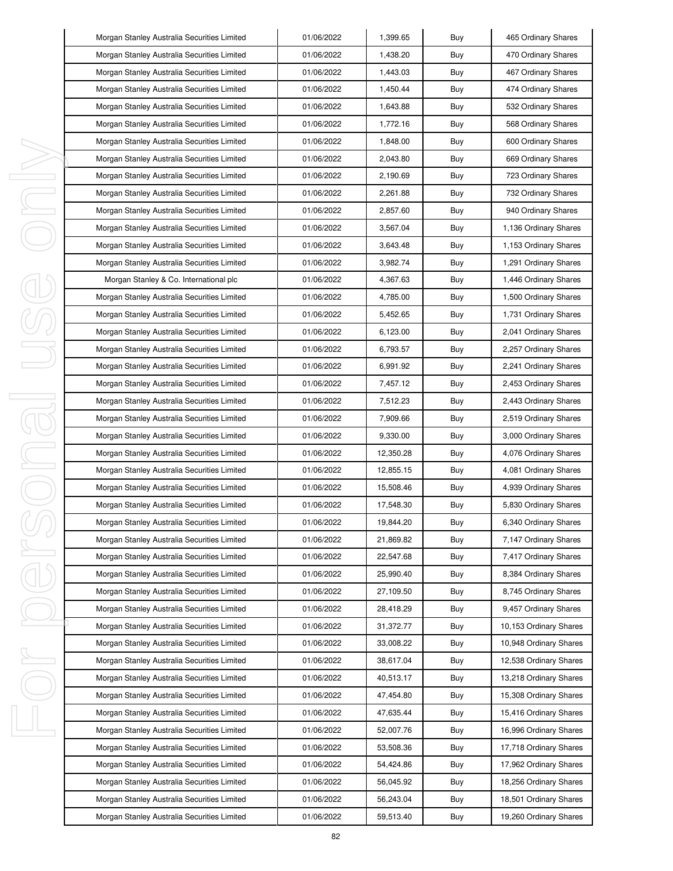| Morgan Stanley Australia Securities Limited | 01/06/2022 | 1,399.65  | Buy | 465 Ordinary Shares    |
|---------------------------------------------|------------|-----------|-----|------------------------|
| Morgan Stanley Australia Securities Limited | 01/06/2022 | 1,438.20  | Buy | 470 Ordinary Shares    |
| Morgan Stanley Australia Securities Limited | 01/06/2022 | 1,443.03  | Buy | 467 Ordinary Shares    |
| Morgan Stanley Australia Securities Limited | 01/06/2022 | 1,450.44  | Buy | 474 Ordinary Shares    |
| Morgan Stanley Australia Securities Limited | 01/06/2022 | 1,643.88  | Buy | 532 Ordinary Shares    |
| Morgan Stanley Australia Securities Limited | 01/06/2022 | 1,772.16  | Buy | 568 Ordinary Shares    |
| Morgan Stanley Australia Securities Limited | 01/06/2022 | 1,848.00  | Buy | 600 Ordinary Shares    |
| Morgan Stanley Australia Securities Limited | 01/06/2022 | 2,043.80  | Buy | 669 Ordinary Shares    |
| Morgan Stanley Australia Securities Limited | 01/06/2022 | 2,190.69  | Buy | 723 Ordinary Shares    |
| Morgan Stanley Australia Securities Limited | 01/06/2022 | 2,261.88  | Buy | 732 Ordinary Shares    |
| Morgan Stanley Australia Securities Limited | 01/06/2022 | 2,857.60  | Buy | 940 Ordinary Shares    |
| Morgan Stanley Australia Securities Limited | 01/06/2022 | 3,567.04  | Buy | 1,136 Ordinary Shares  |
| Morgan Stanley Australia Securities Limited | 01/06/2022 | 3,643.48  | Buy | 1,153 Ordinary Shares  |
| Morgan Stanley Australia Securities Limited | 01/06/2022 | 3,982.74  | Buy | 1,291 Ordinary Shares  |
| Morgan Stanley & Co. International plc      | 01/06/2022 | 4,367.63  | Buy | 1,446 Ordinary Shares  |
| Morgan Stanley Australia Securities Limited | 01/06/2022 | 4,785.00  | Buy | 1,500 Ordinary Shares  |
| Morgan Stanley Australia Securities Limited | 01/06/2022 | 5,452.65  | Buy | 1,731 Ordinary Shares  |
| Morgan Stanley Australia Securities Limited | 01/06/2022 | 6,123.00  | Buy | 2,041 Ordinary Shares  |
| Morgan Stanley Australia Securities Limited | 01/06/2022 | 6,793.57  | Buy | 2,257 Ordinary Shares  |
| Morgan Stanley Australia Securities Limited | 01/06/2022 | 6,991.92  | Buy | 2,241 Ordinary Shares  |
| Morgan Stanley Australia Securities Limited | 01/06/2022 | 7,457.12  | Buy | 2,453 Ordinary Shares  |
| Morgan Stanley Australia Securities Limited | 01/06/2022 | 7,512.23  | Buy | 2,443 Ordinary Shares  |
| Morgan Stanley Australia Securities Limited | 01/06/2022 | 7,909.66  | Buy | 2,519 Ordinary Shares  |
| Morgan Stanley Australia Securities Limited | 01/06/2022 | 9,330.00  | Buy | 3,000 Ordinary Shares  |
| Morgan Stanley Australia Securities Limited | 01/06/2022 | 12,350.28 | Buy | 4,076 Ordinary Shares  |
| Morgan Stanley Australia Securities Limited | 01/06/2022 | 12,855.15 | Buy | 4,081 Ordinary Shares  |
| Morgan Stanley Australia Securities Limited | 01/06/2022 | 15,508.46 | Buy | 4,939 Ordinary Shares  |
| Morgan Stanley Australia Securities Limited | 01/06/2022 | 17,548.30 | Buy | 5,830 Ordinary Shares  |
| Morgan Stanley Australia Securities Limited | 01/06/2022 | 19,844.20 | Buy | 6,340 Ordinary Shares  |
| Morgan Stanley Australia Securities Limited | 01/06/2022 | 21,869.82 | Buy | 7,147 Ordinary Shares  |
| Morgan Stanley Australia Securities Limited | 01/06/2022 | 22,547.68 | Buy | 7,417 Ordinary Shares  |
| Morgan Stanley Australia Securities Limited | 01/06/2022 | 25,990.40 | Buy | 8,384 Ordinary Shares  |
| Morgan Stanley Australia Securities Limited | 01/06/2022 | 27,109.50 | Buy | 8,745 Ordinary Shares  |
| Morgan Stanley Australia Securities Limited | 01/06/2022 | 28,418.29 | Buy | 9,457 Ordinary Shares  |
| Morgan Stanley Australia Securities Limited | 01/06/2022 | 31,372.77 | Buy | 10,153 Ordinary Shares |
| Morgan Stanley Australia Securities Limited | 01/06/2022 | 33,008.22 | Buy | 10,948 Ordinary Shares |
| Morgan Stanley Australia Securities Limited | 01/06/2022 | 38,617.04 | Buy | 12,538 Ordinary Shares |
| Morgan Stanley Australia Securities Limited | 01/06/2022 | 40,513.17 | Buy | 13,218 Ordinary Shares |
| Morgan Stanley Australia Securities Limited | 01/06/2022 | 47,454.80 | Buy | 15,308 Ordinary Shares |
| Morgan Stanley Australia Securities Limited | 01/06/2022 | 47,635.44 | Buy | 15,416 Ordinary Shares |
| Morgan Stanley Australia Securities Limited | 01/06/2022 | 52,007.76 | Buy | 16,996 Ordinary Shares |
| Morgan Stanley Australia Securities Limited | 01/06/2022 | 53,508.36 | Buy | 17,718 Ordinary Shares |
| Morgan Stanley Australia Securities Limited | 01/06/2022 | 54,424.86 | Buy | 17,962 Ordinary Shares |
| Morgan Stanley Australia Securities Limited | 01/06/2022 | 56,045.92 | Buy | 18,256 Ordinary Shares |
| Morgan Stanley Australia Securities Limited | 01/06/2022 | 56,243.04 | Buy | 18,501 Ordinary Shares |
| Morgan Stanley Australia Securities Limited | 01/06/2022 | 59,513.40 | Buy | 19,260 Ordinary Shares |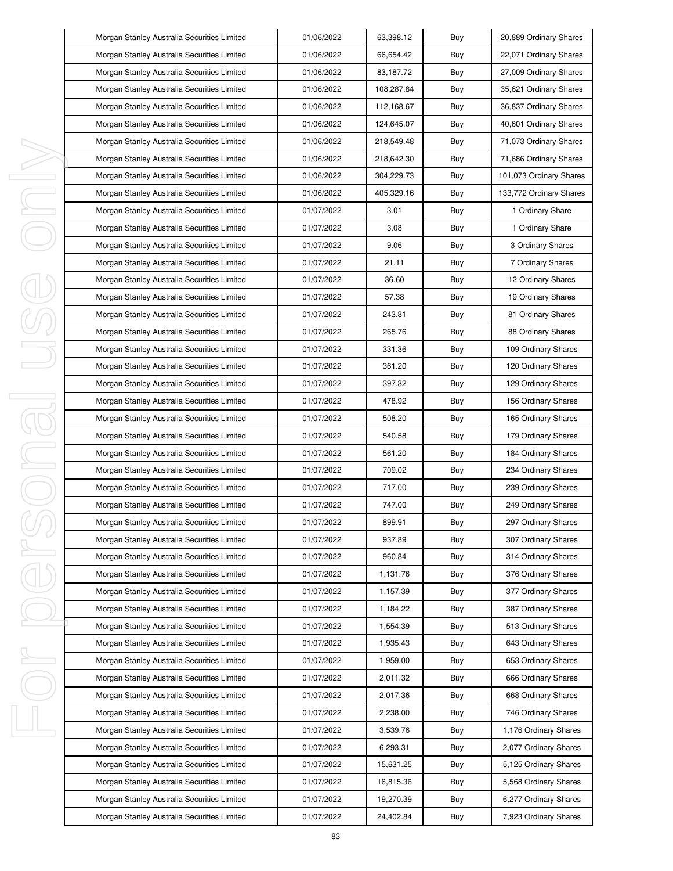|         | Morgan Stanley Australia Securities Limited | 01/06/2022 | 63,398.12  | Buy | 20,889 Ordinary Shares  |
|---------|---------------------------------------------|------------|------------|-----|-------------------------|
|         | Morgan Stanley Australia Securities Limited | 01/06/2022 | 66,654.42  | Buy | 22,071 Ordinary Shares  |
|         | Morgan Stanley Australia Securities Limited | 01/06/2022 | 83,187.72  | Buy | 27,009 Ordinary Shares  |
|         | Morgan Stanley Australia Securities Limited | 01/06/2022 | 108,287.84 | Buy | 35,621 Ordinary Shares  |
|         | Morgan Stanley Australia Securities Limited | 01/06/2022 | 112,168.67 | Buy | 36,837 Ordinary Shares  |
|         | Morgan Stanley Australia Securities Limited | 01/06/2022 | 124,645.07 | Buy | 40,601 Ordinary Shares  |
|         | Morgan Stanley Australia Securities Limited | 01/06/2022 | 218,549.48 | Buy | 71,073 Ordinary Shares  |
|         | Morgan Stanley Australia Securities Limited | 01/06/2022 | 218,642.30 | Buy | 71,686 Ordinary Shares  |
| ı       | Morgan Stanley Australia Securities Limited | 01/06/2022 | 304,229.73 | Buy | 101,073 Ordinary Shares |
| I       | Morgan Stanley Australia Securities Limited | 01/06/2022 | 405,329.16 | Buy | 133,772 Ordinary Shares |
| I,      | Morgan Stanley Australia Securities Limited | 01/07/2022 | 3.01       | Buy | 1 Ordinary Share        |
|         | Morgan Stanley Australia Securities Limited | 01/07/2022 | 3.08       | Buy | 1 Ordinary Share        |
|         | Morgan Stanley Australia Securities Limited | 01/07/2022 | 9.06       | Buy | 3 Ordinary Shares       |
|         | Morgan Stanley Australia Securities Limited | 01/07/2022 | 21.11      | Buy | 7 Ordinary Shares       |
|         | Morgan Stanley Australia Securities Limited | 01/07/2022 | 36.60      | Buy | 12 Ordinary Shares      |
|         | Morgan Stanley Australia Securities Limited | 01/07/2022 | 57.38      | Buy | 19 Ordinary Shares      |
|         | Morgan Stanley Australia Securities Limited | 01/07/2022 | 243.81     | Buy | 81 Ordinary Shares      |
|         | Morgan Stanley Australia Securities Limited | 01/07/2022 | 265.76     | Buy | 88 Ordinary Shares      |
|         | Morgan Stanley Australia Securities Limited | 01/07/2022 | 331.36     | Buy | 109 Ordinary Shares     |
|         | Morgan Stanley Australia Securities Limited | 01/07/2022 | 361.20     | Buy | 120 Ordinary Shares     |
|         | Morgan Stanley Australia Securities Limited | 01/07/2022 | 397.32     | Buy | 129 Ordinary Shares     |
| I<br>J. | Morgan Stanley Australia Securities Limited | 01/07/2022 | 478.92     | Buy | 156 Ordinary Shares     |
|         | Morgan Stanley Australia Securities Limited | 01/07/2022 | 508.20     | Buy | 165 Ordinary Shares     |
|         | Morgan Stanley Australia Securities Limited | 01/07/2022 | 540.58     | Buy | 179 Ordinary Shares     |
| I       | Morgan Stanley Australia Securities Limited | 01/07/2022 | 561.20     | Buy | 184 Ordinary Shares     |
| I       | Morgan Stanley Australia Securities Limited | 01/07/2022 | 709.02     | Buy | 234 Ordinary Shares     |
|         | Morgan Stanley Australia Securities Limited | 01/07/2022 | 717.00     | Buy | 239 Ordinary Shares     |
|         | Morgan Stanley Australia Securities Limited | 01/07/2022 | 747.00     | Buy | 249 Ordinary Shares     |
|         | Morgan Stanley Australia Securities Limited | 01/07/2022 | 899.91     | Buy | 297 Ordinary Shares     |
|         | Morgan Stanley Australia Securities Limited | 01/07/2022 | 937.89     | Buy | 307 Ordinary Shares     |
| ı       | Morgan Stanley Australia Securities Limited | 01/07/2022 | 960.84     | Buy | 314 Ordinary Shares     |
|         | Morgan Stanley Australia Securities Limited | 01/07/2022 | 1,131.76   | Buy | 376 Ordinary Shares     |
|         | Morgan Stanley Australia Securities Limited | 01/07/2022 | 1,157.39   | Buy | 377 Ordinary Shares     |
|         | Morgan Stanley Australia Securities Limited | 01/07/2022 | 1,184.22   | Buy | 387 Ordinary Shares     |
|         | Morgan Stanley Australia Securities Limited | 01/07/2022 | 1,554.39   | Buy | 513 Ordinary Shares     |
|         | Morgan Stanley Australia Securities Limited | 01/07/2022 | 1,935.43   | Buy | 643 Ordinary Shares     |
| I,      | Morgan Stanley Australia Securities Limited | 01/07/2022 | 1,959.00   | Buy | 653 Ordinary Shares     |
|         | Morgan Stanley Australia Securities Limited | 01/07/2022 | 2,011.32   | Buy | 666 Ordinary Shares     |
|         | Morgan Stanley Australia Securities Limited | 01/07/2022 | 2,017.36   | Buy | 668 Ordinary Shares     |
|         | Morgan Stanley Australia Securities Limited | 01/07/2022 | 2,238.00   | Buy | 746 Ordinary Shares     |
| I,      | Morgan Stanley Australia Securities Limited | 01/07/2022 | 3,539.76   | Buy | 1,176 Ordinary Shares   |
|         | Morgan Stanley Australia Securities Limited | 01/07/2022 | 6,293.31   | Buy | 2,077 Ordinary Shares   |
|         | Morgan Stanley Australia Securities Limited | 01/07/2022 | 15,631.25  | Buy | 5,125 Ordinary Shares   |
|         | Morgan Stanley Australia Securities Limited | 01/07/2022 | 16,815.36  | Buy | 5,568 Ordinary Shares   |
|         | Morgan Stanley Australia Securities Limited | 01/07/2022 | 19,270.39  | Buy | 6,277 Ordinary Shares   |
|         | Morgan Stanley Australia Securities Limited | 01/07/2022 | 24,402.84  | Buy | 7,923 Ordinary Shares   |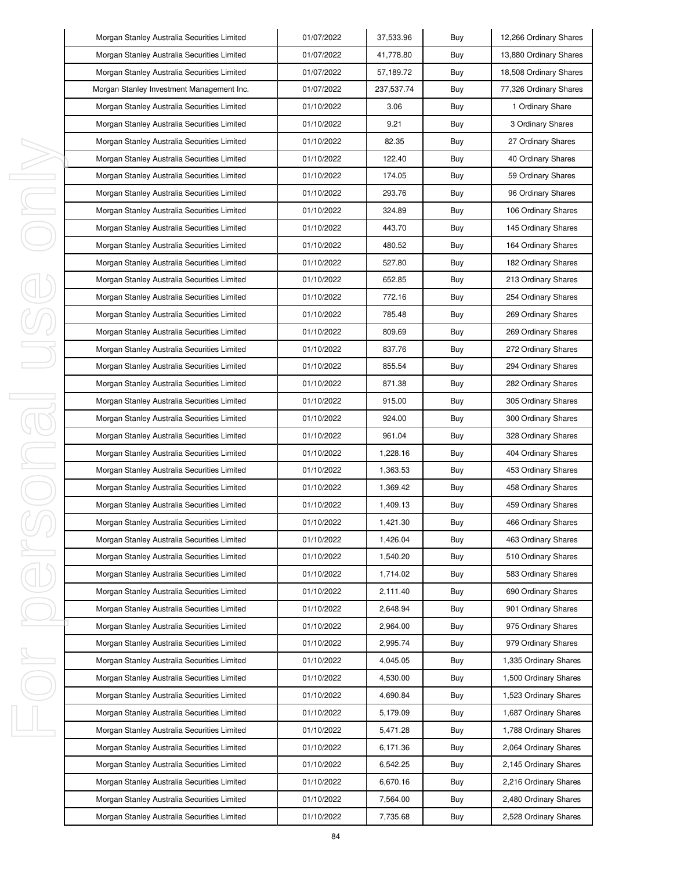|    | Morgan Stanley Australia Securities Limited | 01/07/2022 | 37,533.96  | Buy | 12,266 Ordinary Shares |
|----|---------------------------------------------|------------|------------|-----|------------------------|
|    | Morgan Stanley Australia Securities Limited | 01/07/2022 | 41,778.80  | Buy | 13,880 Ordinary Shares |
|    | Morgan Stanley Australia Securities Limited | 01/07/2022 | 57,189.72  | Buy | 18,508 Ordinary Shares |
|    | Morgan Stanley Investment Management Inc.   | 01/07/2022 | 237,537.74 | Buy | 77,326 Ordinary Shares |
|    | Morgan Stanley Australia Securities Limited | 01/10/2022 | 3.06       | Buy | 1 Ordinary Share       |
|    | Morgan Stanley Australia Securities Limited | 01/10/2022 | 9.21       | Buy | 3 Ordinary Shares      |
|    | Morgan Stanley Australia Securities Limited | 01/10/2022 | 82.35      | Buy | 27 Ordinary Shares     |
|    | Morgan Stanley Australia Securities Limited | 01/10/2022 | 122.40     | Buy | 40 Ordinary Shares     |
| ı  | Morgan Stanley Australia Securities Limited | 01/10/2022 | 174.05     | Buy | 59 Ordinary Shares     |
| J  | Morgan Stanley Australia Securities Limited | 01/10/2022 | 293.76     | Buy | 96 Ordinary Shares     |
| I  | Morgan Stanley Australia Securities Limited | 01/10/2022 | 324.89     | Buy | 106 Ordinary Shares    |
|    | Morgan Stanley Australia Securities Limited | 01/10/2022 | 443.70     | Buy | 145 Ordinary Shares    |
|    | Morgan Stanley Australia Securities Limited | 01/10/2022 | 480.52     | Buy | 164 Ordinary Shares    |
|    | Morgan Stanley Australia Securities Limited | 01/10/2022 | 527.80     | Buy | 182 Ordinary Shares    |
|    | Morgan Stanley Australia Securities Limited | 01/10/2022 | 652.85     | Buy | 213 Ordinary Shares    |
|    | Morgan Stanley Australia Securities Limited | 01/10/2022 | 772.16     | Buy | 254 Ordinary Shares    |
|    | Morgan Stanley Australia Securities Limited | 01/10/2022 | 785.48     | Buy | 269 Ordinary Shares    |
|    | Morgan Stanley Australia Securities Limited | 01/10/2022 | 809.69     | Buy | 269 Ordinary Shares    |
|    | Morgan Stanley Australia Securities Limited | 01/10/2022 | 837.76     | Buy | 272 Ordinary Shares    |
|    | Morgan Stanley Australia Securities Limited | 01/10/2022 | 855.54     | Buy | 294 Ordinary Shares    |
|    | Morgan Stanley Australia Securities Limited | 01/10/2022 | 871.38     | Buy | 282 Ordinary Shares    |
| 1  | Morgan Stanley Australia Securities Limited | 01/10/2022 | 915.00     | Buy | 305 Ordinary Shares    |
|    | Morgan Stanley Australia Securities Limited | 01/10/2022 | 924.00     | Buy | 300 Ordinary Shares    |
| J  | Morgan Stanley Australia Securities Limited | 01/10/2022 | 961.04     | Buy | 328 Ordinary Shares    |
|    | Morgan Stanley Australia Securities Limited | 01/10/2022 | 1,228.16   | Buy | 404 Ordinary Shares    |
|    | Morgan Stanley Australia Securities Limited | 01/10/2022 | 1,363.53   | Buy | 453 Ordinary Shares    |
|    | Morgan Stanley Australia Securities Limited | 01/10/2022 | 1,369.42   | Buy | 458 Ordinary Shares    |
|    | Morgan Stanley Australia Securities Limited | 01/10/2022 | 1,409.13   | Buy | 459 Ordinary Shares    |
|    | Morgan Stanley Australia Securities Limited | 01/10/2022 | 1,421.30   | Buy | 466 Ordinary Shares    |
|    | Morgan Stanley Australia Securities Limited | 01/10/2022 | 1,426.04   | Buy | 463 Ordinary Shares    |
| I  | Morgan Stanley Australia Securities Limited | 01/10/2022 | 1,540.20   | Buy | 510 Ordinary Shares    |
|    | Morgan Stanley Australia Securities Limited | 01/10/2022 | 1,714.02   | Buy | 583 Ordinary Shares    |
|    | Morgan Stanley Australia Securities Limited | 01/10/2022 | 2,111.40   | Buy | 690 Ordinary Shares    |
|    | Morgan Stanley Australia Securities Limited | 01/10/2022 | 2,648.94   | Buy | 901 Ordinary Shares    |
|    | Morgan Stanley Australia Securities Limited | 01/10/2022 | 2,964.00   | Buy | 975 Ordinary Shares    |
|    | Morgan Stanley Australia Securities Limited | 01/10/2022 | 2.995.74   | Buy | 979 Ordinary Shares    |
| I. | Morgan Stanley Australia Securities Limited | 01/10/2022 | 4,045.05   | Buy | 1,335 Ordinary Shares  |
|    | Morgan Stanley Australia Securities Limited | 01/10/2022 | 4,530.00   | Buy | 1,500 Ordinary Shares  |
|    | Morgan Stanley Australia Securities Limited | 01/10/2022 | 4,690.84   | Buy | 1,523 Ordinary Shares  |
|    | Morgan Stanley Australia Securities Limited | 01/10/2022 | 5,179.09   | Buy | 1,687 Ordinary Shares  |
| ı  | Morgan Stanley Australia Securities Limited | 01/10/2022 | 5,471.28   | Buy | 1,788 Ordinary Shares  |
|    | Morgan Stanley Australia Securities Limited | 01/10/2022 | 6,171.36   | Buy | 2,064 Ordinary Shares  |
|    | Morgan Stanley Australia Securities Limited | 01/10/2022 | 6,542.25   | Buy | 2,145 Ordinary Shares  |
|    | Morgan Stanley Australia Securities Limited | 01/10/2022 | 6,670.16   | Buy | 2,216 Ordinary Shares  |
|    | Morgan Stanley Australia Securities Limited | 01/10/2022 | 7,564.00   | Buy | 2,480 Ordinary Shares  |
|    | Morgan Stanley Australia Securities Limited | 01/10/2022 | 7,735.68   | Buy | 2,528 Ordinary Shares  |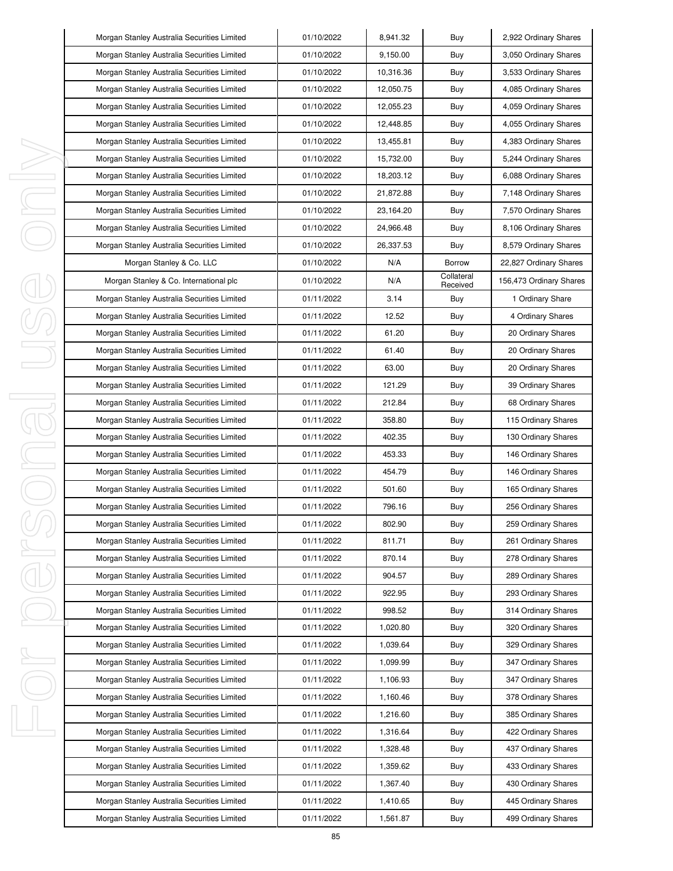| Morgan Stanley Australia Securities Limited | 01/10/2022 | 8,941.32  | Buy                    | 2,922 Ordinary Shares   |
|---------------------------------------------|------------|-----------|------------------------|-------------------------|
| Morgan Stanley Australia Securities Limited | 01/10/2022 | 9,150.00  | Buy                    | 3,050 Ordinary Shares   |
| Morgan Stanley Australia Securities Limited | 01/10/2022 | 10,316.36 | Buy                    | 3,533 Ordinary Shares   |
| Morgan Stanley Australia Securities Limited | 01/10/2022 | 12,050.75 | Buy                    | 4,085 Ordinary Shares   |
| Morgan Stanley Australia Securities Limited | 01/10/2022 | 12,055.23 | Buy                    | 4,059 Ordinary Shares   |
| Morgan Stanley Australia Securities Limited | 01/10/2022 | 12,448.85 | Buy                    | 4,055 Ordinary Shares   |
| Morgan Stanley Australia Securities Limited | 01/10/2022 | 13,455.81 | Buy                    | 4,383 Ordinary Shares   |
| Morgan Stanley Australia Securities Limited | 01/10/2022 | 15,732.00 | Buy                    | 5,244 Ordinary Shares   |
| Morgan Stanley Australia Securities Limited | 01/10/2022 | 18,203.12 | Buy                    | 6,088 Ordinary Shares   |
| Morgan Stanley Australia Securities Limited | 01/10/2022 | 21,872.88 | Buy                    | 7,148 Ordinary Shares   |
| Morgan Stanley Australia Securities Limited | 01/10/2022 | 23,164.20 | Buy                    | 7,570 Ordinary Shares   |
| Morgan Stanley Australia Securities Limited | 01/10/2022 | 24,966.48 | Buy                    | 8,106 Ordinary Shares   |
| Morgan Stanley Australia Securities Limited | 01/10/2022 | 26,337.53 | Buy                    | 8,579 Ordinary Shares   |
| Morgan Stanley & Co. LLC                    | 01/10/2022 | N/A       | Borrow                 | 22,827 Ordinary Shares  |
| Morgan Stanley & Co. International plc      | 01/10/2022 | N/A       | Collateral<br>Received | 156,473 Ordinary Shares |
| Morgan Stanley Australia Securities Limited | 01/11/2022 | 3.14      | Buy                    | 1 Ordinary Share        |
| Morgan Stanley Australia Securities Limited | 01/11/2022 | 12.52     | Buy                    | 4 Ordinary Shares       |
| Morgan Stanley Australia Securities Limited | 01/11/2022 | 61.20     | Buy                    | 20 Ordinary Shares      |
| Morgan Stanley Australia Securities Limited | 01/11/2022 | 61.40     | Buy                    | 20 Ordinary Shares      |
| Morgan Stanley Australia Securities Limited | 01/11/2022 | 63.00     | Buy                    | 20 Ordinary Shares      |
| Morgan Stanley Australia Securities Limited | 01/11/2022 | 121.29    | Buy                    | 39 Ordinary Shares      |
| Morgan Stanley Australia Securities Limited | 01/11/2022 | 212.84    | Buy                    | 68 Ordinary Shares      |
| Morgan Stanley Australia Securities Limited | 01/11/2022 | 358.80    | Buy                    | 115 Ordinary Shares     |
| Morgan Stanley Australia Securities Limited | 01/11/2022 | 402.35    | Buy                    | 130 Ordinary Shares     |
| Morgan Stanley Australia Securities Limited | 01/11/2022 | 453.33    | Buy                    | 146 Ordinary Shares     |
| Morgan Stanley Australia Securities Limited | 01/11/2022 | 454.79    | Buy                    | 146 Ordinary Shares     |
| Morgan Stanley Australia Securities Limited | 01/11/2022 | 501.60    | Buy                    | 165 Ordinary Shares     |
| Morgan Stanley Australia Securities Limited | 01/11/2022 | 796.16    | Buy                    | 256 Ordinary Shares     |
| Morgan Stanley Australia Securities Limited | 01/11/2022 | 802.90    | Buy                    | 259 Ordinary Shares     |
| Morgan Stanley Australia Securities Limited | 01/11/2022 | 811.71    | Buy                    | 261 Ordinary Shares     |
| Morgan Stanley Australia Securities Limited | 01/11/2022 | 870.14    | Buy                    | 278 Ordinary Shares     |
| Morgan Stanley Australia Securities Limited | 01/11/2022 | 904.57    | Buy                    | 289 Ordinary Shares     |
| Morgan Stanley Australia Securities Limited | 01/11/2022 | 922.95    | Buy                    | 293 Ordinary Shares     |
| Morgan Stanley Australia Securities Limited | 01/11/2022 | 998.52    | Buy                    | 314 Ordinary Shares     |
| Morgan Stanley Australia Securities Limited | 01/11/2022 | 1,020.80  | Buy                    | 320 Ordinary Shares     |
| Morgan Stanley Australia Securities Limited | 01/11/2022 | 1,039.64  | Buy                    | 329 Ordinary Shares     |
| Morgan Stanley Australia Securities Limited | 01/11/2022 | 1,099.99  | Buy                    | 347 Ordinary Shares     |
| Morgan Stanley Australia Securities Limited | 01/11/2022 | 1,106.93  | Buy                    | 347 Ordinary Shares     |
| Morgan Stanley Australia Securities Limited | 01/11/2022 | 1,160.46  | Buy                    | 378 Ordinary Shares     |
| Morgan Stanley Australia Securities Limited | 01/11/2022 | 1,216.60  | Buy                    | 385 Ordinary Shares     |
| Morgan Stanley Australia Securities Limited | 01/11/2022 | 1,316.64  | Buy                    | 422 Ordinary Shares     |
| Morgan Stanley Australia Securities Limited | 01/11/2022 | 1,328.48  | Buy                    | 437 Ordinary Shares     |
| Morgan Stanley Australia Securities Limited | 01/11/2022 | 1,359.62  | Buy                    | 433 Ordinary Shares     |
| Morgan Stanley Australia Securities Limited | 01/11/2022 | 1,367.40  | Buy                    | 430 Ordinary Shares     |
| Morgan Stanley Australia Securities Limited | 01/11/2022 | 1,410.65  | Buy                    | 445 Ordinary Shares     |
| Morgan Stanley Australia Securities Limited | 01/11/2022 | 1,561.87  | Buy                    | 499 Ordinary Shares     |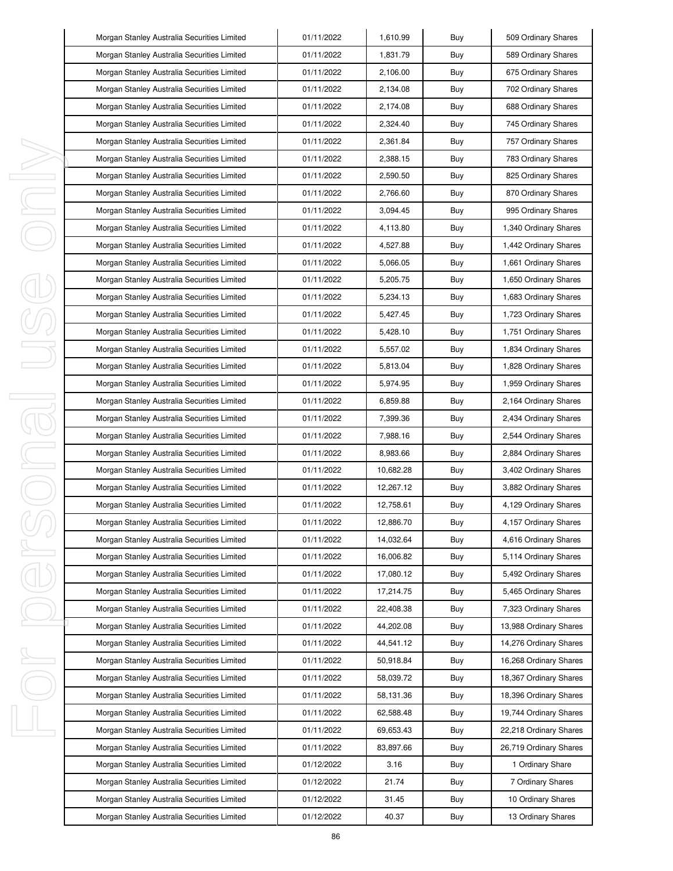| Morgan Stanley Australia Securities Limited | 01/11/2022 | 1,610.99  | Buy | 509 Ordinary Shares    |
|---------------------------------------------|------------|-----------|-----|------------------------|
| Morgan Stanley Australia Securities Limited | 01/11/2022 | 1,831.79  | Buy | 589 Ordinary Shares    |
| Morgan Stanley Australia Securities Limited | 01/11/2022 | 2,106.00  | Buy | 675 Ordinary Shares    |
| Morgan Stanley Australia Securities Limited | 01/11/2022 | 2,134.08  | Buy | 702 Ordinary Shares    |
| Morgan Stanley Australia Securities Limited | 01/11/2022 | 2,174.08  | Buy | 688 Ordinary Shares    |
| Morgan Stanley Australia Securities Limited | 01/11/2022 | 2,324.40  | Buy | 745 Ordinary Shares    |
| Morgan Stanley Australia Securities Limited | 01/11/2022 | 2,361.84  | Buy | 757 Ordinary Shares    |
| Morgan Stanley Australia Securities Limited | 01/11/2022 | 2,388.15  | Buy | 783 Ordinary Shares    |
| Morgan Stanley Australia Securities Limited | 01/11/2022 | 2,590.50  | Buy | 825 Ordinary Shares    |
| Morgan Stanley Australia Securities Limited | 01/11/2022 | 2,766.60  | Buy | 870 Ordinary Shares    |
| Morgan Stanley Australia Securities Limited | 01/11/2022 | 3,094.45  | Buy | 995 Ordinary Shares    |
| Morgan Stanley Australia Securities Limited | 01/11/2022 | 4,113.80  | Buy | 1,340 Ordinary Shares  |
| Morgan Stanley Australia Securities Limited | 01/11/2022 | 4,527.88  | Buy | 1,442 Ordinary Shares  |
| Morgan Stanley Australia Securities Limited | 01/11/2022 | 5,066.05  | Buy | 1,661 Ordinary Shares  |
| Morgan Stanley Australia Securities Limited | 01/11/2022 | 5,205.75  | Buy | 1,650 Ordinary Shares  |
| Morgan Stanley Australia Securities Limited | 01/11/2022 | 5,234.13  | Buy | 1,683 Ordinary Shares  |
| Morgan Stanley Australia Securities Limited | 01/11/2022 | 5,427.45  | Buy | 1,723 Ordinary Shares  |
| Morgan Stanley Australia Securities Limited | 01/11/2022 | 5,428.10  | Buy | 1,751 Ordinary Shares  |
| Morgan Stanley Australia Securities Limited | 01/11/2022 | 5,557.02  | Buy | 1,834 Ordinary Shares  |
| Morgan Stanley Australia Securities Limited | 01/11/2022 | 5,813.04  | Buy | 1,828 Ordinary Shares  |
| Morgan Stanley Australia Securities Limited | 01/11/2022 | 5,974.95  | Buy | 1,959 Ordinary Shares  |
| Morgan Stanley Australia Securities Limited | 01/11/2022 | 6,859.88  | Buy | 2,164 Ordinary Shares  |
| Morgan Stanley Australia Securities Limited | 01/11/2022 | 7,399.36  | Buy | 2,434 Ordinary Shares  |
| Morgan Stanley Australia Securities Limited | 01/11/2022 | 7,988.16  | Buy | 2,544 Ordinary Shares  |
| Morgan Stanley Australia Securities Limited | 01/11/2022 | 8,983.66  | Buy | 2,884 Ordinary Shares  |
| Morgan Stanley Australia Securities Limited | 01/11/2022 | 10,682.28 | Buy | 3,402 Ordinary Shares  |
| Morgan Stanley Australia Securities Limited | 01/11/2022 | 12,267.12 | Buy | 3,882 Ordinary Shares  |
| Morgan Stanley Australia Securities Limited | 01/11/2022 | 12,758.61 | Buy | 4,129 Ordinary Shares  |
| Morgan Stanley Australia Securities Limited | 01/11/2022 | 12,886.70 | Buy | 4,157 Ordinary Shares  |
| Morgan Stanley Australia Securities Limited | 01/11/2022 | 14,032.64 | Buy | 4,616 Ordinary Shares  |
| Morgan Stanley Australia Securities Limited | 01/11/2022 | 16,006.82 | Buy | 5,114 Ordinary Shares  |
| Morgan Stanley Australia Securities Limited | 01/11/2022 | 17,080.12 | Buy | 5,492 Ordinary Shares  |
| Morgan Stanley Australia Securities Limited | 01/11/2022 | 17,214.75 | Buy | 5,465 Ordinary Shares  |
| Morgan Stanley Australia Securities Limited | 01/11/2022 | 22,408.38 | Buy | 7,323 Ordinary Shares  |
| Morgan Stanley Australia Securities Limited | 01/11/2022 | 44,202.08 | Buy | 13,988 Ordinary Shares |
| Morgan Stanley Australia Securities Limited | 01/11/2022 | 44,541.12 | Buy | 14,276 Ordinary Shares |
| Morgan Stanley Australia Securities Limited | 01/11/2022 | 50,918.84 | Buy | 16,268 Ordinary Shares |
| Morgan Stanley Australia Securities Limited | 01/11/2022 | 58,039.72 | Buy | 18,367 Ordinary Shares |
| Morgan Stanley Australia Securities Limited | 01/11/2022 | 58,131.36 | Buy | 18,396 Ordinary Shares |
| Morgan Stanley Australia Securities Limited | 01/11/2022 | 62,588.48 | Buy | 19,744 Ordinary Shares |
| Morgan Stanley Australia Securities Limited | 01/11/2022 | 69,653.43 | Buy | 22,218 Ordinary Shares |
| Morgan Stanley Australia Securities Limited | 01/11/2022 | 83,897.66 | Buy | 26,719 Ordinary Shares |
| Morgan Stanley Australia Securities Limited | 01/12/2022 | 3.16      | Buy | 1 Ordinary Share       |
| Morgan Stanley Australia Securities Limited | 01/12/2022 | 21.74     | Buy | 7 Ordinary Shares      |
| Morgan Stanley Australia Securities Limited | 01/12/2022 | 31.45     | Buy | 10 Ordinary Shares     |
| Morgan Stanley Australia Securities Limited | 01/12/2022 | 40.37     | Buy | 13 Ordinary Shares     |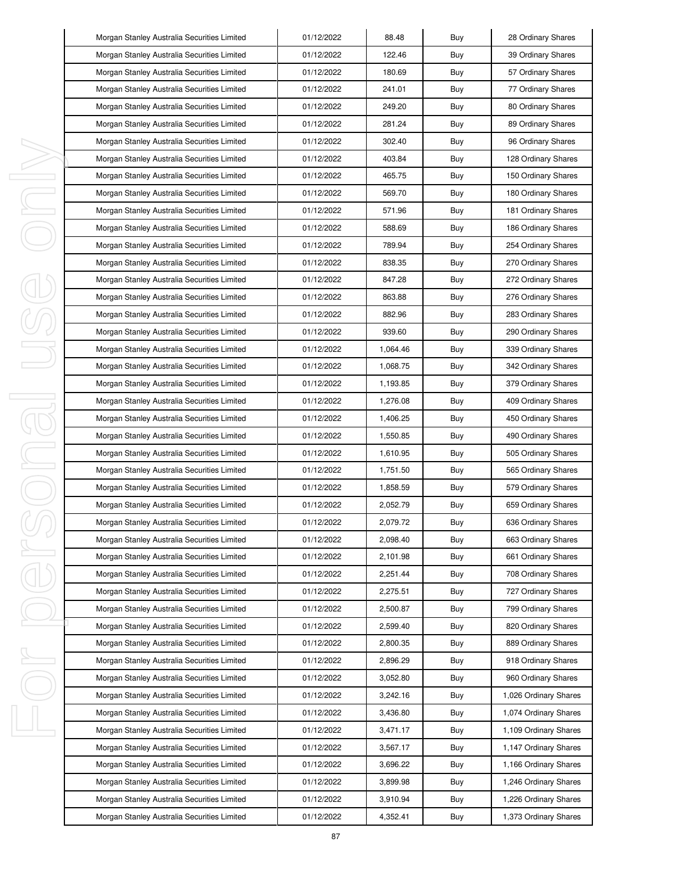|   | Morgan Stanley Australia Securities Limited | 01/12/2022 | 88.48    | Buy | 28 Ordinary Shares    |
|---|---------------------------------------------|------------|----------|-----|-----------------------|
|   | Morgan Stanley Australia Securities Limited | 01/12/2022 | 122.46   | Buy | 39 Ordinary Shares    |
|   | Morgan Stanley Australia Securities Limited | 01/12/2022 | 180.69   | Buy | 57 Ordinary Shares    |
|   | Morgan Stanley Australia Securities Limited | 01/12/2022 | 241.01   | Buy | 77 Ordinary Shares    |
|   | Morgan Stanley Australia Securities Limited | 01/12/2022 | 249.20   | Buy | 80 Ordinary Shares    |
|   | Morgan Stanley Australia Securities Limited | 01/12/2022 | 281.24   | Buy | 89 Ordinary Shares    |
|   | Morgan Stanley Australia Securities Limited | 01/12/2022 | 302.40   | Buy | 96 Ordinary Shares    |
|   | Morgan Stanley Australia Securities Limited | 01/12/2022 | 403.84   | Buy | 128 Ordinary Shares   |
|   | Morgan Stanley Australia Securities Limited | 01/12/2022 | 465.75   | Buy | 150 Ordinary Shares   |
|   | Morgan Stanley Australia Securities Limited | 01/12/2022 | 569.70   | Buy | 180 Ordinary Shares   |
|   | Morgan Stanley Australia Securities Limited | 01/12/2022 | 571.96   | Buy | 181 Ordinary Shares   |
|   | Morgan Stanley Australia Securities Limited | 01/12/2022 | 588.69   | Buy | 186 Ordinary Shares   |
|   | Morgan Stanley Australia Securities Limited | 01/12/2022 | 789.94   | Buy | 254 Ordinary Shares   |
|   | Morgan Stanley Australia Securities Limited | 01/12/2022 | 838.35   | Buy | 270 Ordinary Shares   |
|   | Morgan Stanley Australia Securities Limited | 01/12/2022 | 847.28   | Buy | 272 Ordinary Shares   |
|   | Morgan Stanley Australia Securities Limited | 01/12/2022 | 863.88   | Buy | 276 Ordinary Shares   |
|   | Morgan Stanley Australia Securities Limited | 01/12/2022 | 882.96   | Buy | 283 Ordinary Shares   |
|   | Morgan Stanley Australia Securities Limited | 01/12/2022 | 939.60   | Buy | 290 Ordinary Shares   |
|   | Morgan Stanley Australia Securities Limited | 01/12/2022 | 1,064.46 | Buy | 339 Ordinary Shares   |
|   | Morgan Stanley Australia Securities Limited | 01/12/2022 | 1,068.75 | Buy | 342 Ordinary Shares   |
|   | Morgan Stanley Australia Securities Limited | 01/12/2022 | 1,193.85 | Buy | 379 Ordinary Shares   |
|   | Morgan Stanley Australia Securities Limited | 01/12/2022 | 1,276.08 | Buy | 409 Ordinary Shares   |
|   | Morgan Stanley Australia Securities Limited | 01/12/2022 | 1,406.25 | Buy | 450 Ordinary Shares   |
|   | Morgan Stanley Australia Securities Limited | 01/12/2022 | 1,550.85 | Buy | 490 Ordinary Shares   |
|   | Morgan Stanley Australia Securities Limited | 01/12/2022 | 1,610.95 | Buy | 505 Ordinary Shares   |
|   | Morgan Stanley Australia Securities Limited | 01/12/2022 | 1,751.50 | Buy | 565 Ordinary Shares   |
|   | Morgan Stanley Australia Securities Limited | 01/12/2022 | 1,858.59 | Buy | 579 Ordinary Shares   |
|   | Morgan Stanley Australia Securities Limited | 01/12/2022 | 2,052.79 | Buy | 659 Ordinary Shares   |
|   | Morgan Stanley Australia Securities Limited | 01/12/2022 | 2,079.72 | Buy | 636 Ordinary Shares   |
|   | Morgan Stanley Australia Securities Limited | 01/12/2022 | 2,098.40 | Buy | 663 Ordinary Shares   |
| J | Morgan Stanley Australia Securities Limited | 01/12/2022 | 2,101.98 | Buy | 661 Ordinary Shares   |
|   | Morgan Stanley Australia Securities Limited | 01/12/2022 | 2,251.44 | Buy | 708 Ordinary Shares   |
|   | Morgan Stanley Australia Securities Limited | 01/12/2022 | 2,275.51 | Buy | 727 Ordinary Shares   |
|   | Morgan Stanley Australia Securities Limited | 01/12/2022 | 2,500.87 | Buy | 799 Ordinary Shares   |
|   | Morgan Stanley Australia Securities Limited | 01/12/2022 | 2,599.40 | Buy | 820 Ordinary Shares   |
|   | Morgan Stanley Australia Securities Limited | 01/12/2022 | 2,800.35 | Buy | 889 Ordinary Shares   |
| ı | Morgan Stanley Australia Securities Limited | 01/12/2022 | 2,896.29 | Buy | 918 Ordinary Shares   |
|   | Morgan Stanley Australia Securities Limited | 01/12/2022 | 3,052.80 | Buy | 960 Ordinary Shares   |
|   | Morgan Stanley Australia Securities Limited | 01/12/2022 | 3,242.16 | Buy | 1,026 Ordinary Shares |
|   | Morgan Stanley Australia Securities Limited | 01/12/2022 | 3,436.80 | Buy | 1,074 Ordinary Shares |
|   | Morgan Stanley Australia Securities Limited | 01/12/2022 | 3,471.17 | Buy | 1,109 Ordinary Shares |
|   | Morgan Stanley Australia Securities Limited | 01/12/2022 | 3,567.17 | Buy | 1,147 Ordinary Shares |
|   | Morgan Stanley Australia Securities Limited | 01/12/2022 | 3,696.22 | Buy | 1,166 Ordinary Shares |
|   | Morgan Stanley Australia Securities Limited | 01/12/2022 | 3,899.98 | Buy | 1,246 Ordinary Shares |
|   | Morgan Stanley Australia Securities Limited | 01/12/2022 | 3,910.94 | Buy | 1,226 Ordinary Shares |
|   | Morgan Stanley Australia Securities Limited | 01/12/2022 | 4,352.41 | Buy | 1,373 Ordinary Shares |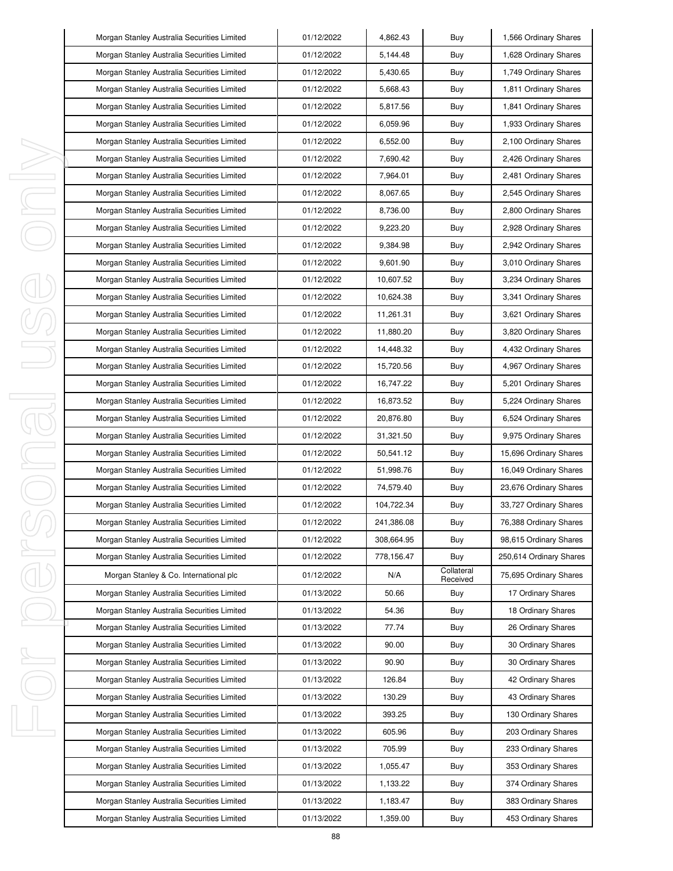|   | Morgan Stanley Australia Securities Limited | 01/12/2022 | 4,862.43   | Buy                    | 1,566 Ordinary Shares   |
|---|---------------------------------------------|------------|------------|------------------------|-------------------------|
|   | Morgan Stanley Australia Securities Limited | 01/12/2022 | 5,144.48   | Buy                    | 1,628 Ordinary Shares   |
|   | Morgan Stanley Australia Securities Limited | 01/12/2022 | 5,430.65   | Buy                    | 1,749 Ordinary Shares   |
|   | Morgan Stanley Australia Securities Limited | 01/12/2022 | 5,668.43   | Buy                    | 1,811 Ordinary Shares   |
|   | Morgan Stanley Australia Securities Limited | 01/12/2022 | 5,817.56   | Buy                    | 1,841 Ordinary Shares   |
|   | Morgan Stanley Australia Securities Limited | 01/12/2022 | 6,059.96   | Buy                    | 1,933 Ordinary Shares   |
|   | Morgan Stanley Australia Securities Limited | 01/12/2022 | 6,552.00   | Buy                    | 2,100 Ordinary Shares   |
|   | Morgan Stanley Australia Securities Limited | 01/12/2022 | 7,690.42   | Buy                    | 2,426 Ordinary Shares   |
|   | Morgan Stanley Australia Securities Limited | 01/12/2022 | 7,964.01   | Buy                    | 2,481 Ordinary Shares   |
|   | Morgan Stanley Australia Securities Limited | 01/12/2022 | 8,067.65   | Buy                    | 2,545 Ordinary Shares   |
|   | Morgan Stanley Australia Securities Limited | 01/12/2022 | 8,736.00   | Buy                    | 2,800 Ordinary Shares   |
|   | Morgan Stanley Australia Securities Limited | 01/12/2022 | 9,223.20   | Buy                    | 2,928 Ordinary Shares   |
|   | Morgan Stanley Australia Securities Limited | 01/12/2022 | 9,384.98   | Buy                    | 2,942 Ordinary Shares   |
|   | Morgan Stanley Australia Securities Limited | 01/12/2022 | 9,601.90   | Buy                    | 3,010 Ordinary Shares   |
|   | Morgan Stanley Australia Securities Limited | 01/12/2022 | 10,607.52  | Buy                    | 3,234 Ordinary Shares   |
|   | Morgan Stanley Australia Securities Limited | 01/12/2022 | 10,624.38  | Buy                    | 3,341 Ordinary Shares   |
|   | Morgan Stanley Australia Securities Limited | 01/12/2022 | 11,261.31  | Buy                    | 3,621 Ordinary Shares   |
|   | Morgan Stanley Australia Securities Limited | 01/12/2022 | 11,880.20  | Buy                    | 3,820 Ordinary Shares   |
|   | Morgan Stanley Australia Securities Limited | 01/12/2022 | 14,448.32  | Buy                    | 4,432 Ordinary Shares   |
|   | Morgan Stanley Australia Securities Limited | 01/12/2022 | 15,720.56  | Buy                    | 4,967 Ordinary Shares   |
|   | Morgan Stanley Australia Securities Limited | 01/12/2022 | 16,747.22  | Buy                    | 5,201 Ordinary Shares   |
|   | Morgan Stanley Australia Securities Limited | 01/12/2022 | 16,873.52  | Buy                    | 5,224 Ordinary Shares   |
|   | Morgan Stanley Australia Securities Limited | 01/12/2022 | 20,876.80  | Buy                    | 6,524 Ordinary Shares   |
|   | Morgan Stanley Australia Securities Limited | 01/12/2022 | 31,321.50  | Buy                    | 9,975 Ordinary Shares   |
|   | Morgan Stanley Australia Securities Limited | 01/12/2022 | 50,541.12  | Buy                    | 15,696 Ordinary Shares  |
|   | Morgan Stanley Australia Securities Limited | 01/12/2022 | 51,998.76  | Buy                    | 16,049 Ordinary Shares  |
|   | Morgan Stanley Australia Securities Limited | 01/12/2022 | 74,579.40  | Buy                    | 23,676 Ordinary Shares  |
|   | Morgan Stanley Australia Securities Limited | 01/12/2022 | 104,722.34 | Buy                    | 33,727 Ordinary Shares  |
|   | Morgan Stanley Australia Securities Limited | 01/12/2022 | 241,386.08 | Buy                    | 76,388 Ordinary Shares  |
|   | Morgan Stanley Australia Securities Limited | 01/12/2022 | 308,664.95 | Buy                    | 98,615 Ordinary Shares  |
| I | Morgan Stanley Australia Securities Limited | 01/12/2022 | 778,156.47 | Buy                    | 250,614 Ordinary Shares |
|   | Morgan Stanley & Co. International plc      | 01/12/2022 | N/A        | Collateral<br>Received | 75,695 Ordinary Shares  |
|   | Morgan Stanley Australia Securities Limited | 01/13/2022 | 50.66      | Buy                    | 17 Ordinary Shares      |
|   | Morgan Stanley Australia Securities Limited | 01/13/2022 | 54.36      | Buy                    | 18 Ordinary Shares      |
|   | Morgan Stanley Australia Securities Limited | 01/13/2022 | 77.74      | Buy                    | 26 Ordinary Shares      |
|   | Morgan Stanley Australia Securities Limited | 01/13/2022 | 90.00      | Buy                    | 30 Ordinary Shares      |
|   | Morgan Stanley Australia Securities Limited | 01/13/2022 | 90.90      | Buy                    | 30 Ordinary Shares      |
|   | Morgan Stanley Australia Securities Limited | 01/13/2022 | 126.84     | Buy                    | 42 Ordinary Shares      |
|   | Morgan Stanley Australia Securities Limited | 01/13/2022 | 130.29     | Buy                    | 43 Ordinary Shares      |
|   | Morgan Stanley Australia Securities Limited | 01/13/2022 | 393.25     | Buy                    | 130 Ordinary Shares     |
|   | Morgan Stanley Australia Securities Limited | 01/13/2022 | 605.96     | Buy                    | 203 Ordinary Shares     |
|   | Morgan Stanley Australia Securities Limited | 01/13/2022 | 705.99     | Buy                    | 233 Ordinary Shares     |
|   | Morgan Stanley Australia Securities Limited | 01/13/2022 | 1,055.47   | Buy                    | 353 Ordinary Shares     |
|   | Morgan Stanley Australia Securities Limited | 01/13/2022 | 1,133.22   | Buy                    | 374 Ordinary Shares     |
|   | Morgan Stanley Australia Securities Limited | 01/13/2022 | 1,183.47   | Buy                    | 383 Ordinary Shares     |
|   | Morgan Stanley Australia Securities Limited | 01/13/2022 | 1,359.00   | Buy                    | 453 Ordinary Shares     |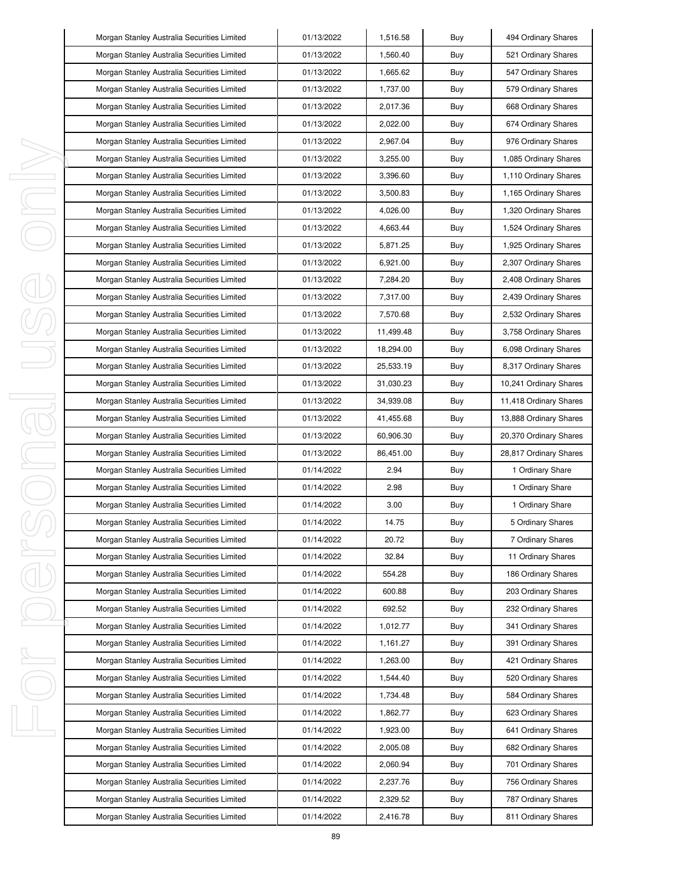| Morgan Stanley Australia Securities Limited | 01/13/2022 | 1,516.58  | Buy | 494 Ordinary Shares    |
|---------------------------------------------|------------|-----------|-----|------------------------|
| Morgan Stanley Australia Securities Limited | 01/13/2022 | 1,560.40  | Buy | 521 Ordinary Shares    |
| Morgan Stanley Australia Securities Limited | 01/13/2022 | 1,665.62  | Buy | 547 Ordinary Shares    |
| Morgan Stanley Australia Securities Limited | 01/13/2022 | 1,737.00  | Buy | 579 Ordinary Shares    |
| Morgan Stanley Australia Securities Limited | 01/13/2022 | 2,017.36  | Buy | 668 Ordinary Shares    |
| Morgan Stanley Australia Securities Limited | 01/13/2022 | 2,022.00  | Buy | 674 Ordinary Shares    |
| Morgan Stanley Australia Securities Limited | 01/13/2022 | 2,967.04  | Buy | 976 Ordinary Shares    |
| Morgan Stanley Australia Securities Limited | 01/13/2022 | 3,255.00  | Buy | 1,085 Ordinary Shares  |
| Morgan Stanley Australia Securities Limited | 01/13/2022 | 3,396.60  | Buy | 1,110 Ordinary Shares  |
| Morgan Stanley Australia Securities Limited | 01/13/2022 | 3,500.83  | Buy | 1,165 Ordinary Shares  |
| Morgan Stanley Australia Securities Limited | 01/13/2022 | 4,026.00  | Buy | 1,320 Ordinary Shares  |
| Morgan Stanley Australia Securities Limited | 01/13/2022 | 4,663.44  | Buy | 1,524 Ordinary Shares  |
| Morgan Stanley Australia Securities Limited | 01/13/2022 | 5,871.25  | Buy | 1,925 Ordinary Shares  |
| Morgan Stanley Australia Securities Limited | 01/13/2022 | 6,921.00  | Buy | 2,307 Ordinary Shares  |
| Morgan Stanley Australia Securities Limited | 01/13/2022 | 7,284.20  | Buy | 2,408 Ordinary Shares  |
| Morgan Stanley Australia Securities Limited | 01/13/2022 | 7,317.00  | Buy | 2,439 Ordinary Shares  |
| Morgan Stanley Australia Securities Limited | 01/13/2022 | 7,570.68  | Buy | 2,532 Ordinary Shares  |
| Morgan Stanley Australia Securities Limited | 01/13/2022 | 11,499.48 | Buy | 3,758 Ordinary Shares  |
| Morgan Stanley Australia Securities Limited | 01/13/2022 | 18,294.00 | Buy | 6,098 Ordinary Shares  |
| Morgan Stanley Australia Securities Limited | 01/13/2022 | 25,533.19 | Buy | 8,317 Ordinary Shares  |
| Morgan Stanley Australia Securities Limited | 01/13/2022 | 31,030.23 | Buy | 10,241 Ordinary Shares |
| Morgan Stanley Australia Securities Limited | 01/13/2022 | 34,939.08 | Buy | 11,418 Ordinary Shares |
| Morgan Stanley Australia Securities Limited | 01/13/2022 | 41,455.68 | Buy | 13,888 Ordinary Shares |
| Morgan Stanley Australia Securities Limited | 01/13/2022 | 60,906.30 | Buy | 20,370 Ordinary Shares |
| Morgan Stanley Australia Securities Limited | 01/13/2022 | 86,451.00 | Buy | 28,817 Ordinary Shares |
| Morgan Stanley Australia Securities Limited | 01/14/2022 | 2.94      | Buy | 1 Ordinary Share       |
| Morgan Stanley Australia Securities Limited | 01/14/2022 | 2.98      | Buy | 1 Ordinary Share       |
| Morgan Stanley Australia Securities Limited | 01/14/2022 | 3.00      | Buy | 1 Ordinary Share       |
| Morgan Stanley Australia Securities Limited | 01/14/2022 | 14.75     | Buy | 5 Ordinary Shares      |
| Morgan Stanley Australia Securities Limited | 01/14/2022 | 20.72     | Buy | 7 Ordinary Shares      |
| Morgan Stanley Australia Securities Limited | 01/14/2022 | 32.84     | Buy | 11 Ordinary Shares     |
| Morgan Stanley Australia Securities Limited | 01/14/2022 | 554.28    | Buy | 186 Ordinary Shares    |
| Morgan Stanley Australia Securities Limited | 01/14/2022 | 600.88    | Buy | 203 Ordinary Shares    |
| Morgan Stanley Australia Securities Limited | 01/14/2022 | 692.52    | Buy | 232 Ordinary Shares    |
| Morgan Stanley Australia Securities Limited | 01/14/2022 | 1,012.77  | Buy | 341 Ordinary Shares    |
| Morgan Stanley Australia Securities Limited | 01/14/2022 | 1,161.27  | Buy | 391 Ordinary Shares    |
| Morgan Stanley Australia Securities Limited | 01/14/2022 | 1,263.00  | Buy | 421 Ordinary Shares    |
| Morgan Stanley Australia Securities Limited | 01/14/2022 | 1,544.40  | Buy | 520 Ordinary Shares    |
| Morgan Stanley Australia Securities Limited | 01/14/2022 | 1,734.48  | Buy | 584 Ordinary Shares    |
| Morgan Stanley Australia Securities Limited | 01/14/2022 | 1,862.77  | Buy | 623 Ordinary Shares    |
| Morgan Stanley Australia Securities Limited | 01/14/2022 | 1,923.00  | Buy | 641 Ordinary Shares    |
| Morgan Stanley Australia Securities Limited | 01/14/2022 | 2,005.08  | Buy | 682 Ordinary Shares    |
| Morgan Stanley Australia Securities Limited | 01/14/2022 | 2,060.94  | Buy | 701 Ordinary Shares    |
| Morgan Stanley Australia Securities Limited | 01/14/2022 | 2,237.76  | Buy | 756 Ordinary Shares    |
| Morgan Stanley Australia Securities Limited | 01/14/2022 | 2,329.52  | Buy | 787 Ordinary Shares    |
| Morgan Stanley Australia Securities Limited | 01/14/2022 | 2,416.78  | Buy | 811 Ordinary Shares    |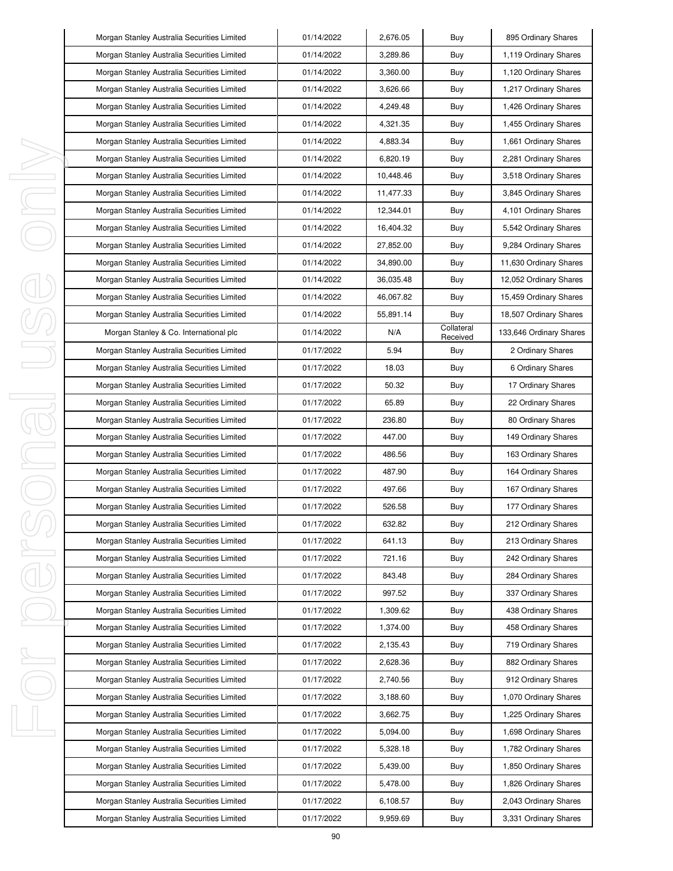| Morgan Stanley Australia Securities Limited | 01/14/2022 | 2,676.05  | Buy                    | 895 Ordinary Shares     |
|---------------------------------------------|------------|-----------|------------------------|-------------------------|
| Morgan Stanley Australia Securities Limited | 01/14/2022 | 3,289.86  | Buy                    | 1,119 Ordinary Shares   |
| Morgan Stanley Australia Securities Limited | 01/14/2022 | 3,360.00  | Buy                    | 1,120 Ordinary Shares   |
| Morgan Stanley Australia Securities Limited | 01/14/2022 | 3,626.66  | Buy                    | 1,217 Ordinary Shares   |
| Morgan Stanley Australia Securities Limited | 01/14/2022 | 4,249.48  | Buy                    | 1,426 Ordinary Shares   |
| Morgan Stanley Australia Securities Limited | 01/14/2022 | 4,321.35  | Buy                    | 1,455 Ordinary Shares   |
| Morgan Stanley Australia Securities Limited | 01/14/2022 | 4,883.34  | Buy                    | 1,661 Ordinary Shares   |
| Morgan Stanley Australia Securities Limited | 01/14/2022 | 6,820.19  | Buy                    | 2,281 Ordinary Shares   |
| Morgan Stanley Australia Securities Limited | 01/14/2022 | 10,448.46 | Buy                    | 3,518 Ordinary Shares   |
| Morgan Stanley Australia Securities Limited | 01/14/2022 | 11,477.33 | Buy                    | 3,845 Ordinary Shares   |
| Morgan Stanley Australia Securities Limited | 01/14/2022 | 12,344.01 | Buy                    | 4,101 Ordinary Shares   |
| Morgan Stanley Australia Securities Limited | 01/14/2022 | 16,404.32 | Buy                    | 5,542 Ordinary Shares   |
| Morgan Stanley Australia Securities Limited | 01/14/2022 | 27,852.00 | Buy                    | 9,284 Ordinary Shares   |
| Morgan Stanley Australia Securities Limited | 01/14/2022 | 34,890.00 | Buy                    | 11,630 Ordinary Shares  |
| Morgan Stanley Australia Securities Limited | 01/14/2022 | 36,035.48 | Buy                    | 12,052 Ordinary Shares  |
| Morgan Stanley Australia Securities Limited | 01/14/2022 | 46.067.82 | Buy                    | 15,459 Ordinary Shares  |
| Morgan Stanley Australia Securities Limited | 01/14/2022 | 55,891.14 | Buy                    | 18,507 Ordinary Shares  |
| Morgan Stanley & Co. International plc      | 01/14/2022 | N/A       | Collateral<br>Received | 133,646 Ordinary Shares |
| Morgan Stanley Australia Securities Limited | 01/17/2022 | 5.94      | Buy                    | 2 Ordinary Shares       |
| Morgan Stanley Australia Securities Limited | 01/17/2022 | 18.03     | Buy                    | 6 Ordinary Shares       |
| Morgan Stanley Australia Securities Limited | 01/17/2022 | 50.32     | Buy                    | 17 Ordinary Shares      |
| Morgan Stanley Australia Securities Limited | 01/17/2022 | 65.89     | Buy                    | 22 Ordinary Shares      |
| Morgan Stanley Australia Securities Limited | 01/17/2022 | 236.80    | Buy                    | 80 Ordinary Shares      |
| Morgan Stanley Australia Securities Limited | 01/17/2022 | 447.00    | Buy                    | 149 Ordinary Shares     |
| Morgan Stanley Australia Securities Limited | 01/17/2022 | 486.56    | Buy                    | 163 Ordinary Shares     |
| Morgan Stanley Australia Securities Limited | 01/17/2022 | 487.90    | Buy                    | 164 Ordinary Shares     |
| Morgan Stanley Australia Securities Limited | 01/17/2022 | 497.66    | Buy                    | 167 Ordinary Shares     |
| Morgan Stanley Australia Securities Limited | 01/17/2022 | 526.58    | Buy                    | 177 Ordinary Shares     |
| Morgan Stanley Australia Securities Limited | 01/17/2022 | 632.82    | Buy                    | 212 Ordinary Shares     |
| Morgan Stanley Australia Securities Limited | 01/17/2022 | 641.13    | Buy                    | 213 Ordinary Shares     |
| Morgan Stanley Australia Securities Limited | 01/17/2022 | 721.16    | Buy                    | 242 Ordinary Shares     |
| Morgan Stanley Australia Securities Limited | 01/17/2022 | 843.48    | Buy                    | 284 Ordinary Shares     |
| Morgan Stanley Australia Securities Limited | 01/17/2022 | 997.52    | Buy                    | 337 Ordinary Shares     |
| Morgan Stanley Australia Securities Limited | 01/17/2022 | 1,309.62  | Buy                    | 438 Ordinary Shares     |
| Morgan Stanley Australia Securities Limited | 01/17/2022 | 1,374.00  | Buy                    | 458 Ordinary Shares     |
| Morgan Stanley Australia Securities Limited | 01/17/2022 | 2,135.43  | Buy                    | 719 Ordinary Shares     |
| Morgan Stanley Australia Securities Limited | 01/17/2022 | 2,628.36  | Buy                    | 882 Ordinary Shares     |
| Morgan Stanley Australia Securities Limited | 01/17/2022 | 2,740.56  | Buy                    | 912 Ordinary Shares     |
| Morgan Stanley Australia Securities Limited | 01/17/2022 | 3,188.60  | Buy                    | 1,070 Ordinary Shares   |
| Morgan Stanley Australia Securities Limited | 01/17/2022 | 3,662.75  | Buy                    | 1,225 Ordinary Shares   |
| Morgan Stanley Australia Securities Limited | 01/17/2022 | 5,094.00  | Buy                    | 1,698 Ordinary Shares   |
| Morgan Stanley Australia Securities Limited | 01/17/2022 | 5,328.18  | Buy                    | 1,782 Ordinary Shares   |
| Morgan Stanley Australia Securities Limited | 01/17/2022 | 5,439.00  | Buy                    | 1,850 Ordinary Shares   |
| Morgan Stanley Australia Securities Limited | 01/17/2022 | 5,478.00  | Buy                    | 1,826 Ordinary Shares   |
| Morgan Stanley Australia Securities Limited | 01/17/2022 | 6,108.57  | Buy                    | 2,043 Ordinary Shares   |
| Morgan Stanley Australia Securities Limited | 01/17/2022 | 9,959.69  | Buy                    | 3,331 Ordinary Shares   |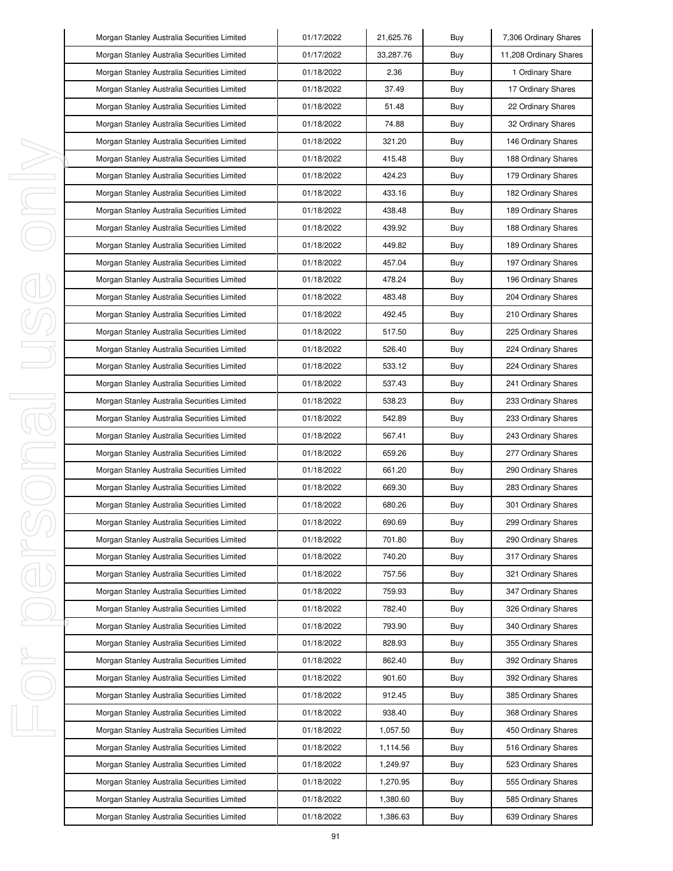|          | Morgan Stanley Australia Securities Limited | 01/17/2022 | 21,625.76 | Buy | 7,306 Ordinary Shares  |
|----------|---------------------------------------------|------------|-----------|-----|------------------------|
|          | Morgan Stanley Australia Securities Limited | 01/17/2022 | 33,287.76 | Buy | 11,208 Ordinary Shares |
|          | Morgan Stanley Australia Securities Limited | 01/18/2022 | 2.36      | Buy | 1 Ordinary Share       |
|          | Morgan Stanley Australia Securities Limited | 01/18/2022 | 37.49     | Buy | 17 Ordinary Shares     |
|          | Morgan Stanley Australia Securities Limited | 01/18/2022 | 51.48     | Buy | 22 Ordinary Shares     |
|          | Morgan Stanley Australia Securities Limited | 01/18/2022 | 74.88     | Buy | 32 Ordinary Shares     |
|          | Morgan Stanley Australia Securities Limited | 01/18/2022 | 321.20    | Buy | 146 Ordinary Shares    |
|          | Morgan Stanley Australia Securities Limited | 01/18/2022 | 415.48    | Buy | 188 Ordinary Shares    |
| ı        | Morgan Stanley Australia Securities Limited | 01/18/2022 | 424.23    | Buy | 179 Ordinary Shares    |
| J        | Morgan Stanley Australia Securities Limited | 01/18/2022 | 433.16    | Buy | 182 Ordinary Shares    |
| ı        | Morgan Stanley Australia Securities Limited | 01/18/2022 | 438.48    | Buy | 189 Ordinary Shares    |
|          | Morgan Stanley Australia Securities Limited | 01/18/2022 | 439.92    | Buy | 188 Ordinary Shares    |
|          | Morgan Stanley Australia Securities Limited | 01/18/2022 | 449.82    | Buy | 189 Ordinary Shares    |
|          | Morgan Stanley Australia Securities Limited | 01/18/2022 | 457.04    | Buy | 197 Ordinary Shares    |
|          | Morgan Stanley Australia Securities Limited | 01/18/2022 | 478.24    | Buy | 196 Ordinary Shares    |
|          | Morgan Stanley Australia Securities Limited | 01/18/2022 | 483.48    | Buy | 204 Ordinary Shares    |
|          | Morgan Stanley Australia Securities Limited | 01/18/2022 | 492.45    | Buy | 210 Ordinary Shares    |
|          | Morgan Stanley Australia Securities Limited | 01/18/2022 | 517.50    | Buy | 225 Ordinary Shares    |
|          | Morgan Stanley Australia Securities Limited | 01/18/2022 | 526.40    | Buy | 224 Ordinary Shares    |
|          | Morgan Stanley Australia Securities Limited | 01/18/2022 | 533.12    | Buy | 224 Ordinary Shares    |
|          | Morgan Stanley Australia Securities Limited | 01/18/2022 | 537.43    | Buy | 241 Ordinary Shares    |
| I,<br>J. | Morgan Stanley Australia Securities Limited | 01/18/2022 | 538.23    | Buy | 233 Ordinary Shares    |
|          | Morgan Stanley Australia Securities Limited | 01/18/2022 | 542.89    | Buy | 233 Ordinary Shares    |
|          | Morgan Stanley Australia Securities Limited | 01/18/2022 | 567.41    | Buy | 243 Ordinary Shares    |
| I        | Morgan Stanley Australia Securities Limited | 01/18/2022 | 659.26    | Buy | 277 Ordinary Shares    |
|          | Morgan Stanley Australia Securities Limited | 01/18/2022 | 661.20    | Buy | 290 Ordinary Shares    |
|          | Morgan Stanley Australia Securities Limited | 01/18/2022 | 669.30    | Buy | 283 Ordinary Shares    |
|          | Morgan Stanley Australia Securities Limited | 01/18/2022 | 680.26    | Buy | 301 Ordinary Shares    |
|          | Morgan Stanley Australia Securities Limited | 01/18/2022 | 690.69    | Buy | 299 Ordinary Shares    |
|          | Morgan Stanley Australia Securities Limited | 01/18/2022 | 701.80    | Buy | 290 Ordinary Shares    |
| I        | Morgan Stanley Australia Securities Limited | 01/18/2022 | 740.20    | Buy | 317 Ordinary Shares    |
|          | Morgan Stanley Australia Securities Limited | 01/18/2022 | 757.56    | Buy | 321 Ordinary Shares    |
|          | Morgan Stanley Australia Securities Limited | 01/18/2022 | 759.93    | Buy | 347 Ordinary Shares    |
|          | Morgan Stanley Australia Securities Limited | 01/18/2022 | 782.40    | Buy | 326 Ordinary Shares    |
|          | Morgan Stanley Australia Securities Limited | 01/18/2022 | 793.90    | Buy | 340 Ordinary Shares    |
|          | Morgan Stanley Australia Securities Limited | 01/18/2022 | 828.93    | Buy | 355 Ordinary Shares    |
| I,       | Morgan Stanley Australia Securities Limited | 01/18/2022 | 862.40    | Buy | 392 Ordinary Shares    |
|          | Morgan Stanley Australia Securities Limited | 01/18/2022 | 901.60    | Buy | 392 Ordinary Shares    |
|          | Morgan Stanley Australia Securities Limited | 01/18/2022 | 912.45    | Buy | 385 Ordinary Shares    |
|          | Morgan Stanley Australia Securities Limited | 01/18/2022 | 938.40    | Buy | 368 Ordinary Shares    |
| ı        | Morgan Stanley Australia Securities Limited | 01/18/2022 | 1,057.50  | Buy | 450 Ordinary Shares    |
|          | Morgan Stanley Australia Securities Limited | 01/18/2022 | 1,114.56  | Buy | 516 Ordinary Shares    |
|          | Morgan Stanley Australia Securities Limited | 01/18/2022 | 1,249.97  | Buy | 523 Ordinary Shares    |
|          | Morgan Stanley Australia Securities Limited | 01/18/2022 | 1,270.95  | Buy | 555 Ordinary Shares    |
|          | Morgan Stanley Australia Securities Limited | 01/18/2022 | 1,380.60  | Buy | 585 Ordinary Shares    |
|          | Morgan Stanley Australia Securities Limited | 01/18/2022 | 1,386.63  | Buy | 639 Ordinary Shares    |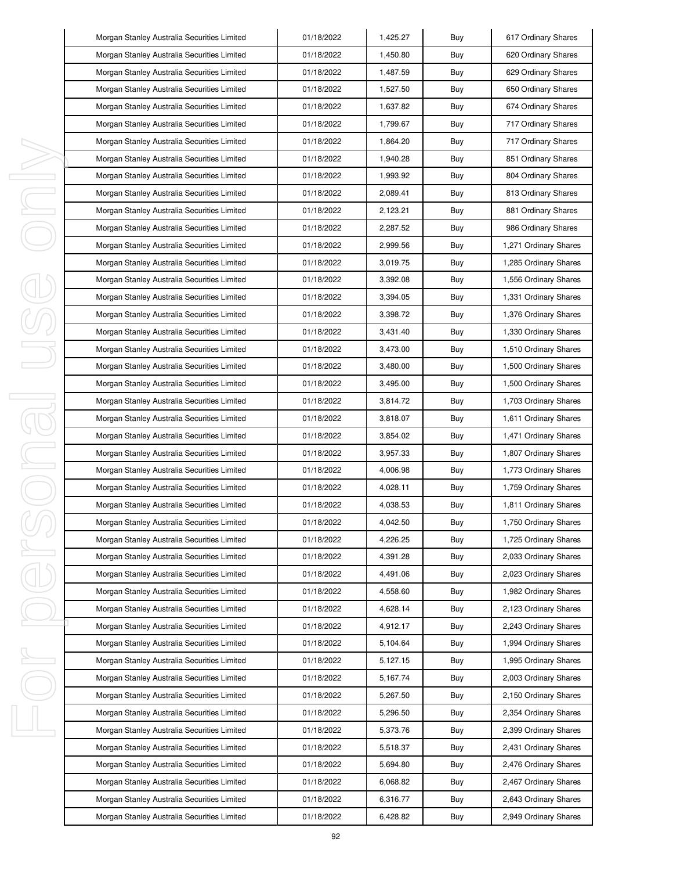|   | Morgan Stanley Australia Securities Limited | 01/18/2022 | 1,425.27 | Buy | 617 Ordinary Shares   |
|---|---------------------------------------------|------------|----------|-----|-----------------------|
|   | Morgan Stanley Australia Securities Limited | 01/18/2022 | 1,450.80 | Buy | 620 Ordinary Shares   |
|   | Morgan Stanley Australia Securities Limited | 01/18/2022 | 1,487.59 | Buy | 629 Ordinary Shares   |
|   | Morgan Stanley Australia Securities Limited | 01/18/2022 | 1,527.50 | Buy | 650 Ordinary Shares   |
|   | Morgan Stanley Australia Securities Limited | 01/18/2022 | 1,637.82 | Buy | 674 Ordinary Shares   |
|   | Morgan Stanley Australia Securities Limited | 01/18/2022 | 1,799.67 | Buy | 717 Ordinary Shares   |
|   | Morgan Stanley Australia Securities Limited | 01/18/2022 | 1,864.20 | Buy | 717 Ordinary Shares   |
|   | Morgan Stanley Australia Securities Limited | 01/18/2022 | 1,940.28 | Buy | 851 Ordinary Shares   |
|   | Morgan Stanley Australia Securities Limited | 01/18/2022 | 1,993.92 | Buy | 804 Ordinary Shares   |
|   | Morgan Stanley Australia Securities Limited | 01/18/2022 | 2,089.41 | Buy | 813 Ordinary Shares   |
|   | Morgan Stanley Australia Securities Limited | 01/18/2022 | 2,123.21 | Buy | 881 Ordinary Shares   |
|   | Morgan Stanley Australia Securities Limited | 01/18/2022 | 2,287.52 | Buy | 986 Ordinary Shares   |
|   | Morgan Stanley Australia Securities Limited | 01/18/2022 | 2,999.56 | Buy | 1,271 Ordinary Shares |
|   | Morgan Stanley Australia Securities Limited | 01/18/2022 | 3,019.75 | Buy | 1,285 Ordinary Shares |
|   | Morgan Stanley Australia Securities Limited | 01/18/2022 | 3,392.08 | Buy | 1,556 Ordinary Shares |
|   | Morgan Stanley Australia Securities Limited | 01/18/2022 | 3,394.05 | Buy | 1,331 Ordinary Shares |
|   | Morgan Stanley Australia Securities Limited | 01/18/2022 | 3,398.72 | Buy | 1,376 Ordinary Shares |
|   | Morgan Stanley Australia Securities Limited | 01/18/2022 | 3,431.40 | Buy | 1,330 Ordinary Shares |
|   | Morgan Stanley Australia Securities Limited | 01/18/2022 | 3,473.00 | Buy | 1,510 Ordinary Shares |
|   | Morgan Stanley Australia Securities Limited | 01/18/2022 | 3,480.00 | Buy | 1,500 Ordinary Shares |
|   | Morgan Stanley Australia Securities Limited | 01/18/2022 | 3,495.00 | Buy | 1,500 Ordinary Shares |
|   | Morgan Stanley Australia Securities Limited | 01/18/2022 | 3,814.72 | Buy | 1,703 Ordinary Shares |
|   | Morgan Stanley Australia Securities Limited | 01/18/2022 | 3,818.07 | Buy | 1,611 Ordinary Shares |
|   | Morgan Stanley Australia Securities Limited | 01/18/2022 | 3,854.02 | Buy | 1,471 Ordinary Shares |
|   | Morgan Stanley Australia Securities Limited | 01/18/2022 | 3,957.33 | Buy | 1,807 Ordinary Shares |
|   | Morgan Stanley Australia Securities Limited | 01/18/2022 | 4,006.98 | Buy | 1,773 Ordinary Shares |
|   | Morgan Stanley Australia Securities Limited | 01/18/2022 | 4,028.11 | Buy | 1,759 Ordinary Shares |
|   | Morgan Stanley Australia Securities Limited | 01/18/2022 | 4,038.53 | Buy | 1,811 Ordinary Shares |
|   | Morgan Stanley Australia Securities Limited | 01/18/2022 | 4,042.50 | Buy | 1,750 Ordinary Shares |
|   | Morgan Stanley Australia Securities Limited | 01/18/2022 | 4,226.25 | Buy | 1,725 Ordinary Shares |
| J | Morgan Stanley Australia Securities Limited | 01/18/2022 | 4,391.28 | Buy | 2,033 Ordinary Shares |
|   | Morgan Stanley Australia Securities Limited | 01/18/2022 | 4,491.06 | Buy | 2,023 Ordinary Shares |
|   | Morgan Stanley Australia Securities Limited | 01/18/2022 | 4,558.60 | Buy | 1,982 Ordinary Shares |
|   | Morgan Stanley Australia Securities Limited | 01/18/2022 | 4,628.14 | Buy | 2,123 Ordinary Shares |
|   | Morgan Stanley Australia Securities Limited | 01/18/2022 | 4,912.17 | Buy | 2,243 Ordinary Shares |
|   | Morgan Stanley Australia Securities Limited | 01/18/2022 | 5,104.64 | Buy | 1,994 Ordinary Shares |
| ı | Morgan Stanley Australia Securities Limited | 01/18/2022 | 5,127.15 | Buy | 1,995 Ordinary Shares |
|   | Morgan Stanley Australia Securities Limited | 01/18/2022 | 5,167.74 | Buy | 2,003 Ordinary Shares |
|   | Morgan Stanley Australia Securities Limited | 01/18/2022 | 5,267.50 | Buy | 2,150 Ordinary Shares |
|   | Morgan Stanley Australia Securities Limited | 01/18/2022 | 5,296.50 | Buy | 2,354 Ordinary Shares |
|   | Morgan Stanley Australia Securities Limited | 01/18/2022 | 5,373.76 | Buy | 2,399 Ordinary Shares |
|   | Morgan Stanley Australia Securities Limited | 01/18/2022 | 5,518.37 | Buy | 2,431 Ordinary Shares |
|   | Morgan Stanley Australia Securities Limited | 01/18/2022 | 5,694.80 | Buy | 2,476 Ordinary Shares |
|   | Morgan Stanley Australia Securities Limited | 01/18/2022 | 6,068.82 | Buy | 2,467 Ordinary Shares |
|   | Morgan Stanley Australia Securities Limited | 01/18/2022 | 6,316.77 | Buy | 2,643 Ordinary Shares |
|   | Morgan Stanley Australia Securities Limited | 01/18/2022 | 6,428.82 | Buy | 2,949 Ordinary Shares |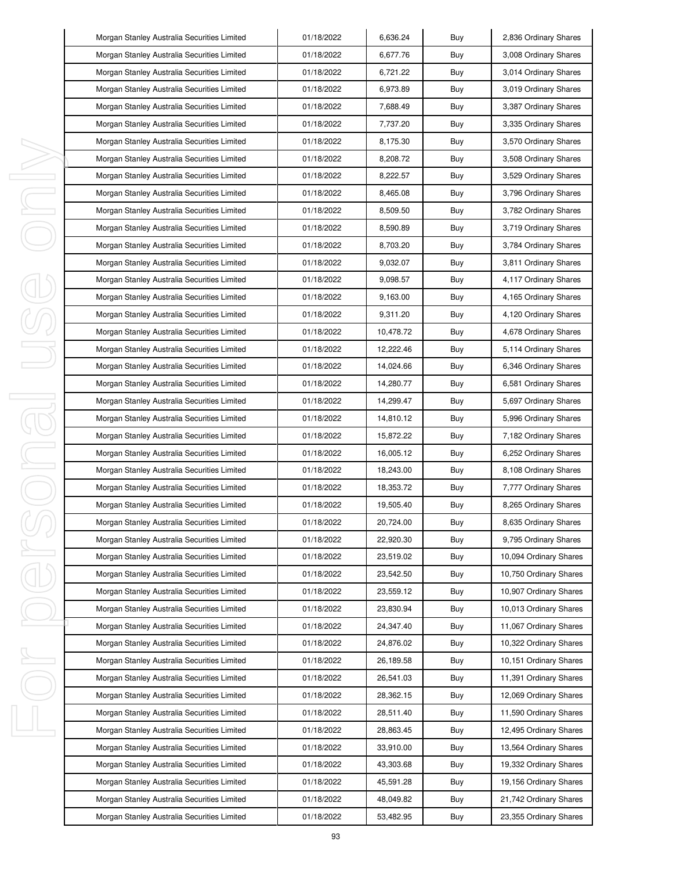|   | Morgan Stanley Australia Securities Limited | 01/18/2022 | 6,636.24  | Buy | 2,836 Ordinary Shares  |
|---|---------------------------------------------|------------|-----------|-----|------------------------|
|   | Morgan Stanley Australia Securities Limited | 01/18/2022 | 6,677.76  | Buy | 3,008 Ordinary Shares  |
|   | Morgan Stanley Australia Securities Limited | 01/18/2022 | 6,721.22  | Buy | 3,014 Ordinary Shares  |
|   | Morgan Stanley Australia Securities Limited | 01/18/2022 | 6,973.89  | Buy | 3,019 Ordinary Shares  |
|   | Morgan Stanley Australia Securities Limited | 01/18/2022 | 7,688.49  | Buy | 3,387 Ordinary Shares  |
|   | Morgan Stanley Australia Securities Limited | 01/18/2022 | 7,737.20  | Buy | 3,335 Ordinary Shares  |
|   | Morgan Stanley Australia Securities Limited | 01/18/2022 | 8,175.30  | Buy | 3,570 Ordinary Shares  |
|   | Morgan Stanley Australia Securities Limited | 01/18/2022 | 8,208.72  | Buy | 3,508 Ordinary Shares  |
|   | Morgan Stanley Australia Securities Limited | 01/18/2022 | 8,222.57  | Buy | 3,529 Ordinary Shares  |
|   | Morgan Stanley Australia Securities Limited | 01/18/2022 | 8,465.08  | Buy | 3,796 Ordinary Shares  |
|   | Morgan Stanley Australia Securities Limited | 01/18/2022 | 8,509.50  | Buy | 3,782 Ordinary Shares  |
|   | Morgan Stanley Australia Securities Limited | 01/18/2022 | 8,590.89  | Buy | 3,719 Ordinary Shares  |
|   | Morgan Stanley Australia Securities Limited | 01/18/2022 | 8,703.20  | Buy | 3,784 Ordinary Shares  |
|   | Morgan Stanley Australia Securities Limited | 01/18/2022 | 9,032.07  | Buy | 3,811 Ordinary Shares  |
|   | Morgan Stanley Australia Securities Limited | 01/18/2022 | 9,098.57  | Buy | 4,117 Ordinary Shares  |
|   | Morgan Stanley Australia Securities Limited | 01/18/2022 | 9,163.00  | Buy | 4,165 Ordinary Shares  |
|   | Morgan Stanley Australia Securities Limited | 01/18/2022 | 9,311.20  | Buy | 4,120 Ordinary Shares  |
|   | Morgan Stanley Australia Securities Limited | 01/18/2022 | 10,478.72 | Buy | 4,678 Ordinary Shares  |
|   | Morgan Stanley Australia Securities Limited | 01/18/2022 | 12,222.46 | Buy | 5,114 Ordinary Shares  |
|   | Morgan Stanley Australia Securities Limited | 01/18/2022 | 14,024.66 | Buy | 6,346 Ordinary Shares  |
|   | Morgan Stanley Australia Securities Limited | 01/18/2022 | 14,280.77 | Buy | 6,581 Ordinary Shares  |
|   | Morgan Stanley Australia Securities Limited | 01/18/2022 | 14,299.47 | Buy | 5,697 Ordinary Shares  |
|   | Morgan Stanley Australia Securities Limited | 01/18/2022 | 14,810.12 | Buy | 5,996 Ordinary Shares  |
|   | Morgan Stanley Australia Securities Limited | 01/18/2022 | 15,872.22 | Buy | 7,182 Ordinary Shares  |
|   | Morgan Stanley Australia Securities Limited | 01/18/2022 | 16,005.12 | Buy | 6,252 Ordinary Shares  |
|   | Morgan Stanley Australia Securities Limited | 01/18/2022 | 18,243.00 | Buy | 8,108 Ordinary Shares  |
|   | Morgan Stanley Australia Securities Limited | 01/18/2022 | 18,353.72 | Buy | 7,777 Ordinary Shares  |
|   | Morgan Stanley Australia Securities Limited | 01/18/2022 | 19,505.40 | Buy | 8,265 Ordinary Shares  |
|   | Morgan Stanley Australia Securities Limited | 01/18/2022 | 20,724.00 | Buy | 8,635 Ordinary Shares  |
|   | Morgan Stanley Australia Securities Limited | 01/18/2022 | 22,920.30 | Buy | 9,795 Ordinary Shares  |
| I | Morgan Stanley Australia Securities Limited | 01/18/2022 | 23,519.02 | Buy | 10,094 Ordinary Shares |
|   | Morgan Stanley Australia Securities Limited | 01/18/2022 | 23,542.50 | Buy | 10,750 Ordinary Shares |
|   | Morgan Stanley Australia Securities Limited | 01/18/2022 | 23,559.12 | Buy | 10,907 Ordinary Shares |
|   | Morgan Stanley Australia Securities Limited | 01/18/2022 | 23,830.94 | Buy | 10,013 Ordinary Shares |
|   | Morgan Stanley Australia Securities Limited | 01/18/2022 | 24,347.40 | Buy | 11,067 Ordinary Shares |
|   | Morgan Stanley Australia Securities Limited | 01/18/2022 | 24,876.02 | Buy | 10,322 Ordinary Shares |
| ı | Morgan Stanley Australia Securities Limited | 01/18/2022 | 26,189.58 | Buy | 10,151 Ordinary Shares |
|   | Morgan Stanley Australia Securities Limited | 01/18/2022 | 26,541.03 | Buy | 11,391 Ordinary Shares |
|   | Morgan Stanley Australia Securities Limited | 01/18/2022 | 28,362.15 | Buy | 12,069 Ordinary Shares |
|   | Morgan Stanley Australia Securities Limited | 01/18/2022 | 28,511.40 | Buy | 11,590 Ordinary Shares |
|   | Morgan Stanley Australia Securities Limited | 01/18/2022 | 28,863.45 | Buy | 12,495 Ordinary Shares |
|   | Morgan Stanley Australia Securities Limited | 01/18/2022 | 33,910.00 | Buy | 13,564 Ordinary Shares |
|   | Morgan Stanley Australia Securities Limited | 01/18/2022 | 43,303.68 | Buy | 19,332 Ordinary Shares |
|   | Morgan Stanley Australia Securities Limited | 01/18/2022 | 45,591.28 | Buy | 19,156 Ordinary Shares |
|   | Morgan Stanley Australia Securities Limited | 01/18/2022 | 48,049.82 | Buy | 21,742 Ordinary Shares |
|   | Morgan Stanley Australia Securities Limited | 01/18/2022 | 53,482.95 | Buy | 23,355 Ordinary Shares |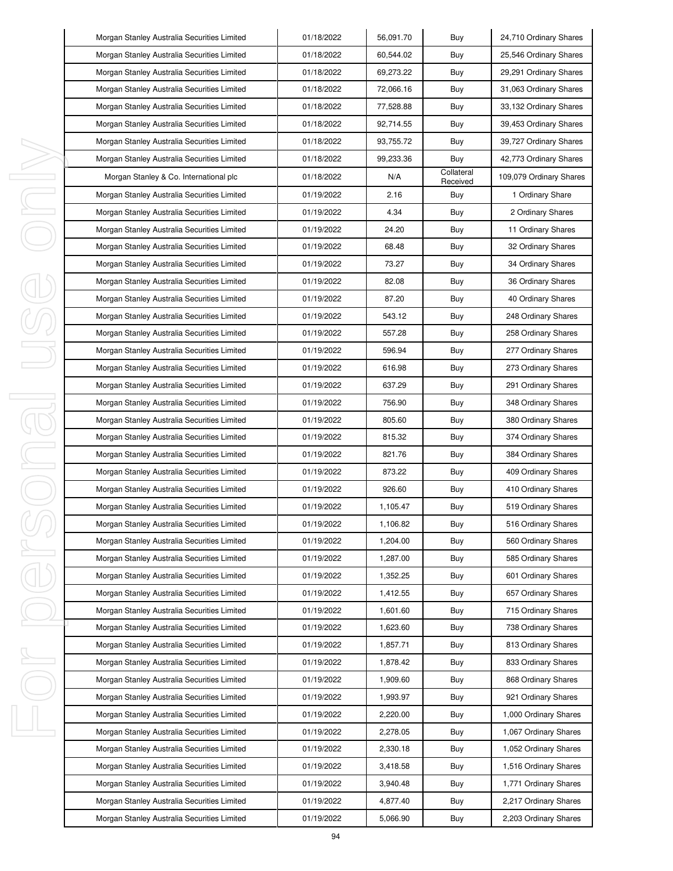| Morgan Stanley Australia Securities Limited | 01/18/2022 | 56,091.70 | Buy                    | 24,710 Ordinary Shares  |
|---------------------------------------------|------------|-----------|------------------------|-------------------------|
| Morgan Stanley Australia Securities Limited | 01/18/2022 | 60,544.02 | Buy                    | 25,546 Ordinary Shares  |
| Morgan Stanley Australia Securities Limited | 01/18/2022 | 69,273.22 | Buy                    | 29,291 Ordinary Shares  |
| Morgan Stanley Australia Securities Limited | 01/18/2022 | 72,066.16 | Buy                    | 31,063 Ordinary Shares  |
| Morgan Stanley Australia Securities Limited | 01/18/2022 | 77,528.88 | Buy                    | 33,132 Ordinary Shares  |
| Morgan Stanley Australia Securities Limited | 01/18/2022 | 92,714.55 | Buy                    | 39,453 Ordinary Shares  |
| Morgan Stanley Australia Securities Limited | 01/18/2022 | 93,755.72 | Buy                    | 39,727 Ordinary Shares  |
| Morgan Stanley Australia Securities Limited | 01/18/2022 | 99,233.36 | Buy                    | 42,773 Ordinary Shares  |
| Morgan Stanley & Co. International plc      | 01/18/2022 | N/A       | Collateral<br>Received | 109,079 Ordinary Shares |
| Morgan Stanley Australia Securities Limited | 01/19/2022 | 2.16      | Buy                    | 1 Ordinary Share        |
| Morgan Stanley Australia Securities Limited | 01/19/2022 | 4.34      | Buy                    | 2 Ordinary Shares       |
| Morgan Stanley Australia Securities Limited | 01/19/2022 | 24.20     | Buy                    | 11 Ordinary Shares      |
| Morgan Stanley Australia Securities Limited | 01/19/2022 | 68.48     | Buy                    | 32 Ordinary Shares      |
| Morgan Stanley Australia Securities Limited | 01/19/2022 | 73.27     | Buy                    | 34 Ordinary Shares      |
| Morgan Stanley Australia Securities Limited | 01/19/2022 | 82.08     | Buy                    | 36 Ordinary Shares      |
| Morgan Stanley Australia Securities Limited | 01/19/2022 | 87.20     | Buy                    | 40 Ordinary Shares      |
| Morgan Stanley Australia Securities Limited | 01/19/2022 | 543.12    | Buy                    | 248 Ordinary Shares     |
| Morgan Stanley Australia Securities Limited | 01/19/2022 | 557.28    | Buy                    | 258 Ordinary Shares     |
| Morgan Stanley Australia Securities Limited | 01/19/2022 | 596.94    | Buy                    | 277 Ordinary Shares     |
| Morgan Stanley Australia Securities Limited | 01/19/2022 | 616.98    | Buy                    | 273 Ordinary Shares     |
| Morgan Stanley Australia Securities Limited | 01/19/2022 | 637.29    | Buy                    | 291 Ordinary Shares     |
| Morgan Stanley Australia Securities Limited | 01/19/2022 | 756.90    | Buy                    | 348 Ordinary Shares     |
| Morgan Stanley Australia Securities Limited | 01/19/2022 | 805.60    | Buy                    | 380 Ordinary Shares     |
| Morgan Stanley Australia Securities Limited | 01/19/2022 | 815.32    | Buy                    | 374 Ordinary Shares     |
| Morgan Stanley Australia Securities Limited | 01/19/2022 | 821.76    | Buy                    | 384 Ordinary Shares     |
| Morgan Stanley Australia Securities Limited | 01/19/2022 | 873.22    | Buy                    | 409 Ordinary Shares     |
| Morgan Stanley Australia Securities Limited | 01/19/2022 | 926.60    | Buy                    | 410 Ordinary Shares     |
| Morgan Stanley Australia Securities Limited | 01/19/2022 | 1,105.47  | Buy                    | 519 Ordinary Shares     |
| Morgan Stanley Australia Securities Limited | 01/19/2022 | 1,106.82  | Buy                    | 516 Ordinary Shares     |
| Morgan Stanley Australia Securities Limited | 01/19/2022 | 1,204.00  | Buy                    | 560 Ordinary Shares     |
| Morgan Stanley Australia Securities Limited | 01/19/2022 | 1,287.00  | Buy                    | 585 Ordinary Shares     |
| Morgan Stanley Australia Securities Limited | 01/19/2022 | 1,352.25  | Buy                    | 601 Ordinary Shares     |
| Morgan Stanley Australia Securities Limited | 01/19/2022 | 1,412.55  | Buy                    | 657 Ordinary Shares     |
| Morgan Stanley Australia Securities Limited | 01/19/2022 | 1,601.60  | Buy                    | 715 Ordinary Shares     |
| Morgan Stanley Australia Securities Limited | 01/19/2022 | 1,623.60  | Buy                    | 738 Ordinary Shares     |
| Morgan Stanley Australia Securities Limited | 01/19/2022 | 1,857.71  | Buy                    | 813 Ordinary Shares     |
| Morgan Stanley Australia Securities Limited | 01/19/2022 | 1,878.42  | Buy                    | 833 Ordinary Shares     |
| Morgan Stanley Australia Securities Limited | 01/19/2022 | 1,909.60  | Buy                    | 868 Ordinary Shares     |
| Morgan Stanley Australia Securities Limited | 01/19/2022 | 1,993.97  | Buy                    | 921 Ordinary Shares     |
| Morgan Stanley Australia Securities Limited | 01/19/2022 | 2,220.00  | Buy                    | 1,000 Ordinary Shares   |
| Morgan Stanley Australia Securities Limited | 01/19/2022 | 2,278.05  | Buy                    | 1,067 Ordinary Shares   |
| Morgan Stanley Australia Securities Limited | 01/19/2022 | 2,330.18  | Buy                    | 1,052 Ordinary Shares   |
| Morgan Stanley Australia Securities Limited | 01/19/2022 | 3,418.58  | Buy                    | 1,516 Ordinary Shares   |
| Morgan Stanley Australia Securities Limited | 01/19/2022 | 3,940.48  | Buy                    | 1,771 Ordinary Shares   |
| Morgan Stanley Australia Securities Limited | 01/19/2022 | 4,877.40  | Buy                    | 2,217 Ordinary Shares   |
| Morgan Stanley Australia Securities Limited | 01/19/2022 | 5,066.90  | Buy                    | 2,203 Ordinary Shares   |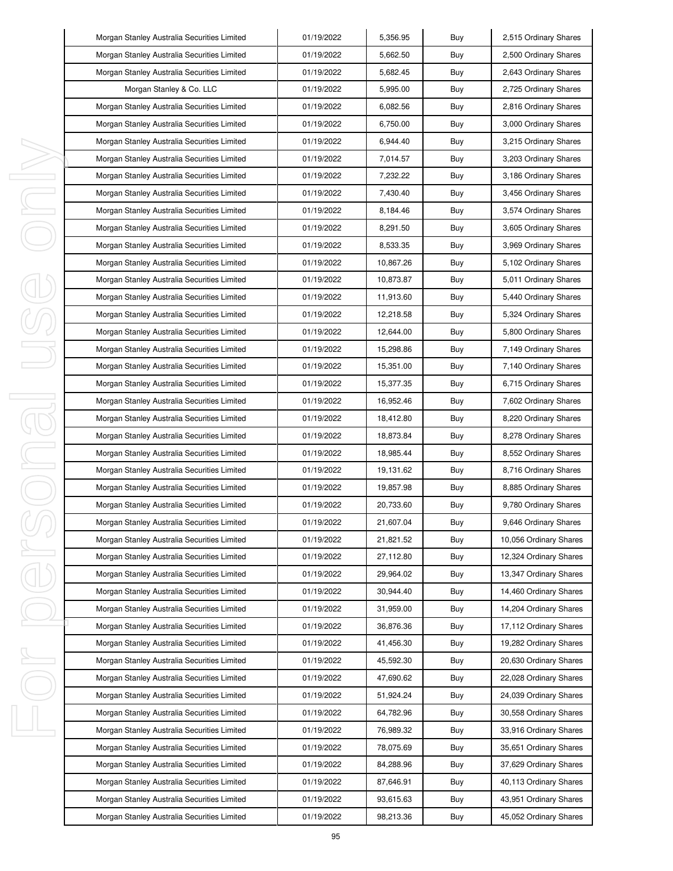|   | Morgan Stanley Australia Securities Limited | 01/19/2022 | 5,356.95  | Buy | 2,515 Ordinary Shares  |
|---|---------------------------------------------|------------|-----------|-----|------------------------|
|   | Morgan Stanley Australia Securities Limited | 01/19/2022 | 5,662.50  | Buy | 2,500 Ordinary Shares  |
|   | Morgan Stanley Australia Securities Limited | 01/19/2022 | 5,682.45  | Buy | 2,643 Ordinary Shares  |
|   | Morgan Stanley & Co. LLC                    | 01/19/2022 | 5,995.00  | Buy | 2,725 Ordinary Shares  |
|   | Morgan Stanley Australia Securities Limited | 01/19/2022 | 6,082.56  | Buy | 2,816 Ordinary Shares  |
|   | Morgan Stanley Australia Securities Limited | 01/19/2022 | 6,750.00  | Buy | 3,000 Ordinary Shares  |
|   | Morgan Stanley Australia Securities Limited | 01/19/2022 | 6,944.40  | Buy | 3,215 Ordinary Shares  |
|   | Morgan Stanley Australia Securities Limited | 01/19/2022 | 7,014.57  | Buy | 3,203 Ordinary Shares  |
| I | Morgan Stanley Australia Securities Limited | 01/19/2022 | 7,232.22  | Buy | 3,186 Ordinary Shares  |
| I | Morgan Stanley Australia Securities Limited | 01/19/2022 | 7,430.40  | Buy | 3,456 Ordinary Shares  |
| ı | Morgan Stanley Australia Securities Limited | 01/19/2022 | 8,184.46  | Buy | 3,574 Ordinary Shares  |
|   | Morgan Stanley Australia Securities Limited | 01/19/2022 | 8,291.50  | Buy | 3,605 Ordinary Shares  |
|   | Morgan Stanley Australia Securities Limited | 01/19/2022 | 8,533.35  | Buy | 3,969 Ordinary Shares  |
|   | Morgan Stanley Australia Securities Limited | 01/19/2022 | 10,867.26 | Buy | 5,102 Ordinary Shares  |
|   | Morgan Stanley Australia Securities Limited | 01/19/2022 | 10,873.87 | Buy | 5,011 Ordinary Shares  |
|   | Morgan Stanley Australia Securities Limited | 01/19/2022 | 11,913.60 | Buy | 5,440 Ordinary Shares  |
|   | Morgan Stanley Australia Securities Limited | 01/19/2022 | 12,218.58 | Buy | 5,324 Ordinary Shares  |
|   | Morgan Stanley Australia Securities Limited | 01/19/2022 | 12,644.00 | Buy | 5,800 Ordinary Shares  |
|   | Morgan Stanley Australia Securities Limited | 01/19/2022 | 15,298.86 | Buy | 7,149 Ordinary Shares  |
|   | Morgan Stanley Australia Securities Limited | 01/19/2022 | 15,351.00 | Buy | 7,140 Ordinary Shares  |
|   | Morgan Stanley Australia Securities Limited | 01/19/2022 | 15,377.35 | Buy | 6,715 Ordinary Shares  |
| I | Morgan Stanley Australia Securities Limited | 01/19/2022 | 16,952.46 | Buy | 7,602 Ordinary Shares  |
| j | Morgan Stanley Australia Securities Limited | 01/19/2022 | 18,412.80 | Buy | 8,220 Ordinary Shares  |
|   | Morgan Stanley Australia Securities Limited | 01/19/2022 | 18,873.84 | Buy | 8,278 Ordinary Shares  |
| I | Morgan Stanley Australia Securities Limited | 01/19/2022 | 18,985.44 | Buy | 8,552 Ordinary Shares  |
| I | Morgan Stanley Australia Securities Limited | 01/19/2022 | 19,131.62 | Buy | 8,716 Ordinary Shares  |
|   | Morgan Stanley Australia Securities Limited | 01/19/2022 | 19,857.98 | Buy | 8,885 Ordinary Shares  |
|   | Morgan Stanley Australia Securities Limited | 01/19/2022 | 20,733.60 | Buy | 9,780 Ordinary Shares  |
|   | Morgan Stanley Australia Securities Limited | 01/19/2022 | 21,607.04 | Buy | 9,646 Ordinary Shares  |
|   | Morgan Stanley Australia Securities Limited | 01/19/2022 | 21,821.52 | Buy | 10,056 Ordinary Shares |
| ı | Morgan Stanley Australia Securities Limited | 01/19/2022 | 27,112.80 | Buy | 12,324 Ordinary Shares |
|   | Morgan Stanley Australia Securities Limited | 01/19/2022 | 29,964.02 | Buy | 13,347 Ordinary Shares |
|   | Morgan Stanley Australia Securities Limited | 01/19/2022 | 30,944.40 | Buy | 14,460 Ordinary Shares |
|   | Morgan Stanley Australia Securities Limited | 01/19/2022 | 31,959.00 | Buy | 14,204 Ordinary Shares |
|   | Morgan Stanley Australia Securities Limited | 01/19/2022 | 36,876.36 | Buy | 17,112 Ordinary Shares |
|   | Morgan Stanley Australia Securities Limited | 01/19/2022 | 41,456.30 | Buy | 19,282 Ordinary Shares |
| ı | Morgan Stanley Australia Securities Limited | 01/19/2022 | 45,592.30 | Buy | 20,630 Ordinary Shares |
|   | Morgan Stanley Australia Securities Limited | 01/19/2022 | 47,690.62 | Buy | 22,028 Ordinary Shares |
|   | Morgan Stanley Australia Securities Limited | 01/19/2022 | 51,924.24 | Buy | 24,039 Ordinary Shares |
|   | Morgan Stanley Australia Securities Limited | 01/19/2022 | 64,782.96 | Buy | 30,558 Ordinary Shares |
| I | Morgan Stanley Australia Securities Limited | 01/19/2022 | 76,989.32 | Buy | 33,916 Ordinary Shares |
|   | Morgan Stanley Australia Securities Limited | 01/19/2022 | 78,075.69 | Buy | 35,651 Ordinary Shares |
|   | Morgan Stanley Australia Securities Limited | 01/19/2022 | 84,288.96 | Buy | 37,629 Ordinary Shares |
|   | Morgan Stanley Australia Securities Limited | 01/19/2022 | 87,646.91 | Buy | 40,113 Ordinary Shares |
|   | Morgan Stanley Australia Securities Limited | 01/19/2022 | 93,615.63 | Buy | 43,951 Ordinary Shares |
|   | Morgan Stanley Australia Securities Limited | 01/19/2022 | 98,213.36 | Buy | 45,052 Ordinary Shares |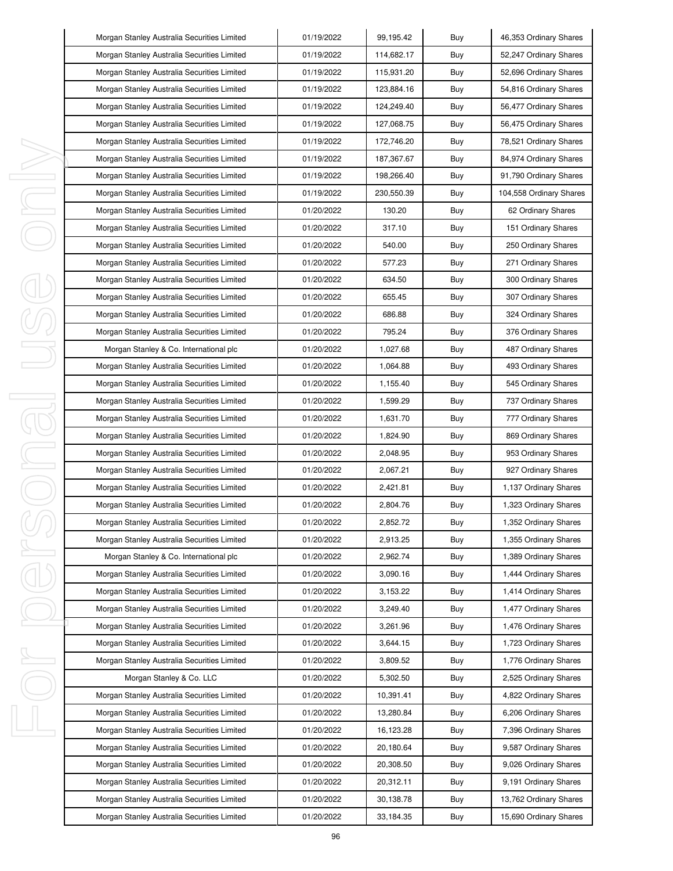| Morgan Stanley Australia Securities Limited | 01/19/2022 | 99,195.42  | Buy | 46,353 Ordinary Shares  |
|---------------------------------------------|------------|------------|-----|-------------------------|
| Morgan Stanley Australia Securities Limited | 01/19/2022 | 114,682.17 | Buy | 52,247 Ordinary Shares  |
| Morgan Stanley Australia Securities Limited | 01/19/2022 | 115,931.20 | Buy | 52,696 Ordinary Shares  |
| Morgan Stanley Australia Securities Limited | 01/19/2022 | 123,884.16 | Buy | 54,816 Ordinary Shares  |
| Morgan Stanley Australia Securities Limited | 01/19/2022 | 124,249.40 | Buy | 56,477 Ordinary Shares  |
| Morgan Stanley Australia Securities Limited | 01/19/2022 | 127,068.75 | Buy | 56,475 Ordinary Shares  |
| Morgan Stanley Australia Securities Limited | 01/19/2022 | 172,746.20 | Buy | 78,521 Ordinary Shares  |
| Morgan Stanley Australia Securities Limited | 01/19/2022 | 187,367.67 | Buy | 84,974 Ordinary Shares  |
| Morgan Stanley Australia Securities Limited | 01/19/2022 | 198,266.40 | Buy | 91,790 Ordinary Shares  |
| Morgan Stanley Australia Securities Limited | 01/19/2022 | 230,550.39 | Buy | 104,558 Ordinary Shares |
| Morgan Stanley Australia Securities Limited | 01/20/2022 | 130.20     | Buy | 62 Ordinary Shares      |
| Morgan Stanley Australia Securities Limited | 01/20/2022 | 317.10     | Buy | 151 Ordinary Shares     |
| Morgan Stanley Australia Securities Limited | 01/20/2022 | 540.00     | Buy | 250 Ordinary Shares     |
| Morgan Stanley Australia Securities Limited | 01/20/2022 | 577.23     | Buy | 271 Ordinary Shares     |
| Morgan Stanley Australia Securities Limited | 01/20/2022 | 634.50     | Buy | 300 Ordinary Shares     |
| Morgan Stanley Australia Securities Limited | 01/20/2022 | 655.45     | Buy | 307 Ordinary Shares     |
| Morgan Stanley Australia Securities Limited | 01/20/2022 | 686.88     | Buy | 324 Ordinary Shares     |
| Morgan Stanley Australia Securities Limited | 01/20/2022 | 795.24     | Buy | 376 Ordinary Shares     |
| Morgan Stanley & Co. International plc      | 01/20/2022 | 1,027.68   | Buy | 487 Ordinary Shares     |
| Morgan Stanley Australia Securities Limited | 01/20/2022 | 1,064.88   | Buy | 493 Ordinary Shares     |
| Morgan Stanley Australia Securities Limited | 01/20/2022 | 1,155.40   | Buy | 545 Ordinary Shares     |
| Morgan Stanley Australia Securities Limited | 01/20/2022 | 1,599.29   | Buy | 737 Ordinary Shares     |
| Morgan Stanley Australia Securities Limited | 01/20/2022 | 1,631.70   | Buy | 777 Ordinary Shares     |
| Morgan Stanley Australia Securities Limited | 01/20/2022 | 1,824.90   | Buy | 869 Ordinary Shares     |
| Morgan Stanley Australia Securities Limited | 01/20/2022 | 2,048.95   | Buy | 953 Ordinary Shares     |
| Morgan Stanley Australia Securities Limited | 01/20/2022 | 2,067.21   | Buy | 927 Ordinary Shares     |
| Morgan Stanley Australia Securities Limited | 01/20/2022 | 2,421.81   | Buy | 1,137 Ordinary Shares   |
| Morgan Stanley Australia Securities Limited | 01/20/2022 | 2,804.76   | Buy | 1,323 Ordinary Shares   |
| Morgan Stanley Australia Securities Limited | 01/20/2022 | 2,852.72   | Buy | 1,352 Ordinary Shares   |
| Morgan Stanley Australia Securities Limited | 01/20/2022 | 2,913.25   | Buy | 1,355 Ordinary Shares   |
| Morgan Stanley & Co. International plc      | 01/20/2022 | 2,962.74   | Buy | 1,389 Ordinary Shares   |
| Morgan Stanley Australia Securities Limited | 01/20/2022 | 3,090.16   | Buy | 1,444 Ordinary Shares   |
| Morgan Stanley Australia Securities Limited | 01/20/2022 | 3,153.22   | Buy | 1,414 Ordinary Shares   |
| Morgan Stanley Australia Securities Limited | 01/20/2022 | 3,249.40   | Buy | 1,477 Ordinary Shares   |
| Morgan Stanley Australia Securities Limited | 01/20/2022 | 3,261.96   | Buy | 1,476 Ordinary Shares   |
| Morgan Stanley Australia Securities Limited | 01/20/2022 | 3,644.15   | Buy | 1,723 Ordinary Shares   |
| Morgan Stanley Australia Securities Limited | 01/20/2022 | 3,809.52   | Buy | 1,776 Ordinary Shares   |
| Morgan Stanley & Co. LLC                    | 01/20/2022 | 5,302.50   | Buy | 2,525 Ordinary Shares   |
| Morgan Stanley Australia Securities Limited | 01/20/2022 | 10,391.41  | Buy | 4,822 Ordinary Shares   |
| Morgan Stanley Australia Securities Limited | 01/20/2022 | 13,280.84  | Buy | 6,206 Ordinary Shares   |
| Morgan Stanley Australia Securities Limited | 01/20/2022 | 16,123.28  | Buy | 7,396 Ordinary Shares   |
| Morgan Stanley Australia Securities Limited | 01/20/2022 | 20,180.64  | Buy | 9,587 Ordinary Shares   |
| Morgan Stanley Australia Securities Limited | 01/20/2022 | 20,308.50  | Buy | 9,026 Ordinary Shares   |
| Morgan Stanley Australia Securities Limited | 01/20/2022 | 20,312.11  | Buy | 9,191 Ordinary Shares   |
| Morgan Stanley Australia Securities Limited | 01/20/2022 | 30,138.78  | Buy | 13,762 Ordinary Shares  |
| Morgan Stanley Australia Securities Limited | 01/20/2022 | 33,184.35  | Buy | 15,690 Ordinary Shares  |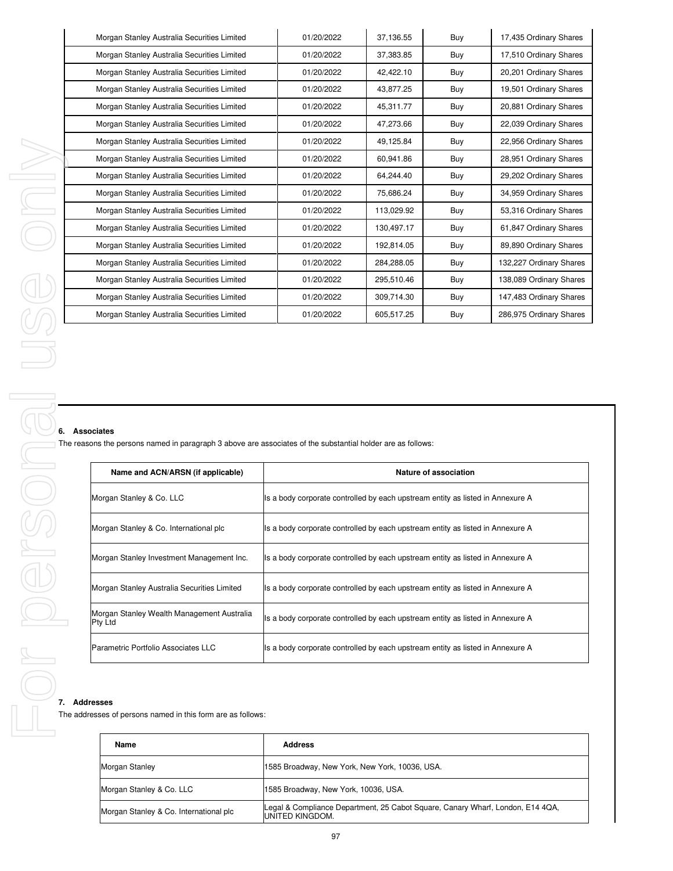| Morgan Stanley Australia Securities Limited | 01/20/2022 | 37,136.55  | Buy | 17,435 Ordinary Shares  |
|---------------------------------------------|------------|------------|-----|-------------------------|
| Morgan Stanley Australia Securities Limited | 01/20/2022 | 37,383.85  | Buy | 17,510 Ordinary Shares  |
| Morgan Stanley Australia Securities Limited | 01/20/2022 | 42,422.10  | Buy | 20,201 Ordinary Shares  |
| Morgan Stanley Australia Securities Limited | 01/20/2022 | 43,877.25  | Buy | 19,501 Ordinary Shares  |
| Morgan Stanley Australia Securities Limited | 01/20/2022 | 45,311.77  | Buy | 20,881 Ordinary Shares  |
| Morgan Stanley Australia Securities Limited | 01/20/2022 | 47,273.66  | Buy | 22,039 Ordinary Shares  |
| Morgan Stanley Australia Securities Limited | 01/20/2022 | 49,125.84  | Buy | 22,956 Ordinary Shares  |
| Morgan Stanley Australia Securities Limited | 01/20/2022 | 60.941.86  | Buy | 28,951 Ordinary Shares  |
| Morgan Stanley Australia Securities Limited | 01/20/2022 | 64,244.40  | Buy | 29,202 Ordinary Shares  |
| Morgan Stanley Australia Securities Limited | 01/20/2022 | 75,686.24  | Buy | 34,959 Ordinary Shares  |
| Morgan Stanley Australia Securities Limited | 01/20/2022 | 113,029.92 | Buy | 53,316 Ordinary Shares  |
| Morgan Stanley Australia Securities Limited | 01/20/2022 | 130,497.17 | Buy | 61,847 Ordinary Shares  |
| Morgan Stanley Australia Securities Limited | 01/20/2022 | 192,814.05 | Buy | 89,890 Ordinary Shares  |
| Morgan Stanley Australia Securities Limited | 01/20/2022 | 284,288.05 | Buy | 132,227 Ordinary Shares |
| Morgan Stanley Australia Securities Limited | 01/20/2022 | 295,510.46 | Buy | 138,089 Ordinary Shares |
| Morgan Stanley Australia Securities Limited | 01/20/2022 | 309,714.30 | Buy | 147,483 Ordinary Shares |
| Morgan Stanley Australia Securities Limited | 01/20/2022 | 605,517.25 | Buy | 286,975 Ordinary Shares |
|                                             |            |            |     |                         |

 $\mathbf{r}$ 

The reasons the persons named in paragraph 3 above are associates of the substantial holder are as follows:

| Name and ACN/ARSN (if applicable)                     | Nature of association                                                           |
|-------------------------------------------------------|---------------------------------------------------------------------------------|
| Morgan Stanley & Co. LLC                              | Its a body corporate controlled by each upstream entity as listed in Annexure A |
| Morgan Stanley & Co. International plc                | Its a body corporate controlled by each upstream entity as listed in Annexure A |
| Morgan Stanley Investment Management Inc.             | Its a body corporate controlled by each upstream entity as listed in Annexure A |
| Morgan Stanley Australia Securities Limited           | Its a body corporate controlled by each upstream entity as listed in Annexure A |
| Morgan Stanley Wealth Management Australia<br>Pty Ltd | Its a body corporate controlled by each upstream entity as listed in Annexure A |
| Parametric Portfolio Associates LLC                   | Its a body corporate controlled by each upstream entity as listed in Annexure A |

The addresses of persons named in this form are as follows:

| Name                                   | <b>Address</b>                                                                                           |
|----------------------------------------|----------------------------------------------------------------------------------------------------------|
| Morgan Stanley                         | 1585 Broadway, New York, New York, 10036, USA.                                                           |
| Morgan Stanley & Co. LLC               | 1585 Broadway, New York, 10036, USA.                                                                     |
| Morgan Stanley & Co. International plc | Legal & Compliance Department, 25 Cabot Square, Canary Wharf, London, E14 4QA,<br><b>UNITED KINGDOM.</b> |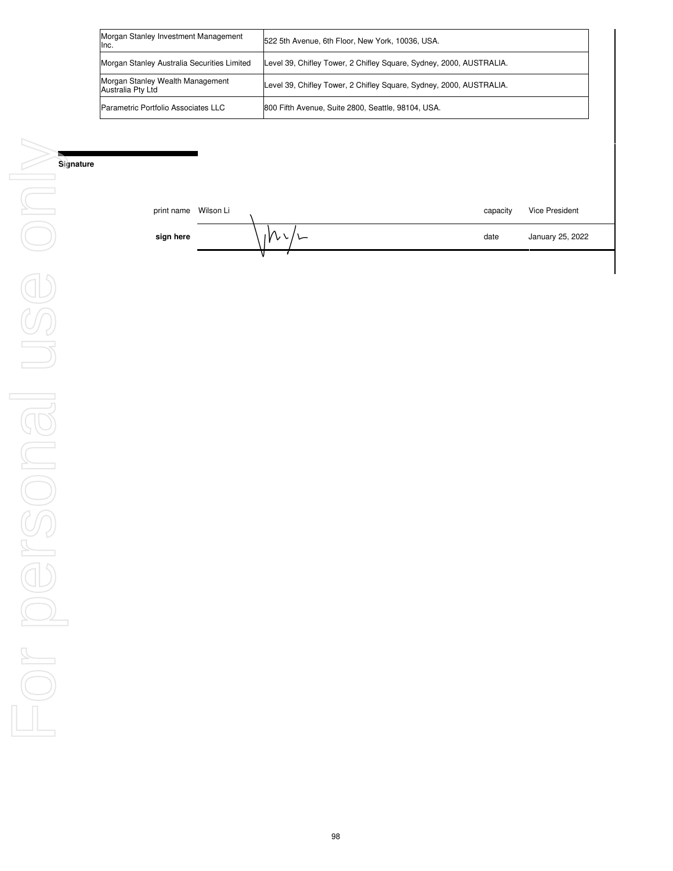| Morgan Stanley Investment Management<br>lnc.          | 522 5th Avenue, 6th Floor, New York, 10036, USA.                    |
|-------------------------------------------------------|---------------------------------------------------------------------|
| Morgan Stanley Australia Securities Limited           | Level 39, Chifley Tower, 2 Chifley Square, Sydney, 2000, AUSTRALIA. |
| Morgan Stanley Wealth Management<br>Australia Pty Ltd | Level 39, Chifley Tower, 2 Chifley Square, Sydney, 2000, AUSTRALIA. |
| Parametric Portfolio Associates LLC                   | 800 Fifth Avenue, Suite 2800, Seattle, 98104, USA.                  |

| print name | Wilson Li | capacity | Vice President   |
|------------|-----------|----------|------------------|
| sign here  |           | date     | January 25, 2022 |
|            |           |          |                  |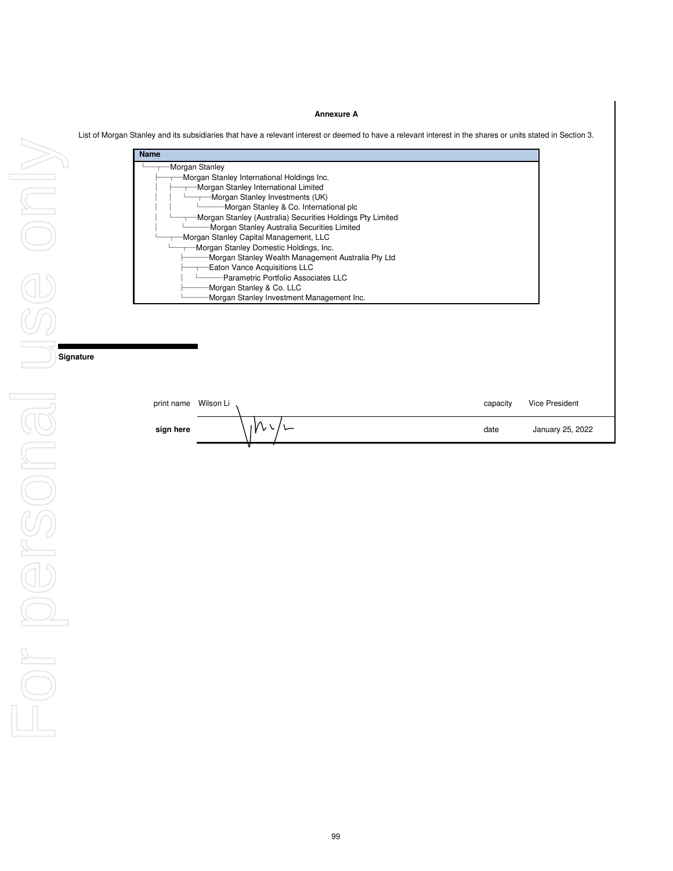## **Annexure A**

List of Morgan Stanley and its subsidiaries that have a relevant interest or deemed to have a relevant interest in the shares or units stated in Section 3.

| Morgan Stanley<br>Morgan Stanley International Holdings Inc.<br>Morgan Stanley International Limited<br>Morgan Stanley Investments (UK)<br>Morgan Stanley & Co. International plc<br>Morgan Stanley (Australia) Securities Holdings Pty Limited |  |
|-------------------------------------------------------------------------------------------------------------------------------------------------------------------------------------------------------------------------------------------------|--|
|                                                                                                                                                                                                                                                 |  |
|                                                                                                                                                                                                                                                 |  |
| Morgan Stanley Australia Securities Limited                                                                                                                                                                                                     |  |
| Morgan Stanley Capital Management, LLC<br>Morgan Stanley Domestic Holdings, Inc.<br>Morgan Stanley Wealth Management Australia Pty Ltd                                                                                                          |  |
| <b>Eaton Vance Acquisitions LLC</b><br>-Parametric Portfolio Associates LLC                                                                                                                                                                     |  |
| Morgan Stanley & Co. LLC<br>Morgan Stanley Investment Management Inc.                                                                                                                                                                           |  |

| print name Wilson Li |   | capacity | Vice President   |
|----------------------|---|----------|------------------|
| sign here            | v | date     | January 25, 2022 |
|                      |   |          |                  |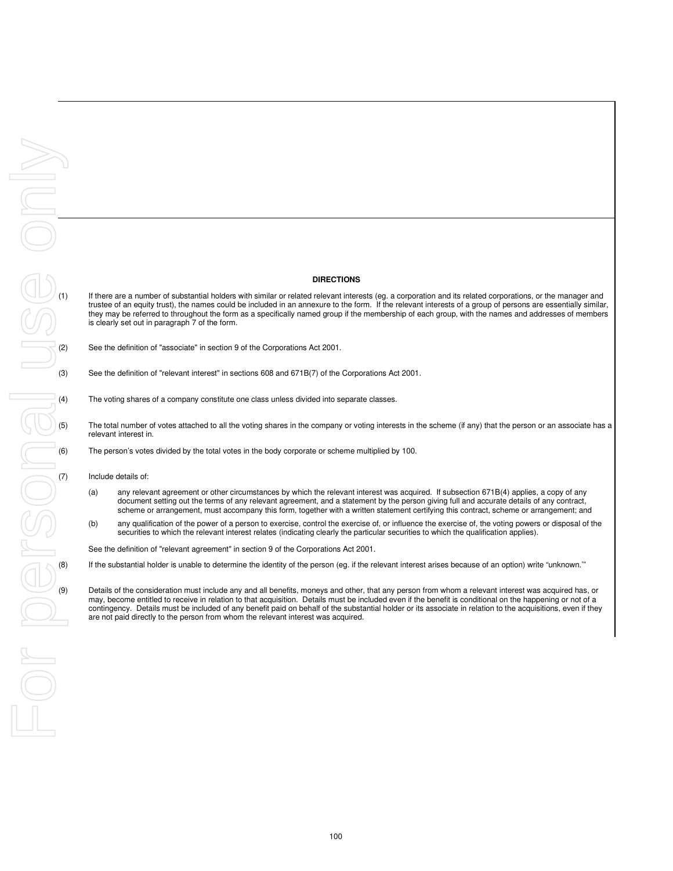### **DIRECTIONS**

**DIRECTIONS**<br>
(1) If there are a number of substantial holders with similar or related relevant interests (eg. a corporation and its related corporations, or the manager and<br>
they may be referred to throughout the form as trustee of an equity trust), the names could be included in an annexure to the form. If the relevant interests of a group of persons are essentially similar, they may be referred to throughout the form as a specifically named group if the membership of each group, with the names and addresses of members is clearly set out in paragraph 7 of the form.

See the definition of "associate" in section 9 of the Corporations Act 2001.

- 
- The voting shares of a company constitute one class unless divided into separate classes.
- The total number of votes attached to all the voting shares in the company or voting interests in the scheme (if any) that the person or an associate has a relevant interest in.
- The person's votes divided by the total votes in the body corporate or scheme multiplied by 100.
- Include details of:
- (a) any relevant agreement or other circumstances by which the relevant interest was acquired. If subsection 671B(4) applies, a copy of any document setting out the terms of any relevant agreement, and a statement by the person giving full and accurate details of any contract, scheme or arrangement, must accompany this form, together with a written statement certifying this contract, scheme or arrangement; and
- (b) any qualification of the power of a person to exercise, control the exercise of, or influence the exercise of, the voting powers or disposal of the securities to which the relevant interest relates (indicating clearly the particular securities to which the qualification applies).

See the definition of "relevant agreement" in section 9 of the Corporations Act 2001.

If the substantial holder is unable to determine the identity of the person (eg. if the relevant interest arises because of an option) write "unknown."

Details of the consideration must include any and all benefits, moneys and other, that any person from whom a relevant interest was acquired has, or may, become entitled to receive in relation to that acquisition. Details must be included even if the benefit is conditional on the happening or not of a contingency. Details must be included of any benefit paid on behalf of the substantial holder or its associate in relation to the acquisitions, even if they are not paid directly to the person from whom the relevant interest was acquired.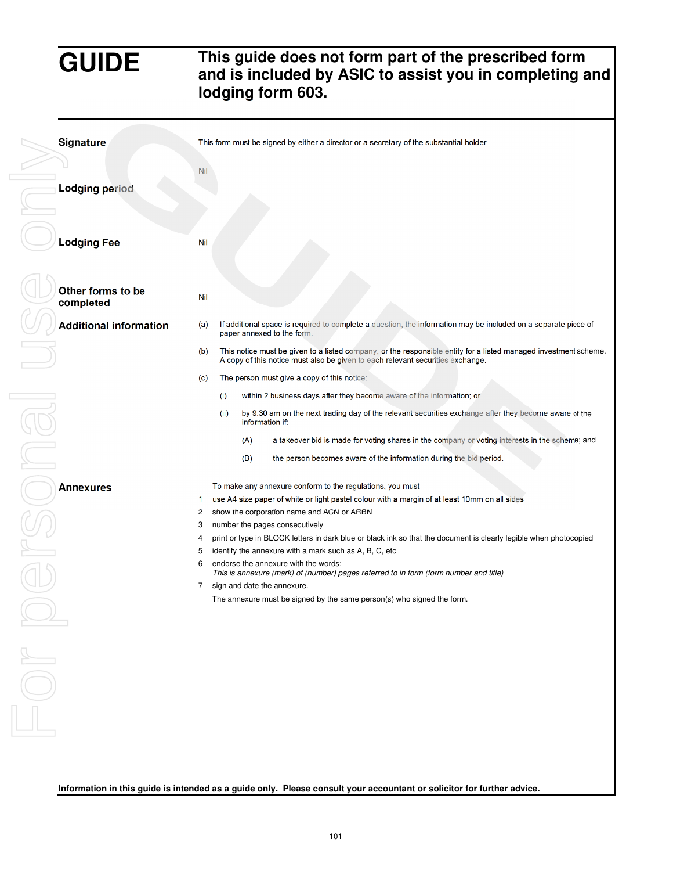# **GUIDE This guide does not form part of the prescribed form and is included by ASIC to assist you in completing and lodging form 603.**

| Signature                      |                                                           | This form must be signed by either a director or a secretary of the substantial holder.                                                                                                                                                                                                                                                                                                                                                                                                                                                                                                                                                                            |
|--------------------------------|-----------------------------------------------------------|--------------------------------------------------------------------------------------------------------------------------------------------------------------------------------------------------------------------------------------------------------------------------------------------------------------------------------------------------------------------------------------------------------------------------------------------------------------------------------------------------------------------------------------------------------------------------------------------------------------------------------------------------------------------|
|                                | Nil                                                       |                                                                                                                                                                                                                                                                                                                                                                                                                                                                                                                                                                                                                                                                    |
| <b>Lodging period</b>          |                                                           |                                                                                                                                                                                                                                                                                                                                                                                                                                                                                                                                                                                                                                                                    |
| <b>Lodging Fee</b>             | Nil                                                       |                                                                                                                                                                                                                                                                                                                                                                                                                                                                                                                                                                                                                                                                    |
| Other forms to be<br>completed | <b>Nil</b>                                                |                                                                                                                                                                                                                                                                                                                                                                                                                                                                                                                                                                                                                                                                    |
|                                | <b>Additional information</b><br>(a)                      | If additional space is required to complete a question, the information may be included on a separate piece of<br>paper annexed to the form.                                                                                                                                                                                                                                                                                                                                                                                                                                                                                                                       |
|                                | (b)                                                       | This notice must be given to a listed company, or the responsible entity for a listed managed investment scheme.<br>A copy of this notice must also be given to each relevant securities exchange.                                                                                                                                                                                                                                                                                                                                                                                                                                                                 |
|                                | (c)                                                       | The person must give a copy of this notice:                                                                                                                                                                                                                                                                                                                                                                                                                                                                                                                                                                                                                        |
|                                |                                                           | (i)<br>within 2 business days after they become aware of the information; or                                                                                                                                                                                                                                                                                                                                                                                                                                                                                                                                                                                       |
|                                |                                                           | (ii)<br>by 9.30 am on the next trading day of the relevant securities exchange after they become aware of the<br>information if:                                                                                                                                                                                                                                                                                                                                                                                                                                                                                                                                   |
|                                |                                                           | a takeover bid is made for voting shares in the company or voting interests in the scheme; and<br>(A)                                                                                                                                                                                                                                                                                                                                                                                                                                                                                                                                                              |
|                                |                                                           | (B)<br>the person becomes aware of the information during the bid period.                                                                                                                                                                                                                                                                                                                                                                                                                                                                                                                                                                                          |
| <b>Annexures</b>               | 1<br>$\overline{c}$<br>3<br>$\overline{4}$<br>5<br>6<br>7 | To make any annexure conform to the regulations, you must<br>use A4 size paper of white or light pastel colour with a margin of at least 10mm on all sides<br>show the corporation name and ACN or ARBN<br>number the pages consecutively<br>print or type in BLOCK letters in dark blue or black ink so that the document is clearly legible when photocopied<br>identify the annexure with a mark such as A, B, C, etc<br>endorse the annexure with the words:<br>This is annexure (mark) of (number) pages referred to in form (form number and title)<br>sign and date the annexure.<br>The annexure must be signed by the same person(s) who signed the form. |
| $\overline{\bigcirc}$          |                                                           |                                                                                                                                                                                                                                                                                                                                                                                                                                                                                                                                                                                                                                                                    |
|                                |                                                           | Information in this guide is intended as a guide only. Please consult your accountant or solicitor for further advice.                                                                                                                                                                                                                                                                                                                                                                                                                                                                                                                                             |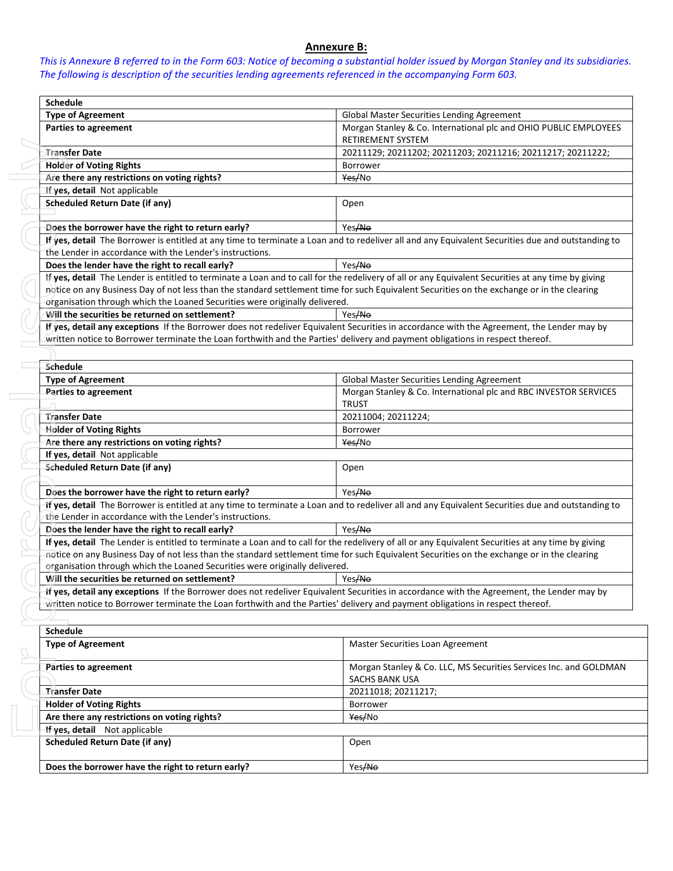## **Annexure B:**

*This is Annexure B referred to in the Form 603: Notice of becoming a substantial holder issued by Morgan Stanley and its subsidiaries. The following is description of the securities lending agreements referenced in the accompanying Form 603.* 

| <b>Schedule</b>                                                                                                                                                                                                                                                                                  |                                                                                                                                                    |  |  |  |
|--------------------------------------------------------------------------------------------------------------------------------------------------------------------------------------------------------------------------------------------------------------------------------------------------|----------------------------------------------------------------------------------------------------------------------------------------------------|--|--|--|
| <b>Type of Agreement</b>                                                                                                                                                                                                                                                                         | Global Master Securities Lending Agreement                                                                                                         |  |  |  |
| <b>Parties to agreement</b>                                                                                                                                                                                                                                                                      | Morgan Stanley & Co. International plc and OHIO PUBLIC EMPLOYEES<br>RETIREMENT SYSTEM                                                              |  |  |  |
| Transfer Date                                                                                                                                                                                                                                                                                    | 20211129; 20211202; 20211203; 20211216; 20211217; 20211222;                                                                                        |  |  |  |
| <b>Holder of Voting Rights</b>                                                                                                                                                                                                                                                                   | Borrower                                                                                                                                           |  |  |  |
| Are there any restrictions on voting rights?                                                                                                                                                                                                                                                     | Yes/No                                                                                                                                             |  |  |  |
| If yes, detail Not applicable                                                                                                                                                                                                                                                                    |                                                                                                                                                    |  |  |  |
| <b>Scheduled Return Date (if any)</b>                                                                                                                                                                                                                                                            | Open                                                                                                                                               |  |  |  |
| Does the borrower have the right to return early?                                                                                                                                                                                                                                                | Yes/No                                                                                                                                             |  |  |  |
|                                                                                                                                                                                                                                                                                                  | If yes, detail The Borrower is entitled at any time to terminate a Loan and to redeliver all and any Equivalent Securities due and outstanding to  |  |  |  |
| the Lender in accordance with the Lender's instructions.                                                                                                                                                                                                                                         |                                                                                                                                                    |  |  |  |
| Does the lender have the right to recall early?                                                                                                                                                                                                                                                  | Yes/No                                                                                                                                             |  |  |  |
|                                                                                                                                                                                                                                                                                                  | If yes, detail The Lender is entitled to terminate a Loan and to call for the redelivery of all or any Equivalent Securities at any time by giving |  |  |  |
|                                                                                                                                                                                                                                                                                                  | notice on any Business Day of not less than the standard settlement time for such Equivalent Securities on the exchange or in the clearing         |  |  |  |
| organisation through which the Loaned Securities were originally delivered.                                                                                                                                                                                                                      |                                                                                                                                                    |  |  |  |
| Will the securities be returned on settlement?                                                                                                                                                                                                                                                   | Yes <del>/No</del>                                                                                                                                 |  |  |  |
|                                                                                                                                                                                                                                                                                                  | If yes, detail any exceptions If the Borrower does not redeliver Equivalent Securities in accordance with the Agreement, the Lender may by         |  |  |  |
| written notice to Borrower terminate the Loan forthwith and the Parties' delivery and payment obligations in respect thereof.                                                                                                                                                                    |                                                                                                                                                    |  |  |  |
|                                                                                                                                                                                                                                                                                                  |                                                                                                                                                    |  |  |  |
| Schedule                                                                                                                                                                                                                                                                                         |                                                                                                                                                    |  |  |  |
| <b>Type of Agreement</b>                                                                                                                                                                                                                                                                         | Global Master Securities Lending Agreement                                                                                                         |  |  |  |
| Parties to agreement                                                                                                                                                                                                                                                                             | Morgan Stanley & Co. International plc and RBC INVESTOR SERVICES<br><b>TRUST</b>                                                                   |  |  |  |
| <b>Transfer Date</b>                                                                                                                                                                                                                                                                             | 20211004; 20211224;                                                                                                                                |  |  |  |
| <b>Holder of Voting Rights</b>                                                                                                                                                                                                                                                                   | Borrower                                                                                                                                           |  |  |  |
| Are there any restrictions on voting rights?                                                                                                                                                                                                                                                     | Yes/No                                                                                                                                             |  |  |  |
| If yes, detail Not applicable                                                                                                                                                                                                                                                                    |                                                                                                                                                    |  |  |  |
| <b>Scheduled Return Date (if any)</b>                                                                                                                                                                                                                                                            | Open                                                                                                                                               |  |  |  |
| Does the borrower have the right to return early?                                                                                                                                                                                                                                                | Yes/No                                                                                                                                             |  |  |  |
|                                                                                                                                                                                                                                                                                                  | If yes, detail The Borrower is entitled at any time to terminate a Loan and to redeliver all and any Equivalent Securities due and outstanding to  |  |  |  |
| the Lender in accordance with the Lender's instructions.                                                                                                                                                                                                                                         |                                                                                                                                                    |  |  |  |
| Does the lender have the right to recall early?                                                                                                                                                                                                                                                  | Yes/No                                                                                                                                             |  |  |  |
| If yes, detail The Lender is entitled to terminate a Loan and to call for the redelivery of all or any Equivalent Securities at any time by giving<br>notice on any Business Day of not less than the standard settlement time for such Equivalent Securities on the exchange or in the clearing |                                                                                                                                                    |  |  |  |
| organisation through which the Loaned Securities were originally delivered.<br>Will the securities be returned on settlement?<br>Yes/No                                                                                                                                                          |                                                                                                                                                    |  |  |  |
|                                                                                                                                                                                                                                                                                                  |                                                                                                                                                    |  |  |  |
| If yes, detail any exceptions If the Borrower does not redeliver Equivalent Securities in accordance with the Agreement, the Lender may by<br>written notice to Borrower terminate the Loan forthwith and the Parties' delivery and payment obligations in respect thereof.                      |                                                                                                                                                    |  |  |  |
|                                                                                                                                                                                                                                                                                                  |                                                                                                                                                    |  |  |  |
| <b>Schedule</b>                                                                                                                                                                                                                                                                                  |                                                                                                                                                    |  |  |  |
| <b>Type of Agreement</b>                                                                                                                                                                                                                                                                         | Master Securities Loan Agreement                                                                                                                   |  |  |  |
| <b>Parties to agreement</b>                                                                                                                                                                                                                                                                      | Morgan Stanley & Co. LLC, MS Securities Services Inc. and GOLDMAN<br><b>SACHS BANK USA</b>                                                         |  |  |  |
| <b>Transfer Date</b>                                                                                                                                                                                                                                                                             | 20211018; 20211217;                                                                                                                                |  |  |  |
| <b>Holder of Voting Rights</b>                                                                                                                                                                                                                                                                   | Borrower                                                                                                                                           |  |  |  |
| Are there any restrictions on voting rights?                                                                                                                                                                                                                                                     | Yes/No                                                                                                                                             |  |  |  |
| If yes, detail Not applicable                                                                                                                                                                                                                                                                    |                                                                                                                                                    |  |  |  |
| <b>Scheduled Return Date (if any)</b>                                                                                                                                                                                                                                                            | Open                                                                                                                                               |  |  |  |
| Does the borrower have the right to return early?                                                                                                                                                                                                                                                | Yes/No                                                                                                                                             |  |  |  |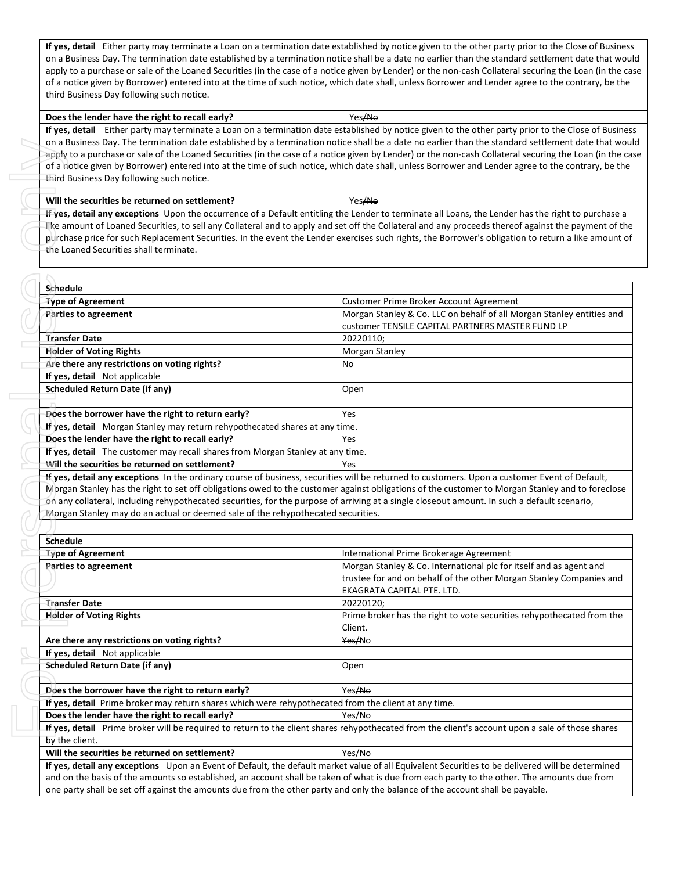**If yes, detail** Either party may terminate a Loan on a termination date established by notice given to the other party prior to the Close of Business on a Business Day. The termination date established by a termination notice shall be a date no earlier than the standard settlement date that would apply to a purchase or sale of the Loaned Securities (in the case of a notice given by Lender) or the non-cash Collateral securing the Loan (in the case of a notice given by Borrower) entered into at the time of such notice, which date shall, unless Borrower and Lender agree to the contrary, be the third Business Day following such notice.

## **Does the lender have the right to recall early?**  $\vert$  Yes/No

**If yes, detail** Either party may terminate a Loan on a termination date established by notice given to the other party prior to the Close of Business on a Business Day. The termination date established by a termination notice shall be a date no earlier than the standard settlement date that would apply to a purchase or sale of the Loaned Securities (in the case of a notice given by Lender) or the non-cash Collateral securing the Loan (in the case of a notice given by Borrower) entered into at the time of such notice, which date shall, unless Borrower and Lender agree to the contrary, be the third Business Day following such notice.

## **Will the securities be returned on settlement?**  $|$  Yes/No

| Schedule                                                                           |                                                                                                                                             |
|------------------------------------------------------------------------------------|---------------------------------------------------------------------------------------------------------------------------------------------|
| <b>Type of Agreement</b>                                                           | Customer Prime Broker Account Agreement                                                                                                     |
| <b>Parties to agreement</b>                                                        | Morgan Stanley & Co. LLC on behalf of all Morgan Stanley entities and                                                                       |
|                                                                                    | customer TENSILE CAPITAL PARTNERS MASTER FUND LP                                                                                            |
| <b>Transfer Date</b>                                                               | 20220110;                                                                                                                                   |
| <b>Holder of Voting Rights</b>                                                     | Morgan Stanley                                                                                                                              |
| Are there any restrictions on voting rights?                                       | No                                                                                                                                          |
| If yes, detail Not applicable                                                      |                                                                                                                                             |
| Scheduled Return Date (if any)                                                     | Open                                                                                                                                        |
|                                                                                    |                                                                                                                                             |
| Does the borrower have the right to return early?                                  | Yes                                                                                                                                         |
| <b>If yes, detail</b> Morgan Stanley may return rehypothecated shares at any time. |                                                                                                                                             |
| Does the lender have the right to recall early?                                    | Yes                                                                                                                                         |
| If yes, detail The customer may recall shares from Morgan Stanley at any time.     |                                                                                                                                             |
| Will the securities be returned on settlement?                                     | Yes                                                                                                                                         |
|                                                                                    | If yes detail any exceptions in the ordinary course of business securities will be returned to customers illnon a customer Event of Default |

| Will the securities be returned on settlement?                                                       | Yes/No                                                                                                                                                                                                                                                                                                                                                                                                                                                            |  |  |  |  |
|------------------------------------------------------------------------------------------------------|-------------------------------------------------------------------------------------------------------------------------------------------------------------------------------------------------------------------------------------------------------------------------------------------------------------------------------------------------------------------------------------------------------------------------------------------------------------------|--|--|--|--|
| the Loaned Securities shall terminate.                                                               | If yes, detail any exceptions Upon the occurrence of a Default entitling the Lender to terminate all Loans, the Lender has the right to purchase a<br>like amount of Loaned Securities, to sell any Collateral and to apply and set off the Collateral and any proceeds thereof against the payment of the<br>purchase price for such Replacement Securities. In the event the Lender exercises such rights, the Borrower's obligation to return a like amount of |  |  |  |  |
| Schedule                                                                                             |                                                                                                                                                                                                                                                                                                                                                                                                                                                                   |  |  |  |  |
| <b>Type of Agreement</b>                                                                             | Customer Prime Broker Account Agreement                                                                                                                                                                                                                                                                                                                                                                                                                           |  |  |  |  |
| <b>Parties to agreement</b>                                                                          | Morgan Stanley & Co. LLC on behalf of all Morgan Stanley entities and<br>customer TENSILE CAPITAL PARTNERS MASTER FUND LP                                                                                                                                                                                                                                                                                                                                         |  |  |  |  |
| <b>Transfer Date</b>                                                                                 | 20220110;                                                                                                                                                                                                                                                                                                                                                                                                                                                         |  |  |  |  |
| <b>Holder of Voting Rights</b>                                                                       | Morgan Stanley                                                                                                                                                                                                                                                                                                                                                                                                                                                    |  |  |  |  |
| Are there any restrictions on voting rights?                                                         | No.                                                                                                                                                                                                                                                                                                                                                                                                                                                               |  |  |  |  |
| If yes, detail Not applicable                                                                        |                                                                                                                                                                                                                                                                                                                                                                                                                                                                   |  |  |  |  |
| <b>Scheduled Return Date (if any)</b>                                                                | Open                                                                                                                                                                                                                                                                                                                                                                                                                                                              |  |  |  |  |
| Does the borrower have the right to return early?                                                    | Yes                                                                                                                                                                                                                                                                                                                                                                                                                                                               |  |  |  |  |
| If yes, detail Morgan Stanley may return rehypothecated shares at any time.                          |                                                                                                                                                                                                                                                                                                                                                                                                                                                                   |  |  |  |  |
| Does the lender have the right to recall early?<br>Yes                                               |                                                                                                                                                                                                                                                                                                                                                                                                                                                                   |  |  |  |  |
| If yes, detail The customer may recall shares from Morgan Stanley at any time.                       |                                                                                                                                                                                                                                                                                                                                                                                                                                                                   |  |  |  |  |
| Will the securities be returned on settlement?                                                       | Yes                                                                                                                                                                                                                                                                                                                                                                                                                                                               |  |  |  |  |
|                                                                                                      | Morgan Stanley has the right to set off obligations owed to the customer against obligations of the customer to Morgan Stanley and to foreclose                                                                                                                                                                                                                                                                                                                   |  |  |  |  |
| Morgan Stanley may do an actual or deemed sale of the rehypothecated securities.                     | on any collateral, including rehypothecated securities, for the purpose of arriving at a single closeout amount. In such a default scenario,                                                                                                                                                                                                                                                                                                                      |  |  |  |  |
|                                                                                                      |                                                                                                                                                                                                                                                                                                                                                                                                                                                                   |  |  |  |  |
| <b>Schedule</b>                                                                                      |                                                                                                                                                                                                                                                                                                                                                                                                                                                                   |  |  |  |  |
| <b>Type of Agreement</b><br>Parties to agreement                                                     | International Prime Brokerage Agreement<br>Morgan Stanley & Co. International plc for itself and as agent and<br>trustee for and on behalf of the other Morgan Stanley Companies and<br>EKAGRATA CAPITAL PTE. LTD.                                                                                                                                                                                                                                                |  |  |  |  |
| Transfer Date                                                                                        | 20220120;                                                                                                                                                                                                                                                                                                                                                                                                                                                         |  |  |  |  |
| <b>Holder of Voting Rights</b>                                                                       | Client.                                                                                                                                                                                                                                                                                                                                                                                                                                                           |  |  |  |  |
| Are there any restrictions on voting rights?                                                         | Yes/No                                                                                                                                                                                                                                                                                                                                                                                                                                                            |  |  |  |  |
| If yes, detail Not applicable                                                                        |                                                                                                                                                                                                                                                                                                                                                                                                                                                                   |  |  |  |  |
| <b>Scheduled Return Date (if any)</b>                                                                | Open                                                                                                                                                                                                                                                                                                                                                                                                                                                              |  |  |  |  |
| Does the borrower have the right to return early?                                                    | Yes <del>/No</del>                                                                                                                                                                                                                                                                                                                                                                                                                                                |  |  |  |  |
| If yes, detail Prime broker may return shares which were rehypothecated from the client at any time. | Prime broker has the right to vote securities rehypothecated from the                                                                                                                                                                                                                                                                                                                                                                                             |  |  |  |  |
| Does the lender have the right to recall early?                                                      | Yes <del>/No</del>                                                                                                                                                                                                                                                                                                                                                                                                                                                |  |  |  |  |
| by the client.                                                                                       | If yes, detail Prime broker will be required to return to the client shares rehypothecated from the client's account upon a sale of those shares<br>Yes/No                                                                                                                                                                                                                                                                                                        |  |  |  |  |